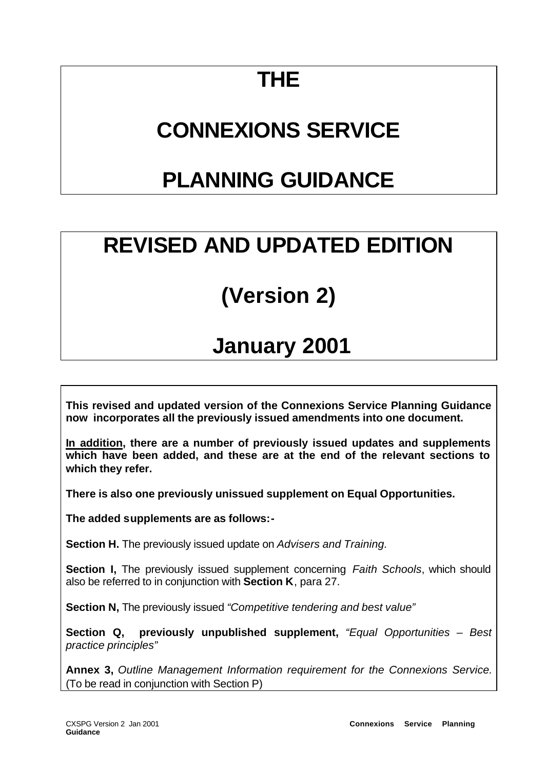# **THE**

# **CONNEXIONS SERVICE**

# **PLANNING GUIDANCE**

# **REVISED AND UPDATED EDITION**

# **(Version 2)**

# **January 2001**

**This revised and updated version of the Connexions Service Planning Guidance now incorporates all the previously issued amendments into one document.**

**In addition, there are a number of previously issued updates and supplements which have been added, and these are at the end of the relevant sections to which they refer.**

**There is also one previously unissued supplement on Equal Opportunities.**

**The added supplements are as follows:-**

**Section H.** The previously issued update on *Advisers and Training.*

**Section I,** The previously issued supplement concerning *Faith Schools*, which should also be referred to in conjunction with **Section K**, para 27.

**Section N,** The previously issued *"Competitive tendering and best value"*

**Section Q, previously unpublished supplement,** *"Equal Opportunities – Best practice principles"*

**Annex 3,** *Outline Management Information requirement for the Connexions Service.* (To be read in conjunction with Section P)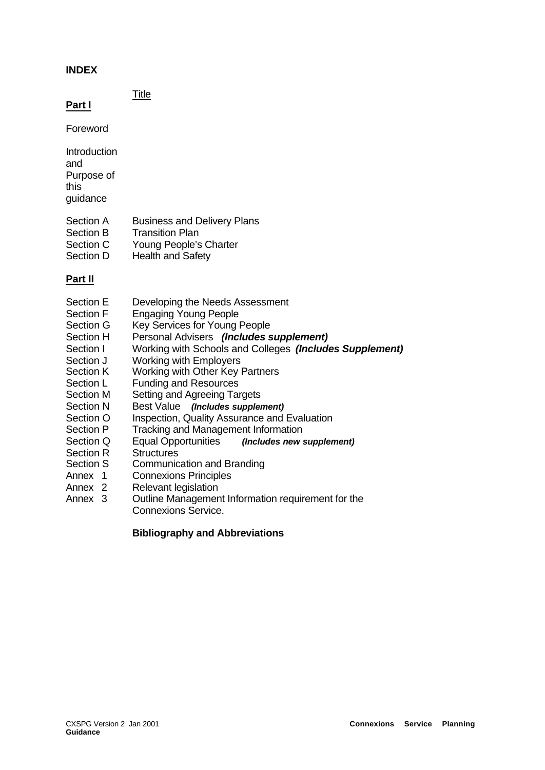## **INDEX**

Title

**Part I**

Foreword

- **Introduction** and Purpose of this guidance
- Section A Business and Delivery Plans
- Section B Transition Plan
- Section C Young People's Charter
- Section D Health and Safety

# **Part II**

- Section E Developing the Needs Assessment
- Section F Engaging Young People
- Section G Key Services for Young People
- Section H Personal Advisers *(Includes supplement)*
- Section I Working with Schools and Colleges *(Includes Supplement)*
- Section J Working with Employers
- Section K Working with Other Key Partners
- Section L Funding and Resources
- Section M Setting and Agreeing Targets
- Section N Best Value *(Includes supplement)*
- Section O Inspection, Quality Assurance and Evaluation
- Section P Tracking and Management Information
- Section Q Equal Opportunities *(Includes new supplement)*
- Section R Structures
- Section S Communication and Branding
- Annex 1 Connexions Principles<br>
Annex 2 Relevant legislation
- **Relevant legislation**
- Annex 3 Outline Management Information requirement for the Connexions Service.

# **Bibliography and Abbreviations**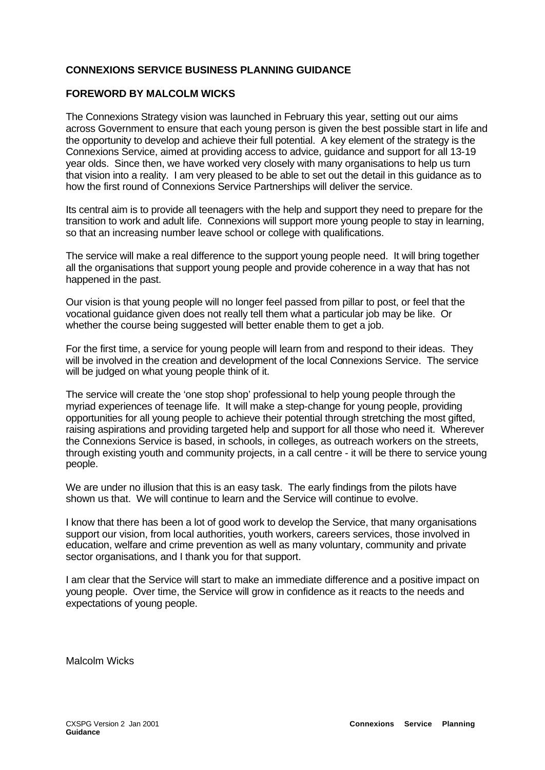## **CONNEXIONS SERVICE BUSINESS PLANNING GUIDANCE**

#### **FOREWORD BY MALCOLM WICKS**

The Connexions Strategy vision was launched in February this year, setting out our aims across Government to ensure that each young person is given the best possible start in life and the opportunity to develop and achieve their full potential. A key element of the strategy is the Connexions Service, aimed at providing access to advice, guidance and support for all 13-19 year olds. Since then, we have worked very closely with many organisations to help us turn that vision into a reality. I am very pleased to be able to set out the detail in this guidance as to how the first round of Connexions Service Partnerships will deliver the service.

Its central aim is to provide all teenagers with the help and support they need to prepare for the transition to work and adult life. Connexions will support more young people to stay in learning, so that an increasing number leave school or college with qualifications.

The service will make a real difference to the support young people need. It will bring together all the organisations that support young people and provide coherence in a way that has not happened in the past.

Our vision is that young people will no longer feel passed from pillar to post, or feel that the vocational guidance given does not really tell them what a particular job may be like. Or whether the course being suggested will better enable them to get a job.

For the first time, a service for young people will learn from and respond to their ideas. They will be involved in the creation and development of the local Connexions Service. The service will be judged on what young people think of it.

The service will create the 'one stop shop' professional to help young people through the myriad experiences of teenage life. It will make a step-change for young people, providing opportunities for all young people to achieve their potential through stretching the most gifted, raising aspirations and providing targeted help and support for all those who need it. Wherever the Connexions Service is based, in schools, in colleges, as outreach workers on the streets, through existing youth and community projects, in a call centre - it will be there to service young people.

We are under no illusion that this is an easy task. The early findings from the pilots have shown us that. We will continue to learn and the Service will continue to evolve.

I know that there has been a lot of good work to develop the Service, that many organisations support our vision, from local authorities, youth workers, careers services, those involved in education, welfare and crime prevention as well as many voluntary, community and private sector organisations, and I thank you for that support.

I am clear that the Service will start to make an immediate difference and a positive impact on young people. Over time, the Service will grow in confidence as it reacts to the needs and expectations of young people.

Malcolm Wicks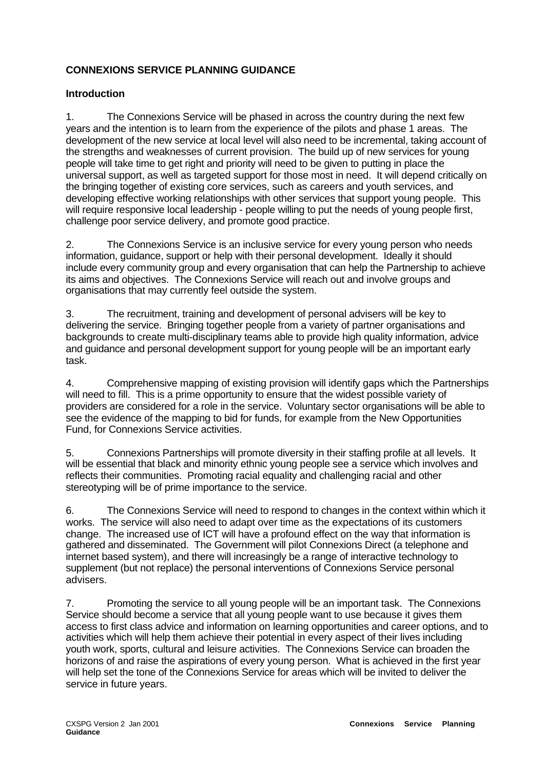# **CONNEXIONS SERVICE PLANNING GUIDANCE**

## **Introduction**

1. The Connexions Service will be phased in across the country during the next few years and the intention is to learn from the experience of the pilots and phase 1 areas. The development of the new service at local level will also need to be incremental, taking account of the strengths and weaknesses of current provision. The build up of new services for young people will take time to get right and priority will need to be given to putting in place the universal support, as well as targeted support for those most in need. It will depend critically on the bringing together of existing core services, such as careers and youth services, and developing effective working relationships with other services that support young people. This will require responsive local leadership - people willing to put the needs of young people first, challenge poor service delivery, and promote good practice.

2. The Connexions Service is an inclusive service for every young person who needs information, guidance, support or help with their personal development. Ideally it should include every community group and every organisation that can help the Partnership to achieve its aims and objectives. The Connexions Service will reach out and involve groups and organisations that may currently feel outside the system.

3. The recruitment, training and development of personal advisers will be key to delivering the service. Bringing together people from a variety of partner organisations and backgrounds to create multi-disciplinary teams able to provide high quality information, advice and guidance and personal development support for young people will be an important early task.

4. Comprehensive mapping of existing provision will identify gaps which the Partnerships will need to fill. This is a prime opportunity to ensure that the widest possible variety of providers are considered for a role in the service. Voluntary sector organisations will be able to see the evidence of the mapping to bid for funds, for example from the New Opportunities Fund, for Connexions Service activities.

5. Connexions Partnerships will promote diversity in their staffing profile at all levels. It will be essential that black and minority ethnic young people see a service which involves and reflects their communities. Promoting racial equality and challenging racial and other stereotyping will be of prime importance to the service.

6. The Connexions Service will need to respond to changes in the context within which it works. The service will also need to adapt over time as the expectations of its customers change. The increased use of ICT will have a profound effect on the way that information is gathered and disseminated. The Government will pilot Connexions Direct (a telephone and internet based system), and there will increasingly be a range of interactive technology to supplement (but not replace) the personal interventions of Connexions Service personal advisers.

7. Promoting the service to all young people will be an important task. The Connexions Service should become a service that all young people want to use because it gives them access to first class advice and information on learning opportunities and career options, and to activities which will help them achieve their potential in every aspect of their lives including youth work, sports, cultural and leisure activities. The Connexions Service can broaden the horizons of and raise the aspirations of every young person. What is achieved in the first year will help set the tone of the Connexions Service for areas which will be invited to deliver the service in future years.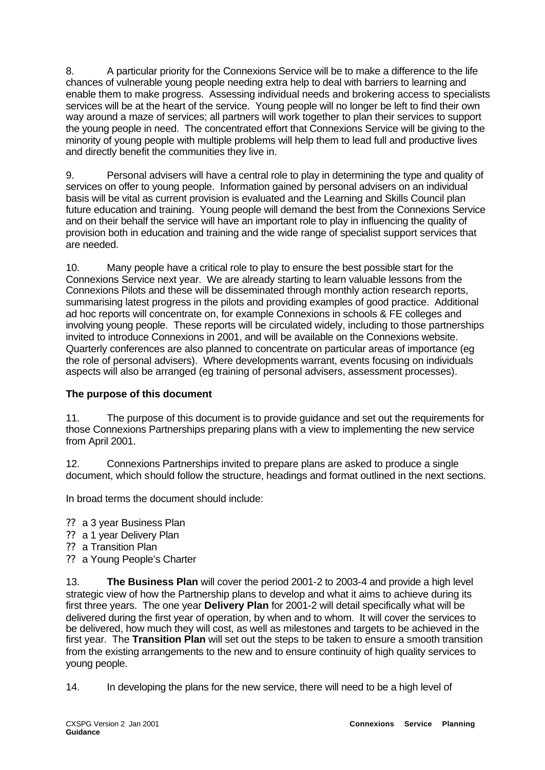8. A particular priority for the Connexions Service will be to make a difference to the life chances of vulnerable young people needing extra help to deal with barriers to learning and enable them to make progress. Assessing individual needs and brokering access to specialists services will be at the heart of the service. Young people will no longer be left to find their own way around a maze of services; all partners will work together to plan their services to support the young people in need. The concentrated effort that Connexions Service will be giving to the minority of young people with multiple problems will help them to lead full and productive lives and directly benefit the communities they live in.

9. Personal advisers will have a central role to play in determining the type and quality of services on offer to young people. Information gained by personal advisers on an individual basis will be vital as current provision is evaluated and the Learning and Skills Council plan future education and training. Young people will demand the best from the Connexions Service and on their behalf the service will have an important role to play in influencing the quality of provision both in education and training and the wide range of specialist support services that are needed.

10. Many people have a critical role to play to ensure the best possible start for the Connexions Service next year. We are already starting to learn valuable lessons from the Connexions Pilots and these will be disseminated through monthly action research reports, summarising latest progress in the pilots and providing examples of good practice. Additional ad hoc reports will concentrate on, for example Connexions in schools & FE colleges and involving young people. These reports will be circulated widely, including to those partnerships invited to introduce Connexions in 2001, and will be available on the Connexions website. Quarterly conferences are also planned to concentrate on particular areas of importance (eg the role of personal advisers). Where developments warrant, events focusing on individuals aspects will also be arranged (eg training of personal advisers, assessment processes).

# **The purpose of this document**

11. The purpose of this document is to provide guidance and set out the requirements for those Connexions Partnerships preparing plans with a view to implementing the new service from April 2001.

12. Connexions Partnerships invited to prepare plans are asked to produce a single document, which should follow the structure, headings and format outlined in the next sections.

In broad terms the document should include:

- ?? a 3 year Business Plan
- ?? a 1 year Delivery Plan
- ?? a Transition Plan
- ?? a Young People's Charter

13. **The Business Plan** will cover the period 2001-2 to 2003-4 and provide a high level strategic view of how the Partnership plans to develop and what it aims to achieve during its first three years. The one year **Delivery Plan** for 2001-2 will detail specifically what will be delivered during the first year of operation, by when and to whom. It will cover the services to be delivered, how much they will cost, as well as milestones and targets to be achieved in the first year. The **Transition Plan** will set out the steps to be taken to ensure a smooth transition from the existing arrangements to the new and to ensure continuity of high quality services to young people.

14. In developing the plans for the new service, there will need to be a high level of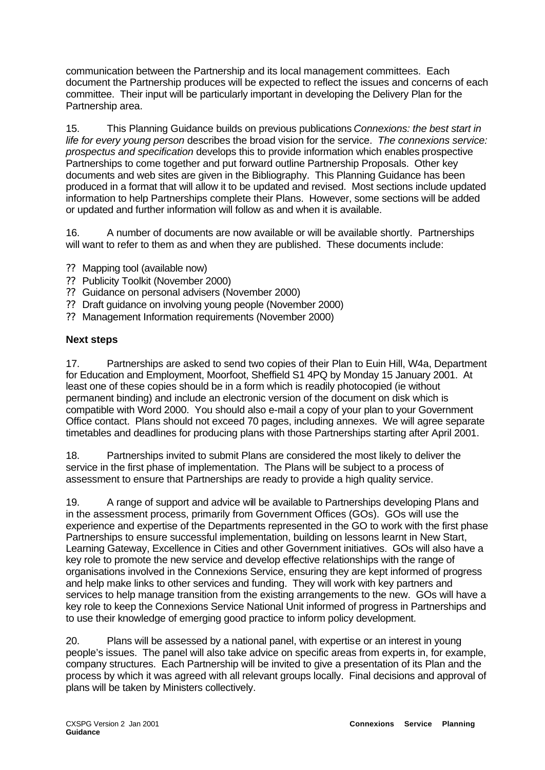communication between the Partnership and its local management committees. Each document the Partnership produces will be expected to reflect the issues and concerns of each committee. Their input will be particularly important in developing the Delivery Plan for the Partnership area.

15. This Planning Guidance builds on previous publications *Connexions: the best start in life for every young person* describes the broad vision for the service. *The connexions service: prospectus and specification* develops this to provide information which enables prospective Partnerships to come together and put forward outline Partnership Proposals. Other key documents and web sites are given in the Bibliography. This Planning Guidance has been produced in a format that will allow it to be updated and revised. Most sections include updated information to help Partnerships complete their Plans. However, some sections will be added or updated and further information will follow as and when it is available.

16. A number of documents are now available or will be available shortly. Partnerships will want to refer to them as and when they are published. These documents include:

- ?? Mapping tool (available now)
- ?? Publicity Toolkit (November 2000)
- ?? Guidance on personal advisers (November 2000)
- ?? Draft guidance on involving young people (November 2000)
- ?? Management Information requirements (November 2000)

## **Next steps**

17. Partnerships are asked to send two copies of their Plan to Euin Hill, W4a, Department for Education and Employment, Moorfoot, Sheffield S1 4PQ by Monday 15 January 2001. At least one of these copies should be in a form which is readily photocopied (ie without permanent binding) and include an electronic version of the document on disk which is compatible with Word 2000. You should also e-mail a copy of your plan to your Government Office contact. Plans should not exceed 70 pages, including annexes. We will agree separate timetables and deadlines for producing plans with those Partnerships starting after April 2001.

18. Partnerships invited to submit Plans are considered the most likely to deliver the service in the first phase of implementation. The Plans will be subject to a process of assessment to ensure that Partnerships are ready to provide a high quality service.

19. A range of support and advice will be available to Partnerships developing Plans and in the assessment process, primarily from Government Offices (GOs). GOs will use the experience and expertise of the Departments represented in the GO to work with the first phase Partnerships to ensure successful implementation, building on lessons learnt in New Start, Learning Gateway, Excellence in Cities and other Government initiatives. GOs will also have a key role to promote the new service and develop effective relationships with the range of organisations involved in the Connexions Service, ensuring they are kept informed of progress and help make links to other services and funding. They will work with key partners and services to help manage transition from the existing arrangements to the new. GOs will have a key role to keep the Connexions Service National Unit informed of progress in Partnerships and to use their knowledge of emerging good practice to inform policy development.

20. Plans will be assessed by a national panel, with expertise or an interest in young people's issues. The panel will also take advice on specific areas from experts in, for example, company structures. Each Partnership will be invited to give a presentation of its Plan and the process by which it was agreed with all relevant groups locally. Final decisions and approval of plans will be taken by Ministers collectively.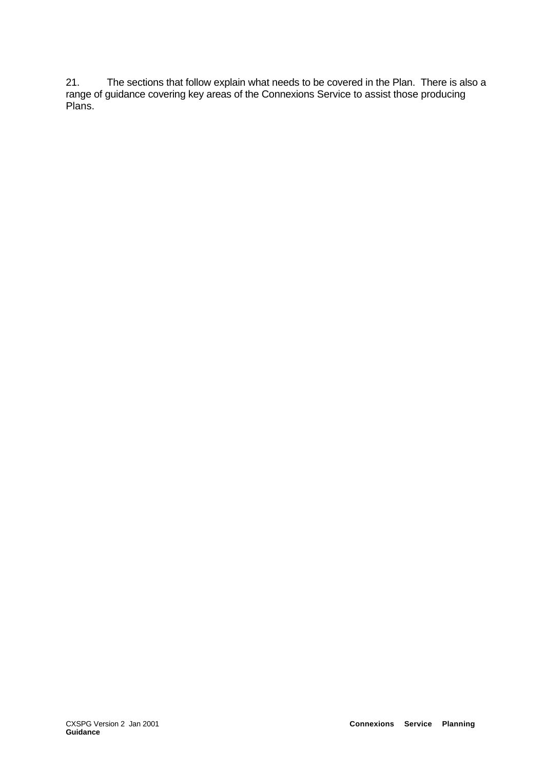21. The sections that follow explain what needs to be covered in the Plan. There is also a range of guidance covering key areas of the Connexions Service to assist those producing Plans.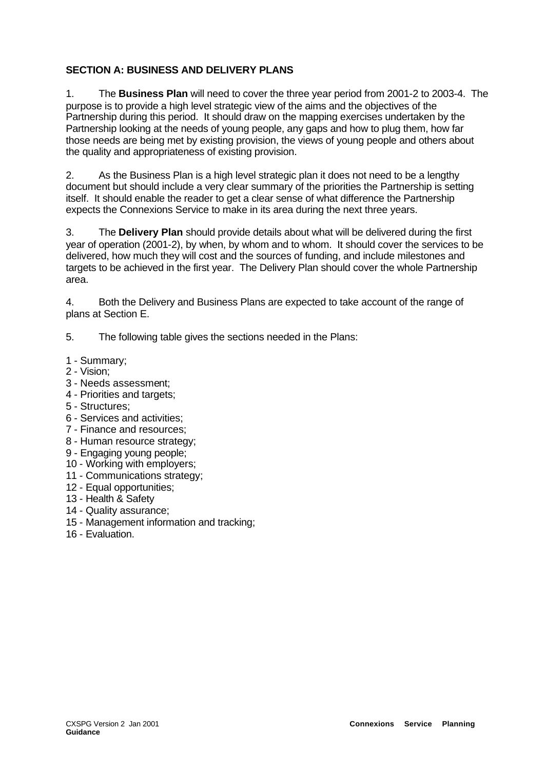# **SECTION A: BUSINESS AND DELIVERY PLANS**

1. The **Business Plan** will need to cover the three year period from 2001-2 to 2003-4. The purpose is to provide a high level strategic view of the aims and the objectives of the Partnership during this period. It should draw on the mapping exercises undertaken by the Partnership looking at the needs of young people, any gaps and how to plug them, how far those needs are being met by existing provision, the views of young people and others about the quality and appropriateness of existing provision.

2. As the Business Plan is a high level strategic plan it does not need to be a lengthy document but should include a very clear summary of the priorities the Partnership is setting itself. It should enable the reader to get a clear sense of what difference the Partnership expects the Connexions Service to make in its area during the next three years.

3. The **Delivery Plan** should provide details about what will be delivered during the first year of operation (2001-2), by when, by whom and to whom. It should cover the services to be delivered, how much they will cost and the sources of funding, and include milestones and targets to be achieved in the first year. The Delivery Plan should cover the whole Partnership area.

4. Both the Delivery and Business Plans are expected to take account of the range of plans at Section E.

5. The following table gives the sections needed in the Plans:

- 1 Summary;
- 2 Vision;
- 3 Needs assessment;
- 4 Priorities and targets;
- 5 Structures;
- 6 Services and activities;
- 7 Finance and resources;
- 8 Human resource strategy;
- 9 Engaging young people;
- 10 Working with employers;
- 11 Communications strategy;
- 12 Equal opportunities;
- 13 Health & Safety
- 14 Quality assurance;
- 15 Management information and tracking;
- 16 Evaluation.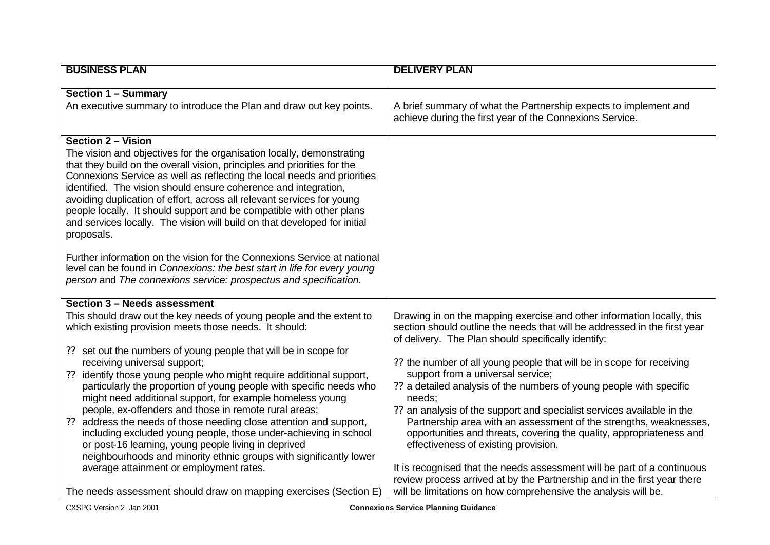| <b>BUSINESS PLAN</b>                                                                                                                                                                                                                                                                                                                                                                                                                                                                                                                                                                                                                                                                                                                                                                                                                                                                                                                  | <b>DELIVERY PLAN</b>                                                                                                                                                                                                                                                                                                                                                                                                                                                                                                                                                                                                                                                                                                                                                                                                                                                                              |
|---------------------------------------------------------------------------------------------------------------------------------------------------------------------------------------------------------------------------------------------------------------------------------------------------------------------------------------------------------------------------------------------------------------------------------------------------------------------------------------------------------------------------------------------------------------------------------------------------------------------------------------------------------------------------------------------------------------------------------------------------------------------------------------------------------------------------------------------------------------------------------------------------------------------------------------|---------------------------------------------------------------------------------------------------------------------------------------------------------------------------------------------------------------------------------------------------------------------------------------------------------------------------------------------------------------------------------------------------------------------------------------------------------------------------------------------------------------------------------------------------------------------------------------------------------------------------------------------------------------------------------------------------------------------------------------------------------------------------------------------------------------------------------------------------------------------------------------------------|
| <b>Section 1 - Summary</b><br>An executive summary to introduce the Plan and draw out key points.                                                                                                                                                                                                                                                                                                                                                                                                                                                                                                                                                                                                                                                                                                                                                                                                                                     | A brief summary of what the Partnership expects to implement and<br>achieve during the first year of the Connexions Service.                                                                                                                                                                                                                                                                                                                                                                                                                                                                                                                                                                                                                                                                                                                                                                      |
| <b>Section 2 – Vision</b><br>The vision and objectives for the organisation locally, demonstrating<br>that they build on the overall vision, principles and priorities for the<br>Connexions Service as well as reflecting the local needs and priorities<br>identified. The vision should ensure coherence and integration,<br>avoiding duplication of effort, across all relevant services for young<br>people locally. It should support and be compatible with other plans<br>and services locally. The vision will build on that developed for initial<br>proposals.<br>Further information on the vision for the Connexions Service at national<br>level can be found in Connexions: the best start in life for every young<br>person and The connexions service: prospectus and specification.                                                                                                                                 |                                                                                                                                                                                                                                                                                                                                                                                                                                                                                                                                                                                                                                                                                                                                                                                                                                                                                                   |
| Section 3 - Needs assessment<br>This should draw out the key needs of young people and the extent to<br>which existing provision meets those needs. It should:<br>?? set out the numbers of young people that will be in scope for<br>receiving universal support;<br>identify those young people who might require additional support,<br>??<br>particularly the proportion of young people with specific needs who<br>might need additional support, for example homeless young<br>people, ex-offenders and those in remote rural areas;<br>address the needs of those needing close attention and support,<br>??<br>including excluded young people, those under-achieving in school<br>or post-16 learning, young people living in deprived<br>neighbourhoods and minority ethnic groups with significantly lower<br>average attainment or employment rates.<br>The needs assessment should draw on mapping exercises (Section E) | Drawing in on the mapping exercise and other information locally, this<br>section should outline the needs that will be addressed in the first year<br>of delivery. The Plan should specifically identify:<br>?? the number of all young people that will be in scope for receiving<br>support from a universal service;<br>?? a detailed analysis of the numbers of young people with specific<br>needs;<br>?? an analysis of the support and specialist services available in the<br>Partnership area with an assessment of the strengths, weaknesses,<br>opportunities and threats, covering the quality, appropriateness and<br>effectiveness of existing provision.<br>It is recognised that the needs assessment will be part of a continuous<br>review process arrived at by the Partnership and in the first year there<br>will be limitations on how comprehensive the analysis will be. |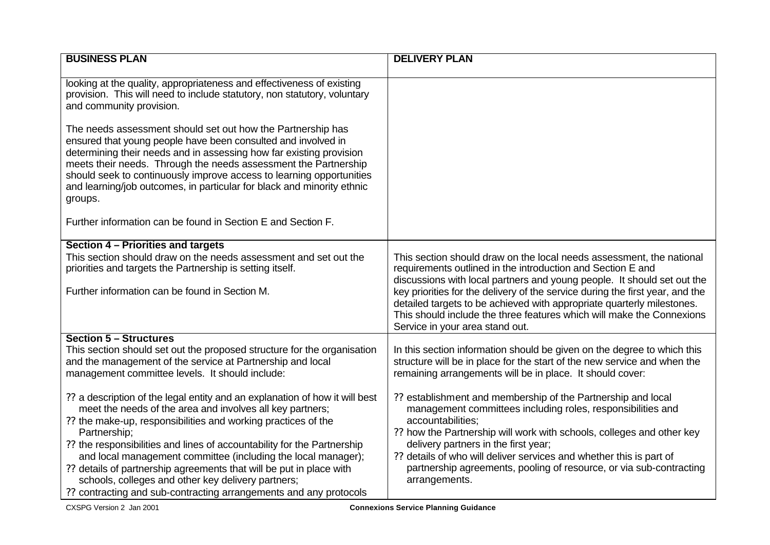| <b>DELIVERY PLAN</b>                                                                                                                                                                                                                                                                                                                                                                                                                                                                                                                                                                                                                                 |
|------------------------------------------------------------------------------------------------------------------------------------------------------------------------------------------------------------------------------------------------------------------------------------------------------------------------------------------------------------------------------------------------------------------------------------------------------------------------------------------------------------------------------------------------------------------------------------------------------------------------------------------------------|
|                                                                                                                                                                                                                                                                                                                                                                                                                                                                                                                                                                                                                                                      |
| This section should draw on the local needs assessment, the national<br>requirements outlined in the introduction and Section E and<br>discussions with local partners and young people. It should set out the<br>key priorities for the delivery of the service during the first year, and the<br>detailed targets to be achieved with appropriate quarterly milestones.<br>This should include the three features which will make the Connexions<br>Service in your area stand out.                                                                                                                                                                |
| In this section information should be given on the degree to which this<br>structure will be in place for the start of the new service and when the<br>remaining arrangements will be in place. It should cover:<br>?? establishment and membership of the Partnership and local<br>management committees including roles, responsibilities and<br>accountabilities;<br>?? how the Partnership will work with schools, colleges and other key<br>delivery partners in the first year;<br>?? details of who will deliver services and whether this is part of<br>partnership agreements, pooling of resource, or via sub-contracting<br>arrangements. |
|                                                                                                                                                                                                                                                                                                                                                                                                                                                                                                                                                                                                                                                      |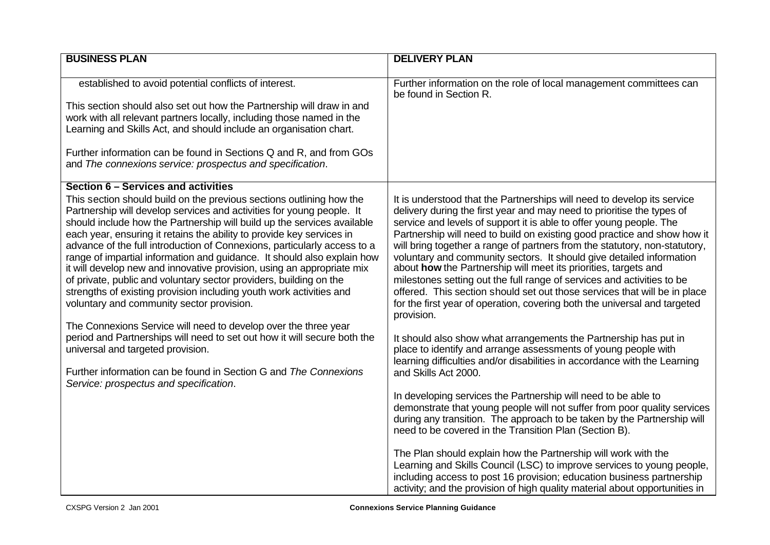| <b>BUSINESS PLAN</b>                                                                                                                                                                                                                                                                                                                                                                                                                                                                                                                                                                                                                                                                                                                                                                                                                                                                                                                                                                                                                                                  | <b>DELIVERY PLAN</b>                                                                                                                                                                                                                                                                                                                                                                                                                                                                                                                                                                                                                                                                                                                                                                                                                                                                                                                                                                                                                                                                                                                                                                                                                                                                                          |
|-----------------------------------------------------------------------------------------------------------------------------------------------------------------------------------------------------------------------------------------------------------------------------------------------------------------------------------------------------------------------------------------------------------------------------------------------------------------------------------------------------------------------------------------------------------------------------------------------------------------------------------------------------------------------------------------------------------------------------------------------------------------------------------------------------------------------------------------------------------------------------------------------------------------------------------------------------------------------------------------------------------------------------------------------------------------------|---------------------------------------------------------------------------------------------------------------------------------------------------------------------------------------------------------------------------------------------------------------------------------------------------------------------------------------------------------------------------------------------------------------------------------------------------------------------------------------------------------------------------------------------------------------------------------------------------------------------------------------------------------------------------------------------------------------------------------------------------------------------------------------------------------------------------------------------------------------------------------------------------------------------------------------------------------------------------------------------------------------------------------------------------------------------------------------------------------------------------------------------------------------------------------------------------------------------------------------------------------------------------------------------------------------|
| established to avoid potential conflicts of interest.                                                                                                                                                                                                                                                                                                                                                                                                                                                                                                                                                                                                                                                                                                                                                                                                                                                                                                                                                                                                                 | Further information on the role of local management committees can<br>be found in Section R.                                                                                                                                                                                                                                                                                                                                                                                                                                                                                                                                                                                                                                                                                                                                                                                                                                                                                                                                                                                                                                                                                                                                                                                                                  |
| This section should also set out how the Partnership will draw in and<br>work with all relevant partners locally, including those named in the<br>Learning and Skills Act, and should include an organisation chart.                                                                                                                                                                                                                                                                                                                                                                                                                                                                                                                                                                                                                                                                                                                                                                                                                                                  |                                                                                                                                                                                                                                                                                                                                                                                                                                                                                                                                                                                                                                                                                                                                                                                                                                                                                                                                                                                                                                                                                                                                                                                                                                                                                                               |
| Further information can be found in Sections Q and R, and from GOs<br>and The connexions service: prospectus and specification.                                                                                                                                                                                                                                                                                                                                                                                                                                                                                                                                                                                                                                                                                                                                                                                                                                                                                                                                       |                                                                                                                                                                                                                                                                                                                                                                                                                                                                                                                                                                                                                                                                                                                                                                                                                                                                                                                                                                                                                                                                                                                                                                                                                                                                                                               |
| Section 6 - Services and activities<br>This section should build on the previous sections outlining how the<br>Partnership will develop services and activities for young people. It<br>should include how the Partnership will build up the services available<br>each year, ensuring it retains the ability to provide key services in<br>advance of the full introduction of Connexions, particularly access to a<br>range of impartial information and guidance. It should also explain how<br>it will develop new and innovative provision, using an appropriate mix<br>of private, public and voluntary sector providers, building on the<br>strengths of existing provision including youth work activities and<br>voluntary and community sector provision.<br>The Connexions Service will need to develop over the three year<br>period and Partnerships will need to set out how it will secure both the<br>universal and targeted provision.<br>Further information can be found in Section G and The Connexions<br>Service: prospectus and specification. | It is understood that the Partnerships will need to develop its service<br>delivery during the first year and may need to prioritise the types of<br>service and levels of support it is able to offer young people. The<br>Partnership will need to build on existing good practice and show how it<br>will bring together a range of partners from the statutory, non-statutory,<br>voluntary and community sectors. It should give detailed information<br>about how the Partnership will meet its priorities, targets and<br>milestones setting out the full range of services and activities to be<br>offered. This section should set out those services that will be in place<br>for the first year of operation, covering both the universal and targeted<br>provision.<br>It should also show what arrangements the Partnership has put in<br>place to identify and arrange assessments of young people with<br>learning difficulties and/or disabilities in accordance with the Learning<br>and Skills Act 2000.<br>In developing services the Partnership will need to be able to<br>demonstrate that young people will not suffer from poor quality services<br>during any transition. The approach to be taken by the Partnership will<br>need to be covered in the Transition Plan (Section B). |
|                                                                                                                                                                                                                                                                                                                                                                                                                                                                                                                                                                                                                                                                                                                                                                                                                                                                                                                                                                                                                                                                       | The Plan should explain how the Partnership will work with the<br>Learning and Skills Council (LSC) to improve services to young people,<br>including access to post 16 provision; education business partnership<br>activity; and the provision of high quality material about opportunities in                                                                                                                                                                                                                                                                                                                                                                                                                                                                                                                                                                                                                                                                                                                                                                                                                                                                                                                                                                                                              |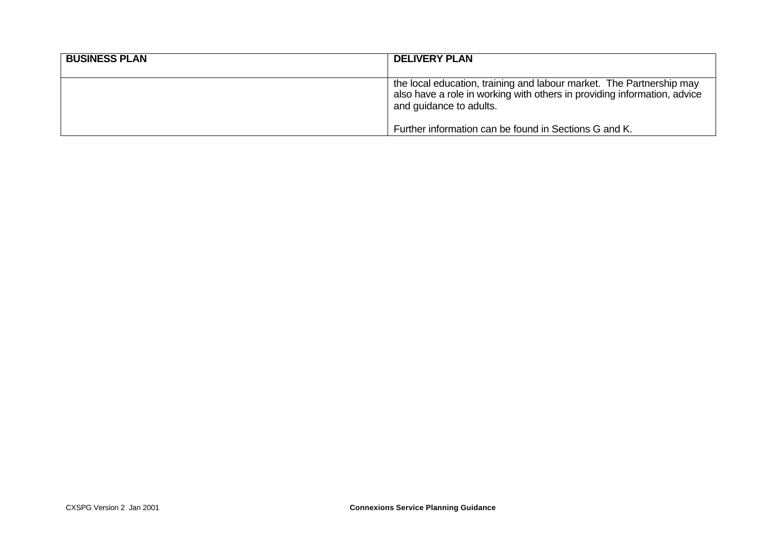| <b>BUSINESS PLAN</b> | <b>DELIVERY PLAN</b>                                                                                                                                                        |
|----------------------|-----------------------------------------------------------------------------------------------------------------------------------------------------------------------------|
|                      | the local education, training and labour market. The Partnership may<br>also have a role in working with others in providing information, advice<br>and guidance to adults. |
|                      | Further information can be found in Sections G and K.                                                                                                                       |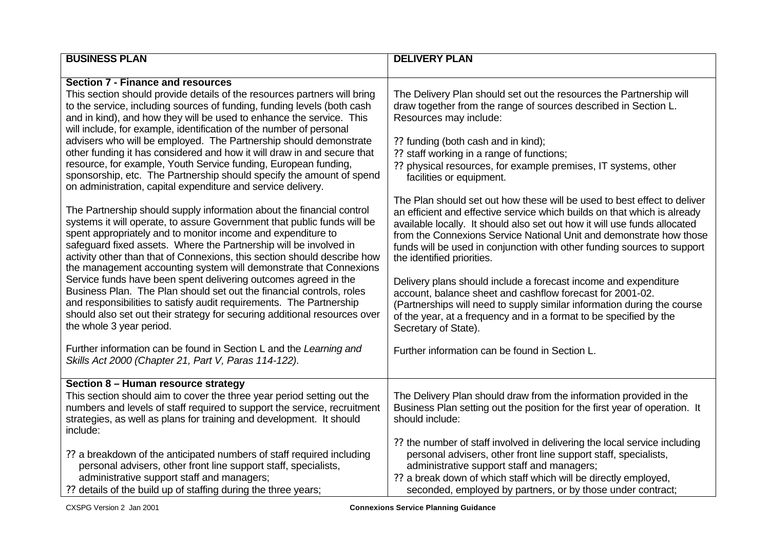| <b>BUSINESS PLAN</b>                                                                                                                                                                                                                                                                                                                                                                                                                                                                                                                                                                                                                                                                                                                                                                                                                                          | <b>DELIVERY PLAN</b>                                                                                                                                                                                                                                                                                                                                                                                                                                                                                                                                                                    |
|---------------------------------------------------------------------------------------------------------------------------------------------------------------------------------------------------------------------------------------------------------------------------------------------------------------------------------------------------------------------------------------------------------------------------------------------------------------------------------------------------------------------------------------------------------------------------------------------------------------------------------------------------------------------------------------------------------------------------------------------------------------------------------------------------------------------------------------------------------------|-----------------------------------------------------------------------------------------------------------------------------------------------------------------------------------------------------------------------------------------------------------------------------------------------------------------------------------------------------------------------------------------------------------------------------------------------------------------------------------------------------------------------------------------------------------------------------------------|
|                                                                                                                                                                                                                                                                                                                                                                                                                                                                                                                                                                                                                                                                                                                                                                                                                                                               |                                                                                                                                                                                                                                                                                                                                                                                                                                                                                                                                                                                         |
| <b>Section 7 - Finance and resources</b><br>This section should provide details of the resources partners will bring<br>to the service, including sources of funding, funding levels (both cash<br>and in kind), and how they will be used to enhance the service. This<br>will include, for example, identification of the number of personal<br>advisers who will be employed. The Partnership should demonstrate<br>other funding it has considered and how it will draw in and secure that<br>resource, for example, Youth Service funding, European funding,<br>sponsorship, etc. The Partnership should specify the amount of spend<br>on administration, capital expenditure and service delivery.<br>The Partnership should supply information about the financial control<br>systems it will operate, to assure Government that public funds will be | The Delivery Plan should set out the resources the Partnership will<br>draw together from the range of sources described in Section L.<br>Resources may include:<br>?? funding (both cash and in kind);<br>?? staff working in a range of functions;<br>?? physical resources, for example premises, IT systems, other<br>facilities or equipment.<br>The Plan should set out how these will be used to best effect to deliver<br>an efficient and effective service which builds on that which is already<br>available locally. It should also set out how it will use funds allocated |
| spent appropriately and to monitor income and expenditure to<br>safeguard fixed assets. Where the Partnership will be involved in<br>activity other than that of Connexions, this section should describe how<br>the management accounting system will demonstrate that Connexions<br>Service funds have been spent delivering outcomes agreed in the<br>Business Plan. The Plan should set out the financial controls, roles<br>and responsibilities to satisfy audit requirements. The Partnership<br>should also set out their strategy for securing additional resources over<br>the whole 3 year period.                                                                                                                                                                                                                                                 | from the Connexions Service National Unit and demonstrate how those<br>funds will be used in conjunction with other funding sources to support<br>the identified priorities.<br>Delivery plans should include a forecast income and expenditure<br>account, balance sheet and cashflow forecast for 2001-02.<br>(Partnerships will need to supply similar information during the course<br>of the year, at a frequency and in a format to be specified by the<br>Secretary of State).                                                                                                   |
| Further information can be found in Section L and the Learning and<br>Skills Act 2000 (Chapter 21, Part V, Paras 114-122).                                                                                                                                                                                                                                                                                                                                                                                                                                                                                                                                                                                                                                                                                                                                    | Further information can be found in Section L.                                                                                                                                                                                                                                                                                                                                                                                                                                                                                                                                          |
| Section 8 - Human resource strategy                                                                                                                                                                                                                                                                                                                                                                                                                                                                                                                                                                                                                                                                                                                                                                                                                           |                                                                                                                                                                                                                                                                                                                                                                                                                                                                                                                                                                                         |
| This section should aim to cover the three year period setting out the<br>numbers and levels of staff required to support the service, recruitment<br>strategies, as well as plans for training and development. It should<br>include:                                                                                                                                                                                                                                                                                                                                                                                                                                                                                                                                                                                                                        | The Delivery Plan should draw from the information provided in the<br>Business Plan setting out the position for the first year of operation. It<br>should include:                                                                                                                                                                                                                                                                                                                                                                                                                     |
| ?? a breakdown of the anticipated numbers of staff required including<br>personal advisers, other front line support staff, specialists,<br>administrative support staff and managers;<br>?? details of the build up of staffing during the three years;                                                                                                                                                                                                                                                                                                                                                                                                                                                                                                                                                                                                      | ?? the number of staff involved in delivering the local service including<br>personal advisers, other front line support staff, specialists,<br>administrative support staff and managers;<br>?? a break down of which staff which will be directly employed,<br>seconded, employed by partners, or by those under contract;                                                                                                                                                                                                                                                            |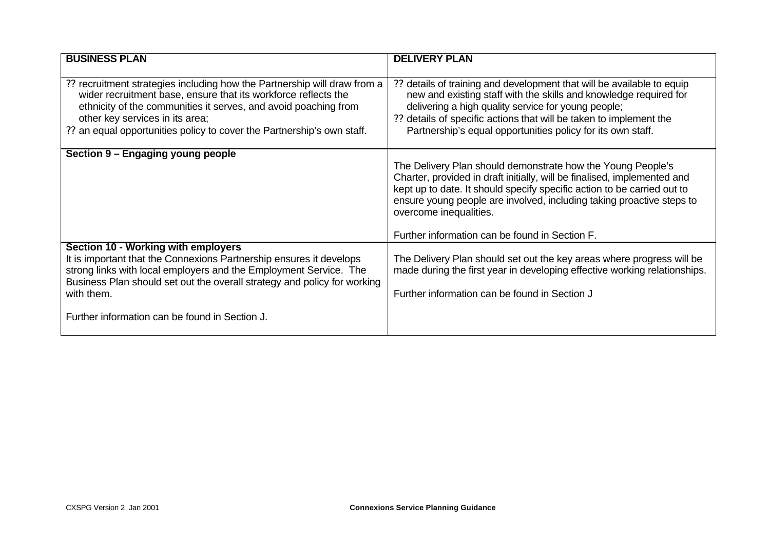| <b>BUSINESS PLAN</b>                                                                                                                                                                                                                                                                                                        | <b>DELIVERY PLAN</b>                                                                                                                                                                                                                                                                                                                                                    |
|-----------------------------------------------------------------------------------------------------------------------------------------------------------------------------------------------------------------------------------------------------------------------------------------------------------------------------|-------------------------------------------------------------------------------------------------------------------------------------------------------------------------------------------------------------------------------------------------------------------------------------------------------------------------------------------------------------------------|
| ?? recruitment strategies including how the Partnership will draw from a<br>wider recruitment base, ensure that its workforce reflects the<br>ethnicity of the communities it serves, and avoid poaching from<br>other key services in its area;<br>?? an equal opportunities policy to cover the Partnership's own staff.  | details of training and development that will be available to equip<br>??<br>new and existing staff with the skills and knowledge required for<br>delivering a high quality service for young people;<br>?? details of specific actions that will be taken to implement the<br>Partnership's equal opportunities policy for its own staff.                              |
| Section 9 - Engaging young people                                                                                                                                                                                                                                                                                           | The Delivery Plan should demonstrate how the Young People's<br>Charter, provided in draft initially, will be finalised, implemented and<br>kept up to date. It should specify specific action to be carried out to<br>ensure young people are involved, including taking proactive steps to<br>overcome inequalities.<br>Further information can be found in Section F. |
| Section 10 - Working with employers<br>It is important that the Connexions Partnership ensures it develops<br>strong links with local employers and the Employment Service. The<br>Business Plan should set out the overall strategy and policy for working<br>with them.<br>Further information can be found in Section J. | The Delivery Plan should set out the key areas where progress will be<br>made during the first year in developing effective working relationships.<br>Further information can be found in Section J                                                                                                                                                                     |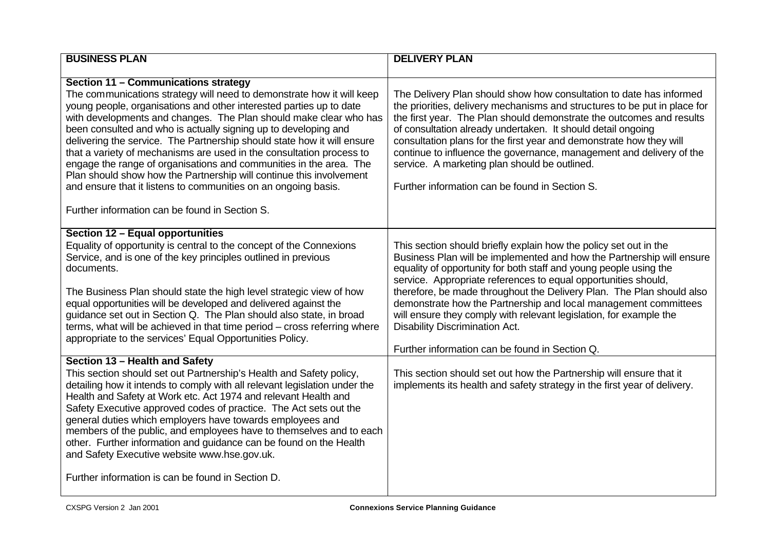| <b>BUSINESS PLAN</b>                                                                                                                                                                                                                                                                                                                                                                                                                                                                                                                                                                                                                                                                                                                                                                                       | <b>DELIVERY PLAN</b>                                                                                                                                                                                                                                                                                                                                                                                                                                                                                                                                                                                                                                                                                                                       |
|------------------------------------------------------------------------------------------------------------------------------------------------------------------------------------------------------------------------------------------------------------------------------------------------------------------------------------------------------------------------------------------------------------------------------------------------------------------------------------------------------------------------------------------------------------------------------------------------------------------------------------------------------------------------------------------------------------------------------------------------------------------------------------------------------------|--------------------------------------------------------------------------------------------------------------------------------------------------------------------------------------------------------------------------------------------------------------------------------------------------------------------------------------------------------------------------------------------------------------------------------------------------------------------------------------------------------------------------------------------------------------------------------------------------------------------------------------------------------------------------------------------------------------------------------------------|
| Section 11 - Communications strategy<br>The communications strategy will need to demonstrate how it will keep<br>young people, organisations and other interested parties up to date<br>with developments and changes. The Plan should make clear who has<br>been consulted and who is actually signing up to developing and<br>delivering the service. The Partnership should state how it will ensure<br>that a variety of mechanisms are used in the consultation process to<br>engage the range of organisations and communities in the area. The<br>Plan should show how the Partnership will continue this involvement<br>and ensure that it listens to communities on an ongoing basis.<br>Further information can be found in Section S.                                                           | The Delivery Plan should show how consultation to date has informed<br>the priorities, delivery mechanisms and structures to be put in place for<br>the first year. The Plan should demonstrate the outcomes and results<br>of consultation already undertaken. It should detail ongoing<br>consultation plans for the first year and demonstrate how they will<br>continue to influence the governance, management and delivery of the<br>service. A marketing plan should be outlined.<br>Further information can be found in Section S.                                                                                                                                                                                                 |
| Section 12 - Equal opportunities<br>Equality of opportunity is central to the concept of the Connexions<br>Service, and is one of the key principles outlined in previous<br>documents.<br>The Business Plan should state the high level strategic view of how<br>equal opportunities will be developed and delivered against the<br>guidance set out in Section Q. The Plan should also state, in broad<br>terms, what will be achieved in that time period - cross referring where<br>appropriate to the services' Equal Opportunities Policy.<br>Section 13 - Health and Safety<br>This section should set out Partnership's Health and Safety policy,<br>detailing how it intends to comply with all relevant legislation under the<br>Health and Safety at Work etc. Act 1974 and relevant Health and | This section should briefly explain how the policy set out in the<br>Business Plan will be implemented and how the Partnership will ensure<br>equality of opportunity for both staff and young people using the<br>service. Appropriate references to equal opportunities should,<br>therefore, be made throughout the Delivery Plan. The Plan should also<br>demonstrate how the Partnership and local management committees<br>will ensure they comply with relevant legislation, for example the<br>Disability Discrimination Act.<br>Further information can be found in Section Q.<br>This section should set out how the Partnership will ensure that it<br>implements its health and safety strategy in the first year of delivery. |
| Safety Executive approved codes of practice. The Act sets out the<br>general duties which employers have towards employees and<br>members of the public, and employees have to themselves and to each<br>other. Further information and guidance can be found on the Health<br>and Safety Executive website www.hse.gov.uk.<br>Further information is can be found in Section D.                                                                                                                                                                                                                                                                                                                                                                                                                           |                                                                                                                                                                                                                                                                                                                                                                                                                                                                                                                                                                                                                                                                                                                                            |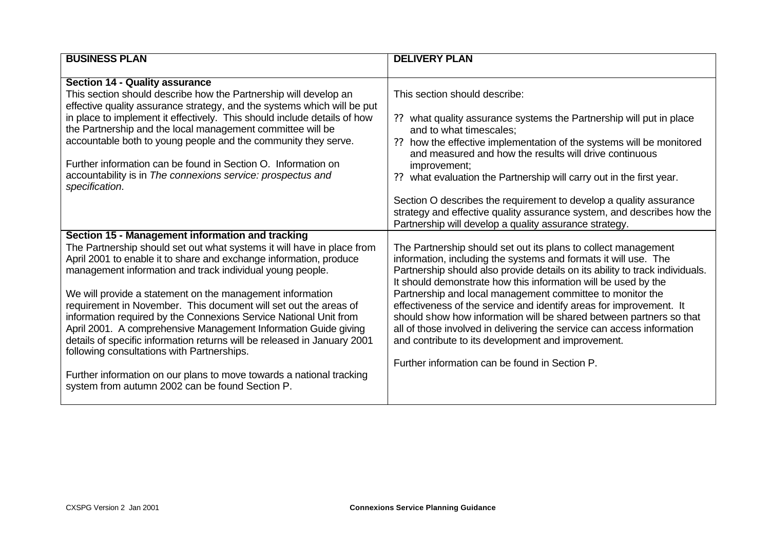| <b>BUSINESS PLAN</b>                                                                                                                                                                                                                              | <b>DELIVERY PLAN</b>                                                                                                                            |
|---------------------------------------------------------------------------------------------------------------------------------------------------------------------------------------------------------------------------------------------------|-------------------------------------------------------------------------------------------------------------------------------------------------|
|                                                                                                                                                                                                                                                   |                                                                                                                                                 |
| <b>Section 14 - Quality assurance</b>                                                                                                                                                                                                             |                                                                                                                                                 |
| This section should describe how the Partnership will develop an                                                                                                                                                                                  | This section should describe:                                                                                                                   |
| effective quality assurance strategy, and the systems which will be put<br>in place to implement it effectively. This should include details of how                                                                                               |                                                                                                                                                 |
| the Partnership and the local management committee will be                                                                                                                                                                                        | what quality assurance systems the Partnership will put in place<br>and to what timescales:                                                     |
| accountable both to young people and the community they serve.                                                                                                                                                                                    | how the effective implementation of the systems will be monitored<br>??                                                                         |
|                                                                                                                                                                                                                                                   | and measured and how the results will drive continuous                                                                                          |
| Further information can be found in Section O. Information on                                                                                                                                                                                     | improvement;                                                                                                                                    |
| accountability is in The connexions service: prospectus and                                                                                                                                                                                       | what evaluation the Partnership will carry out in the first year.                                                                               |
| specification.                                                                                                                                                                                                                                    |                                                                                                                                                 |
|                                                                                                                                                                                                                                                   | Section O describes the requirement to develop a quality assurance                                                                              |
|                                                                                                                                                                                                                                                   | strategy and effective quality assurance system, and describes how the                                                                          |
|                                                                                                                                                                                                                                                   | Partnership will develop a quality assurance strategy.                                                                                          |
| Section 15 - Management information and tracking                                                                                                                                                                                                  |                                                                                                                                                 |
| The Partnership should set out what systems it will have in place from                                                                                                                                                                            | The Partnership should set out its plans to collect management                                                                                  |
| April 2001 to enable it to share and exchange information, produce<br>management information and track individual young people.                                                                                                                   | information, including the systems and formats it will use. The<br>Partnership should also provide details on its ability to track individuals. |
|                                                                                                                                                                                                                                                   | It should demonstrate how this information will be used by the                                                                                  |
| We will provide a statement on the management information                                                                                                                                                                                         | Partnership and local management committee to monitor the                                                                                       |
| requirement in November. This document will set out the areas of                                                                                                                                                                                  | effectiveness of the service and identify areas for improvement. It                                                                             |
| information required by the Connexions Service National Unit from                                                                                                                                                                                 | should show how information will be shared between partners so that                                                                             |
| April 2001. A comprehensive Management Information Guide giving                                                                                                                                                                                   | all of those involved in delivering the service can access information                                                                          |
|                                                                                                                                                                                                                                                   |                                                                                                                                                 |
|                                                                                                                                                                                                                                                   |                                                                                                                                                 |
|                                                                                                                                                                                                                                                   |                                                                                                                                                 |
|                                                                                                                                                                                                                                                   |                                                                                                                                                 |
|                                                                                                                                                                                                                                                   |                                                                                                                                                 |
| details of specific information returns will be released in January 2001<br>following consultations with Partnerships.<br>Further information on our plans to move towards a national tracking<br>system from autumn 2002 can be found Section P. | and contribute to its development and improvement.<br>Further information can be found in Section P.                                            |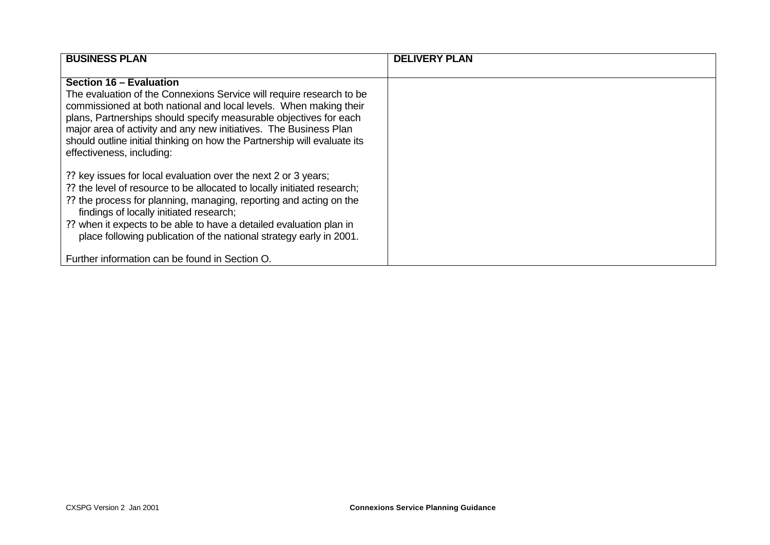| <b>BUSINESS PLAN</b>                                                                                                                          | <b>DELIVERY PLAN</b> |
|-----------------------------------------------------------------------------------------------------------------------------------------------|----------------------|
|                                                                                                                                               |                      |
| Section 16 - Evaluation                                                                                                                       |                      |
| The evaluation of the Connexions Service will require research to be                                                                          |                      |
| commissioned at both national and local levels. When making their                                                                             |                      |
| plans, Partnerships should specify measurable objectives for each                                                                             |                      |
| major area of activity and any new initiatives. The Business Plan<br>should outline initial thinking on how the Partnership will evaluate its |                      |
| effectiveness, including:                                                                                                                     |                      |
|                                                                                                                                               |                      |
| ?? key issues for local evaluation over the next 2 or 3 years;                                                                                |                      |
| ?? the level of resource to be allocated to locally initiated research;                                                                       |                      |
| ?? the process for planning, managing, reporting and acting on the                                                                            |                      |
| findings of locally initiated research;                                                                                                       |                      |
| ?? when it expects to be able to have a detailed evaluation plan in                                                                           |                      |
| place following publication of the national strategy early in 2001.                                                                           |                      |
|                                                                                                                                               |                      |
| Further information can be found in Section O.                                                                                                |                      |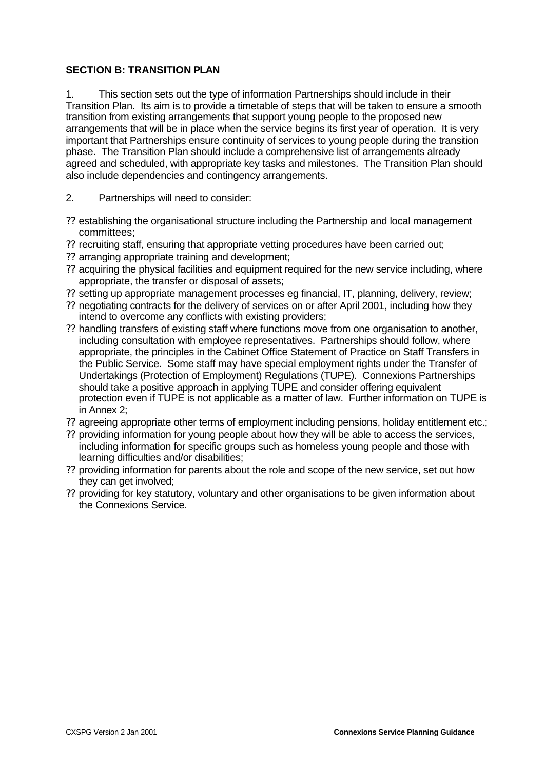## **SECTION B: TRANSITION PLAN**

1. This section sets out the type of information Partnerships should include in their Transition Plan. Its aim is to provide a timetable of steps that will be taken to ensure a smooth transition from existing arrangements that support young people to the proposed new arrangements that will be in place when the service begins its first year of operation. It is very important that Partnerships ensure continuity of services to young people during the transition phase. The Transition Plan should include a comprehensive list of arrangements already agreed and scheduled, with appropriate key tasks and milestones. The Transition Plan should also include dependencies and contingency arrangements.

- 2. Partnerships will need to consider:
- ?? establishing the organisational structure including the Partnership and local management committees;
- ?? recruiting staff, ensuring that appropriate vetting procedures have been carried out;
- ?? arranging appropriate training and development;
- ?? acquiring the physical facilities and equipment required for the new service including, where appropriate, the transfer or disposal of assets;
- ?? setting up appropriate management processes eg financial, IT, planning, delivery, review;
- ?? negotiating contracts for the delivery of services on or after April 2001, including how they intend to overcome any conflicts with existing providers;
- ?? handling transfers of existing staff where functions move from one organisation to another, including consultation with employee representatives. Partnerships should follow, where appropriate, the principles in the Cabinet Office Statement of Practice on Staff Transfers in the Public Service. Some staff may have special employment rights under the Transfer of Undertakings (Protection of Employment) Regulations (TUPE). Connexions Partnerships should take a positive approach in applying TUPE and consider offering equivalent protection even if TUPE is not applicable as a matter of law. Further information on TUPE is in Annex 2;
- ?? agreeing appropriate other terms of employment including pensions, holiday entitlement etc.;
- ?? providing information for young people about how they will be able to access the services, including information for specific groups such as homeless young people and those with learning difficulties and/or disabilities;
- ?? providing information for parents about the role and scope of the new service, set out how they can get involved;
- ?? providing for key statutory, voluntary and other organisations to be given information about the Connexions Service.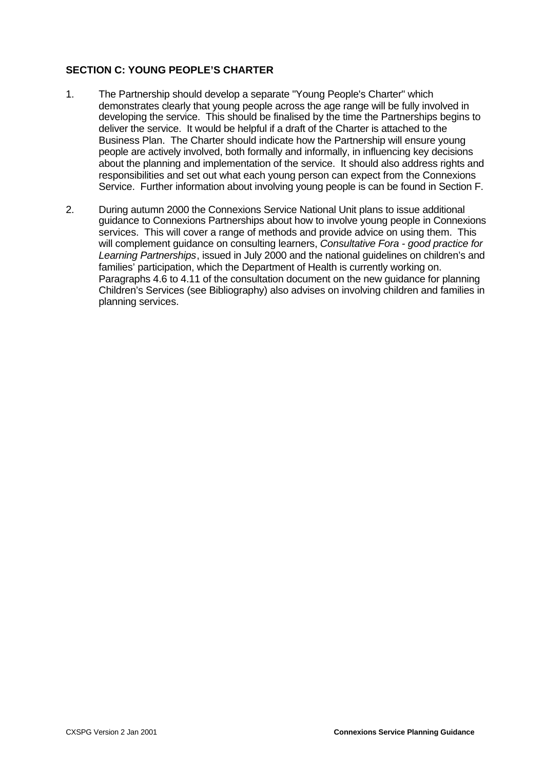# **SECTION C: YOUNG PEOPLE'S CHARTER**

- 1. The Partnership should develop a separate "Young People's Charter" which demonstrates clearly that young people across the age range will be fully involved in developing the service. This should be finalised by the time the Partnerships begins to deliver the service. It would be helpful if a draft of the Charter is attached to the Business Plan. The Charter should indicate how the Partnership will ensure young people are actively involved, both formally and informally, in influencing key decisions about the planning and implementation of the service. It should also address rights and responsibilities and set out what each young person can expect from the Connexions Service. Further information about involving young people is can be found in Section F.
- 2. During autumn 2000 the Connexions Service National Unit plans to issue additional guidance to Connexions Partnerships about how to involve young people in Connexions services. This will cover a range of methods and provide advice on using them. This will complement guidance on consulting learners, *Consultative Fora - good practice for Learning Partnerships*, issued in July 2000 and the national guidelines on children's and families' participation, which the Department of Health is currently working on. Paragraphs 4.6 to 4.11 of the consultation document on the new guidance for planning Children's Services (see Bibliography) also advises on involving children and families in planning services.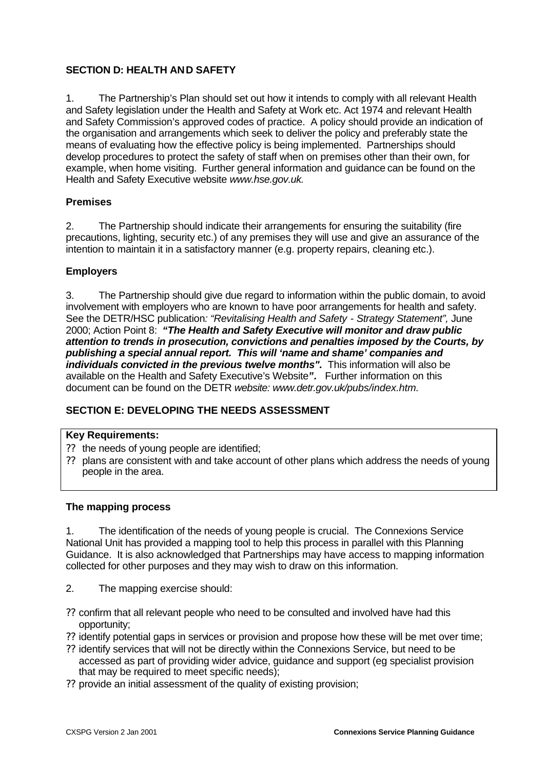# **SECTION D: HEALTH AND SAFETY**

1. The Partnership's Plan should set out how it intends to comply with all relevant Health and Safety legislation under the Health and Safety at Work etc. Act 1974 and relevant Health and Safety Commission's approved codes of practice. A policy should provide an indication of the organisation and arrangements which seek to deliver the policy and preferably state the means of evaluating how the effective policy is being implemented. Partnerships should develop procedures to protect the safety of staff when on premises other than their own, for example, when home visiting. Further general information and guidance can be found on the Health and Safety Executive website *www.hse.gov.uk.*

## **Premises**

2. The Partnership should indicate their arrangements for ensuring the suitability (fire precautions, lighting, security etc.) of any premises they will use and give an assurance of the intention to maintain it in a satisfactory manner (e.g. property repairs, cleaning etc.).

## **Employers**

3. The Partnership should give due regard to information within the public domain, to avoid involvement with employers who are known to have poor arrangements for health and safety. See the DETR/HSC publication*: "Revitalising Health and Safety - Strategy Statement",* June 2000; Action Point 8: *"The Health and Safety Executive will monitor and draw public attention to trends in prosecution, convictions and penalties imposed by the Courts, by publishing a special annual report. This will 'name and shame' companies and individuals convicted in the previous twelve months".* This information will also be available on the Health and Safety Executive's Website*".* Further information on this document can be found on the DETR *website: www.detr.gov.uk/pubs/index.htm.*

# **SECTION E: DEVELOPING THE NEEDS ASSESSMENT**

## **Key Requirements:**

- ?? the needs of young people are identified;
- ?? plans are consistent with and take account of other plans which address the needs of young people in the area.

## **The mapping process**

1. The identification of the needs of young people is crucial. The Connexions Service National Unit has provided a mapping tool to help this process in parallel with this Planning Guidance. It is also acknowledged that Partnerships may have access to mapping information collected for other purposes and they may wish to draw on this information.

- 2. The mapping exercise should:
- ?? confirm that all relevant people who need to be consulted and involved have had this opportunity;
- ?? identify potential gaps in services or provision and propose how these will be met over time;
- ?? identify services that will not be directly within the Connexions Service, but need to be accessed as part of providing wider advice, guidance and support (eg specialist provision that may be required to meet specific needs);
- ?? provide an initial assessment of the quality of existing provision;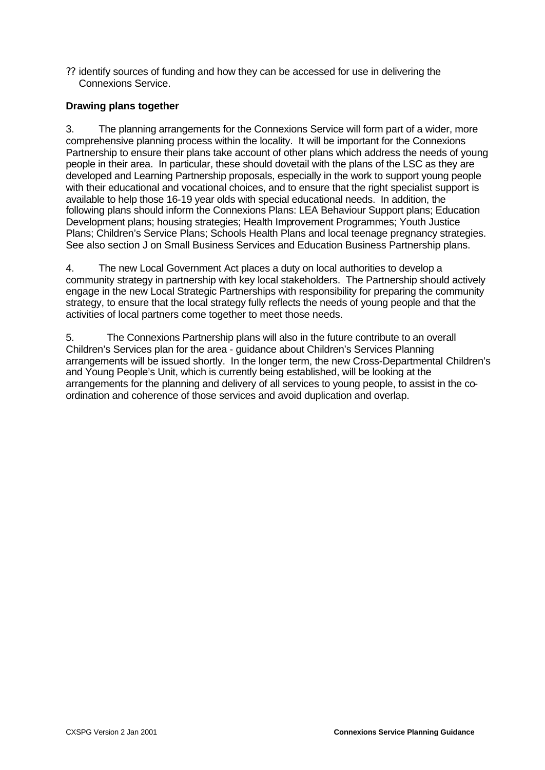?? identify sources of funding and how they can be accessed for use in delivering the Connexions Service.

## **Drawing plans together**

3. The planning arrangements for the Connexions Service will form part of a wider, more comprehensive planning process within the locality. It will be important for the Connexions Partnership to ensure their plans take account of other plans which address the needs of young people in their area. In particular, these should dovetail with the plans of the LSC as they are developed and Learning Partnership proposals, especially in the work to support young people with their educational and vocational choices, and to ensure that the right specialist support is available to help those 16-19 year olds with special educational needs. In addition, the following plans should inform the Connexions Plans: LEA Behaviour Support plans; Education Development plans; housing strategies; Health Improvement Programmes; Youth Justice Plans; Children's Service Plans; Schools Health Plans and local teenage pregnancy strategies. See also section J on Small Business Services and Education Business Partnership plans.

4. The new Local Government Act places a duty on local authorities to develop a community strategy in partnership with key local stakeholders. The Partnership should actively engage in the new Local Strategic Partnerships with responsibility for preparing the community strategy, to ensure that the local strategy fully reflects the needs of young people and that the activities of local partners come together to meet those needs.

5. The Connexions Partnership plans will also in the future contribute to an overall Children's Services plan for the area - guidance about Children's Services Planning arrangements will be issued shortly. In the longer term, the new Cross-Departmental Children's and Young People's Unit, which is currently being established, will be looking at the arrangements for the planning and delivery of all services to young people, to assist in the coordination and coherence of those services and avoid duplication and overlap.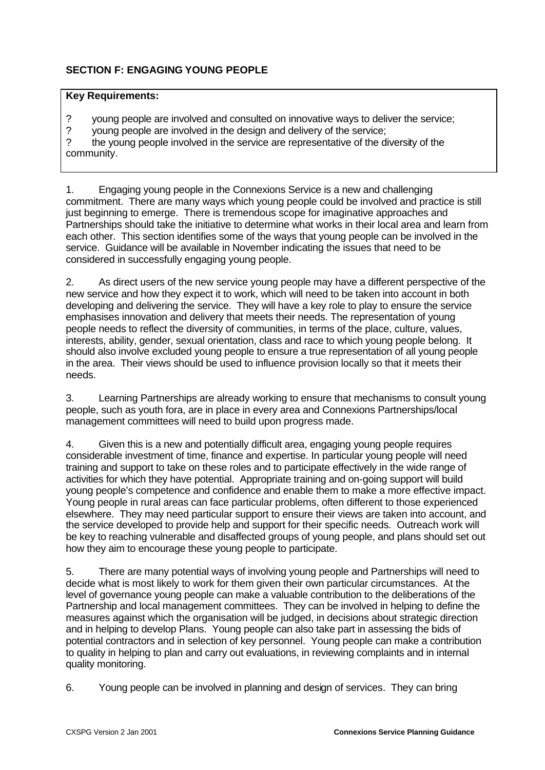# **SECTION F: ENGAGING YOUNG PEOPLE**

## **Key Requirements:**

- ? young people are involved and consulted on innovative ways to deliver the service;
- ? young people are involved in the design and delivery of the service;

? the young people involved in the service are representative of the diversity of the community.

1. Engaging young people in the Connexions Service is a new and challenging commitment. There are many ways which young people could be involved and practice is still just beginning to emerge. There is tremendous scope for imaginative approaches and Partnerships should take the initiative to determine what works in their local area and learn from each other. This section identifies some of the ways that young people can be involved in the service. Guidance will be available in November indicating the issues that need to be considered in successfully engaging young people.

2. As direct users of the new service young people may have a different perspective of the new service and how they expect it to work, which will need to be taken into account in both developing and delivering the service. They will have a key role to play to ensure the service emphasises innovation and delivery that meets their needs. The representation of young people needs to reflect the diversity of communities, in terms of the place, culture, values, interests, ability, gender, sexual orientation, class and race to which young people belong. It should also involve excluded young people to ensure a true representation of all young people in the area. Their views should be used to influence provision locally so that it meets their needs.

3. Learning Partnerships are already working to ensure that mechanisms to consult young people, such as youth fora, are in place in every area and Connexions Partnerships/local management committees will need to build upon progress made.

4. Given this is a new and potentially difficult area, engaging young people requires considerable investment of time, finance and expertise. In particular young people will need training and support to take on these roles and to participate effectively in the wide range of activities for which they have potential. Appropriate training and on-going support will build young people's competence and confidence and enable them to make a more effective impact. Young people in rural areas can face particular problems, often different to those experienced elsewhere. They may need particular support to ensure their views are taken into account, and the service developed to provide help and support for their specific needs. Outreach work will be key to reaching vulnerable and disaffected groups of young people, and plans should set out how they aim to encourage these young people to participate.

5. There are many potential ways of involving young people and Partnerships will need to decide what is most likely to work for them given their own particular circumstances. At the level of governance young people can make a valuable contribution to the deliberations of the Partnership and local management committees. They can be involved in helping to define the measures against which the organisation will be judged, in decisions about strategic direction and in helping to develop Plans. Young people can also take part in assessing the bids of potential contractors and in selection of key personnel. Young people can make a contribution to quality in helping to plan and carry out evaluations, in reviewing complaints and in internal quality monitoring.

6. Young people can be involved in planning and design of services. They can bring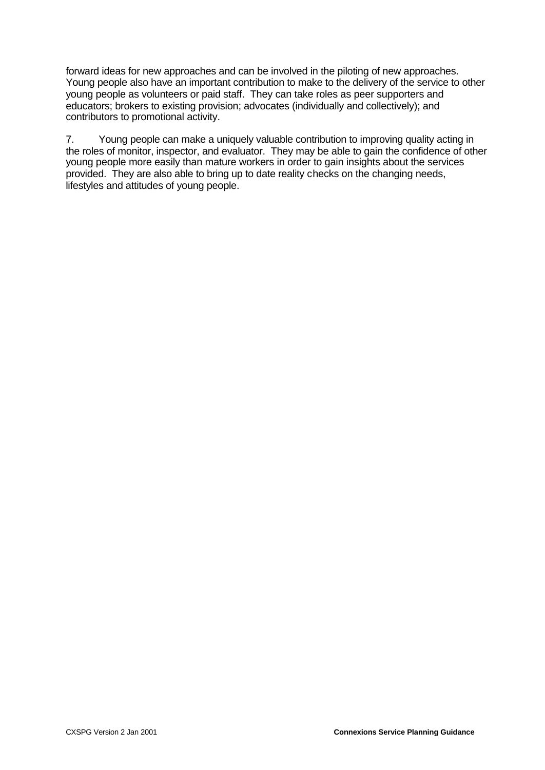forward ideas for new approaches and can be involved in the piloting of new approaches. Young people also have an important contribution to make to the delivery of the service to other young people as volunteers or paid staff. They can take roles as peer supporters and educators; brokers to existing provision; advocates (individually and collectively); and contributors to promotional activity.

7. Young people can make a uniquely valuable contribution to improving quality acting in the roles of monitor, inspector, and evaluator. They may be able to gain the confidence of other young people more easily than mature workers in order to gain insights about the services provided. They are also able to bring up to date reality checks on the changing needs, lifestyles and attitudes of young people.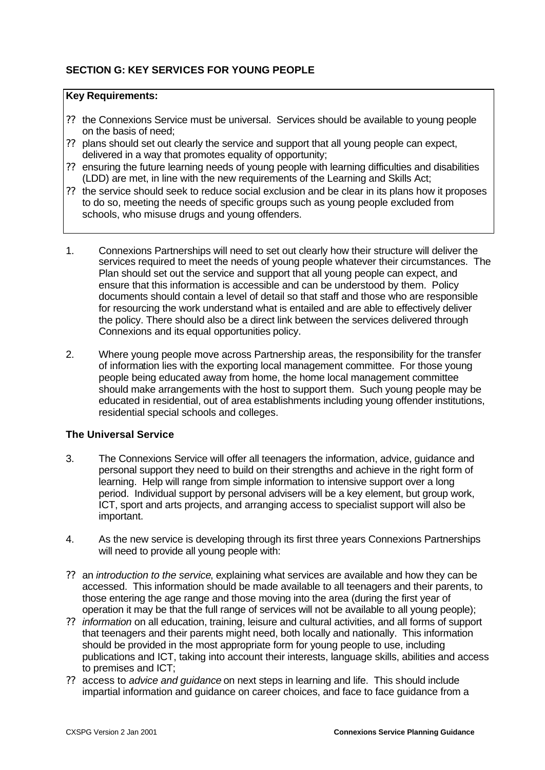# **SECTION G: KEY SERVICES FOR YOUNG PEOPLE**

## **Key Requirements:**

- ?? the Connexions Service must be universal. Services should be available to young people on the basis of need;
- ?? plans should set out clearly the service and support that all young people can expect, delivered in a way that promotes equality of opportunity;
- ?? ensuring the future learning needs of young people with learning difficulties and disabilities (LDD) are met, in line with the new requirements of the Learning and Skills Act;
- ?? the service should seek to reduce social exclusion and be clear in its plans how it proposes to do so, meeting the needs of specific groups such as young people excluded from schools, who misuse drugs and young offenders.
- 1. Connexions Partnerships will need to set out clearly how their structure will deliver the services required to meet the needs of young people whatever their circumstances. The Plan should set out the service and support that all young people can expect, and ensure that this information is accessible and can be understood by them. Policy documents should contain a level of detail so that staff and those who are responsible for resourcing the work understand what is entailed and are able to effectively deliver the policy. There should also be a direct link between the services delivered through Connexions and its equal opportunities policy.
- 2. Where young people move across Partnership areas, the responsibility for the transfer of information lies with the exporting local management committee. For those young people being educated away from home, the home local management committee should make arrangements with the host to support them. Such young people may be educated in residential, out of area establishments including young offender institutions, residential special schools and colleges.

## **The Universal Service**

- 3. The Connexions Service will offer all teenagers the information, advice, guidance and personal support they need to build on their strengths and achieve in the right form of learning. Help will range from simple information to intensive support over a long period. Individual support by personal advisers will be a key element, but group work, ICT, sport and arts projects, and arranging access to specialist support will also be important.
- 4. As the new service is developing through its first three years Connexions Partnerships will need to provide all young people with:
- ?? an *introduction to the service*, explaining what services are available and how they can be accessed. This information should be made available to all teenagers and their parents, to those entering the age range and those moving into the area (during the first year of operation it may be that the full range of services will not be available to all young people);
- ?? *information* on all education, training, leisure and cultural activities, and all forms of support that teenagers and their parents might need, both locally and nationally. This information should be provided in the most appropriate form for young people to use, including publications and ICT, taking into account their interests, language skills, abilities and access to premises and ICT;
- ?? access to *advice and guidance* on next steps in learning and life. This should include impartial information and guidance on career choices, and face to face guidance from a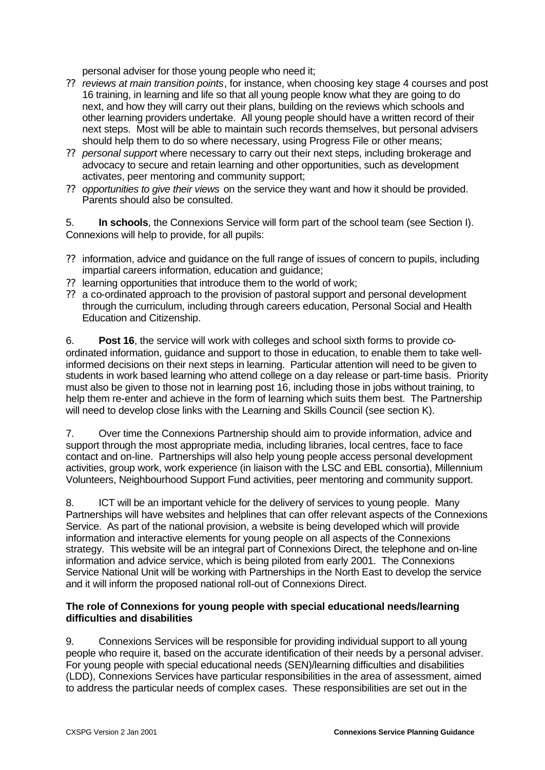personal adviser for those young people who need it;

- ?? *reviews at main transition points*, for instance, when choosing key stage 4 courses and post 16 training, in learning and life so that all young people know what they are going to do next, and how they will carry out their plans, building on the reviews which schools and other learning providers undertake. All young people should have a written record of their next steps. Most will be able to maintain such records themselves, but personal advisers should help them to do so where necessary, using Progress File or other means;
- ?? *personal support* where necessary to carry out their next steps, including brokerage and advocacy to secure and retain learning and other opportunities, such as development activates, peer mentoring and community support;
- ?? *opportunities to give their views* on the service they want and how it should be provided. Parents should also be consulted.

5. **In schools**, the Connexions Service will form part of the school team (see Section I). Connexions will help to provide, for all pupils:

- ?? information, advice and guidance on the full range of issues of concern to pupils, including impartial careers information, education and guidance;
- ?? learning opportunities that introduce them to the world of work;
- ?? a co-ordinated approach to the provision of pastoral support and personal development through the curriculum, including through careers education, Personal Social and Health Education and Citizenship.

6. **Post 16**, the service will work with colleges and school sixth forms to provide coordinated information, guidance and support to those in education, to enable them to take wellinformed decisions on their next steps in learning. Particular attention will need to be given to students in work based learning who attend college on a day release or part-time basis. Priority must also be given to those not in learning post 16, including those in jobs without training, to help them re-enter and achieve in the form of learning which suits them best. The Partnership will need to develop close links with the Learning and Skills Council (see section K).

7. Over time the Connexions Partnership should aim to provide information, advice and support through the most appropriate media, including libraries, local centres, face to face contact and on-line. Partnerships will also help young people access personal development activities, group work, work experience (in liaison with the LSC and EBL consortia), Millennium Volunteers, Neighbourhood Support Fund activities, peer mentoring and community support.

8. ICT will be an important vehicle for the delivery of services to young people. Many Partnerships will have websites and helplines that can offer relevant aspects of the Connexions Service. As part of the national provision, a website is being developed which will provide information and interactive elements for young people on all aspects of the Connexions strategy. This website will be an integral part of Connexions Direct, the telephone and on-line information and advice service, which is being piloted from early 2001. The Connexions Service National Unit will be working with Partnerships in the North East to develop the service and it will inform the proposed national roll-out of Connexions Direct.

## **The role of Connexions for young people with special educational needs/learning difficulties and disabilities**

9. Connexions Services will be responsible for providing individual support to all young people who require it, based on the accurate identification of their needs by a personal adviser. For young people with special educational needs (SEN)/learning difficulties and disabilities (LDD), Connexions Services have particular responsibilities in the area of assessment, aimed to address the particular needs of complex cases. These responsibilities are set out in the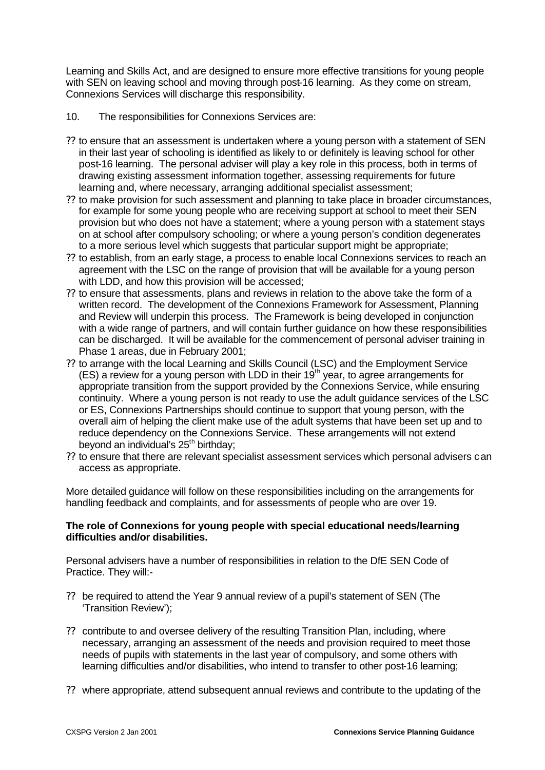Learning and Skills Act, and are designed to ensure more effective transitions for young people with SEN on leaving school and moving through post-16 learning. As they come on stream, Connexions Services will discharge this responsibility.

- 10. The responsibilities for Connexions Services are:
- ?? to ensure that an assessment is undertaken where a young person with a statement of SEN in their last year of schooling is identified as likely to or definitely is leaving school for other post-16 learning. The personal adviser will play a key role in this process, both in terms of drawing existing assessment information together, assessing requirements for future learning and, where necessary, arranging additional specialist assessment;
- ?? to make provision for such assessment and planning to take place in broader circumstances, for example for some young people who are receiving support at school to meet their SEN provision but who does not have a statement; where a young person with a statement stays on at school after compulsory schooling; or where a young person's condition degenerates to a more serious level which suggests that particular support might be appropriate;
- ?? to establish, from an early stage, a process to enable local Connexions services to reach an agreement with the LSC on the range of provision that will be available for a young person with LDD, and how this provision will be accessed;
- ?? to ensure that assessments, plans and reviews in relation to the above take the form of a written record. The development of the Connexions Framework for Assessment, Planning and Review will underpin this process. The Framework is being developed in conjunction with a wide range of partners, and will contain further guidance on how these responsibilities can be discharged. It will be available for the commencement of personal adviser training in Phase 1 areas, due in February 2001;
- ?? to arrange with the local Learning and Skills Council (LSC) and the Employment Service (ES) a review for a young person with LDD in their 19th year, to agree arrangements for appropriate transition from the support provided by the Connexions Service, while ensuring continuity. Where a young person is not ready to use the adult guidance services of the LSC or ES, Connexions Partnerships should continue to support that young person, with the overall aim of helping the client make use of the adult systems that have been set up and to reduce dependency on the Connexions Service. These arrangements will not extend beyond an individual's 25<sup>th</sup> birthday;
- ?? to ensure that there are relevant specialist assessment services which personal advisers can access as appropriate.

More detailed guidance will follow on these responsibilities including on the arrangements for handling feedback and complaints, and for assessments of people who are over 19.

## **The role of Connexions for young people with special educational needs/learning difficulties and/or disabilities.**

Personal advisers have a number of responsibilities in relation to the DfE SEN Code of Practice. They will:-

- ?? be required to attend the Year 9 annual review of a pupil's statement of SEN (The 'Transition Review');
- ?? contribute to and oversee delivery of the resulting Transition Plan, including, where necessary, arranging an assessment of the needs and provision required to meet those needs of pupils with statements in the last year of compulsory, and some others with learning difficulties and/or disabilities, who intend to transfer to other post-16 learning;
- ?? where appropriate, attend subsequent annual reviews and contribute to the updating of the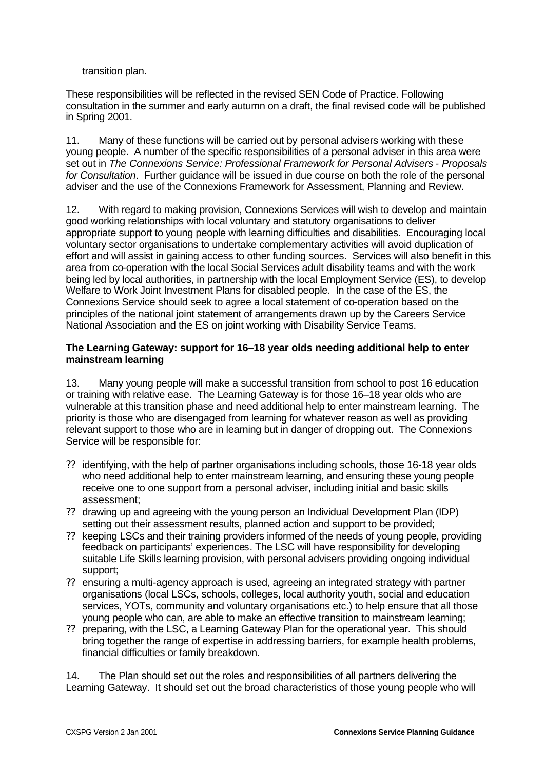transition plan.

These responsibilities will be reflected in the revised SEN Code of Practice. Following consultation in the summer and early autumn on a draft, the final revised code will be published in Spring 2001.

11. Many of these functions will be carried out by personal advisers working with these young people. A number of the specific responsibilities of a personal adviser in this area were set out in *The Connexions Service: Professional Framework for Personal Advisers - Proposals for Consultation*. Further guidance will be issued in due course on both the role of the personal adviser and the use of the Connexions Framework for Assessment, Planning and Review.

12. With regard to making provision, Connexions Services will wish to develop and maintain good working relationships with local voluntary and statutory organisations to deliver appropriate support to young people with learning difficulties and disabilities. Encouraging local voluntary sector organisations to undertake complementary activities will avoid duplication of effort and will assist in gaining access to other funding sources. Services will also benefit in this area from co-operation with the local Social Services adult disability teams and with the work being led by local authorities, in partnership with the local Employment Service (ES), to develop Welfare to Work Joint Investment Plans for disabled people. In the case of the ES, the Connexions Service should seek to agree a local statement of co-operation based on the principles of the national joint statement of arrangements drawn up by the Careers Service National Association and the ES on joint working with Disability Service Teams.

#### **The Learning Gateway: support for 16–18 year olds needing additional help to enter mainstream learning**

13. Many young people will make a successful transition from school to post 16 education or training with relative ease. The Learning Gateway is for those 16–18 year olds who are vulnerable at this transition phase and need additional help to enter mainstream learning. The priority is those who are disengaged from learning for whatever reason as well as providing relevant support to those who are in learning but in danger of dropping out. The Connexions Service will be responsible for:

- ?? identifying, with the help of partner organisations including schools, those 16-18 year olds who need additional help to enter mainstream learning, and ensuring these young people receive one to one support from a personal adviser, including initial and basic skills assessment;
- ?? drawing up and agreeing with the young person an Individual Development Plan (IDP) setting out their assessment results, planned action and support to be provided;
- ?? keeping LSCs and their training providers informed of the needs of young people, providing feedback on participants' experiences. The LSC will have responsibility for developing suitable Life Skills learning provision, with personal advisers providing ongoing individual support;
- ?? ensuring a multi-agency approach is used, agreeing an integrated strategy with partner organisations (local LSCs, schools, colleges, local authority youth, social and education services, YOTs, community and voluntary organisations etc.) to help ensure that all those young people who can, are able to make an effective transition to mainstream learning;
- ?? preparing, with the LSC, a Learning Gateway Plan for the operational year. This should bring together the range of expertise in addressing barriers, for example health problems, financial difficulties or family breakdown.

14. The Plan should set out the roles and responsibilities of all partners delivering the Learning Gateway. It should set out the broad characteristics of those young people who will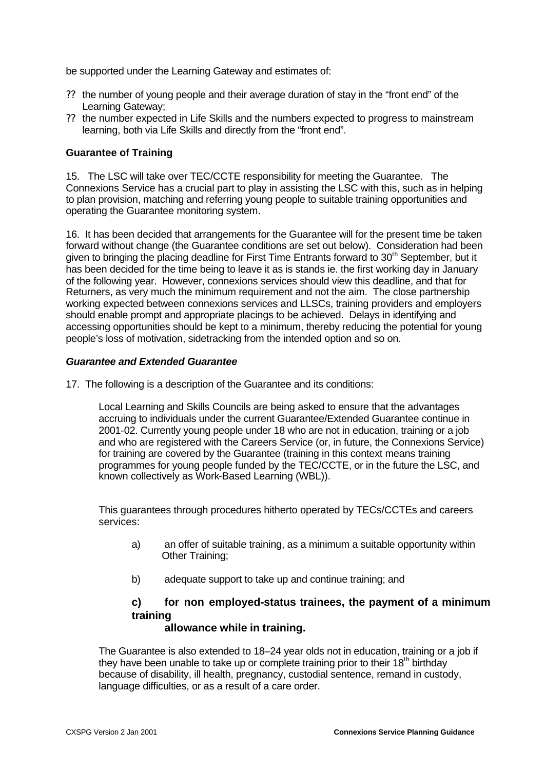be supported under the Learning Gateway and estimates of:

- ?? the number of young people and their average duration of stay in the "front end" of the Learning Gateway;
- ?? the number expected in Life Skills and the numbers expected to progress to mainstream learning, both via Life Skills and directly from the "front end".

## **Guarantee of Training**

15. The LSC will take over TEC/CCTE responsibility for meeting the Guarantee. The Connexions Service has a crucial part to play in assisting the LSC with this, such as in helping to plan provision, matching and referring young people to suitable training opportunities and operating the Guarantee monitoring system.

16. It has been decided that arrangements for the Guarantee will for the present time be taken forward without change (the Guarantee conditions are set out below). Consideration had been given to bringing the placing deadline for First Time Entrants forward to  $30<sup>th</sup>$  September, but it has been decided for the time being to leave it as is stands ie. the first working day in January of the following year. However, connexions services should view this deadline, and that for Returners, as very much the minimum requirement and not the aim. The close partnership working expected between connexions services and LLSCs, training providers and employers should enable prompt and appropriate placings to be achieved. Delays in identifying and accessing opportunities should be kept to a minimum, thereby reducing the potential for young people's loss of motivation, sidetracking from the intended option and so on.

#### *Guarantee and Extended Guarantee*

17. The following is a description of the Guarantee and its conditions:

Local Learning and Skills Councils are being asked to ensure that the advantages accruing to individuals under the current Guarantee/Extended Guarantee continue in 2001-02. Currently young people under 18 who are not in education, training or a job and who are registered with the Careers Service (or, in future, the Connexions Service) for training are covered by the Guarantee (training in this context means training programmes for young people funded by the TEC/CCTE, or in the future the LSC, and known collectively as Work-Based Learning (WBL)).

This guarantees through procedures hitherto operated by TECs/CCTEs and careers services:

- a) an offer of suitable training, as a minimum a suitable opportunity within Other Training;
- b) adequate support to take up and continue training; and

# **c) for non employed-status trainees, the payment of a minimum training**

## **allowance while in training.**

The Guarantee is also extended to 18–24 year olds not in education, training or a job if they have been unable to take up or complete training prior to their  $18<sup>th</sup>$  birthday because of disability, ill health, pregnancy, custodial sentence, remand in custody, language difficulties, or as a result of a care order.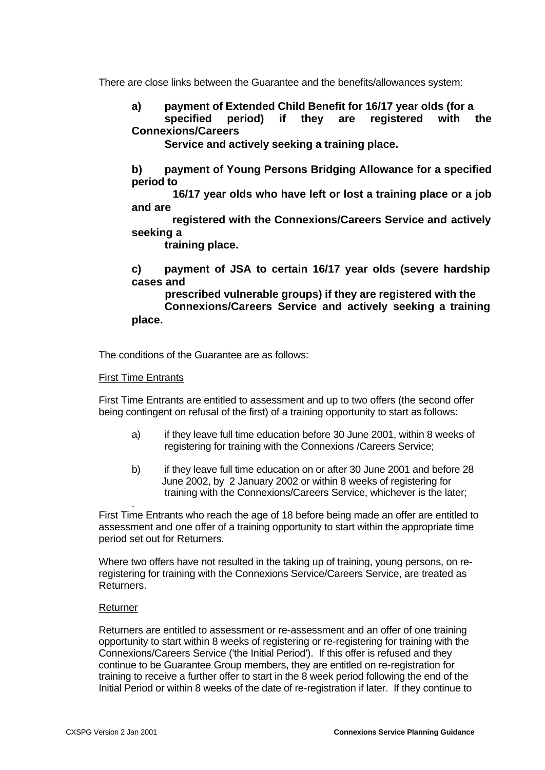There are close links between the Guarantee and the benefits/allowances system:

**a) payment of Extended Child Benefit for 16/17 year olds (for a specified period) if they are registered with the Connexions/Careers** 

 **Service and actively seeking a training place.**

**b) payment of Young Persons Bridging Allowance for a specified period to**

 **16/17 year olds who have left or lost a training place or a job and are** 

 **registered with the Connexions/Careers Service and actively seeking a** 

 **training place.**

**c) payment of JSA to certain 16/17 year olds (severe hardship cases and** 

 **prescribed vulnerable groups) if they are registered with the Connexions/Careers Service and actively seeking a training place.**

The conditions of the Guarantee are as follows:

First Time Entrants

First Time Entrants are entitled to assessment and up to two offers (the second offer being contingent on refusal of the first) of a training opportunity to start as follows:

- a) if they leave full time education before 30 June 2001, within 8 weeks of registering for training with the Connexions /Careers Service;
- b) if they leave full time education on or after 30 June 2001 and before 28 June 2002, by 2 January 2002 or within 8 weeks of registering for training with the Connexions/Careers Service, whichever is the later;

. First Time Entrants who reach the age of 18 before being made an offer are entitled to assessment and one offer of a training opportunity to start within the appropriate time period set out for Returners.

Where two offers have not resulted in the taking up of training, young persons, on reregistering for training with the Connexions Service/Careers Service, are treated as Returners.

## Returner

Returners are entitled to assessment or re-assessment and an offer of one training opportunity to start within 8 weeks of registering or re-registering for training with the Connexions/Careers Service ('the Initial Period'). If this offer is refused and they continue to be Guarantee Group members, they are entitled on re-registration for training to receive a further offer to start in the 8 week period following the end of the Initial Period or within 8 weeks of the date of re-registration if later. If they continue to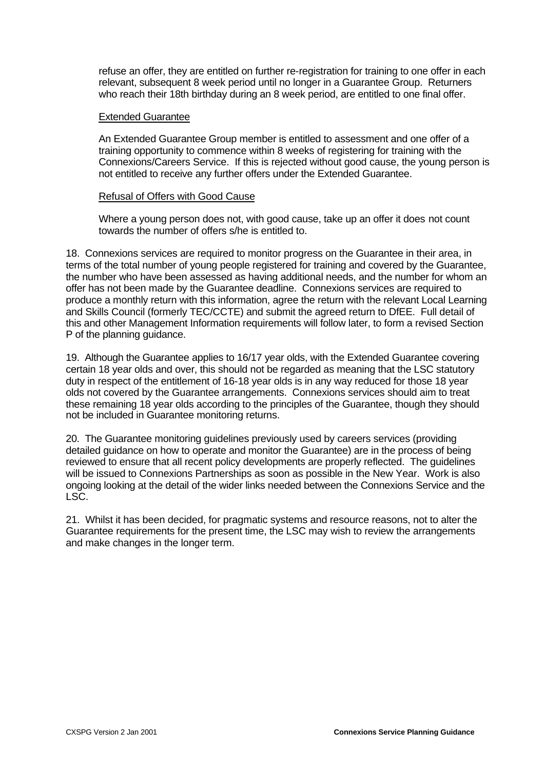refuse an offer, they are entitled on further re-registration for training to one offer in each relevant, subsequent 8 week period until no longer in a Guarantee Group. Returners who reach their 18th birthday during an 8 week period, are entitled to one final offer.

#### Extended Guarantee

An Extended Guarantee Group member is entitled to assessment and one offer of a training opportunity to commence within 8 weeks of registering for training with the Connexions/Careers Service. If this is rejected without good cause, the young person is not entitled to receive any further offers under the Extended Guarantee.

## Refusal of Offers with Good Cause

Where a young person does not, with good cause, take up an offer it does not count towards the number of offers s/he is entitled to.

18. Connexions services are required to monitor progress on the Guarantee in their area, in terms of the total number of young people registered for training and covered by the Guarantee, the number who have been assessed as having additional needs, and the number for whom an offer has not been made by the Guarantee deadline. Connexions services are required to produce a monthly return with this information, agree the return with the relevant Local Learning and Skills Council (formerly TEC/CCTE) and submit the agreed return to DfEE. Full detail of this and other Management Information requirements will follow later, to form a revised Section P of the planning guidance.

19. Although the Guarantee applies to 16/17 year olds, with the Extended Guarantee covering certain 18 year olds and over, this should not be regarded as meaning that the LSC statutory duty in respect of the entitlement of 16-18 year olds is in any way reduced for those 18 year olds not covered by the Guarantee arrangements. Connexions services should aim to treat these remaining 18 year olds according to the principles of the Guarantee, though they should not be included in Guarantee monitoring returns.

20. The Guarantee monitoring guidelines previously used by careers services (providing detailed guidance on how to operate and monitor the Guarantee) are in the process of being reviewed to ensure that all recent policy developments are properly reflected. The guidelines will be issued to Connexions Partnerships as soon as possible in the New Year. Work is also ongoing looking at the detail of the wider links needed between the Connexions Service and the LSC.

21. Whilst it has been decided, for pragmatic systems and resource reasons, not to alter the Guarantee requirements for the present time, the LSC may wish to review the arrangements and make changes in the longer term.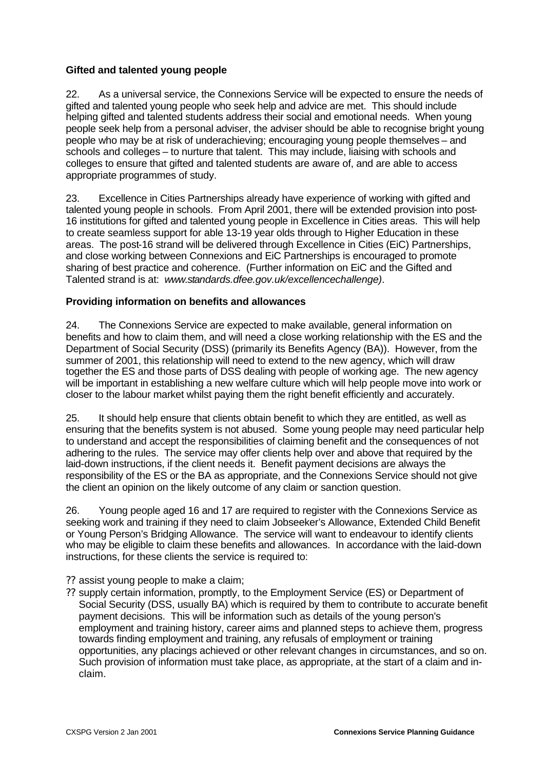## **Gifted and talented young people**

22. As a universal service, the Connexions Service will be expected to ensure the needs of gifted and talented young people who seek help and advice are met. This should include helping gifted and talented students address their social and emotional needs. When young people seek help from a personal adviser, the adviser should be able to recognise bright young people who may be at risk of underachieving; encouraging young people themselves – and schools and colleges – to nurture that talent. This may include, liaising with schools and colleges to ensure that gifted and talented students are aware of, and are able to access appropriate programmes of study.

23. Excellence in Cities Partnerships already have experience of working with gifted and talented young people in schools. From April 2001, there will be extended provision into post-16 institutions for gifted and talented young people in Excellence in Cities areas. This will help to create seamless support for able 13-19 year olds through to Higher Education in these areas. The post-16 strand will be delivered through Excellence in Cities (EiC) Partnerships, and close working between Connexions and EiC Partnerships is encouraged to promote sharing of best practice and coherence. (Further information on EiC and the Gifted and Talented strand is at: *www.standards.dfee.gov.uk/excellencechallenge)*.

## **Providing information on benefits and allowances**

24. The Connexions Service are expected to make available, general information on benefits and how to claim them, and will need a close working relationship with the ES and the Department of Social Security (DSS) (primarily its Benefits Agency (BA)). However, from the summer of 2001, this relationship will need to extend to the new agency, which will draw together the ES and those parts of DSS dealing with people of working age. The new agency will be important in establishing a new welfare culture which will help people move into work or closer to the labour market whilst paying them the right benefit efficiently and accurately.

25. It should help ensure that clients obtain benefit to which they are entitled, as well as ensuring that the benefits system is not abused. Some young people may need particular help to understand and accept the responsibilities of claiming benefit and the consequences of not adhering to the rules. The service may offer clients help over and above that required by the laid-down instructions, if the client needs it. Benefit payment decisions are always the responsibility of the ES or the BA as appropriate, and the Connexions Service should not give the client an opinion on the likely outcome of any claim or sanction question.

26. Young people aged 16 and 17 are required to register with the Connexions Service as seeking work and training if they need to claim Jobseeker's Allowance, Extended Child Benefit or Young Person's Bridging Allowance. The service will want to endeavour to identify clients who may be eligible to claim these benefits and allowances. In accordance with the laid-down instructions, for these clients the service is required to:

- ?? assist young people to make a claim;
- ?? supply certain information, promptly, to the Employment Service (ES) or Department of Social Security (DSS, usually BA) which is required by them to contribute to accurate benefit payment decisions. This will be information such as details of the young person's employment and training history, career aims and planned steps to achieve them, progress towards finding employment and training, any refusals of employment or training opportunities, any placings achieved or other relevant changes in circumstances, and so on. Such provision of information must take place, as appropriate, at the start of a claim and inclaim.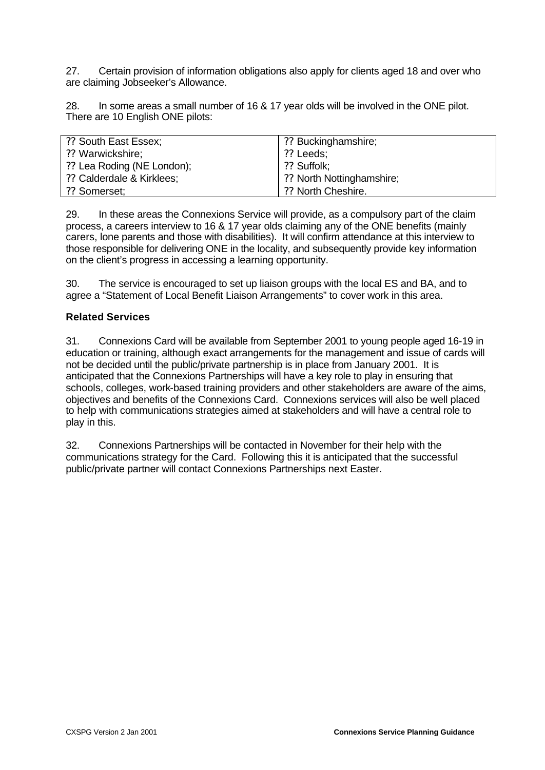27. Certain provision of information obligations also apply for clients aged 18 and over who are claiming Jobseeker's Allowance.

28. In some areas a small number of 16 & 17 year olds will be involved in the ONE pilot. There are 10 English ONE pilots:

| ?? South East Essex;       | ?? Buckinghamshire;       |
|----------------------------|---------------------------|
| ?? Warwickshire;           | ?? Leeds:                 |
| ?? Lea Roding (NE London); | ?? Suffolk:               |
| ?? Calderdale & Kirklees;  | ?? North Nottinghamshire; |
| ?? Somerset;               | ?? North Cheshire.        |

29. In these areas the Connexions Service will provide, as a compulsory part of the claim process, a careers interview to 16 & 17 year olds claiming any of the ONE benefits (mainly carers, lone parents and those with disabilities). It will confirm attendance at this interview to those responsible for delivering ONE in the locality, and subsequently provide key information on the client's progress in accessing a learning opportunity.

30. The service is encouraged to set up liaison groups with the local ES and BA, and to agree a "Statement of Local Benefit Liaison Arrangements" to cover work in this area.

## **Related Services**

31. Connexions Card will be available from September 2001 to young people aged 16-19 in education or training, although exact arrangements for the management and issue of cards will not be decided until the public/private partnership is in place from January 2001. It is anticipated that the Connexions Partnerships will have a key role to play in ensuring that schools, colleges, work-based training providers and other stakeholders are aware of the aims. objectives and benefits of the Connexions Card. Connexions services will also be well placed to help with communications strategies aimed at stakeholders and will have a central role to play in this.

32. Connexions Partnerships will be contacted in November for their help with the communications strategy for the Card. Following this it is anticipated that the successful public/private partner will contact Connexions Partnerships next Easter.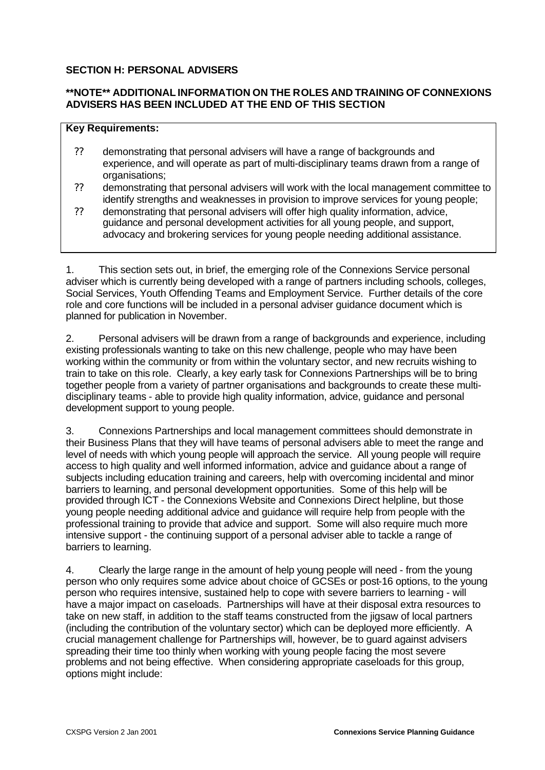## **SECTION H: PERSONAL ADVISERS**

## **\*\*NOTE\*\* ADDITIONAL INFORMATION ON THE ROLES AND TRAINING OF CONNEXIONS ADVISERS HAS BEEN INCLUDED AT THE END OF THIS SECTION**

## **Key Requirements:**

- ?? demonstrating that personal advisers will have a range of backgrounds and experience, and will operate as part of multi-disciplinary teams drawn from a range of organisations;
- ?? demonstrating that personal advisers will work with the local management committee to identify strengths and weaknesses in provision to improve services for young people;
- ?? demonstrating that personal advisers will offer high quality information, advice, guidance and personal development activities for all young people, and support, advocacy and brokering services for young people needing additional assistance.

1. This section sets out, in brief, the emerging role of the Connexions Service personal adviser which is currently being developed with a range of partners including schools, colleges, Social Services, Youth Offending Teams and Employment Service. Further details of the core role and core functions will be included in a personal adviser guidance document which is planned for publication in November.

2. Personal advisers will be drawn from a range of backgrounds and experience, including existing professionals wanting to take on this new challenge, people who may have been working within the community or from within the voluntary sector, and new recruits wishing to train to take on this role. Clearly, a key early task for Connexions Partnerships will be to bring together people from a variety of partner organisations and backgrounds to create these multidisciplinary teams - able to provide high quality information, advice, guidance and personal development support to young people.

3. Connexions Partnerships and local management committees should demonstrate in their Business Plans that they will have teams of personal advisers able to meet the range and level of needs with which young people will approach the service. All young people will require access to high quality and well informed information, advice and guidance about a range of subjects including education training and careers, help with overcoming incidental and minor barriers to learning, and personal development opportunities. Some of this help will be provided through ICT - the Connexions Website and Connexions Direct helpline, but those young people needing additional advice and guidance will require help from people with the professional training to provide that advice and support. Some will also require much more intensive support - the continuing support of a personal adviser able to tackle a range of barriers to learning.

4. Clearly the large range in the amount of help young people will need - from the young person who only requires some advice about choice of GCSEs or post-16 options, to the young person who requires intensive, sustained help to cope with severe barriers to learning - will have a major impact on caseloads. Partnerships will have at their disposal extra resources to take on new staff, in addition to the staff teams constructed from the jigsaw of local partners (including the contribution of the voluntary sector) which can be deployed more efficiently. A crucial management challenge for Partnerships will, however, be to guard against advisers spreading their time too thinly when working with young people facing the most severe problems and not being effective. When considering appropriate caseloads for this group, options might include: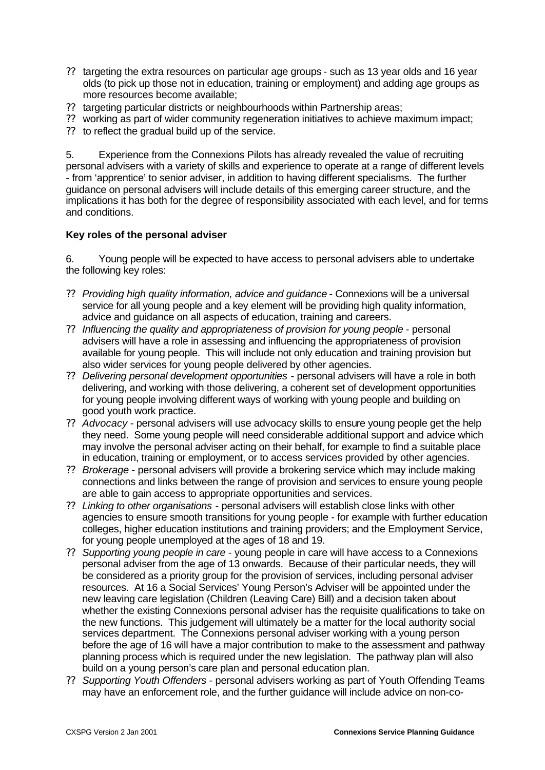- ?? targeting the extra resources on particular age groups such as 13 year olds and 16 year olds (to pick up those not in education, training or employment) and adding age groups as more resources become available;
- ?? targeting particular districts or neighbourhoods within Partnership areas;
- ?? working as part of wider community regeneration initiatives to achieve maximum impact;
- ?? to reflect the gradual build up of the service.

5. Experience from the Connexions Pilots has already revealed the value of recruiting personal advisers with a variety of skills and experience to operate at a range of different levels - from 'apprentice' to senior adviser, in addition to having different specialisms. The further guidance on personal advisers will include details of this emerging career structure, and the implications it has both for the degree of responsibility associated with each level, and for terms and conditions.

## **Key roles of the personal adviser**

6. Young people will be expected to have access to personal advisers able to undertake the following key roles:

- ?? *Providing high quality information, advice and guidance* Connexions will be a universal service for all young people and a key element will be providing high quality information, advice and guidance on all aspects of education, training and careers.
- ?? *Influencing the quality and appropriateness of provision for young people* personal advisers will have a role in assessing and influencing the appropriateness of provision available for young people. This will include not only education and training provision but also wider services for young people delivered by other agencies.
- ?? *Delivering personal development opportunities* personal advisers will have a role in both delivering, and working with those delivering, a coherent set of development opportunities for young people involving different ways of working with young people and building on good youth work practice.
- ?? *Advocacy* personal advisers will use advocacy skills to ensure young people get the help they need. Some young people will need considerable additional support and advice which may involve the personal adviser acting on their behalf, for example to find a suitable place in education, training or employment, or to access services provided by other agencies.
- ?? *Brokerage* personal advisers will provide a brokering service which may include making connections and links between the range of provision and services to ensure young people are able to gain access to appropriate opportunities and services.
- ?? *Linking to other organisations* personal advisers will establish close links with other agencies to ensure smooth transitions for young people - for example with further education colleges, higher education institutions and training providers; and the Employment Service, for young people unemployed at the ages of 18 and 19.
- ?? *Supporting young people in care* young people in care will have access to a Connexions personal adviser from the age of 13 onwards. Because of their particular needs, they will be considered as a priority group for the provision of services, including personal adviser resources. At 16 a Social Services' Young Person's Adviser will be appointed under the new leaving care legislation (Children (Leaving Care) Bill) and a decision taken about whether the existing Connexions personal adviser has the requisite qualifications to take on the new functions. This judgement will ultimately be a matter for the local authority social services department. The Connexions personal adviser working with a young person before the age of 16 will have a major contribution to make to the assessment and pathway planning process which is required under the new legislation. The pathway plan will also build on a young person's care plan and personal education plan.
- ?? *Supporting Youth Offenders* personal advisers working as part of Youth Offending Teams may have an enforcement role, and the further guidance will include advice on non-co-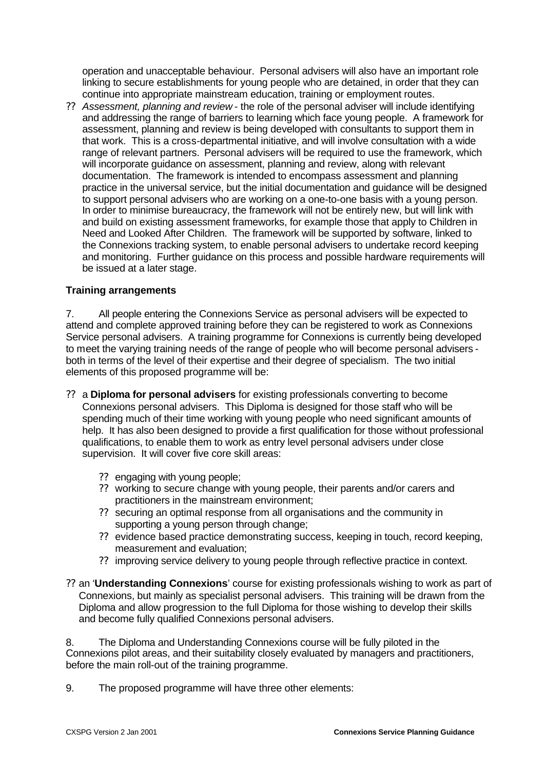operation and unacceptable behaviour. Personal advisers will also have an important role linking to secure establishments for young people who are detained, in order that they can continue into appropriate mainstream education, training or employment routes.

?? *Assessment, planning and review* - the role of the personal adviser will include identifying and addressing the range of barriers to learning which face young people. A framework for assessment, planning and review is being developed with consultants to support them in that work. This is a cross-departmental initiative, and will involve consultation with a wide range of relevant partners. Personal advisers will be required to use the framework, which will incorporate guidance on assessment, planning and review, along with relevant documentation. The framework is intended to encompass assessment and planning practice in the universal service, but the initial documentation and guidance will be designed to support personal advisers who are working on a one-to-one basis with a young person. In order to minimise bureaucracy, the framework will not be entirely new, but will link with and build on existing assessment frameworks, for example those that apply to Children in Need and Looked After Children. The framework will be supported by software, linked to the Connexions tracking system, to enable personal advisers to undertake record keeping and monitoring. Further guidance on this process and possible hardware requirements will be issued at a later stage.

## **Training arrangements**

7. All people entering the Connexions Service as personal advisers will be expected to attend and complete approved training before they can be registered to work as Connexions Service personal advisers. A training programme for Connexions is currently being developed to meet the varying training needs of the range of people who will become personal advisers both in terms of the level of their expertise and their degree of specialism. The two initial elements of this proposed programme will be:

- ?? a **Diploma for personal advisers** for existing professionals converting to become Connexions personal advisers. This Diploma is designed for those staff who will be spending much of their time working with young people who need significant amounts of help. It has also been designed to provide a first qualification for those without professional qualifications, to enable them to work as entry level personal advisers under close supervision. It will cover five core skill areas:
	- ?? engaging with young people;
	- ?? working to secure change with young people, their parents and/or carers and practitioners in the mainstream environment;
	- ?? securing an optimal response from all organisations and the community in supporting a young person through change;
	- ?? evidence based practice demonstrating success, keeping in touch, record keeping, measurement and evaluation;
	- ?? improving service delivery to young people through reflective practice in context.
- ?? an '**Understanding Connexions**' course for existing professionals wishing to work as part of Connexions, but mainly as specialist personal advisers. This training will be drawn from the Diploma and allow progression to the full Diploma for those wishing to develop their skills and become fully qualified Connexions personal advisers.

8. The Diploma and Understanding Connexions course will be fully piloted in the Connexions pilot areas, and their suitability closely evaluated by managers and practitioners, before the main roll-out of the training programme.

9. The proposed programme will have three other elements: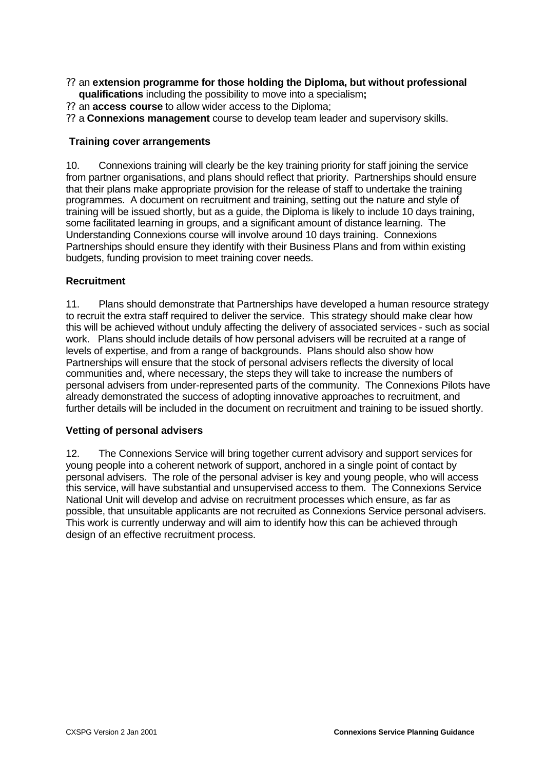- ?? an **extension programme for those holding the Diploma, but without professional qualifications** including the possibility to move into a specialism**;**
- ?? an **access course** to allow wider access to the Diploma;
- ?? a **Connexions management** course to develop team leader and supervisory skills.

## **Training cover arrangements**

10. Connexions training will clearly be the key training priority for staff joining the service from partner organisations, and plans should reflect that priority. Partnerships should ensure that their plans make appropriate provision for the release of staff to undertake the training programmes. A document on recruitment and training, setting out the nature and style of training will be issued shortly, but as a guide, the Diploma is likely to include 10 days training, some facilitated learning in groups, and a significant amount of distance learning. The Understanding Connexions course will involve around 10 days training. Connexions Partnerships should ensure they identify with their Business Plans and from within existing budgets, funding provision to meet training cover needs.

## **Recruitment**

11. Plans should demonstrate that Partnerships have developed a human resource strategy to recruit the extra staff required to deliver the service. This strategy should make clear how this will be achieved without unduly affecting the delivery of associated services - such as social work. Plans should include details of how personal advisers will be recruited at a range of levels of expertise, and from a range of backgrounds. Plans should also show how Partnerships will ensure that the stock of personal advisers reflects the diversity of local communities and, where necessary, the steps they will take to increase the numbers of personal advisers from under-represented parts of the community. The Connexions Pilots have already demonstrated the success of adopting innovative approaches to recruitment, and further details will be included in the document on recruitment and training to be issued shortly.

## **Vetting of personal advisers**

12. The Connexions Service will bring together current advisory and support services for young people into a coherent network of support, anchored in a single point of contact by personal advisers. The role of the personal adviser is key and young people, who will access this service, will have substantial and unsupervised access to them. The Connexions Service National Unit will develop and advise on recruitment processes which ensure, as far as possible, that unsuitable applicants are not recruited as Connexions Service personal advisers. This work is currently underway and will aim to identify how this can be achieved through design of an effective recruitment process.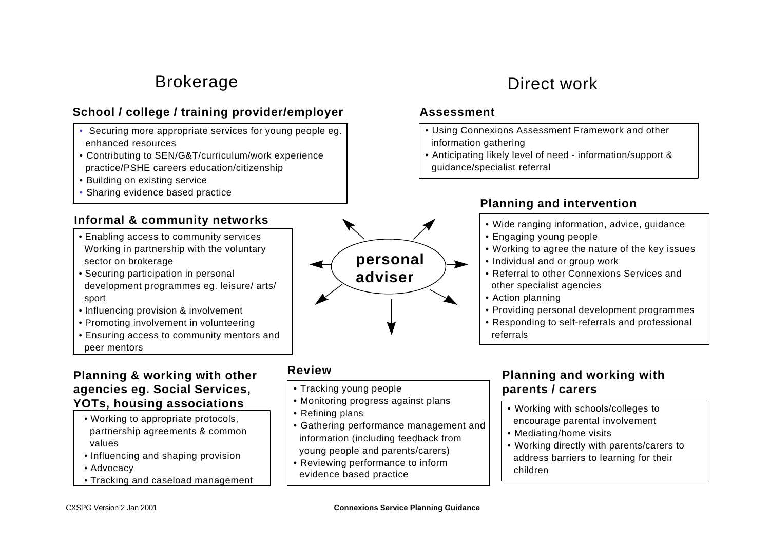# Brokerage

# **School / college / training provider/employer**

- Securing more appropriate services for young people eg. enhanced resources
- Contributing to SEN/G&T/curriculum/work experience practice/PSHE careers education/citizenship
- Building on existing service
- Sharing evidence based practice

# **Informal & community networks**

- Enabling access to community services Working in partnership with the voluntary sector on brokerage
- Securing participation in personal development programmes eg. leisure/ arts/ sport
- Influencing provision & involvement
- Promoting involvement in volunteering
- Ensuring access to community mentors and peer mentors

# **Planning & working with other agencies eg. Social Services, YOTs, housing associations**

- Working to appropriate protocols, partnership agreements & common values
- Influencing and shaping provision
- Advocacy
- Tracking and caseload management

# **Review**

- Tracking young people
- Monitoring progress against plans
- Refining plans
- Gathering performance management and information (including feedback from young people and parents/carers)
- Reviewing performance to inform evidence based practice

# Direct work

# **Assessment**

- Using Connexions Assessment Framework and other information gathering
- Anticipating likely level of need information/support & guidance/specialist referral

# **Planning and intervention**

- Wide ranging information, advice, guidance
- Engaging young people
- Working to agree the nature of the key issues
- Individual and or group work
- Referral to other Connexions Services and other specialist agencies
- Action planning
- Providing personal development programmes
- Responding to self-referrals and professional referrals

# **Planning and working with parents / carers**

- Working with schools/colleges to encourage parental involvement
- Mediating/home visits
- Working directly with parents/carers to address barriers to learning for their children

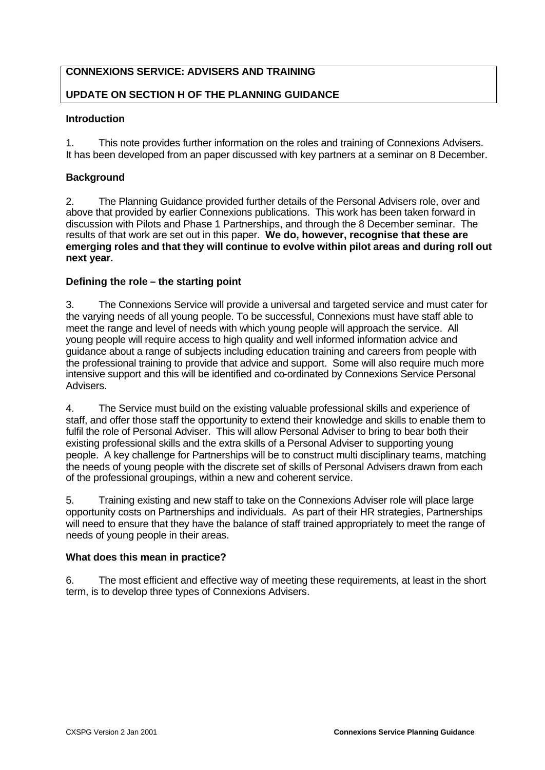# **CONNEXIONS SERVICE: ADVISERS AND TRAINING**

# **UPDATE ON SECTION H OF THE PLANNING GUIDANCE**

# **Introduction**

1. This note provides further information on the roles and training of Connexions Advisers. It has been developed from an paper discussed with key partners at a seminar on 8 December.

# **Background**

2. The Planning Guidance provided further details of the Personal Advisers role, over and above that provided by earlier Connexions publications. This work has been taken forward in discussion with Pilots and Phase 1 Partnerships, and through the 8 December seminar. The results of that work are set out in this paper. **We do, however, recognise that these are emerging roles and that they will continue to evolve within pilot areas and during roll out next year.** 

# **Defining the role – the starting point**

3. The Connexions Service will provide a universal and targeted service and must cater for the varying needs of all young people. To be successful, Connexions must have staff able to meet the range and level of needs with which young people will approach the service. All young people will require access to high quality and well informed information advice and guidance about a range of subjects including education training and careers from people with the professional training to provide that advice and support. Some will also require much more intensive support and this will be identified and co-ordinated by Connexions Service Personal Advisers.

4. The Service must build on the existing valuable professional skills and experience of staff, and offer those staff the opportunity to extend their knowledge and skills to enable them to fulfil the role of Personal Adviser. This will allow Personal Adviser to bring to bear both their existing professional skills and the extra skills of a Personal Adviser to supporting young people. A key challenge for Partnerships will be to construct multi disciplinary teams, matching the needs of young people with the discrete set of skills of Personal Advisers drawn from each of the professional groupings, within a new and coherent service.

5. Training existing and new staff to take on the Connexions Adviser role will place large opportunity costs on Partnerships and individuals. As part of their HR strategies, Partnerships will need to ensure that they have the balance of staff trained appropriately to meet the range of needs of young people in their areas.

#### **What does this mean in practice?**

6. The most efficient and effective way of meeting these requirements, at least in the short term, is to develop three types of Connexions Advisers.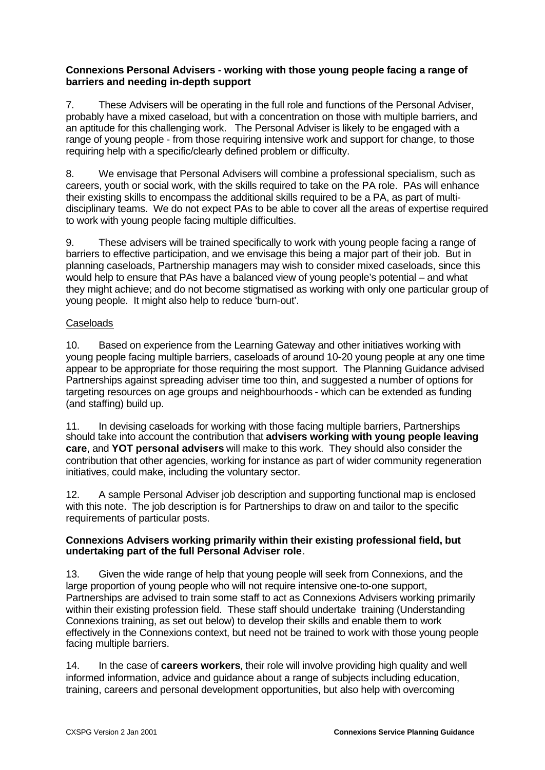### **Connexions Personal Advisers - working with those young people facing a range of barriers and needing in-depth support**

7. These Advisers will be operating in the full role and functions of the Personal Adviser, probably have a mixed caseload, but with a concentration on those with multiple barriers, and an aptitude for this challenging work. The Personal Adviser is likely to be engaged with a range of young people - from those requiring intensive work and support for change, to those requiring help with a specific/clearly defined problem or difficulty.

8. We envisage that Personal Advisers will combine a professional specialism, such as careers, youth or social work, with the skills required to take on the PA role. PAs will enhance their existing skills to encompass the additional skills required to be a PA, as part of multidisciplinary teams. We do not expect PAs to be able to cover all the areas of expertise required to work with young people facing multiple difficulties.

9. These advisers will be trained specifically to work with young people facing a range of barriers to effective participation, and we envisage this being a major part of their job. But in planning caseloads, Partnership managers may wish to consider mixed caseloads, since this would help to ensure that PAs have a balanced view of young people's potential – and what they might achieve; and do not become stigmatised as working with only one particular group of young people. It might also help to reduce 'burn-out'.

# Caseloads

10. Based on experience from the Learning Gateway and other initiatives working with young people facing multiple barriers, caseloads of around 10-20 young people at any one time appear to be appropriate for those requiring the most support. The Planning Guidance advised Partnerships against spreading adviser time too thin, and suggested a number of options for targeting resources on age groups and neighbourhoods - which can be extended as funding (and staffing) build up.

11. In devising caseloads for working with those facing multiple barriers, Partnerships should take into account the contribution that **advisers working with young people leaving care**, and **YOT personal advisers** will make to this work. They should also consider the contribution that other agencies, working for instance as part of wider community regeneration initiatives, could make, including the voluntary sector.

12. A sample Personal Adviser job description and supporting functional map is enclosed with this note. The job description is for Partnerships to draw on and tailor to the specific requirements of particular posts.

#### **Connexions Advisers working primarily within their existing professional field, but undertaking part of the full Personal Adviser role**.

13. Given the wide range of help that young people will seek from Connexions, and the large proportion of young people who will not require intensive one-to-one support, Partnerships are advised to train some staff to act as Connexions Advisers working primarily within their existing profession field. These staff should undertake training (Understanding Connexions training, as set out below) to develop their skills and enable them to work effectively in the Connexions context, but need not be trained to work with those young people facing multiple barriers.

14. In the case of **careers workers**, their role will involve providing high quality and well informed information, advice and guidance about a range of subjects including education, training, careers and personal development opportunities, but also help with overcoming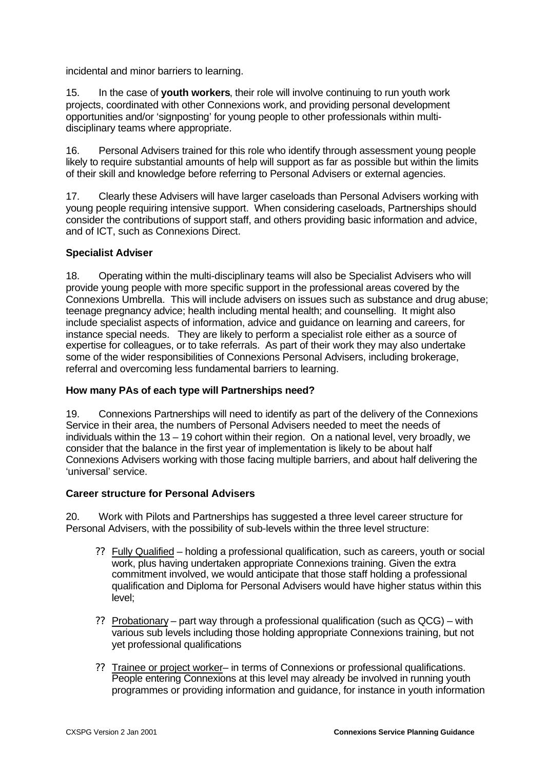incidental and minor barriers to learning.

15. In the case of **youth workers**, their role will involve continuing to run youth work projects, coordinated with other Connexions work, and providing personal development opportunities and/or 'signposting' for young people to other professionals within multidisciplinary teams where appropriate.

16. Personal Advisers trained for this role who identify through assessment young people likely to require substantial amounts of help will support as far as possible but within the limits of their skill and knowledge before referring to Personal Advisers or external agencies.

17. Clearly these Advisers will have larger caseloads than Personal Advisers working with young people requiring intensive support. When considering caseloads, Partnerships should consider the contributions of support staff, and others providing basic information and advice, and of ICT, such as Connexions Direct.

#### **Specialist Adviser**

18. Operating within the multi-disciplinary teams will also be Specialist Advisers who will provide young people with more specific support in the professional areas covered by the Connexions Umbrella. This will include advisers on issues such as substance and drug abuse; teenage pregnancy advice; health including mental health; and counselling. It might also include specialist aspects of information, advice and guidance on learning and careers, for instance special needs. They are likely to perform a specialist role either as a source of expertise for colleagues, or to take referrals. As part of their work they may also undertake some of the wider responsibilities of Connexions Personal Advisers, including brokerage, referral and overcoming less fundamental barriers to learning.

#### **How many PAs of each type will Partnerships need?**

19. Connexions Partnerships will need to identify as part of the delivery of the Connexions Service in their area, the numbers of Personal Advisers needed to meet the needs of individuals within the 13 – 19 cohort within their region. On a national level, very broadly, we consider that the balance in the first year of implementation is likely to be about half Connexions Advisers working with those facing multiple barriers, and about half delivering the 'universal' service.

#### **Career structure for Personal Advisers**

20. Work with Pilots and Partnerships has suggested a three level career structure for Personal Advisers, with the possibility of sub-levels within the three level structure:

- ?? Fully Qualified holding a professional qualification, such as careers, youth or social work, plus having undertaken appropriate Connexions training. Given the extra commitment involved, we would anticipate that those staff holding a professional qualification and Diploma for Personal Advisers would have higher status within this level;
- ?? Probationary part way through a professional qualification (such as QCG) with various sub levels including those holding appropriate Connexions training, but not yet professional qualifications
- ?? Trainee or project worker– in terms of Connexions or professional qualifications. People entering Connexions at this level may already be involved in running youth programmes or providing information and guidance, for instance in youth information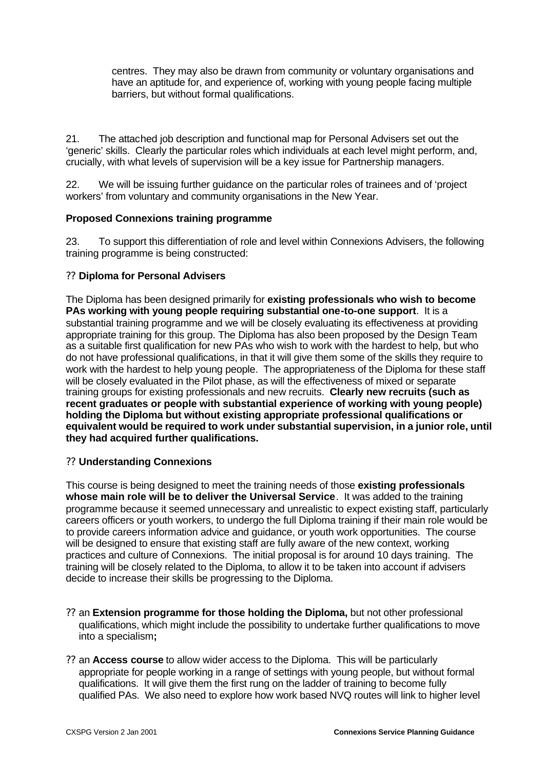centres. They may also be drawn from community or voluntary organisations and have an aptitude for, and experience of, working with young people facing multiple barriers, but without formal qualifications.

21. The attached job description and functional map for Personal Advisers set out the 'generic' skills. Clearly the particular roles which individuals at each level might perform, and, crucially, with what levels of supervision will be a key issue for Partnership managers.

22. We will be issuing further guidance on the particular roles of trainees and of 'project workers' from voluntary and community organisations in the New Year.

# **Proposed Connexions training programme**

23. To support this differentiation of role and level within Connexions Advisers, the following training programme is being constructed:

#### ?? **Diploma for Personal Advisers**

The Diploma has been designed primarily for **existing professionals who wish to become PAs working with young people requiring substantial one-to-one support**. It is a substantial training programme and we will be closely evaluating its effectiveness at providing appropriate training for this group. The Diploma has also been proposed by the Design Team as a suitable first qualification for new PAs who wish to work with the hardest to help, but who do not have professional qualifications, in that it will give them some of the skills they require to work with the hardest to help young people. The appropriateness of the Diploma for these staff will be closely evaluated in the Pilot phase, as will the effectiveness of mixed or separate training groups for existing professionals and new recruits. **Clearly new recruits (such as recent graduates or people with substantial experience of working with young people) holding the Diploma but without existing appropriate professional qualifications or equivalent would be required to work under substantial supervision, in a junior role, until they had acquired further qualifications.** 

#### ?? **Understanding Connexions**

This course is being designed to meet the training needs of those **existing professionals whose main role will be to deliver the Universal Service**. It was added to the training programme because it seemed unnecessary and unrealistic to expect existing staff, particularly careers officers or youth workers, to undergo the full Diploma training if their main role would be to provide careers information advice and guidance, or youth work opportunities. The course will be designed to ensure that existing staff are fully aware of the new context, working practices and culture of Connexions. The initial proposal is for around 10 days training. The training will be closely related to the Diploma, to allow it to be taken into account if advisers decide to increase their skills be progressing to the Diploma.

- ?? an **Extension programme for those holding the Diploma,** but not other professional qualifications, which might include the possibility to undertake further qualifications to move into a specialism**;**
- ?? an **Access course** to allow wider access to the Diploma. This will be particularly appropriate for people working in a range of settings with young people, but without formal qualifications. It will give them the first rung on the ladder of training to become fully qualified PAs. We also need to explore how work based NVQ routes will link to higher level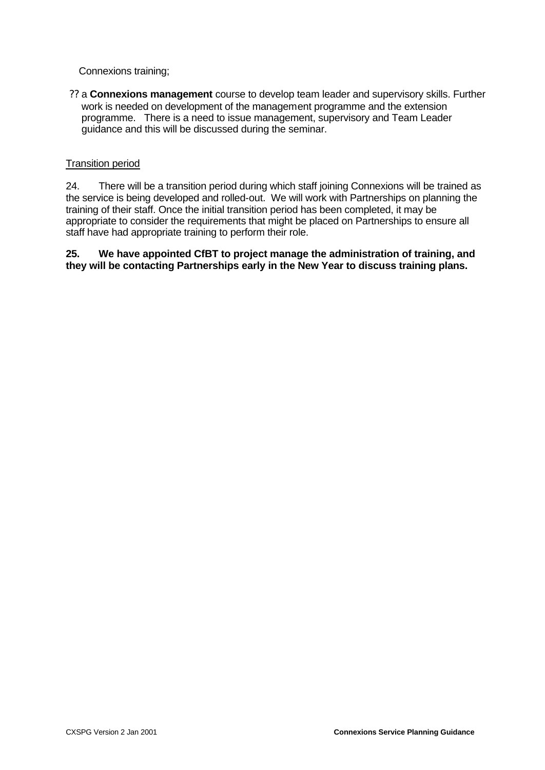Connexions training;

?? a **Connexions management** course to develop team leader and supervisory skills. Further work is needed on development of the management programme and the extension programme. There is a need to issue management, supervisory and Team Leader guidance and this will be discussed during the seminar.

### Transition period

24. There will be a transition period during which staff joining Connexions will be trained as the service is being developed and rolled-out. We will work with Partnerships on planning the training of their staff. Once the initial transition period has been completed, it may be appropriate to consider the requirements that might be placed on Partnerships to ensure all staff have had appropriate training to perform their role.

**25. We have appointed CfBT to project manage the administration of training, and they will be contacting Partnerships early in the New Year to discuss training plans.**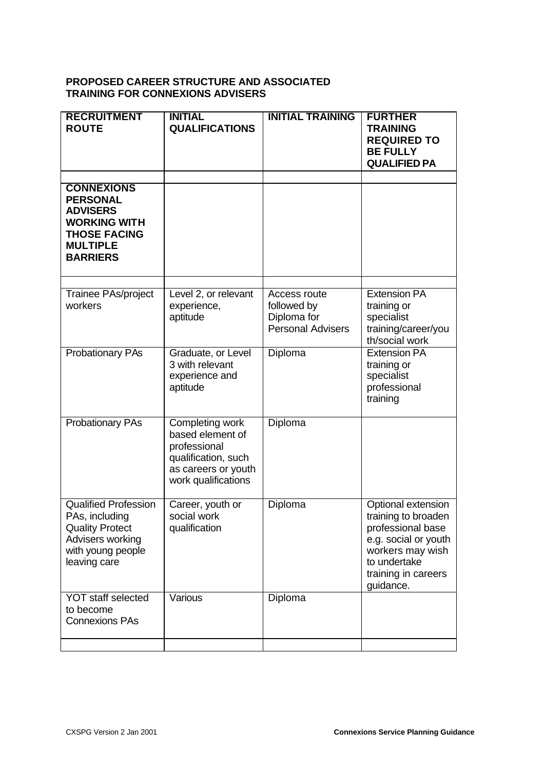### **PROPOSED CAREER STRUCTURE AND ASSOCIATED TRAINING FOR CONNEXIONS ADVISERS**

| <b>RECRUITMENT</b><br><b>ROUTE</b>                                                                                                          | <b>INITIAL</b><br><b>QUALIFICATIONS</b>                                                                                  | <b>INITIAL TRAINING</b>                                                | <b>FURTHER</b><br><b>TRAINING</b><br><b>REQUIRED TO</b><br><b>BE FULLY</b><br><b>QUALIFIED PA</b>                                                              |
|---------------------------------------------------------------------------------------------------------------------------------------------|--------------------------------------------------------------------------------------------------------------------------|------------------------------------------------------------------------|----------------------------------------------------------------------------------------------------------------------------------------------------------------|
| <b>CONNEXIONS</b><br><b>PERSONAL</b><br><b>ADVISERS</b><br><b>WORKING WITH</b><br><b>THOSE FACING</b><br><b>MULTIPLE</b><br><b>BARRIERS</b> |                                                                                                                          |                                                                        |                                                                                                                                                                |
| Trainee PAs/project<br>workers                                                                                                              | Level 2, or relevant<br>experience,<br>aptitude                                                                          | Access route<br>followed by<br>Diploma for<br><b>Personal Advisers</b> | <b>Extension PA</b><br>training or<br>specialist<br>training/career/you<br>th/social work                                                                      |
| <b>Probationary PAs</b>                                                                                                                     | Graduate, or Level<br>3 with relevant<br>experience and<br>aptitude                                                      | Diploma                                                                | <b>Extension PA</b><br>training or<br>specialist<br>professional<br>training                                                                                   |
| <b>Probationary PAs</b>                                                                                                                     | Completing work<br>based element of<br>professional<br>qualification, such<br>as careers or youth<br>work qualifications | Diploma                                                                |                                                                                                                                                                |
| <b>Qualified Profession</b><br>PAs, including<br><b>Quality Protect</b><br>Advisers working<br>with young people<br>leaving care            | Career, youth or<br>social work<br>qualification                                                                         | Diploma                                                                | Optional extension<br>training to broaden<br>professional base<br>e.g. social or youth<br>workers may wish<br>to undertake<br>training in careers<br>guidance. |
| <b>YOT staff selected</b><br>to become<br><b>Connexions PAs</b>                                                                             | Various                                                                                                                  | Diploma                                                                |                                                                                                                                                                |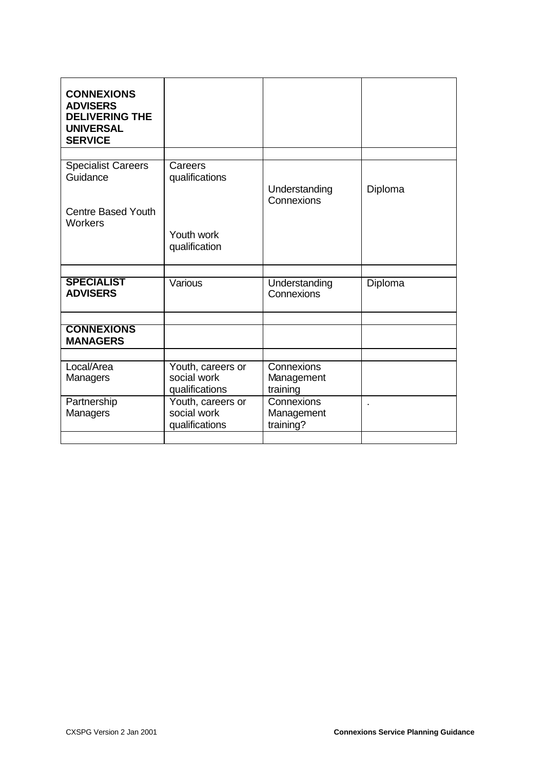| <b>CONNEXIONS</b><br><b>ADVISERS</b><br><b>DELIVERING THE</b><br><b>UNIVERSAL</b><br><b>SERVICE</b> |                                                    |                                       |         |
|-----------------------------------------------------------------------------------------------------|----------------------------------------------------|---------------------------------------|---------|
|                                                                                                     |                                                    |                                       |         |
| <b>Specialist Careers</b><br>Guidance                                                               | Careers<br>qualifications                          | Understanding<br>Connexions           | Diploma |
| <b>Centre Based Youth</b><br>Workers                                                                |                                                    |                                       |         |
|                                                                                                     | Youth work<br>qualification                        |                                       |         |
|                                                                                                     |                                                    |                                       |         |
| <b>SPECIALIST</b><br><b>ADVISERS</b>                                                                | Various                                            | Understanding<br>Connexions           | Diploma |
|                                                                                                     |                                                    |                                       |         |
| <b>CONNEXIONS</b><br><b>MANAGERS</b>                                                                |                                                    |                                       |         |
|                                                                                                     |                                                    |                                       |         |
| Local/Area<br>Managers                                                                              | Youth, careers or<br>social work<br>qualifications | Connexions<br>Management<br>training  |         |
| Partnership<br>Managers                                                                             | Youth, careers or<br>social work<br>qualifications | Connexions<br>Management<br>training? |         |
|                                                                                                     |                                                    |                                       |         |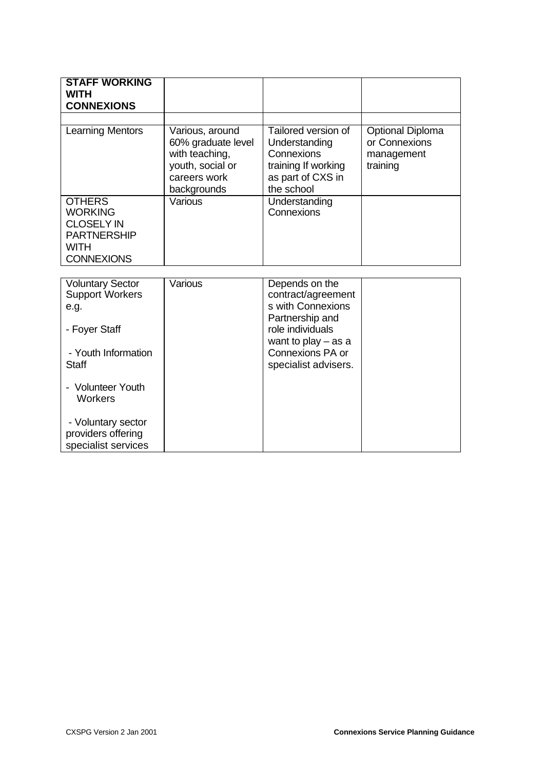| <b>STAFF WORKING</b><br><b>WITH</b><br><b>CONNEXIONS</b>                                                       |                                                                                                            |                                                                                                              |                                                                    |
|----------------------------------------------------------------------------------------------------------------|------------------------------------------------------------------------------------------------------------|--------------------------------------------------------------------------------------------------------------|--------------------------------------------------------------------|
|                                                                                                                |                                                                                                            |                                                                                                              |                                                                    |
| Learning Mentors                                                                                               | Various, around<br>60% graduate level<br>with teaching,<br>youth, social or<br>careers work<br>backgrounds | Tailored version of<br>Understanding<br>Connexions<br>training If working<br>as part of CXS in<br>the school | <b>Optional Diploma</b><br>or Connexions<br>management<br>training |
| <b>OTHERS</b><br><b>WORKING</b><br><b>CLOSELY IN</b><br><b>PARTNERSHIP</b><br><b>WITH</b><br><b>CONNEXIONS</b> | Various                                                                                                    | Understanding<br>Connexions                                                                                  |                                                                    |
|                                                                                                                |                                                                                                            |                                                                                                              |                                                                    |
| <b>Voluntary Sector</b><br><b>Support Workers</b><br>e.g.                                                      | Various                                                                                                    | Depends on the<br>contract/agreement<br>s with Connexions<br>Partnership and                                 |                                                                    |
| - Foyer Staff                                                                                                  |                                                                                                            | role individuals<br>want to play $-$ as a                                                                    |                                                                    |
| - Youth Information                                                                                            |                                                                                                            | Connexions PA or                                                                                             |                                                                    |

specialist advisers.

**Staff** 

- Volunteer Youth Workers

- Voluntary sector providers offering specialist services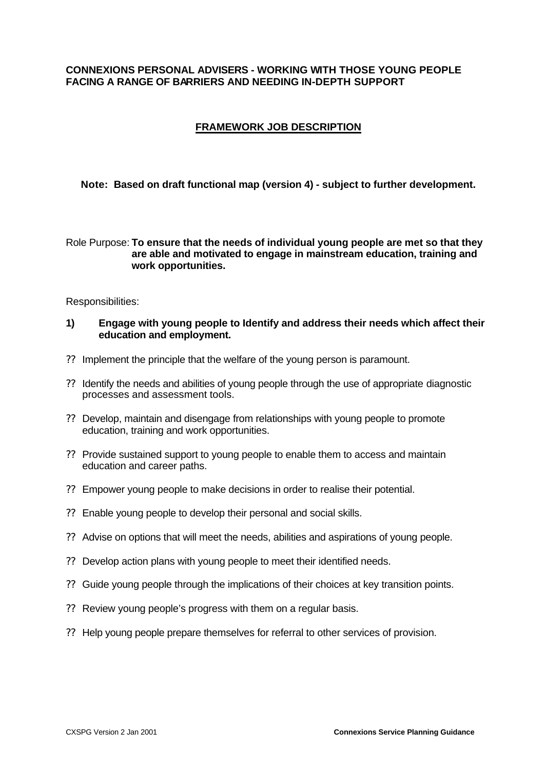#### **CONNEXIONS PERSONAL ADVISERS - WORKING WITH THOSE YOUNG PEOPLE FACING A RANGE OF BARRIERS AND NEEDING IN-DEPTH SUPPORT**

# **FRAMEWORK JOB DESCRIPTION**

#### **Note: Based on draft functional map (version 4) - subject to further development.**

#### Role Purpose: **To ensure that the needs of individual young people are met so that they are able and motivated to engage in mainstream education, training and work opportunities.**

Responsibilities:

#### **1) Engage with young people to Identify and address their needs which affect their education and employment.**

- ?? Implement the principle that the welfare of the young person is paramount.
- ?? Identify the needs and abilities of young people through the use of appropriate diagnostic processes and assessment tools.
- ?? Develop, maintain and disengage from relationships with young people to promote education, training and work opportunities.
- ?? Provide sustained support to young people to enable them to access and maintain education and career paths.
- ?? Empower young people to make decisions in order to realise their potential.
- ?? Enable young people to develop their personal and social skills.
- ?? Advise on options that will meet the needs, abilities and aspirations of young people.
- ?? Develop action plans with young people to meet their identified needs.
- ?? Guide young people through the implications of their choices at key transition points.
- ?? Review young people's progress with them on a regular basis.
- ?? Help young people prepare themselves for referral to other services of provision.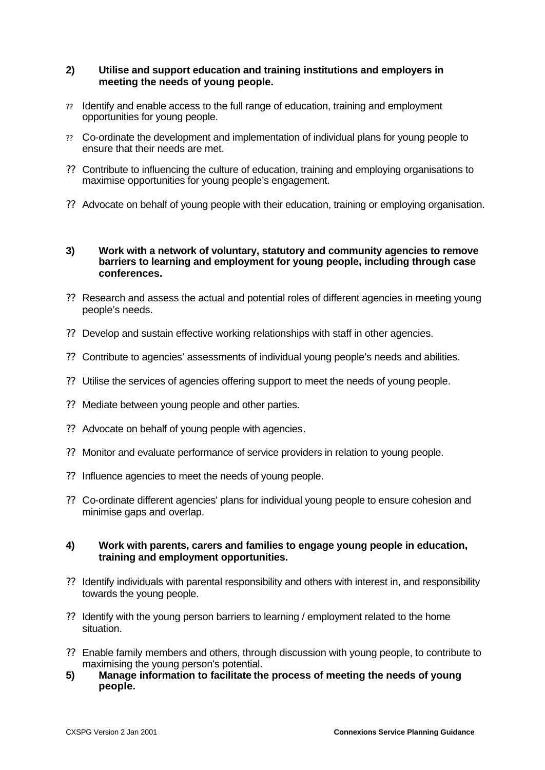#### **2) Utilise and support education and training institutions and employers in meeting the needs of young people.**

- ?? Identify and enable access to the full range of education, training and employment opportunities for young people.
- ?? Co-ordinate the development and implementation of individual plans for young people to ensure that their needs are met.
- ?? Contribute to influencing the culture of education, training and employing organisations to maximise opportunities for young people's engagement.
- ?? Advocate on behalf of young people with their education, training or employing organisation.

#### **3) Work with a network of voluntary, statutory and community agencies to remove barriers to learning and employment for young people, including through case conferences.**

- ?? Research and assess the actual and potential roles of different agencies in meeting young people's needs.
- ?? Develop and sustain effective working relationships with staff in other agencies.
- ?? Contribute to agencies' assessments of individual young people's needs and abilities.
- ?? Utilise the services of agencies offering support to meet the needs of young people.
- ?? Mediate between young people and other parties.
- ?? Advocate on behalf of young people with agencies.
- ?? Monitor and evaluate performance of service providers in relation to young people.
- ?? Influence agencies to meet the needs of young people.
- ?? Co-ordinate different agencies' plans for individual young people to ensure cohesion and minimise gaps and overlap.

#### **4) Work with parents, carers and families to engage young people in education, training and employment opportunities.**

- ?? Identify individuals with parental responsibility and others with interest in, and responsibility towards the young people.
- ?? Identify with the young person barriers to learning / employment related to the home situation.
- ?? Enable family members and others, through discussion with young people, to contribute to maximising the young person's potential.
- **5) Manage information to facilitate the process of meeting the needs of young people.**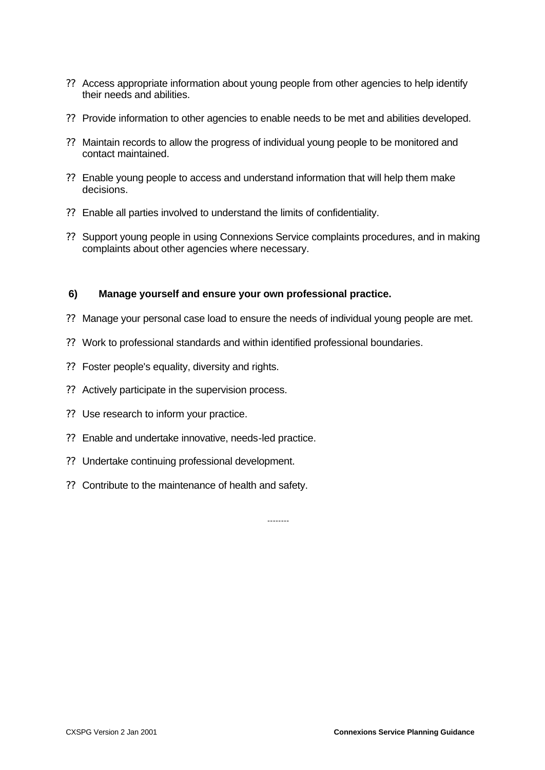- ?? Access appropriate information about young people from other agencies to help identify their needs and abilities.
- ?? Provide information to other agencies to enable needs to be met and abilities developed.
- ?? Maintain records to allow the progress of individual young people to be monitored and contact maintained.
- ?? Enable young people to access and understand information that will help them make decisions.
- ?? Enable all parties involved to understand the limits of confidentiality.
- ?? Support young people in using Connexions Service complaints procedures, and in making complaints about other agencies where necessary.

#### **6) Manage yourself and ensure your own professional practice.**

- ?? Manage your personal case load to ensure the needs of individual young people are met.
- ?? Work to professional standards and within identified professional boundaries.
- ?? Foster people's equality, diversity and rights.
- ?? Actively participate in the supervision process.
- ?? Use research to inform your practice.
- ?? Enable and undertake innovative, needs-led practice.
- ?? Undertake continuing professional development.
- ?? Contribute to the maintenance of health and safety.

--------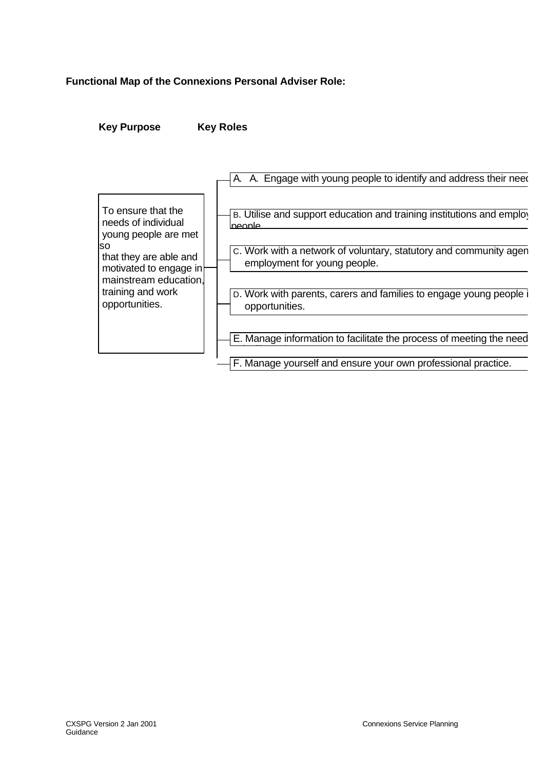# **Functional Map of the Connexions Personal Adviser Role:**

**Key Purpose Key Roles**

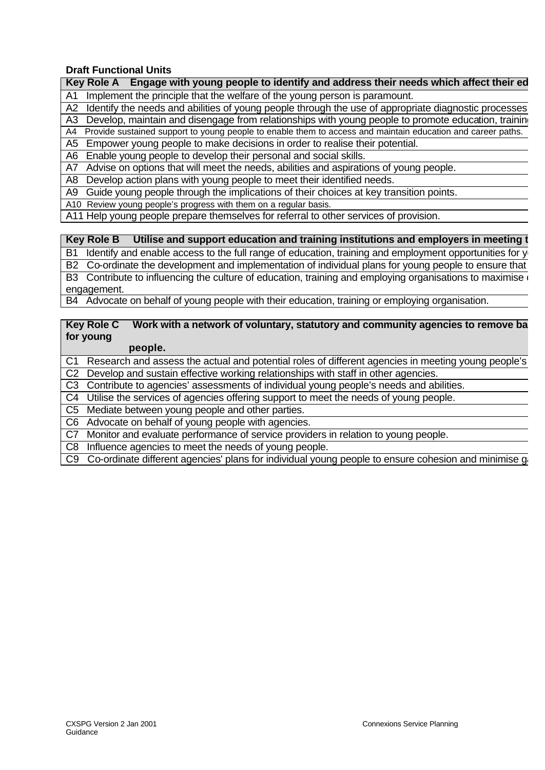# **Draft Functional Units**

| Identify the needs and abilities of young people through the use of appropriate diagnostic processes<br>A2           |
|----------------------------------------------------------------------------------------------------------------------|
|                                                                                                                      |
| Develop, maintain and disengage from relationships with young people to promote education, training<br>A3            |
| Provide sustained support to young people to enable them to access and maintain education and career paths.<br>A4    |
| Empower young people to make decisions in order to realise their potential.<br>A5                                    |
| Enable young people to develop their personal and social skills.<br>A6                                               |
| Advise on options that will meet the needs, abilities and aspirations of young people.<br>A7                         |
| Develop action plans with young people to meet their identified needs.<br>A8                                         |
| Guide young people through the implications of their choices at key transition points.<br>A9                         |
| A10 Review young people's progress with them on a regular basis.                                                     |
| A11 Help young people prepare themselves for referral to other services of provision.                                |
|                                                                                                                      |
| Utilise and support education and training institutions and employers in meeting t<br><b>Key Role B</b>              |
| Identify and enable access to the full range of education, training and employment opportunities for y<br><b>B1</b>  |
| Co-ordinate the development and implementation of individual plans for young people to ensure that<br><b>B2</b>      |
| B3 Contribute to influencing the culture of education, training and employing organisations to maximise              |
| engagement.                                                                                                          |
| B4 Advocate on behalf of young people with their education, training or employing organisation.                      |
|                                                                                                                      |
| <b>Key Role C</b><br>Work with a network of voluntary, statutory and community agencies to remove ba                 |
| for young                                                                                                            |
| people.                                                                                                              |
| Research and assess the actual and potential roles of different agencies in meeting young people's<br>C <sub>1</sub> |
| Develop and sustain effective working relationships with staff in other agencies.<br>C <sub>2</sub>                  |
| C <sub>3</sub><br>Contribute to agencies' assessments of individual young people's needs and abilities.              |
| Utilise the services of agencies offering support to meet the needs of young people.<br>C4                           |
| Mediate between young people and other parties.<br>C <sub>5</sub>                                                    |
| Advocate on behalf of young people with agencies.<br>C <sub>6</sub>                                                  |

Key Role A Engage with young people to identify and address their needs which affect their ed

A1 Implement the principle that the welfare of the young person is paramount.

C7 Monitor and evaluate performance of service providers in relation to young people.

C8 Influence agencies to meet the needs of young people.

C9 Co-ordinate different agencies' plans for individual young people to ensure cohesion and minimise gi-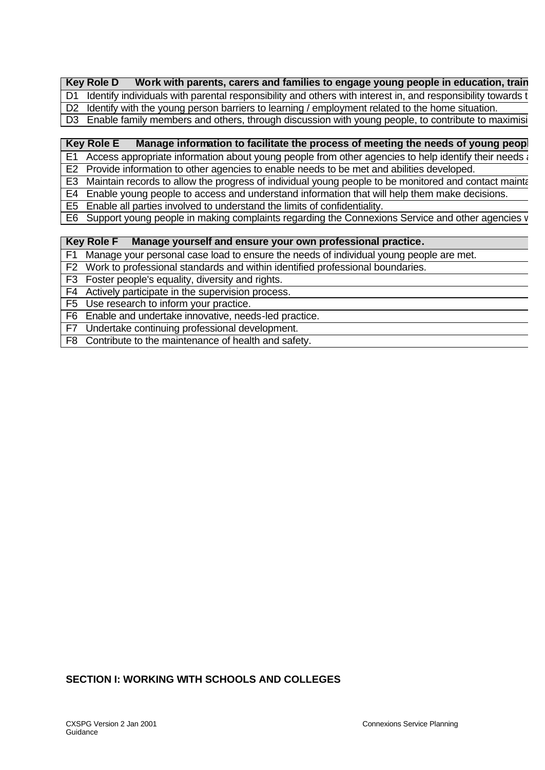|  | <b>Key Role D</b><br>Work with parents, carers and families to engage young people in education, train |
|--|--------------------------------------------------------------------------------------------------------|
|--|--------------------------------------------------------------------------------------------------------|

D1 Identify individuals with parental responsibility and others with interest in, and responsibility towards t

D2 Identify with the young person barriers to learning / employment related to the home situation.

D3 Enable family members and others, through discussion with young people, to contribute to maximising

#### **Key Role E Manage information to facilitate the process of meeting the needs of young people.**

E1 Access appropriate information about young people from other agencies to help identify their needs  $\alpha$ 

E2 Provide information to other agencies to enable needs to be met and abilities developed.

E3 Maintain records to allow the progress of individual young people to be monitored and contact maintained.

E4 Enable young people to access and understand information that will help them make decisions.

E5 Enable all parties involved to understand the limits of confidentiality.

E6 Support young people in making complaints regarding the Connexions Service and other agencies v

#### **Key Role F Manage yourself and ensure your own professional practice.**

F1 Manage your personal case load to ensure the needs of individual young people are met.

F2 Work to professional standards and within identified professional boundaries.

F3 Foster people's equality, diversity and rights.

F4 Actively participate in the supervision process.

F5 Use research to inform your practice.

F6 Enable and undertake innovative, needs-led practice.

F7 Undertake continuing professional development.

F8 Contribute to the maintenance of health and safety.

#### **SECTION I: WORKING WITH SCHOOLS AND COLLEGES**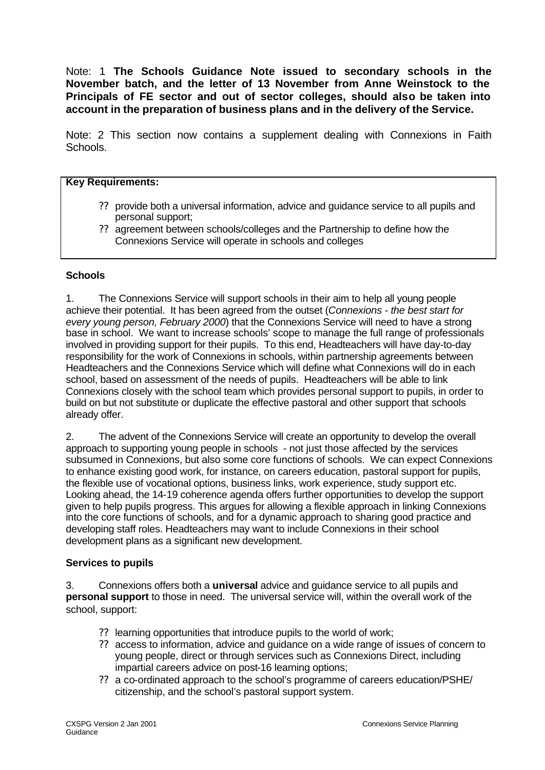Note: 1 **The Schools Guidance Note issued to secondary schools in the November batch, and the letter of 13 November from Anne Weinstock to the Principals of FE sector and out of sector colleges, should also be taken into account in the preparation of business plans and in the delivery of the Service.**

Note: 2 This section now contains a supplement dealing with Connexions in Faith Schools.

#### **Key Requirements:**

- ?? provide both a universal information, advice and guidance service to all pupils and personal support;
- ?? agreement between schools/colleges and the Partnership to define how the Connexions Service will operate in schools and colleges

#### **Schools**

1. The Connexions Service will support schools in their aim to help all young people achieve their potential. It has been agreed from the outset (*Connexions - the best start for every young person, February 2000*) that the Connexions Service will need to have a strong base in school. We want to increase schools' scope to manage the full range of professionals involved in providing support for their pupils. To this end, Headteachers will have day-to-day responsibility for the work of Connexions in schools, within partnership agreements between Headteachers and the Connexions Service which will define what Connexions will do in each school, based on assessment of the needs of pupils. Headteachers will be able to link Connexions closely with the school team which provides personal support to pupils, in order to build on but not substitute or duplicate the effective pastoral and other support that schools already offer.

2. The advent of the Connexions Service will create an opportunity to develop the overall approach to supporting young people in schools - not just those affected by the services subsumed in Connexions, but also some core functions of schools. We can expect Connexions to enhance existing good work, for instance, on careers education, pastoral support for pupils, the flexible use of vocational options, business links, work experience, study support etc. Looking ahead, the 14-19 coherence agenda offers further opportunities to develop the support given to help pupils progress. This argues for allowing a flexible approach in linking Connexions into the core functions of schools, and for a dynamic approach to sharing good practice and developing staff roles. Headteachers may want to include Connexions in their school development plans as a significant new development.

#### **Services to pupils**

3. Connexions offers both a **universal** advice and guidance service to all pupils and **personal support** to those in need. The universal service will, within the overall work of the school, support:

- ?? learning opportunities that introduce pupils to the world of work;
- ?? access to information, advice and guidance on a wide range of issues of concern to young people, direct or through services such as Connexions Direct, including impartial careers advice on post-16 learning options;
- ?? a co-ordinated approach to the school's programme of careers education/PSHE/ citizenship, and the school's pastoral support system.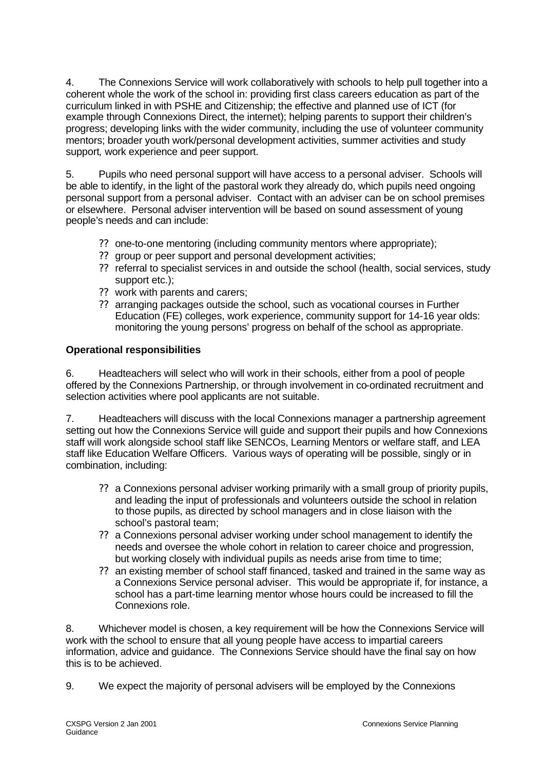4. The Connexions Service will work collaboratively with schools to help pull together into a coherent whole the work of the school in: providing first class careers education as part of the curriculum linked in with PSHE and Citizenship; the effective and planned use of ICT (for example through Connexions Direct, the internet); helping parents to support their children's progress; developing links with the wider community, including the use of volunteer community mentors; broader youth work/personal development activities, summer activities and study support*,* work experience and peer support.

5. Pupils who need personal support will have access to a personal adviser. Schools will be able to identify, in the light of the pastoral work they already do, which pupils need ongoing personal support from a personal adviser. Contact with an adviser can be on school premises or elsewhere. Personal adviser intervention will be based on sound assessment of young people's needs and can include:

- ?? one-to-one mentoring (including community mentors where appropriate);
- ?? group or peer support and personal development activities;
- ?? referral to specialist services in and outside the school (health, social services, study support etc.);
- ?? work with parents and carers;
- ?? arranging packages outside the school, such as vocational courses in Further Education (FE) colleges, work experience, community support for 14-16 year olds: monitoring the young persons' progress on behalf of the school as appropriate.

# **Operational responsibilities**

6. Headteachers will select who will work in their schools, either from a pool of people offered by the Connexions Partnership, or through involvement in co-ordinated recruitment and selection activities where pool applicants are not suitable.

7. Headteachers will discuss with the local Connexions manager a partnership agreement setting out how the Connexions Service will guide and support their pupils and how Connexions staff will work alongside school staff like SENCOs, Learning Mentors or welfare staff, and LEA staff like Education Welfare Officers. Various ways of operating will be possible, singly or in combination, including:

- ?? a Connexions personal adviser working primarily with a small group of priority pupils, and leading the input of professionals and volunteers outside the school in relation to those pupils, as directed by school managers and in close liaison with the school's pastoral team;
- ?? a Connexions personal adviser working under school management to identify the needs and oversee the whole cohort in relation to career choice and progression, but working closely with individual pupils as needs arise from time to time;
- ?? an existing member of school staff financed, tasked and trained in the same way as a Connexions Service personal adviser. This would be appropriate if, for instance, a school has a part-time learning mentor whose hours could be increased to fill the Connexions role.

8. Whichever model is chosen, a key requirement will be how the Connexions Service will work with the school to ensure that all young people have access to impartial careers information, advice and guidance. The Connexions Service should have the final say on how this is to be achieved.

9. We expect the majority of personal advisers will be employed by the Connexions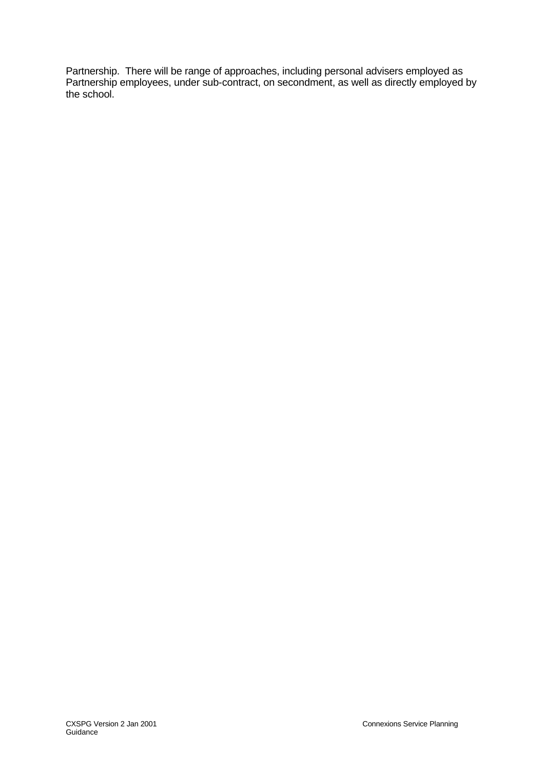Partnership. There will be range of approaches, including personal advisers employed as Partnership employees, under sub-contract, on secondment, as well as directly employed by the school.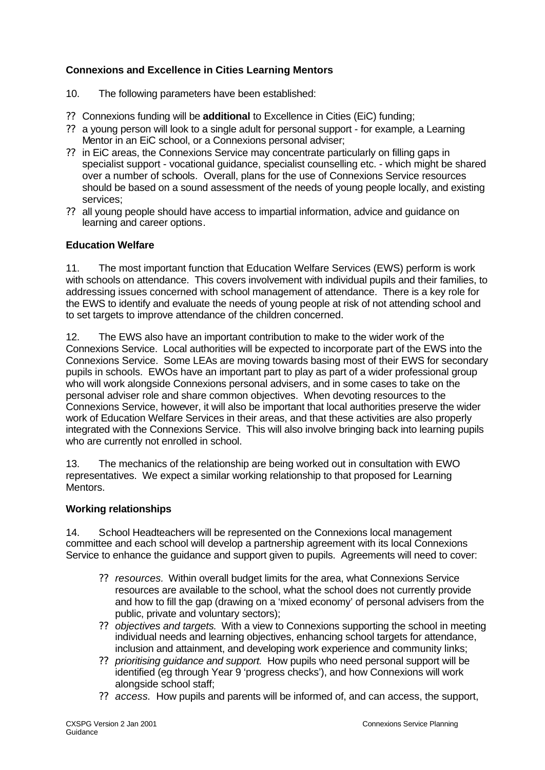# **Connexions and Excellence in Cities Learning Mentors**

- 10. The following parameters have been established:
- ?? Connexions funding will be **additional** to Excellence in Cities (EiC) funding;
- ?? a young person will look to a single adult for personal support for example*,* a Learning Mentor in an EiC school, or a Connexions personal adviser;
- ?? in EiC areas, the Connexions Service may concentrate particularly on filling gaps in specialist support - vocational guidance, specialist counselling etc. - which might be shared over a number of schools*.* Overall, plans for the use of Connexions Service resources should be based on a sound assessment of the needs of young people locally, and existing services;
- ?? all young people should have access to impartial information, advice and guidance on learning and career options.

# **Education Welfare**

11. The most important function that Education Welfare Services (EWS) perform is work with schools on attendance. This covers involvement with individual pupils and their families, to addressing issues concerned with school management of attendance. There is a key role for the EWS to identify and evaluate the needs of young people at risk of not attending school and to set targets to improve attendance of the children concerned.

12. The EWS also have an important contribution to make to the wider work of the Connexions Service. Local authorities will be expected to incorporate part of the EWS into the Connexions Service. Some LEAs are moving towards basing most of their EWS for secondary pupils in schools. EWOs have an important part to play as part of a wider professional group who will work alongside Connexions personal advisers, and in some cases to take on the personal adviser role and share common objectives. When devoting resources to the Connexions Service, however, it will also be important that local authorities preserve the wider work of Education Welfare Services in their areas, and that these activities are also properly integrated with the Connexions Service. This will also involve bringing back into learning pupils who are currently not enrolled in school.

13. The mechanics of the relationship are being worked out in consultation with EWO representatives. We expect a similar working relationship to that proposed for Learning Mentors.

#### **Working relationships**

14. School Headteachers will be represented on the Connexions local management committee and each school will develop a partnership agreement with its local Connexions Service to enhance the quidance and support given to pupils. Agreements will need to cover:

- ?? *resources.*Within overall budget limits for the area, what Connexions Service resources are available to the school, what the school does not currently provide and how to fill the gap (drawing on a 'mixed economy' of personal advisers from the public, private and voluntary sectors);
- ?? *objectives and targets.* With a view to Connexions supporting the school in meeting individual needs and learning objectives, enhancing school targets for attendance, inclusion and attainment, and developing work experience and community links;
- ?? *prioritising guidance and support.* How pupils who need personal support will be identified (eg through Year 9 'progress checks'), and how Connexions will work alongside school staff;
- ?? *access.* How pupils and parents will be informed of, and can access, the support,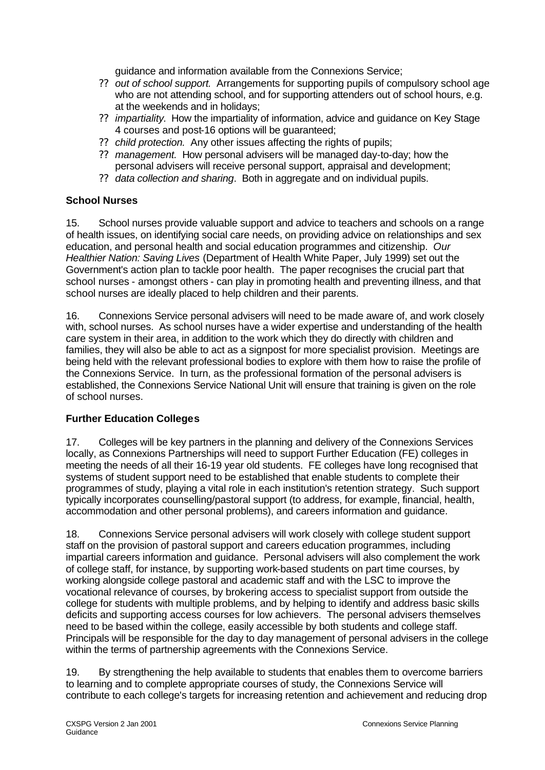guidance and information available from the Connexions Service;

- ?? *out of school support.* Arrangements for supporting pupils of compulsory school age who are not attending school, and for supporting attenders out of school hours, e.g. at the weekends and in holidays;
- ?? *impartiality.* How the impartiality of information, advice and guidance on Key Stage 4 courses and post-16 options will be guaranteed;
- ?? *child protection.* Any other issues affecting the rights of pupils;
- ?? *management.* How personal advisers will be managed day-to-day; how the personal advisers will receive personal support, appraisal and development;
- ?? *data collection and sharing*. Both in aggregate and on individual pupils.

# **School Nurses**

15. School nurses provide valuable support and advice to teachers and schools on a range of health issues, on identifying social care needs, on providing advice on relationships and sex education, and personal health and social education programmes and citizenship. *Our Healthier Nation: Saving Lives* (Department of Health White Paper, July 1999) set out the Government's action plan to tackle poor health. The paper recognises the crucial part that school nurses - amongst others - can play in promoting health and preventing illness, and that school nurses are ideally placed to help children and their parents.

16. Connexions Service personal advisers will need to be made aware of, and work closely with, school nurses. As school nurses have a wider expertise and understanding of the health care system in their area, in addition to the work which they do directly with children and families, they will also be able to act as a signpost for more specialist provision. Meetings are being held with the relevant professional bodies to explore with them how to raise the profile of the Connexions Service. In turn, as the professional formation of the personal advisers is established, the Connexions Service National Unit will ensure that training is given on the role of school nurses.

# **Further Education Colleges**

17. Colleges will be key partners in the planning and delivery of the Connexions Services locally, as Connexions Partnerships will need to support Further Education (FE) colleges in meeting the needs of all their 16-19 year old students. FE colleges have long recognised that systems of student support need to be established that enable students to complete their programmes of study, playing a vital role in each institution's retention strategy. Such support typically incorporates counselling/pastoral support (to address, for example, financial, health, accommodation and other personal problems), and careers information and guidance.

18. Connexions Service personal advisers will work closely with college student support staff on the provision of pastoral support and careers education programmes, including impartial careers information and guidance. Personal advisers will also complement the work of college staff, for instance, by supporting work-based students on part time courses, by working alongside college pastoral and academic staff and with the LSC to improve the vocational relevance of courses, by brokering access to specialist support from outside the college for students with multiple problems, and by helping to identify and address basic skills deficits and supporting access courses for low achievers. The personal advisers themselves need to be based within the college, easily accessible by both students and college staff. Principals will be responsible for the day to day management of personal advisers in the college within the terms of partnership agreements with the Connexions Service.

19. By strengthening the help available to students that enables them to overcome barriers to learning and to complete appropriate courses of study, the Connexions Service will contribute to each college's targets for increasing retention and achievement and reducing drop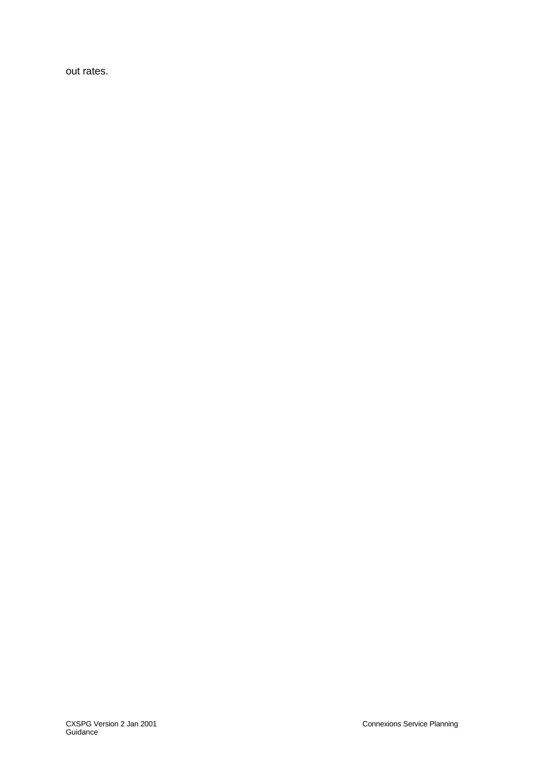out rates.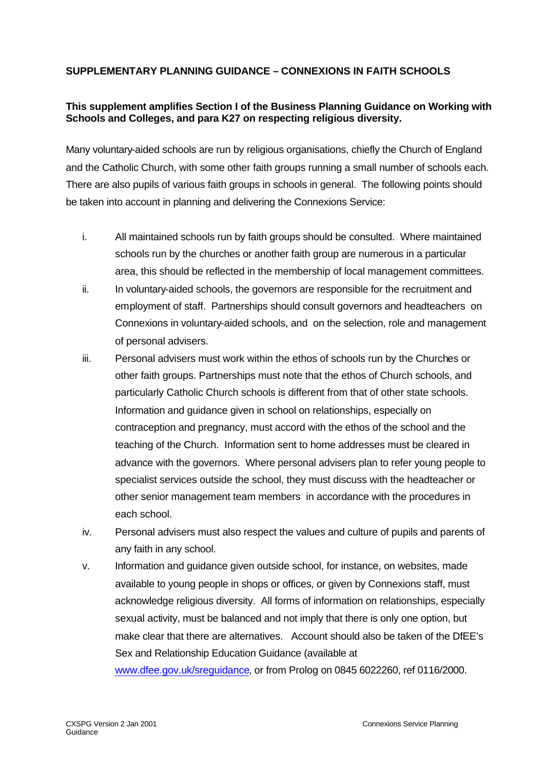# **SUPPLEMENTARY PLANNING GUIDANCE – CONNEXIONS IN FAITH SCHOOLS**

# **This supplement amplifies Section I of the Business Planning Guidance on Working with Schools and Colleges, and para K27 on respecting religious diversity.**

Many voluntary-aided schools are run by religious organisations, chiefly the Church of England and the Catholic Church, with some other faith groups running a small number of schools each. There are also pupils of various faith groups in schools in general. The following points should be taken into account in planning and delivering the Connexions Service:

- i. All maintained schools run by faith groups should be consulted. Where maintained schools run by the churches or another faith group are numerous in a particular area, this should be reflected in the membership of local management committees.
- ii. In voluntary-aided schools, the governors are responsible for the recruitment and employment of staff. Partnerships should consult governors and headteachers on Connexions in voluntary-aided schools, and on the selection, role and management of personal advisers.
- iii. Personal advisers must work within the ethos of schools run by the Churches or other faith groups. Partnerships must note that the ethos of Church schools, and particularly Catholic Church schools is different from that of other state schools. Information and guidance given in school on relationships, especially on contraception and pregnancy, must accord with the ethos of the school and the teaching of the Church. Information sent to home addresses must be cleared in advance with the governors. Where personal advisers plan to refer young people to specialist services outside the school, they must discuss with the headteacher or other senior management team members in accordance with the procedures in each school.
- iv. Personal advisers must also respect the values and culture of pupils and parents of any faith in any school.
- v. Information and guidance given outside school, for instance, on websites, made available to young people in shops or offices, or given by Connexions staff, must acknowledge religious diversity. All forms of information on relationships, especially sexual activity, must be balanced and not imply that there is only one option, but make clear that there are alternatives. Account should also be taken of the DfEE's Sex and Relationship Education Guidance (available at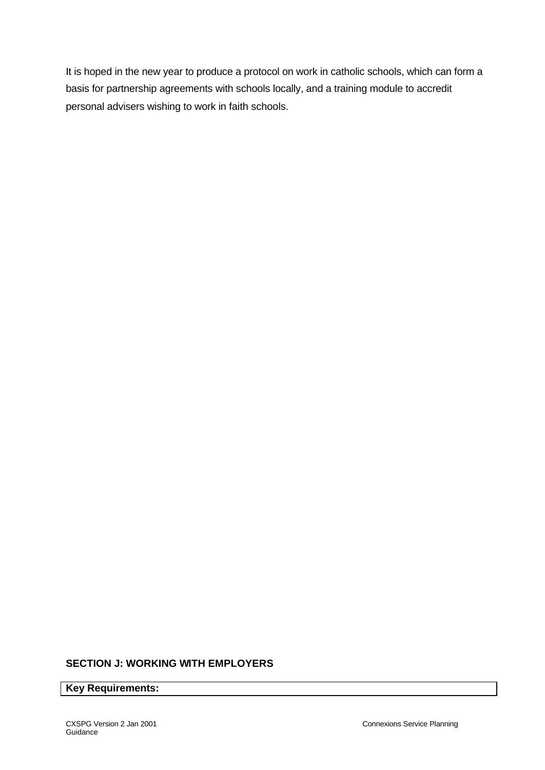It is hoped in the new year to produce a protocol on work in catholic schools, which can form a basis for partnership agreements with schools locally, and a training module to accredit personal advisers wishing to work in faith schools.

#### **SECTION J: WORKING WITH EMPLOYERS**

**Key Requirements:**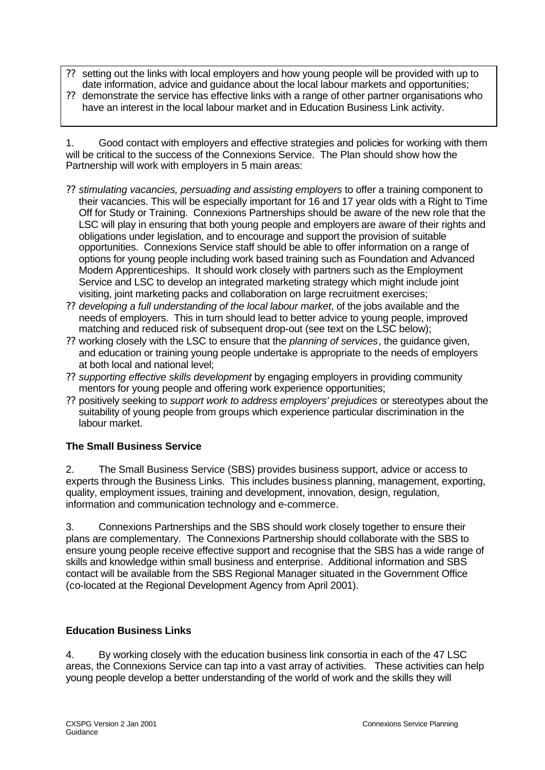- ?? setting out the links with local employers and how young people will be provided with up to date information, advice and guidance about the local labour markets and opportunities;
- ?? demonstrate the service has effective links with a range of other partner organisations who have an interest in the local labour market and in Education Business Link activity.

1. Good contact with employers and effective strategies and policies for working with them will be critical to the success of the Connexions Service. The Plan should show how the Partnership will work with employers in 5 main areas:

- ?? *stimulating vacancies, persuading and assisting employers* to offer a training component to their vacancies. This will be especially important for 16 and 17 year olds with a Right to Time Off for Study or Training. Connexions Partnerships should be aware of the new role that the LSC will play in ensuring that both young people and employers are aware of their rights and obligations under legislation, and to encourage and support the provision of suitable opportunities. Connexions Service staff should be able to offer information on a range of options for young people including work based training such as Foundation and Advanced Modern Apprenticeships. It should work closely with partners such as the Employment Service and LSC to develop an integrated marketing strategy which might include joint visiting, joint marketing packs and collaboration on large recruitment exercises;
- ?? *developing a full understanding of the local labour market*, of the jobs available and the needs of employers. This in turn should lead to better advice to young people, improved matching and reduced risk of subsequent drop-out (see text on the LSC below);
- ?? working closely with the LSC to ensure that the *planning of services*, the guidance given, and education or training young people undertake is appropriate to the needs of employers at both local and national level;
- ?? *supporting effective skills development* by engaging employers in providing community mentors for young people and offering work experience opportunities;
- ?? positively seeking to *support work to address employers' prejudices* or stereotypes about the suitability of young people from groups which experience particular discrimination in the labour market.

# **The Small Business Service**

2. The Small Business Service (SBS) provides business support, advice or access to experts through the Business Links. This includes business planning, management, exporting, quality, employment issues, training and development, innovation, design, regulation, information and communication technology and e-commerce.

3. Connexions Partnerships and the SBS should work closely together to ensure their plans are complementary. The Connexions Partnership should collaborate with the SBS to ensure young people receive effective support and recognise that the SBS has a wide range of skills and knowledge within small business and enterprise. Additional information and SBS contact will be available from the SBS Regional Manager situated in the Government Office (co-located at the Regional Development Agency from April 2001).

#### **Education Business Links**

4. By working closely with the education business link consortia in each of the 47 LSC areas, the Connexions Service can tap into a vast array of activities. These activities can help young people develop a better understanding of the world of work and the skills they will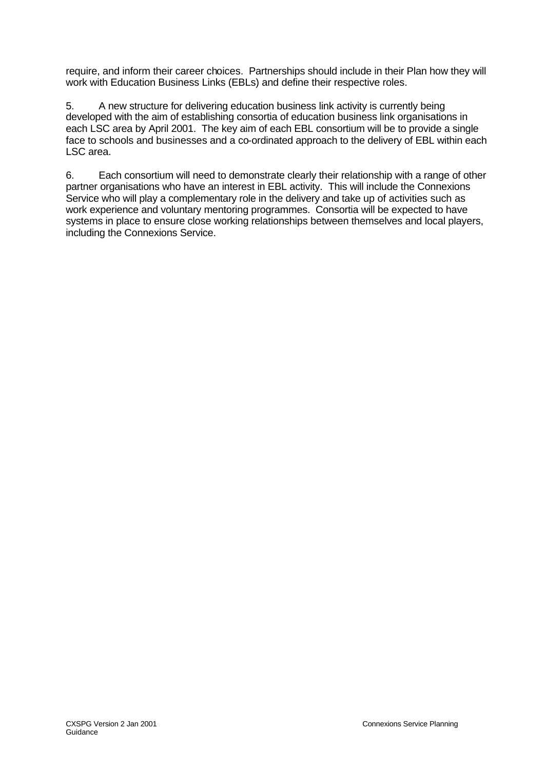require, and inform their career choices. Partnerships should include in their Plan how they will work with Education Business Links (EBLs) and define their respective roles.

5. A new structure for delivering education business link activity is currently being developed with the aim of establishing consortia of education business link organisations in each LSC area by April 2001. The key aim of each EBL consortium will be to provide a single face to schools and businesses and a co-ordinated approach to the delivery of EBL within each LSC area.

6. Each consortium will need to demonstrate clearly their relationship with a range of other partner organisations who have an interest in EBL activity. This will include the Connexions Service who will play a complementary role in the delivery and take up of activities such as work experience and voluntary mentoring programmes. Consortia will be expected to have systems in place to ensure close working relationships between themselves and local players, including the Connexions Service.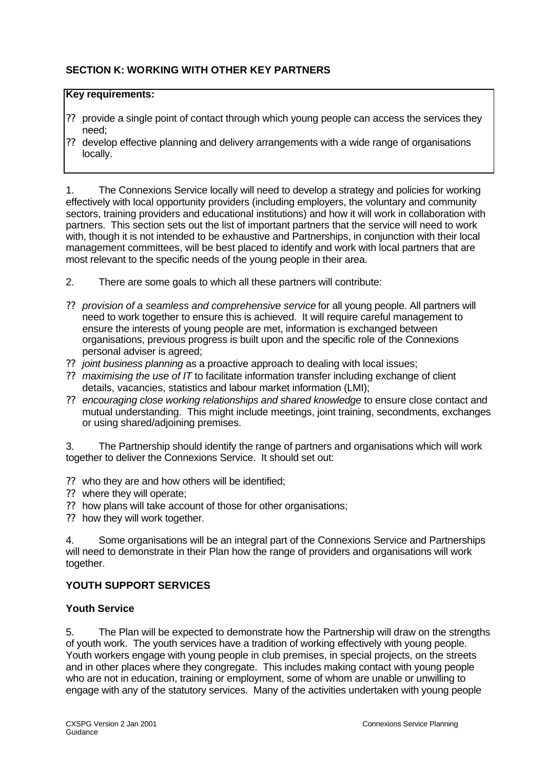# **SECTION K: WORKING WITH OTHER KEY PARTNERS**

# **Key requirements:**

- ?? provide a single point of contact through which young people can access the services they need;
- ?? develop effective planning and delivery arrangements with a wide range of organisations locally.

1. The Connexions Service locally will need to develop a strategy and policies for working effectively with local opportunity providers (including employers, the voluntary and community sectors, training providers and educational institutions) and how it will work in collaboration with partners. This section sets out the list of important partners that the service will need to work with, though it is not intended to be exhaustive and Partnerships, in conjunction with their local management committees, will be best placed to identify and work with local partners that are most relevant to the specific needs of the young people in their area.

- 2. There are some goals to which all these partners will contribute:
- ?? *provision of a seamless and comprehensive service* for all young people. All partners will need to work together to ensure this is achieved. It will require careful management to ensure the interests of young people are met, information is exchanged between organisations, previous progress is built upon and the specific role of the Connexions personal adviser is agreed;
- ?? *joint business planning* as a proactive approach to dealing with local issues;
- ?? *maximising the use of IT* to facilitate information transfer including exchange of client details, vacancies, statistics and labour market information (LMI);
- ?? *encouraging close working relationships and shared knowledge* to ensure close contact and mutual understanding. This might include meetings, joint training, secondments, exchanges or using shared/adjoining premises.

3. The Partnership should identify the range of partners and organisations which will work together to deliver the Connexions Service. It should set out:

- ?? who they are and how others will be identified;
- ?? where they will operate;
- ?? how plans will take account of those for other organisations;
- ?? how they will work together.

4. Some organisations will be an integral part of the Connexions Service and Partnerships will need to demonstrate in their Plan how the range of providers and organisations will work together.

# **YOUTH SUPPORT SERVICES**

#### **Youth Service**

5. The Plan will be expected to demonstrate how the Partnership will draw on the strengths of youth work. The youth services have a tradition of working effectively with young people. Youth workers engage with young people in club premises, in special projects, on the streets and in other places where they congregate. This includes making contact with young people who are not in education, training or employment, some of whom are unable or unwilling to engage with any of the statutory services. Many of the activities undertaken with young people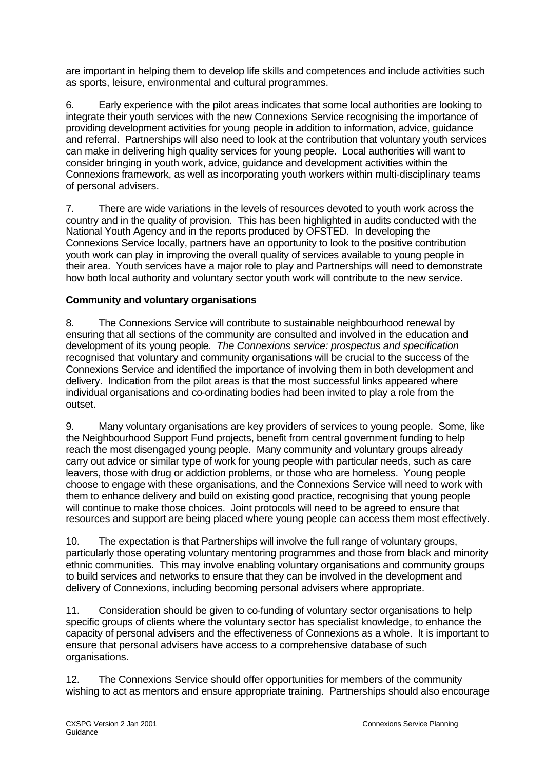are important in helping them to develop life skills and competences and include activities such as sports, leisure, environmental and cultural programmes.

6. Early experience with the pilot areas indicates that some local authorities are looking to integrate their youth services with the new Connexions Service recognising the importance of providing development activities for young people in addition to information, advice, guidance and referral. Partnerships will also need to look at the contribution that voluntary youth services can make in delivering high quality services for young people. Local authorities will want to consider bringing in youth work, advice, guidance and development activities within the Connexions framework, as well as incorporating youth workers within multi-disciplinary teams of personal advisers.

7. There are wide variations in the levels of resources devoted to youth work across the country and in the quality of provision. This has been highlighted in audits conducted with the National Youth Agency and in the reports produced by OFSTED. In developing the Connexions Service locally, partners have an opportunity to look to the positive contribution youth work can play in improving the overall quality of services available to young people in their area. Youth services have a major role to play and Partnerships will need to demonstrate how both local authority and voluntary sector youth work will contribute to the new service.

# **Community and voluntary organisations**

8. The Connexions Service will contribute to sustainable neighbourhood renewal by ensuring that all sections of the community are consulted and involved in the education and development of its young people. *The Connexions service: prospectus and specification* recognised that voluntary and community organisations will be crucial to the success of the Connexions Service and identified the importance of involving them in both development and delivery. Indication from the pilot areas is that the most successful links appeared where individual organisations and co-ordinating bodies had been invited to play a role from the outset.

9. Many voluntary organisations are key providers of services to young people. Some, like the Neighbourhood Support Fund projects, benefit from central government funding to help reach the most disengaged young people. Many community and voluntary groups already carry out advice or similar type of work for young people with particular needs, such as care leavers, those with drug or addiction problems, or those who are homeless. Young people choose to engage with these organisations, and the Connexions Service will need to work with them to enhance delivery and build on existing good practice, recognising that young people will continue to make those choices. Joint protocols will need to be agreed to ensure that resources and support are being placed where young people can access them most effectively.

10. The expectation is that Partnerships will involve the full range of voluntary groups, particularly those operating voluntary mentoring programmes and those from black and minority ethnic communities. This may involve enabling voluntary organisations and community groups to build services and networks to ensure that they can be involved in the development and delivery of Connexions, including becoming personal advisers where appropriate.

11. Consideration should be given to co-funding of voluntary sector organisations to help specific groups of clients where the voluntary sector has specialist knowledge, to enhance the capacity of personal advisers and the effectiveness of Connexions as a whole. It is important to ensure that personal advisers have access to a comprehensive database of such organisations.

12. The Connexions Service should offer opportunities for members of the community wishing to act as mentors and ensure appropriate training. Partnerships should also encourage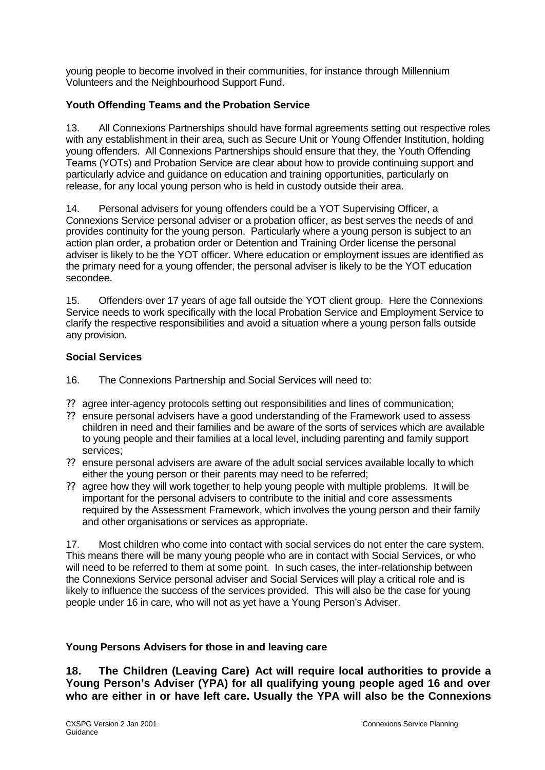young people to become involved in their communities, for instance through Millennium Volunteers and the Neighbourhood Support Fund.

# **Youth Offending Teams and the Probation Service**

13. All Connexions Partnerships should have formal agreements setting out respective roles with any establishment in their area, such as Secure Unit or Young Offender Institution, holding young offenders. All Connexions Partnerships should ensure that they, the Youth Offending Teams (YOTs) and Probation Service are clear about how to provide continuing support and particularly advice and guidance on education and training opportunities, particularly on release, for any local young person who is held in custody outside their area.

14. Personal advisers for young offenders could be a YOT Supervising Officer, a Connexions Service personal adviser or a probation officer, as best serves the needs of and provides continuity for the young person. Particularly where a young person is subject to an action plan order, a probation order or Detention and Training Order license the personal adviser is likely to be the YOT officer. Where education or employment issues are identified as the primary need for a young offender, the personal adviser is likely to be the YOT education secondee.

15. Offenders over 17 years of age fall outside the YOT client group. Here the Connexions Service needs to work specifically with the local Probation Service and Employment Service to clarify the respective responsibilities and avoid a situation where a young person falls outside any provision.

# **Social Services**

- 16. The Connexions Partnership and Social Services will need to:
- ?? agree inter-agency protocols setting out responsibilities and lines of communication;
- ?? ensure personal advisers have a good understanding of the Framework used to assess children in need and their families and be aware of the sorts of services which are available to young people and their families at a local level, including parenting and family support services;
- ?? ensure personal advisers are aware of the adult social services available locally to which either the young person or their parents may need to be referred;
- ?? agree how they will work together to help young people with multiple problems. It will be important for the personal advisers to contribute to the initial and core assessments required by the Assessment Framework, which involves the young person and their family and other organisations or services as appropriate.

17. Most children who come into contact with social services do not enter the care system. This means there will be many young people who are in contact with Social Services, or who will need to be referred to them at some point. In such cases, the inter-relationship between the Connexions Service personal adviser and Social Services will play a critical role and is likely to influence the success of the services provided. This will also be the case for young people under 16 in care, who will not as yet have a Young Person's Adviser.

# **Young Persons Advisers for those in and leaving care**

**18. The Children (Leaving Care) Act will require local authorities to provide a Young Person's Adviser (YPA) for all qualifying young people aged 16 and over who are either in or have left care. Usually the YPA will also be the Connexions**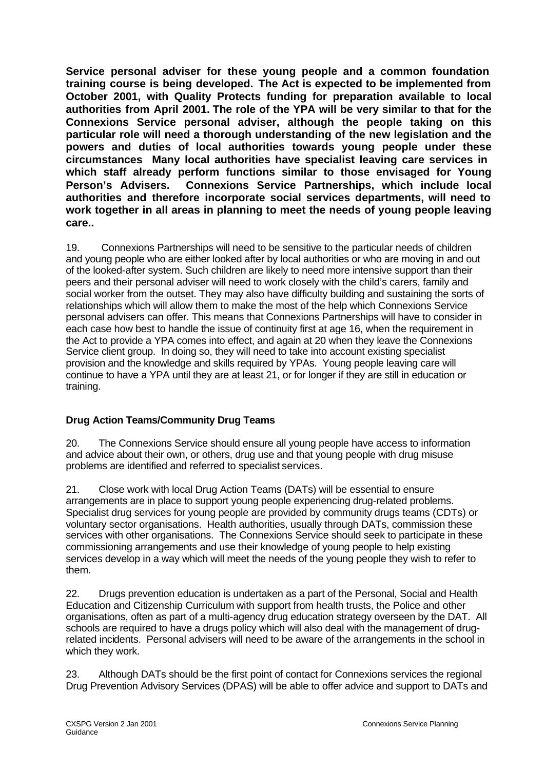**Service personal adviser for these young people and a common foundation training course is being developed. The Act is expected to be implemented from October 2001, with Quality Protects funding for preparation available to local authorities from April 2001. The role of the YPA will be very similar to that for the Connexions Service personal adviser, although the people taking on this particular role will need a thorough understanding of the new legislation and the powers and duties of local authorities towards young people under these circumstances Many local authorities have specialist leaving care services in which staff already perform functions similar to those envisaged for Young Person's Advisers. Connexions Service Partnerships, which include local authorities and therefore incorporate social services departments, will need to work together in all areas in planning to meet the needs of young people leaving care..** 

19. Connexions Partnerships will need to be sensitive to the particular needs of children and young people who are either looked after by local authorities or who are moving in and out of the looked-after system. Such children are likely to need more intensive support than their peers and their personal adviser will need to work closely with the child's carers, family and social worker from the outset. They may also have difficulty building and sustaining the sorts of relationships which will allow them to make the most of the help which Connexions Service personal advisers can offer. This means that Connexions Partnerships will have to consider in each case how best to handle the issue of continuity first at age 16, when the requirement in the Act to provide a YPA comes into effect, and again at 20 when they leave the Connexions Service client group. In doing so, they will need to take into account existing specialist provision and the knowledge and skills required by YPAs. Young people leaving care will continue to have a YPA until they are at least 21, or for longer if they are still in education or training.

# **Drug Action Teams/Community Drug Teams**

20. The Connexions Service should ensure all young people have access to information and advice about their own, or others, drug use and that young people with drug misuse problems are identified and referred to specialist services.

21. Close work with local Drug Action Teams (DATs) will be essential to ensure arrangements are in place to support young people experiencing drug-related problems. Specialist drug services for young people are provided by community drugs teams (CDTs) or voluntary sector organisations. Health authorities, usually through DATs, commission these services with other organisations. The Connexions Service should seek to participate in these commissioning arrangements and use their knowledge of young people to help existing services develop in a way which will meet the needs of the young people they wish to refer to them.

22. Drugs prevention education is undertaken as a part of the Personal, Social and Health Education and Citizenship Curriculum with support from health trusts, the Police and other organisations, often as part of a multi-agency drug education strategy overseen by the DAT. All schools are required to have a drugs policy which will also deal with the management of drugrelated incidents. Personal advisers will need to be aware of the arrangements in the school in which they work.

23. Although DATs should be the first point of contact for Connexions services the regional Drug Prevention Advisory Services (DPAS) will be able to offer advice and support to DATs and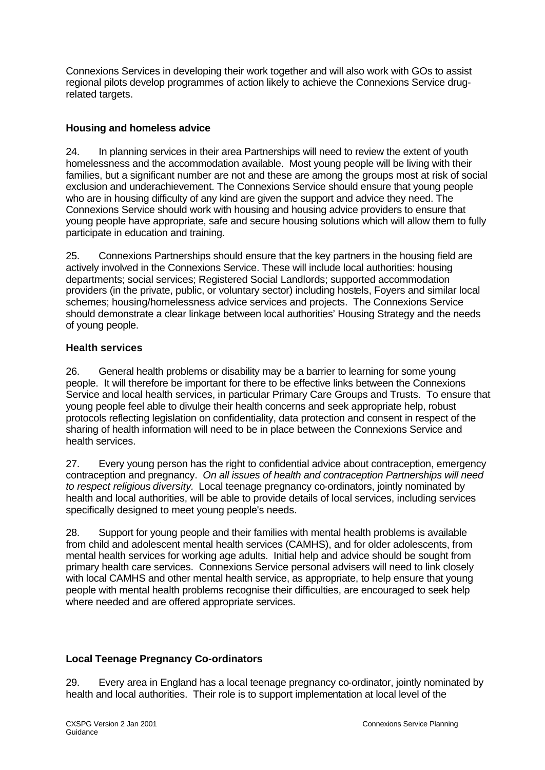Connexions Services in developing their work together and will also work with GOs to assist regional pilots develop programmes of action likely to achieve the Connexions Service drugrelated targets.

# **Housing and homeless advice**

24. In planning services in their area Partnerships will need to review the extent of youth homelessness and the accommodation available. Most young people will be living with their families, but a significant number are not and these are among the groups most at risk of social exclusion and underachievement. The Connexions Service should ensure that young people who are in housing difficulty of any kind are given the support and advice they need. The Connexions Service should work with housing and housing advice providers to ensure that young people have appropriate, safe and secure housing solutions which will allow them to fully participate in education and training.

25. Connexions Partnerships should ensure that the key partners in the housing field are actively involved in the Connexions Service. These will include local authorities: housing departments; social services; Registered Social Landlords; supported accommodation providers (in the private, public, or voluntary sector) including hostels, Foyers and similar local schemes; housing/homelessness advice services and projects. The Connexions Service should demonstrate a clear linkage between local authorities' Housing Strategy and the needs of young people.

# **Health services**

26. General health problems or disability may be a barrier to learning for some young people. It will therefore be important for there to be effective links between the Connexions Service and local health services, in particular Primary Care Groups and Trusts. To ensure that young people feel able to divulge their health concerns and seek appropriate help, robust protocols reflecting legislation on confidentiality, data protection and consent in respect of the sharing of health information will need to be in place between the Connexions Service and health services.

27. Every young person has the right to confidential advice about contraception, emergency contraception and pregnancy. *On all issues of health and contraception Partnerships will need to respect religious diversity.* Local teenage pregnancy co-ordinators, jointly nominated by health and local authorities, will be able to provide details of local services, including services specifically designed to meet young people's needs.

28. Support for young people and their families with mental health problems is available from child and adolescent mental health services (CAMHS), and for older adolescents, from mental health services for working age adults. Initial help and advice should be sought from primary health care services. Connexions Service personal advisers will need to link closely with local CAMHS and other mental health service, as appropriate, to help ensure that young people with mental health problems recognise their difficulties, are encouraged to seek help where needed and are offered appropriate services.

# **Local Teenage Pregnancy Co-ordinators**

29. Every area in England has a local teenage pregnancy co-ordinator, jointly nominated by health and local authorities. Their role is to support implementation at local level of the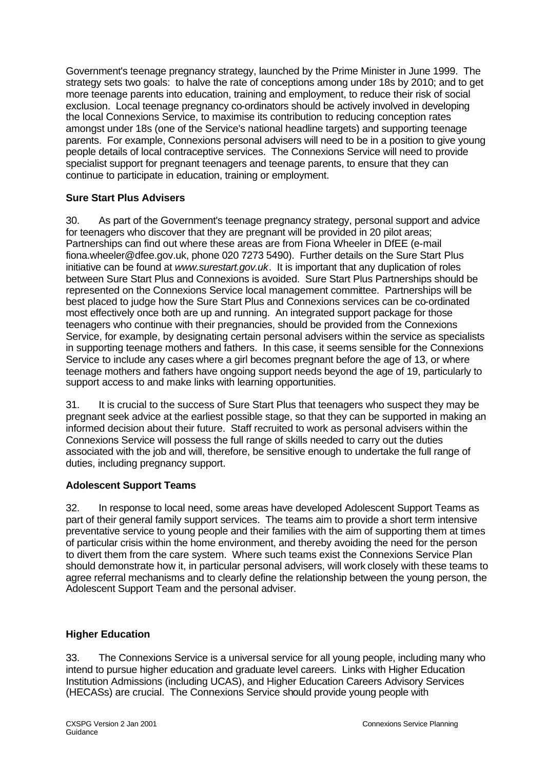Government's teenage pregnancy strategy, launched by the Prime Minister in June 1999. The strategy sets two goals: to halve the rate of conceptions among under 18s by 2010; and to get more teenage parents into education, training and employment, to reduce their risk of social exclusion. Local teenage pregnancy co-ordinators should be actively involved in developing the local Connexions Service, to maximise its contribution to reducing conception rates amongst under 18s (one of the Service's national headline targets) and supporting teenage parents. For example, Connexions personal advisers will need to be in a position to give young people details of local contraceptive services. The Connexions Service will need to provide specialist support for pregnant teenagers and teenage parents, to ensure that they can continue to participate in education, training or employment.

# **Sure Start Plus Advisers**

30. As part of the Government's teenage pregnancy strategy, personal support and advice for teenagers who discover that they are pregnant will be provided in 20 pilot areas; Partnerships can find out where these areas are from Fiona Wheeler in DfEE (e-mail fiona.wheeler@dfee.gov.uk, phone 020 7273 5490). Further details on the Sure Start Plus initiative can be found at *www.surestart.gov.uk*. It is important that any duplication of roles between Sure Start Plus and Connexions is avoided. Sure Start Plus Partnerships should be represented on the Connexions Service local management committee. Partnerships will be best placed to judge how the Sure Start Plus and Connexions services can be co-ordinated most effectively once both are up and running. An integrated support package for those teenagers who continue with their pregnancies, should be provided from the Connexions Service, for example, by designating certain personal advisers within the service as specialists in supporting teenage mothers and fathers. In this case, it seems sensible for the Connexions Service to include any cases where a girl becomes pregnant before the age of 13, or where teenage mothers and fathers have ongoing support needs beyond the age of 19, particularly to support access to and make links with learning opportunities.

31. It is crucial to the success of Sure Start Plus that teenagers who suspect they may be pregnant seek advice at the earliest possible stage, so that they can be supported in making an informed decision about their future. Staff recruited to work as personal advisers within the Connexions Service will possess the full range of skills needed to carry out the duties associated with the job and will, therefore, be sensitive enough to undertake the full range of duties, including pregnancy support.

# **Adolescent Support Teams**

32. In response to local need, some areas have developed Adolescent Support Teams as part of their general family support services. The teams aim to provide a short term intensive preventative service to young people and their families with the aim of supporting them at times of particular crisis within the home environment, and thereby avoiding the need for the person to divert them from the care system. Where such teams exist the Connexions Service Plan should demonstrate how it, in particular personal advisers, will work closely with these teams to agree referral mechanisms and to clearly define the relationship between the young person, the Adolescent Support Team and the personal adviser.

# **Higher Education**

33. The Connexions Service is a universal service for all young people, including many who intend to pursue higher education and graduate level careers. Links with Higher Education Institution Admissions (including UCAS), and Higher Education Careers Advisory Services (HECASs) are crucial. The Connexions Service should provide young people with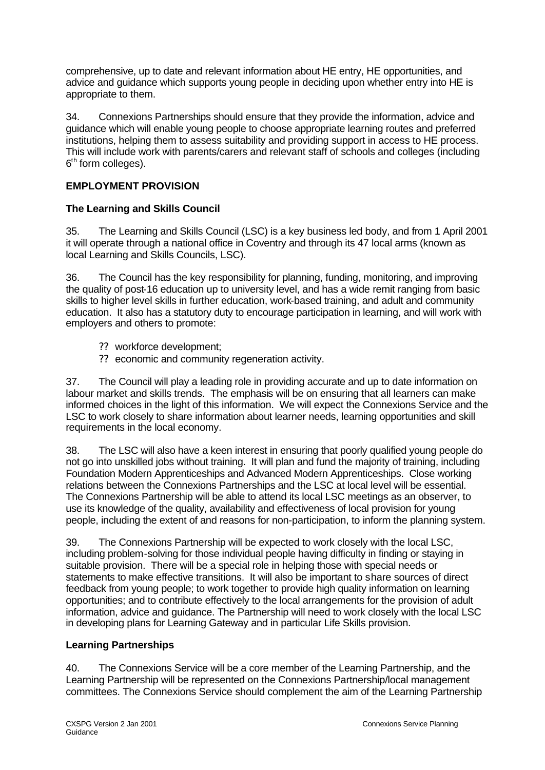comprehensive, up to date and relevant information about HE entry, HE opportunities, and advice and guidance which supports young people in deciding upon whether entry into HE is appropriate to them.

34. Connexions Partnerships should ensure that they provide the information, advice and guidance which will enable young people to choose appropriate learning routes and preferred institutions, helping them to assess suitability and providing support in access to HE process. This will include work with parents/carers and relevant staff of schools and colleges (including 6<sup>th</sup> form colleges).

# **EMPLOYMENT PROVISION**

# **The Learning and Skills Council**

35. The Learning and Skills Council (LSC) is a key business led body, and from 1 April 2001 it will operate through a national office in Coventry and through its 47 local arms (known as local Learning and Skills Councils, LSC).

36. The Council has the key responsibility for planning, funding, monitoring, and improving the quality of post-16 education up to university level, and has a wide remit ranging from basic skills to higher level skills in further education, work-based training, and adult and community education. It also has a statutory duty to encourage participation in learning, and will work with employers and others to promote:

- ?? workforce development;
- ?? economic and community regeneration activity.

37. The Council will play a leading role in providing accurate and up to date information on labour market and skills trends. The emphasis will be on ensuring that all learners can make informed choices in the light of this information. We will expect the Connexions Service and the LSC to work closely to share information about learner needs, learning opportunities and skill requirements in the local economy.

38. The LSC will also have a keen interest in ensuring that poorly qualified young people do not go into unskilled jobs without training. It will plan and fund the majority of training, including Foundation Modern Apprenticeships and Advanced Modern Apprenticeships. Close working relations between the Connexions Partnerships and the LSC at local level will be essential. The Connexions Partnership will be able to attend its local LSC meetings as an observer, to use its knowledge of the quality, availability and effectiveness of local provision for young people, including the extent of and reasons for non-participation, to inform the planning system.

39. The Connexions Partnership will be expected to work closely with the local LSC, including problem-solving for those individual people having difficulty in finding or staying in suitable provision. There will be a special role in helping those with special needs or statements to make effective transitions. It will also be important to share sources of direct feedback from young people; to work together to provide high quality information on learning opportunities; and to contribute effectively to the local arrangements for the provision of adult information, advice and guidance. The Partnership will need to work closely with the local LSC in developing plans for Learning Gateway and in particular Life Skills provision.

#### **Learning Partnerships**

40. The Connexions Service will be a core member of the Learning Partnership, and the Learning Partnership will be represented on the Connexions Partnership/local management committees. The Connexions Service should complement the aim of the Learning Partnership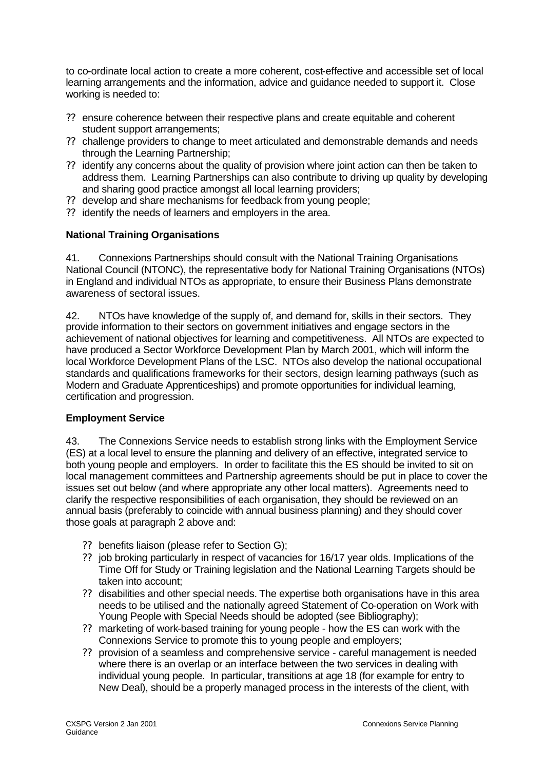to co-ordinate local action to create a more coherent, cost-effective and accessible set of local learning arrangements and the information, advice and guidance needed to support it. Close working is needed to:

- ?? ensure coherence between their respective plans and create equitable and coherent student support arrangements;
- ?? challenge providers to change to meet articulated and demonstrable demands and needs through the Learning Partnership;
- ?? identify any concerns about the quality of provision where joint action can then be taken to address them. Learning Partnerships can also contribute to driving up quality by developing and sharing good practice amongst all local learning providers;
- ?? develop and share mechanisms for feedback from young people;
- ?? identify the needs of learners and employers in the area.

# **National Training Organisations**

41. Connexions Partnerships should consult with the National Training Organisations National Council (NTONC), the representative body for National Training Organisations (NTOs) in England and individual NTOs as appropriate, to ensure their Business Plans demonstrate awareness of sectoral issues.

42. NTOs have knowledge of the supply of, and demand for, skills in their sectors. They provide information to their sectors on government initiatives and engage sectors in the achievement of national objectives for learning and competitiveness. All NTOs are expected to have produced a Sector Workforce Development Plan by March 2001, which will inform the local Workforce Development Plans of the LSC. NTOs also develop the national occupational standards and qualifications frameworks for their sectors, design learning pathways (such as Modern and Graduate Apprenticeships) and promote opportunities for individual learning, certification and progression.

#### **Employment Service**

43. The Connexions Service needs to establish strong links with the Employment Service (ES) at a local level to ensure the planning and delivery of an effective, integrated service to both young people and employers. In order to facilitate this the ES should be invited to sit on local management committees and Partnership agreements should be put in place to cover the issues set out below (and where appropriate any other local matters). Agreements need to clarify the respective responsibilities of each organisation, they should be reviewed on an annual basis (preferably to coincide with annual business planning) and they should cover those goals at paragraph 2 above and:

- ?? benefits liaison (please refer to Section G);
- ?? job broking particularly in respect of vacancies for 16/17 year olds. Implications of the Time Off for Study or Training legislation and the National Learning Targets should be taken into account;
- ?? disabilities and other special needs. The expertise both organisations have in this area needs to be utilised and the nationally agreed Statement of Co-operation on Work with Young People with Special Needs should be adopted (see Bibliography);
- ?? marketing of work-based training for young people how the ES can work with the Connexions Service to promote this to young people and employers;
- ?? provision of a seamless and comprehensive service careful management is needed where there is an overlap or an interface between the two services in dealing with individual young people. In particular, transitions at age 18 (for example for entry to New Deal), should be a properly managed process in the interests of the client, with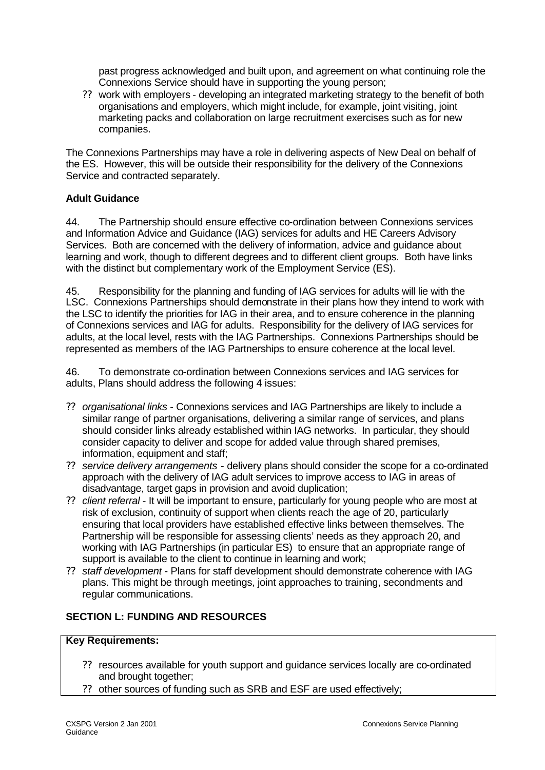past progress acknowledged and built upon, and agreement on what continuing role the Connexions Service should have in supporting the young person;

?? work with employers - developing an integrated marketing strategy to the benefit of both organisations and employers, which might include, for example, joint visiting, joint marketing packs and collaboration on large recruitment exercises such as for new companies.

The Connexions Partnerships may have a role in delivering aspects of New Deal on behalf of the ES. However, this will be outside their responsibility for the delivery of the Connexions Service and contracted separately.

# **Adult Guidance**

44. The Partnership should ensure effective co-ordination between Connexions services and Information Advice and Guidance (IAG) services for adults and HE Careers Advisory Services. Both are concerned with the delivery of information, advice and guidance about learning and work, though to different degrees and to different client groups. Both have links with the distinct but complementary work of the Employment Service (ES).

45. Responsibility for the planning and funding of IAG services for adults will lie with the LSC. Connexions Partnerships should demonstrate in their plans how they intend to work with the LSC to identify the priorities for IAG in their area, and to ensure coherence in the planning of Connexions services and IAG for adults. Responsibility for the delivery of IAG services for adults, at the local level, rests with the IAG Partnerships. Connexions Partnerships should be represented as members of the IAG Partnerships to ensure coherence at the local level.

46. To demonstrate co-ordination between Connexions services and IAG services for adults, Plans should address the following 4 issues:

- ?? *organisational links* Connexions services and IAG Partnerships are likely to include a similar range of partner organisations, delivering a similar range of services, and plans should consider links already established within IAG networks. In particular, they should consider capacity to deliver and scope for added value through shared premises, information, equipment and staff;
- ?? *service delivery arrangements* delivery plans should consider the scope for a co-ordinated approach with the delivery of IAG adult services to improve access to IAG in areas of disadvantage, target gaps in provision and avoid duplication;
- ?? *client referral* It will be important to ensure, particularly for young people who are most at risk of exclusion, continuity of support when clients reach the age of 20, particularly ensuring that local providers have established effective links between themselves. The Partnership will be responsible for assessing clients' needs as they approach 20, and working with IAG Partnerships (in particular ES) to ensure that an appropriate range of support is available to the client to continue in learning and work;
- ?? *staff development* Plans for staff development should demonstrate coherence with IAG plans. This might be through meetings, joint approaches to training, secondments and regular communications.

# **SECTION L: FUNDING AND RESOURCES**

# **Key Requirements:**

- ?? resources available for youth support and guidance services locally are co-ordinated and brought together;
- ?? other sources of funding such as SRB and ESF are used effectively;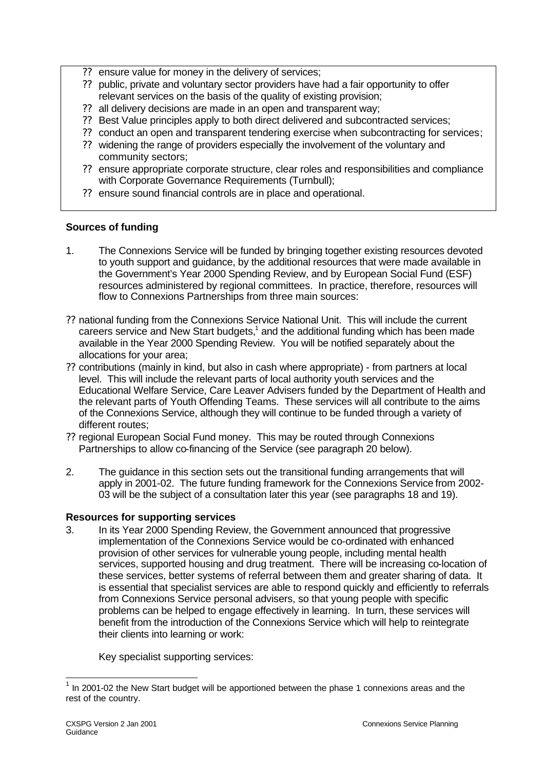- ?? ensure value for money in the delivery of services;
- ?? public, private and voluntary sector providers have had a fair opportunity to offer relevant services on the basis of the quality of existing provision;
- ?? all delivery decisions are made in an open and transparent way;
- ?? Best Value principles apply to both direct delivered and subcontracted services;
- ?? conduct an open and transparent tendering exercise when subcontracting for services;
- ?? widening the range of providers especially the involvement of the voluntary and community sectors;
- ?? ensure appropriate corporate structure, clear roles and responsibilities and compliance with Corporate Governance Requirements (Turnbull);
- ?? ensure sound financial controls are in place and operational.

# **Sources of funding**

- 1. The Connexions Service will be funded by bringing together existing resources devoted to youth support and guidance, by the additional resources that were made available in the Government's Year 2000 Spending Review, and by European Social Fund (ESF) resources administered by regional committees. In practice, therefore, resources will flow to Connexions Partnerships from three main sources:
- ?? national funding from the Connexions Service National Unit. This will include the current careers service and New Start budgets, $1$  and the additional funding which has been made available in the Year 2000 Spending Review. You will be notified separately about the allocations for your area;
- ?? contributions (mainly in kind, but also in cash where appropriate) from partners at local level. This will include the relevant parts of local authority youth services and the Educational Welfare Service, Care Leaver Advisers funded by the Department of Health and the relevant parts of Youth Offending Teams. These services will all contribute to the aims of the Connexions Service, although they will continue to be funded through a variety of different routes;
- ?? regional European Social Fund money. This may be routed through Connexions Partnerships to allow co-financing of the Service (see paragraph 20 below).
- 2. The guidance in this section sets out the transitional funding arrangements that will apply in 2001-02. The future funding framework for the Connexions Service from 2002- 03 will be the subject of a consultation later this year (see paragraphs 18 and 19).

#### **Resources for supporting services**

3. In its Year 2000 Spending Review, the Government announced that progressive implementation of the Connexions Service would be co-ordinated with enhanced provision of other services for vulnerable young people, including mental health services, supported housing and drug treatment. There will be increasing co-location of these services, better systems of referral between them and greater sharing of data. It is essential that specialist services are able to respond quickly and efficiently to referrals from Connexions Service personal advisers, so that young people with specific problems can be helped to engage effectively in learning. In turn, these services will benefit from the introduction of the Connexions Service which will help to reintegrate their clients into learning or work:

Key specialist supporting services:

l

 $1$  In 2001-02 the New Start budget will be apportioned between the phase 1 connexions areas and the rest of the country.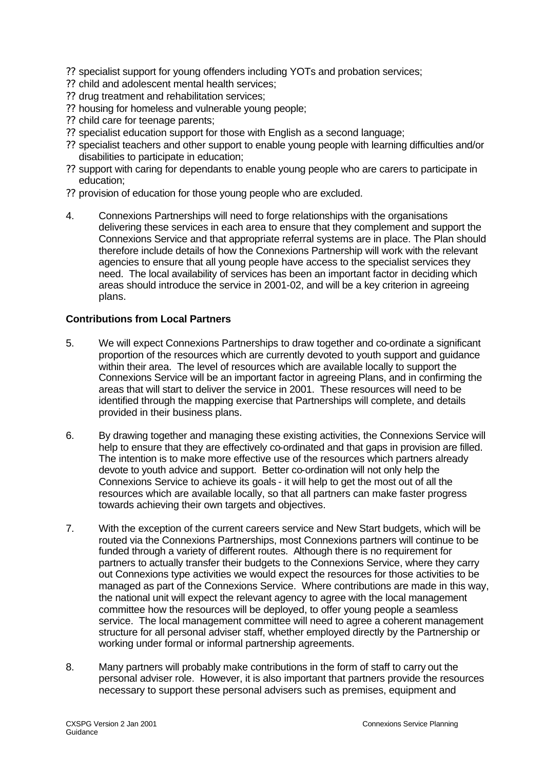- ?? specialist support for young offenders including YOTs and probation services;
- ?? child and adolescent mental health services;
- ?? drug treatment and rehabilitation services;
- ?? housing for homeless and vulnerable young people;
- ?? child care for teenage parents;
- ?? specialist education support for those with English as a second language;
- ?? specialist teachers and other support to enable young people with learning difficulties and/or disabilities to participate in education;
- ?? support with caring for dependants to enable young people who are carers to participate in education;
- ?? provision of education for those young people who are excluded.
- 4. Connexions Partnerships will need to forge relationships with the organisations delivering these services in each area to ensure that they complement and support the Connexions Service and that appropriate referral systems are in place. The Plan should therefore include details of how the Connexions Partnership will work with the relevant agencies to ensure that all young people have access to the specialist services they need. The local availability of services has been an important factor in deciding which areas should introduce the service in 2001-02, and will be a key criterion in agreeing plans.

## **Contributions from Local Partners**

- 5. We will expect Connexions Partnerships to draw together and co-ordinate a significant proportion of the resources which are currently devoted to youth support and guidance within their area. The level of resources which are available locally to support the Connexions Service will be an important factor in agreeing Plans, and in confirming the areas that will start to deliver the service in 2001. These resources will need to be identified through the mapping exercise that Partnerships will complete, and details provided in their business plans.
- 6. By drawing together and managing these existing activities, the Connexions Service will help to ensure that they are effectively co-ordinated and that gaps in provision are filled. The intention is to make more effective use of the resources which partners already devote to youth advice and support. Better co-ordination will not only help the Connexions Service to achieve its goals - it will help to get the most out of all the resources which are available locally, so that all partners can make faster progress towards achieving their own targets and objectives.
- 7. With the exception of the current careers service and New Start budgets, which will be routed via the Connexions Partnerships, most Connexions partners will continue to be funded through a variety of different routes. Although there is no requirement for partners to actually transfer their budgets to the Connexions Service, where they carry out Connexions type activities we would expect the resources for those activities to be managed as part of the Connexions Service. Where contributions are made in this way, the national unit will expect the relevant agency to agree with the local management committee how the resources will be deployed, to offer young people a seamless service. The local management committee will need to agree a coherent management structure for all personal adviser staff, whether employed directly by the Partnership or working under formal or informal partnership agreements.
- 8. Many partners will probably make contributions in the form of staff to carry out the personal adviser role. However, it is also important that partners provide the resources necessary to support these personal advisers such as premises, equipment and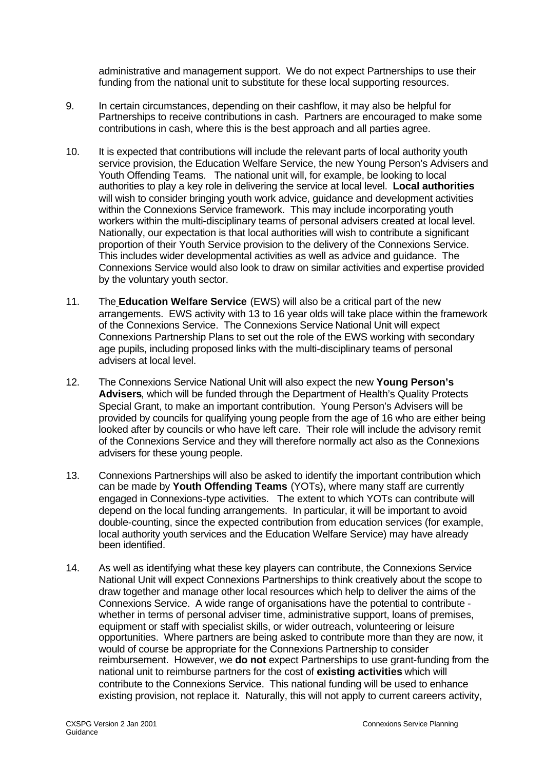administrative and management support. We do not expect Partnerships to use their funding from the national unit to substitute for these local supporting resources.

- 9. In certain circumstances, depending on their cashflow, it may also be helpful for Partnerships to receive contributions in cash. Partners are encouraged to make some contributions in cash, where this is the best approach and all parties agree.
- 10. It is expected that contributions will include the relevant parts of local authority youth service provision, the Education Welfare Service, the new Young Person's Advisers and Youth Offending Teams. The national unit will, for example, be looking to local authorities to play a key role in delivering the service at local level. **Local authorities** will wish to consider bringing youth work advice, guidance and development activities within the Connexions Service framework. This may include incorporating youth workers within the multi-disciplinary teams of personal advisers created at local level. Nationally, our expectation is that local authorities will wish to contribute a significant proportion of their Youth Service provision to the delivery of the Connexions Service. This includes wider developmental activities as well as advice and guidance. The Connexions Service would also look to draw on similar activities and expertise provided by the voluntary youth sector.
- 11. The **Education Welfare Service** (EWS) will also be a critical part of the new arrangements. EWS activity with 13 to 16 year olds will take place within the framework of the Connexions Service. The Connexions Service National Unit will expect Connexions Partnership Plans to set out the role of the EWS working with secondary age pupils, including proposed links with the multi-disciplinary teams of personal advisers at local level.
- 12. The Connexions Service National Unit will also expect the new **Young Person's Advisers**, which will be funded through the Department of Health's Quality Protects Special Grant, to make an important contribution. Young Person's Advisers will be provided by councils for qualifying young people from the age of 16 who are either being looked after by councils or who have left care. Their role will include the advisory remit of the Connexions Service and they will therefore normally act also as the Connexions advisers for these young people.
- 13. Connexions Partnerships will also be asked to identify the important contribution which can be made by **Youth Offending Teams** (YOTs), where many staff are currently engaged in Connexions-type activities. The extent to which YOTs can contribute will depend on the local funding arrangements. In particular, it will be important to avoid double-counting, since the expected contribution from education services (for example, local authority youth services and the Education Welfare Service) may have already been identified.
- 14. As well as identifying what these key players can contribute, the Connexions Service National Unit will expect Connexions Partnerships to think creatively about the scope to draw together and manage other local resources which help to deliver the aims of the Connexions Service. A wide range of organisations have the potential to contribute whether in terms of personal adviser time, administrative support, loans of premises, equipment or staff with specialist skills, or wider outreach, volunteering or leisure opportunities. Where partners are being asked to contribute more than they are now, it would of course be appropriate for the Connexions Partnership to consider reimbursement. However, we **do not** expect Partnerships to use grant-funding from the national unit to reimburse partners for the cost of **existing activities** which will contribute to the Connexions Service. This national funding will be used to enhance existing provision, not replace it. Naturally, this will not apply to current careers activity,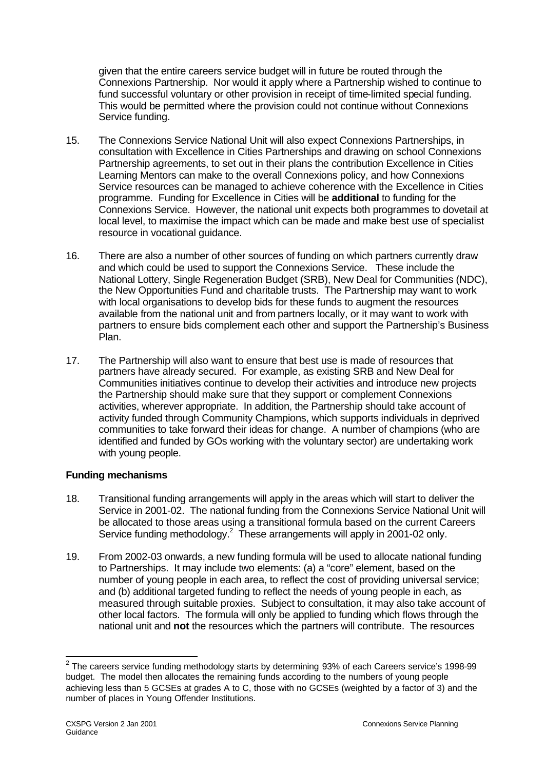given that the entire careers service budget will in future be routed through the Connexions Partnership. Nor would it apply where a Partnership wished to continue to fund successful voluntary or other provision in receipt of time-limited special funding. This would be permitted where the provision could not continue without Connexions Service funding.

- 15. The Connexions Service National Unit will also expect Connexions Partnerships, in consultation with Excellence in Cities Partnerships and drawing on school Connexions Partnership agreements, to set out in their plans the contribution Excellence in Cities Learning Mentors can make to the overall Connexions policy, and how Connexions Service resources can be managed to achieve coherence with the Excellence in Cities programme. Funding for Excellence in Cities will be **additional** to funding for the Connexions Service. However, the national unit expects both programmes to dovetail at local level, to maximise the impact which can be made and make best use of specialist resource in vocational guidance.
- 16. There are also a number of other sources of funding on which partners currently draw and which could be used to support the Connexions Service. These include the National Lottery, Single Regeneration Budget (SRB), New Deal for Communities (NDC), the New Opportunities Fund and charitable trusts. The Partnership may want to work with local organisations to develop bids for these funds to augment the resources available from the national unit and from partners locally, or it may want to work with partners to ensure bids complement each other and support the Partnership's Business Plan.
- 17. The Partnership will also want to ensure that best use is made of resources that partners have already secured. For example, as existing SRB and New Deal for Communities initiatives continue to develop their activities and introduce new projects the Partnership should make sure that they support or complement Connexions activities, wherever appropriate. In addition, the Partnership should take account of activity funded through Community Champions, which supports individuals in deprived communities to take forward their ideas for change. A number of champions (who are identified and funded by GOs working with the voluntary sector) are undertaking work with young people.

### **Funding mechanisms**

- 18. Transitional funding arrangements will apply in the areas which will start to deliver the Service in 2001-02. The national funding from the Connexions Service National Unit will be allocated to those areas using a transitional formula based on the current Careers Service funding methodology.<sup>2</sup> These arrangements will apply in 2001-02 only.
- 19. From 2002-03 onwards, a new funding formula will be used to allocate national funding to Partnerships. It may include two elements: (a) a "core" element, based on the number of young people in each area, to reflect the cost of providing universal service; and (b) additional targeted funding to reflect the needs of young people in each, as measured through suitable proxies. Subject to consultation, it may also take account of other local factors. The formula will only be applied to funding which flows through the national unit and **not** the resources which the partners will contribute. The resources

<sup>&</sup>lt;u>2</u><br><sup>2</sup> The careers service funding methodology starts by determining 93% of each Careers service's 1998-99 budget. The model then allocates the remaining funds according to the numbers of young people achieving less than 5 GCSEs at grades A to C, those with no GCSEs (weighted by a factor of 3) and the number of places in Young Offender Institutions.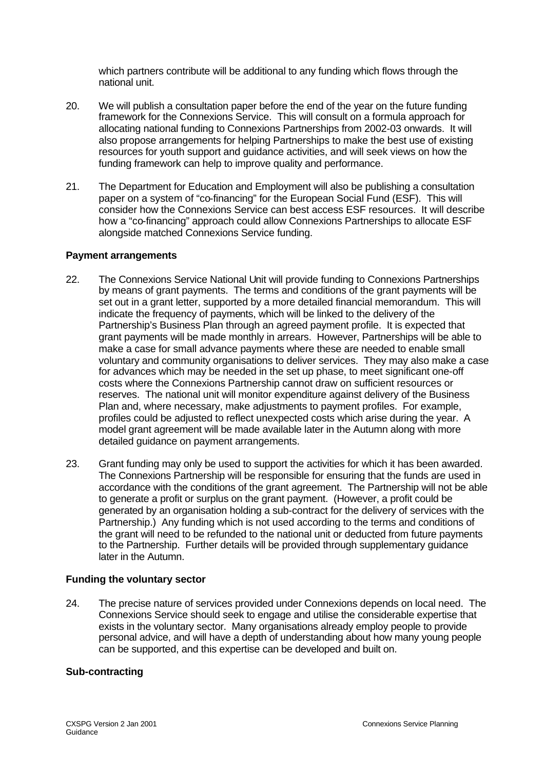which partners contribute will be additional to any funding which flows through the national unit.

- 20. We will publish a consultation paper before the end of the year on the future funding framework for the Connexions Service. This will consult on a formula approach for allocating national funding to Connexions Partnerships from 2002-03 onwards. It will also propose arrangements for helping Partnerships to make the best use of existing resources for youth support and guidance activities, and will seek views on how the funding framework can help to improve quality and performance.
- 21. The Department for Education and Employment will also be publishing a consultation paper on a system of "co-financing" for the European Social Fund (ESF). This will consider how the Connexions Service can best access ESF resources. It will describe how a "co-financing" approach could allow Connexions Partnerships to allocate ESF alongside matched Connexions Service funding.

#### **Payment arrangements**

- 22. The Connexions Service National Unit will provide funding to Connexions Partnerships by means of grant payments. The terms and conditions of the grant payments will be set out in a grant letter, supported by a more detailed financial memorandum. This will indicate the frequency of payments, which will be linked to the delivery of the Partnership's Business Plan through an agreed payment profile. It is expected that grant payments will be made monthly in arrears. However, Partnerships will be able to make a case for small advance payments where these are needed to enable small voluntary and community organisations to deliver services. They may also make a case for advances which may be needed in the set up phase, to meet significant one-off costs where the Connexions Partnership cannot draw on sufficient resources or reserves. The national unit will monitor expenditure against delivery of the Business Plan and, where necessary, make adjustments to payment profiles. For example, profiles could be adjusted to reflect unexpected costs which arise during the year. A model grant agreement will be made available later in the Autumn along with more detailed guidance on payment arrangements.
- 23. Grant funding may only be used to support the activities for which it has been awarded. The Connexions Partnership will be responsible for ensuring that the funds are used in accordance with the conditions of the grant agreement. The Partnership will not be able to generate a profit or surplus on the grant payment. (However, a profit could be generated by an organisation holding a sub-contract for the delivery of services with the Partnership.) Any funding which is not used according to the terms and conditions of the grant will need to be refunded to the national unit or deducted from future payments to the Partnership. Further details will be provided through supplementary guidance later in the Autumn.

#### **Funding the voluntary sector**

24. The precise nature of services provided under Connexions depends on local need. The Connexions Service should seek to engage and utilise the considerable expertise that exists in the voluntary sector. Many organisations already employ people to provide personal advice, and will have a depth of understanding about how many young people can be supported, and this expertise can be developed and built on.

### **Sub-contracting**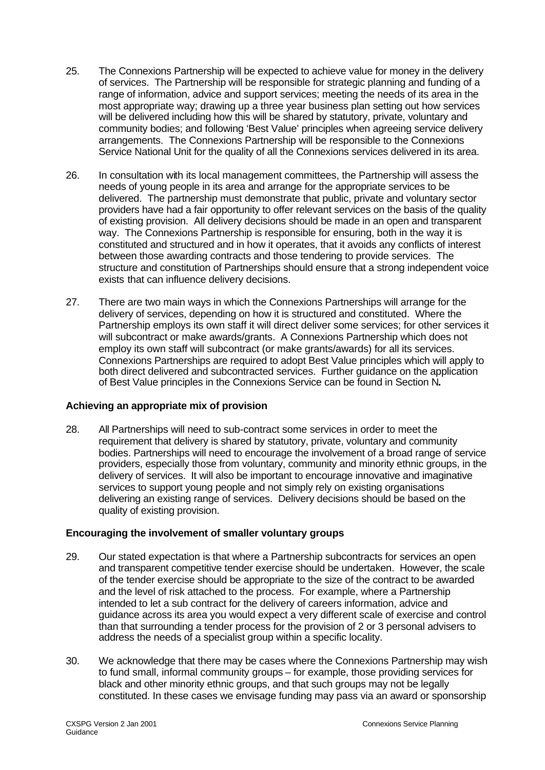- 25. The Connexions Partnership will be expected to achieve value for money in the delivery of services. The Partnership will be responsible for strategic planning and funding of a range of information, advice and support services; meeting the needs of its area in the most appropriate way; drawing up a three year business plan setting out how services will be delivered including how this will be shared by statutory, private, voluntary and community bodies; and following 'Best Value' principles when agreeing service delivery arrangements. The Connexions Partnership will be responsible to the Connexions Service National Unit for the quality of all the Connexions services delivered in its area.
- 26. In consultation with its local management committees, the Partnership will assess the needs of young people in its area and arrange for the appropriate services to be delivered. The partnership must demonstrate that public, private and voluntary sector providers have had a fair opportunity to offer relevant services on the basis of the quality of existing provision. All delivery decisions should be made in an open and transparent way. The Connexions Partnership is responsible for ensuring, both in the way it is constituted and structured and in how it operates, that it avoids any conflicts of interest between those awarding contracts and those tendering to provide services. The structure and constitution of Partnerships should ensure that a strong independent voice exists that can influence delivery decisions.
- 27. There are two main ways in which the Connexions Partnerships will arrange for the delivery of services, depending on how it is structured and constituted. Where the Partnership employs its own staff it will direct deliver some services; for other services it will subcontract or make awards/grants. A Connexions Partnership which does not employ its own staff will subcontract (or make grants/awards) for all its services. Connexions Partnerships are required to adopt Best Value principles which will apply to both direct delivered and subcontracted services. Further guidance on the application of Best Value principles in the Connexions Service can be found in Section N**.**

### **Achieving an appropriate mix of provision**

28. All Partnerships will need to sub-contract some services in order to meet the requirement that delivery is shared by statutory, private, voluntary and community bodies. Partnerships will need to encourage the involvement of a broad range of service providers, especially those from voluntary, community and minority ethnic groups, in the delivery of services. It will also be important to encourage innovative and imaginative services to support young people and not simply rely on existing organisations delivering an existing range of services. Delivery decisions should be based on the quality of existing provision.

### **Encouraging the involvement of smaller voluntary groups**

- 29. Our stated expectation is that where a Partnership subcontracts for services an open and transparent competitive tender exercise should be undertaken. However, the scale of the tender exercise should be appropriate to the size of the contract to be awarded and the level of risk attached to the process. For example, where a Partnership intended to let a sub contract for the delivery of careers information, advice and guidance across its area you would expect a very different scale of exercise and control than that surrounding a tender process for the provision of 2 or 3 personal advisers to address the needs of a specialist group within a specific locality.
- 30. We acknowledge that there may be cases where the Connexions Partnership may wish to fund small, informal community groups – for example, those providing services for black and other minority ethnic groups, and that such groups may not be legally constituted. In these cases we envisage funding may pass via an award or sponsorship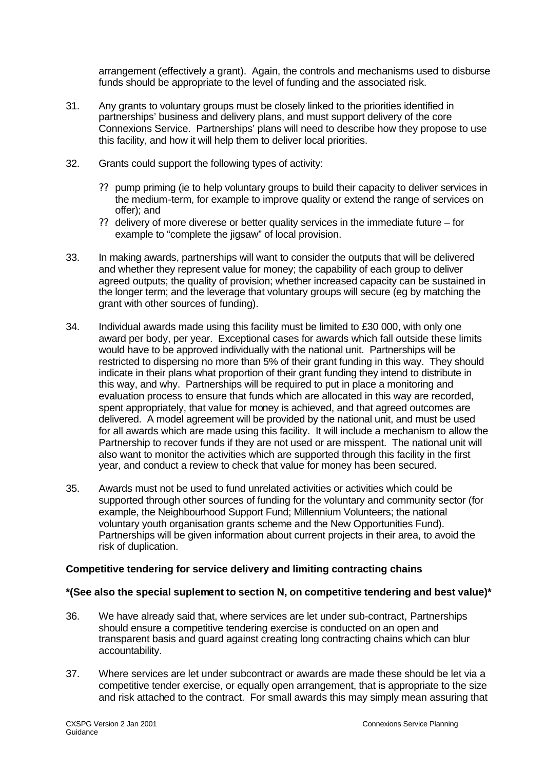arrangement (effectively a grant). Again, the controls and mechanisms used to disburse funds should be appropriate to the level of funding and the associated risk.

- 31. Any grants to voluntary groups must be closely linked to the priorities identified in partnerships' business and delivery plans, and must support delivery of the core Connexions Service. Partnerships' plans will need to describe how they propose to use this facility, and how it will help them to deliver local priorities.
- 32. Grants could support the following types of activity:
	- ?? pump priming (ie to help voluntary groups to build their capacity to deliver services in the medium-term, for example to improve quality or extend the range of services on offer); and
	- ?? delivery of more diverese or better quality services in the immediate future for example to "complete the jigsaw" of local provision.
- 33. In making awards, partnerships will want to consider the outputs that will be delivered and whether they represent value for money; the capability of each group to deliver agreed outputs; the quality of provision; whether increased capacity can be sustained in the longer term; and the leverage that voluntary groups will secure (eg by matching the grant with other sources of funding).
- 34. Individual awards made using this facility must be limited to £30 000, with only one award per body, per year. Exceptional cases for awards which fall outside these limits would have to be approved individually with the national unit. Partnerships will be restricted to dispersing no more than 5% of their grant funding in this way. They should indicate in their plans what proportion of their grant funding they intend to distribute in this way, and why. Partnerships will be required to put in place a monitoring and evaluation process to ensure that funds which are allocated in this way are recorded, spent appropriately, that value for money is achieved, and that agreed outcomes are delivered. A model agreement will be provided by the national unit, and must be used for all awards which are made using this facility. It will include a mechanism to allow the Partnership to recover funds if they are not used or are misspent. The national unit will also want to monitor the activities which are supported through this facility in the first year, and conduct a review to check that value for money has been secured.
- 35. Awards must not be used to fund unrelated activities or activities which could be supported through other sources of funding for the voluntary and community sector (for example, the Neighbourhood Support Fund; Millennium Volunteers; the national voluntary youth organisation grants scheme and the New Opportunities Fund). Partnerships will be given information about current projects in their area, to avoid the risk of duplication.

### **Competitive tendering for service delivery and limiting contracting chains**

### **\*(See also the special suplement to section N, on competitive tendering and best value)\***

- 36. We have already said that, where services are let under sub-contract, Partnerships should ensure a competitive tendering exercise is conducted on an open and transparent basis and guard against creating long contracting chains which can blur accountability.
- 37. Where services are let under subcontract or awards are made these should be let via a competitive tender exercise, or equally open arrangement, that is appropriate to the size and risk attached to the contract. For small awards this may simply mean assuring that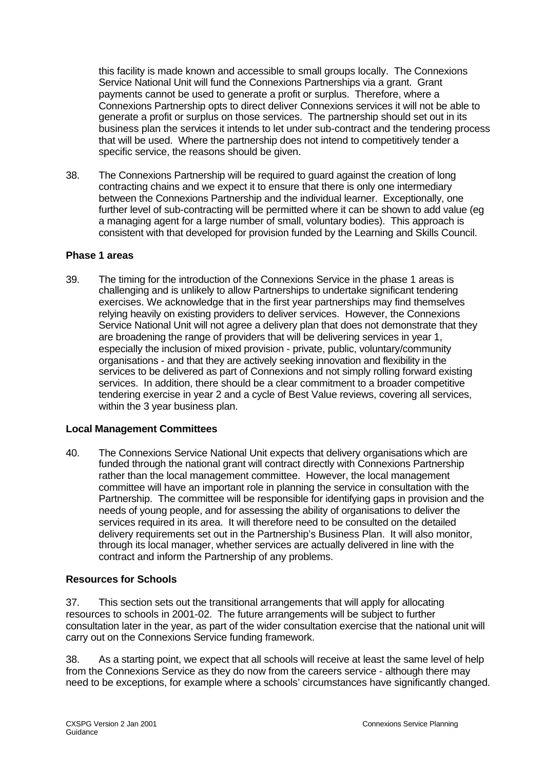this facility is made known and accessible to small groups locally. The Connexions Service National Unit will fund the Connexions Partnerships via a grant. Grant payments cannot be used to generate a profit or surplus. Therefore, where a Connexions Partnership opts to direct deliver Connexions services it will not be able to generate a profit or surplus on those services. The partnership should set out in its business plan the services it intends to let under sub-contract and the tendering process that will be used. Where the partnership does not intend to competitively tender a specific service, the reasons should be given.

38. The Connexions Partnership will be required to guard against the creation of long contracting chains and we expect it to ensure that there is only one intermediary between the Connexions Partnership and the individual learner. Exceptionally, one further level of sub-contracting will be permitted where it can be shown to add value (eg a managing agent for a large number of small, voluntary bodies). This approach is consistent with that developed for provision funded by the Learning and Skills Council.

### **Phase 1 areas**

39. The timing for the introduction of the Connexions Service in the phase 1 areas is challenging and is unlikely to allow Partnerships to undertake significant tendering exercises. We acknowledge that in the first year partnerships may find themselves relying heavily on existing providers to deliver services. However, the Connexions Service National Unit will not agree a delivery plan that does not demonstrate that they are broadening the range of providers that will be delivering services in year 1, especially the inclusion of mixed provision - private, public, voluntary/community organisations - and that they are actively seeking innovation and flexibility in the services to be delivered as part of Connexions and not simply rolling forward existing services. In addition, there should be a clear commitment to a broader competitive tendering exercise in year 2 and a cycle of Best Value reviews, covering all services, within the 3 year business plan.

### **Local Management Committees**

40. The Connexions Service National Unit expects that delivery organisations which are funded through the national grant will contract directly with Connexions Partnership rather than the local management committee. However, the local management committee will have an important role in planning the service in consultation with the Partnership. The committee will be responsible for identifying gaps in provision and the needs of young people, and for assessing the ability of organisations to deliver the services required in its area. It will therefore need to be consulted on the detailed delivery requirements set out in the Partnership's Business Plan. It will also monitor, through its local manager, whether services are actually delivered in line with the contract and inform the Partnership of any problems.

### **Resources for Schools**

37. This section sets out the transitional arrangements that will apply for allocating resources to schools in 2001-02. The future arrangements will be subject to further consultation later in the year, as part of the wider consultation exercise that the national unit will carry out on the Connexions Service funding framework.

38. As a starting point, we expect that all schools will receive at least the same level of help from the Connexions Service as they do now from the careers service - although there may need to be exceptions, for example where a schools' circumstances have significantly changed.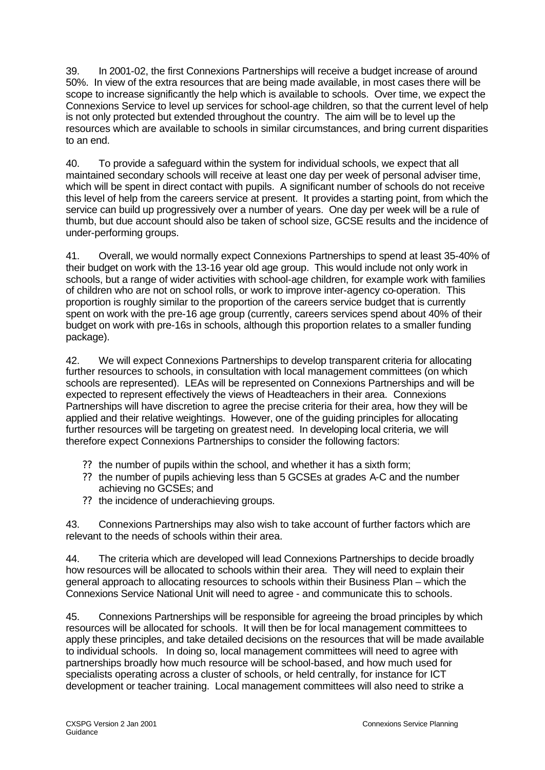39. In 2001-02, the first Connexions Partnerships will receive a budget increase of around 50%. In view of the extra resources that are being made available, in most cases there will be scope to increase significantly the help which is available to schools. Over time, we expect the Connexions Service to level up services for school-age children, so that the current level of help is not only protected but extended throughout the country. The aim will be to level up the resources which are available to schools in similar circumstances, and bring current disparities to an end.

40. To provide a safeguard within the system for individual schools, we expect that all maintained secondary schools will receive at least one day per week of personal adviser time, which will be spent in direct contact with pupils. A significant number of schools do not receive this level of help from the careers service at present. It provides a starting point, from which the service can build up progressively over a number of years. One day per week will be a rule of thumb, but due account should also be taken of school size, GCSE results and the incidence of under-performing groups.

41. Overall, we would normally expect Connexions Partnerships to spend at least 35-40% of their budget on work with the 13-16 year old age group. This would include not only work in schools, but a range of wider activities with school-age children, for example work with families of children who are not on school rolls, or work to improve inter-agency co-operation. This proportion is roughly similar to the proportion of the careers service budget that is currently spent on work with the pre-16 age group (currently, careers services spend about 40% of their budget on work with pre-16s in schools, although this proportion relates to a smaller funding package).

42. We will expect Connexions Partnerships to develop transparent criteria for allocating further resources to schools, in consultation with local management committees (on which schools are represented). LEAs will be represented on Connexions Partnerships and will be expected to represent effectively the views of Headteachers in their area. Connexions Partnerships will have discretion to agree the precise criteria for their area, how they will be applied and their relative weightings. However, one of the guiding principles for allocating further resources will be targeting on greatest need. In developing local criteria, we will therefore expect Connexions Partnerships to consider the following factors:

- ?? the number of pupils within the school, and whether it has a sixth form;
- ?? the number of pupils achieving less than 5 GCSEs at grades A-C and the number achieving no GCSEs; and
- ?? the incidence of underachieving groups.

43. Connexions Partnerships may also wish to take account of further factors which are relevant to the needs of schools within their area.

44. The criteria which are developed will lead Connexions Partnerships to decide broadly how resources will be allocated to schools within their area. They will need to explain their general approach to allocating resources to schools within their Business Plan – which the Connexions Service National Unit will need to agree - and communicate this to schools.

45. Connexions Partnerships will be responsible for agreeing the broad principles by which resources will be allocated for schools. It will then be for local management committees to apply these principles, and take detailed decisions on the resources that will be made available to individual schools. In doing so, local management committees will need to agree with partnerships broadly how much resource will be school-based, and how much used for specialists operating across a cluster of schools, or held centrally, for instance for ICT development or teacher training. Local management committees will also need to strike a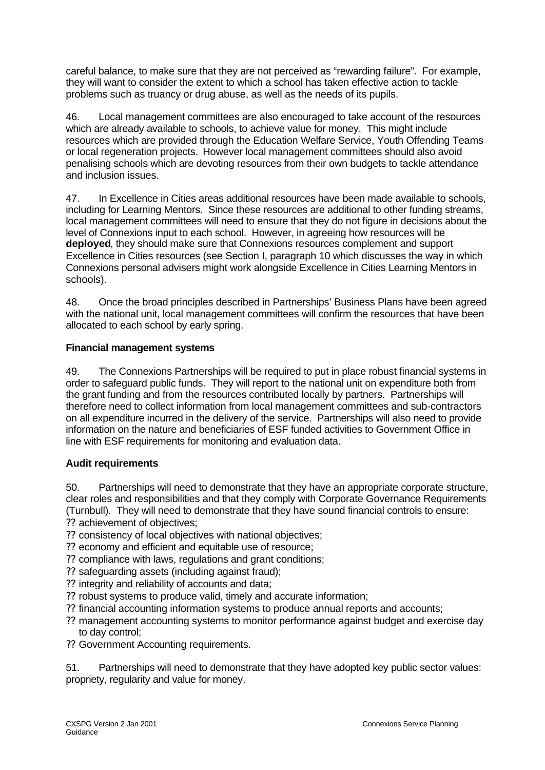careful balance, to make sure that they are not perceived as "rewarding failure". For example, they will want to consider the extent to which a school has taken effective action to tackle problems such as truancy or drug abuse, as well as the needs of its pupils.

46. Local management committees are also encouraged to take account of the resources which are already available to schools, to achieve value for money. This might include resources which are provided through the Education Welfare Service, Youth Offending Teams or local regeneration projects. However local management committees should also avoid penalising schools which are devoting resources from their own budgets to tackle attendance and inclusion issues.

47. In Excellence in Cities areas additional resources have been made available to schools, including for Learning Mentors. Since these resources are additional to other funding streams, local management committees will need to ensure that they do not figure in decisions about the level of Connexions input to each school. However, in agreeing how resources will be **deployed**, they should make sure that Connexions resources complement and support Excellence in Cities resources (see Section I, paragraph 10 which discusses the way in which Connexions personal advisers might work alongside Excellence in Cities Learning Mentors in schools).

48. Once the broad principles described in Partnerships' Business Plans have been agreed with the national unit, local management committees will confirm the resources that have been allocated to each school by early spring.

## **Financial management systems**

49. The Connexions Partnerships will be required to put in place robust financial systems in order to safeguard public funds. They will report to the national unit on expenditure both from the grant funding and from the resources contributed locally by partners. Partnerships will therefore need to collect information from local management committees and sub-contractors on all expenditure incurred in the delivery of the service. Partnerships will also need to provide information on the nature and beneficiaries of ESF funded activities to Government Office in line with ESF requirements for monitoring and evaluation data.

## **Audit requirements**

50. Partnerships will need to demonstrate that they have an appropriate corporate structure, clear roles and responsibilities and that they comply with Corporate Governance Requirements (Turnbull). They will need to demonstrate that they have sound financial controls to ensure:

?? achievement of objectives;

- ?? consistency of local objectives with national objectives;
- ?? economy and efficient and equitable use of resource;
- ?? compliance with laws, regulations and grant conditions;
- ?? safeguarding assets (including against fraud);
- ?? integrity and reliability of accounts and data;
- ?? robust systems to produce valid, timely and accurate information;
- ?? financial accounting information systems to produce annual reports and accounts;
- ?? management accounting systems to monitor performance against budget and exercise day to day control;
- ?? Government Accounting requirements.

51. Partnerships will need to demonstrate that they have adopted key public sector values: propriety, regularity and value for money.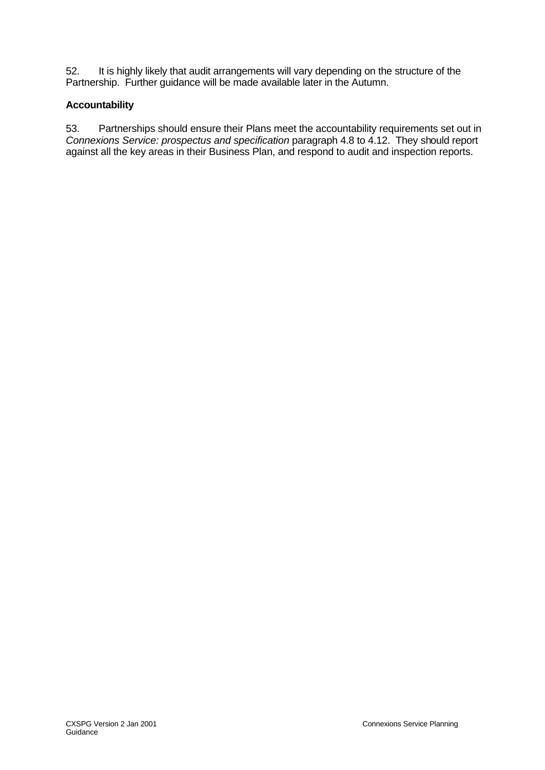52. It is highly likely that audit arrangements will vary depending on the structure of the Partnership. Further guidance will be made available later in the Autumn.

## **Accountability**

53. Partnerships should ensure their Plans meet the accountability requirements set out in *Connexions Service: prospectus and specification* paragraph 4.8 to 4.12. They should report against all the key areas in their Business Plan, and respond to audit and inspection reports.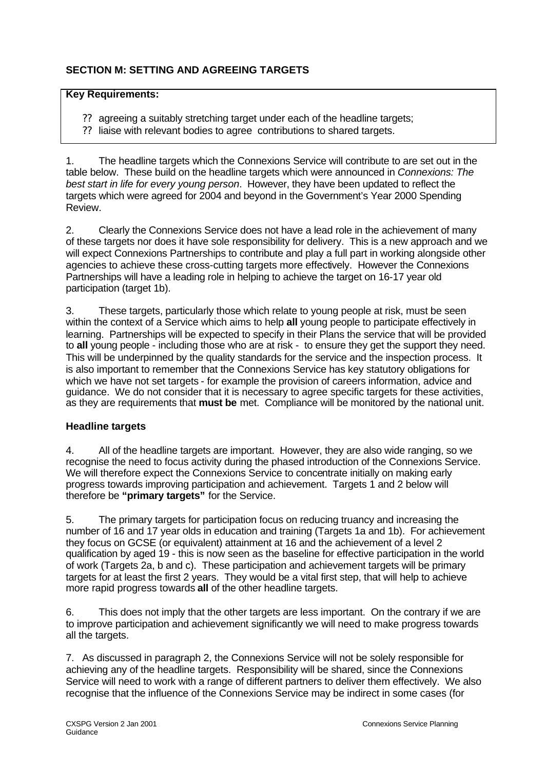# **SECTION M: SETTING AND AGREEING TARGETS**

### **Key Requirements:**

- ?? agreeing a suitably stretching target under each of the headline targets;
- ?? liaise with relevant bodies to agree contributions to shared targets.

1. The headline targets which the Connexions Service will contribute to are set out in the table below. These build on the headline targets which were announced in *Connexions: The best start in life for every young person*. However, they have been updated to reflect the targets which were agreed for 2004 and beyond in the Government's Year 2000 Spending Review.

2. Clearly the Connexions Service does not have a lead role in the achievement of many of these targets nor does it have sole responsibility for delivery. This is a new approach and we will expect Connexions Partnerships to contribute and play a full part in working alongside other agencies to achieve these cross-cutting targets more effectively. However the Connexions Partnerships will have a leading role in helping to achieve the target on 16-17 year old participation (target 1b).

3. These targets, particularly those which relate to young people at risk, must be seen within the context of a Service which aims to help **all** young people to participate effectively in learning. Partnerships will be expected to specify in their Plans the service that will be provided to **all** young people - including those who are at risk - to ensure they get the support they need. This will be underpinned by the quality standards for the service and the inspection process. It is also important to remember that the Connexions Service has key statutory obligations for which we have not set targets - for example the provision of careers information, advice and guidance. We do not consider that it is necessary to agree specific targets for these activities, as they are requirements that **must be** met. Compliance will be monitored by the national unit.

## **Headline targets**

4. All of the headline targets are important. However, they are also wide ranging, so we recognise the need to focus activity during the phased introduction of the Connexions Service. We will therefore expect the Connexions Service to concentrate initially on making early progress towards improving participation and achievement. Targets 1 and 2 below will therefore be **"primary targets"** for the Service.

5. The primary targets for participation focus on reducing truancy and increasing the number of 16 and 17 year olds in education and training (Targets 1a and 1b). For achievement they focus on GCSE (or equivalent) attainment at 16 and the achievement of a level 2 qualification by aged 19 - this is now seen as the baseline for effective participation in the world of work (Targets 2a, b and c). These participation and achievement targets will be primary targets for at least the first 2 years. They would be a vital first step, that will help to achieve more rapid progress towards **all** of the other headline targets.

6. This does not imply that the other targets are less important. On the contrary if we are to improve participation and achievement significantly we will need to make progress towards all the targets.

7. As discussed in paragraph 2, the Connexions Service will not be solely responsible for achieving any of the headline targets. Responsibility will be shared, since the Connexions Service will need to work with a range of different partners to deliver them effectively. We also recognise that the influence of the Connexions Service may be indirect in some cases (for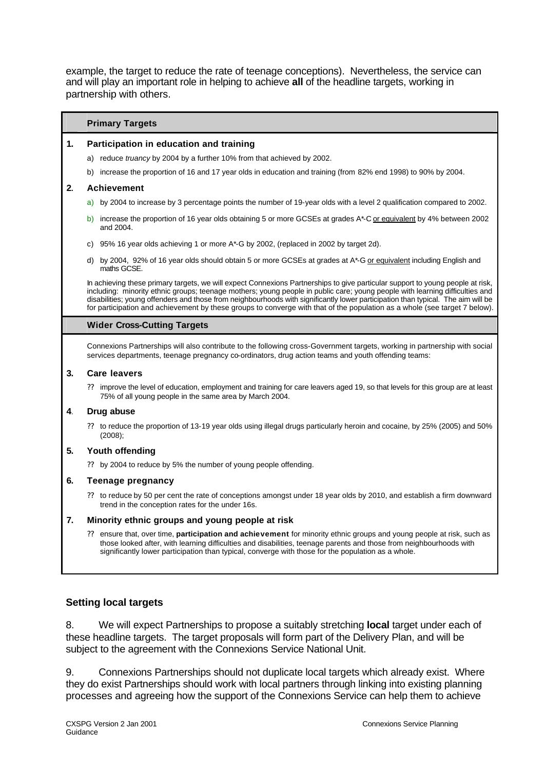example, the target to reduce the rate of teenage conceptions). Nevertheless, the service can and will play an important role in helping to achieve **all** of the headline targets, working in partnership with others.

#### **Primary Targets**

#### **1. Participation in education and training**

- a) reduce *truancy* by 2004 by a further 10% from that achieved by 2002.
- b) increase the proportion of 16 and 17 year olds in education and training (from 82% end 1998) to 90% by 2004.

#### **2. Achievement**

- a) by 2004 to increase by 3 percentage points the number of 19-year olds with a level 2 qualification compared to 2002.
- b) increase the proportion of 16 year olds obtaining 5 or more GCSEs at grades A\*-C or equivalent by 4% between 2002 and 2004.
- c) 95% 16 year olds achieving 1 or more A\*-G by 2002, (replaced in 2002 by target 2d).
- d) by 2004, 92% of 16 year olds should obtain 5 or more GCSEs at grades at A\*-G or equivalent including English and maths GCSE.

In achieving these primary targets, we will expect Connexions Partnerships to give particular support to young people at risk, including: minority ethnic groups; teenage mothers; young people in public care; young people with learning difficulties and disabilities; young offenders and those from neighbourhoods with significantly lower participation than typical. The aim will be for participation and achievement by these groups to converge with that of the population as a whole (see target 7 below).

#### **Wider Cross-Cutting Targets**

Connexions Partnerships will also contribute to the following cross-Government targets, working in partnership with social services departments, teenage pregnancy co-ordinators, drug action teams and youth offending teams:

#### **3. Care leavers**

?? improve the level of education, employment and training for care leavers aged 19, so that levels for this group are at least 75% of all young people in the same area by March 2004.

#### **4**. **Drug abuse**

?? to reduce the proportion of 13-19 year olds using illegal drugs particularly heroin and cocaine, by 25% (2005) and 50% (2008);

#### **5. Youth offending**

?? by 2004 to reduce by 5% the number of young people offending.

#### **6. Teenage pregnancy**

?? to reduce by 50 per cent the rate of conceptions amongst under 18 year olds by 2010, and establish a firm downward trend in the conception rates for the under 16s.

#### **7. Minority ethnic groups and young people at risk**

?? ensure that, over time, **participation and achievement** for minority ethnic groups and young people at risk, such as those looked after, with learning difficulties and disabilities, teenage parents and those from neighbourhoods with significantly lower participation than typical, converge with those for the population as a whole.

### **Setting local targets**

8. We will expect Partnerships to propose a suitably stretching **local** target under each of these headline targets. The target proposals will form part of the Delivery Plan, and will be subject to the agreement with the Connexions Service National Unit.

9. Connexions Partnerships should not duplicate local targets which already exist. Where they do exist Partnerships should work with local partners through linking into existing planning processes and agreeing how the support of the Connexions Service can help them to achieve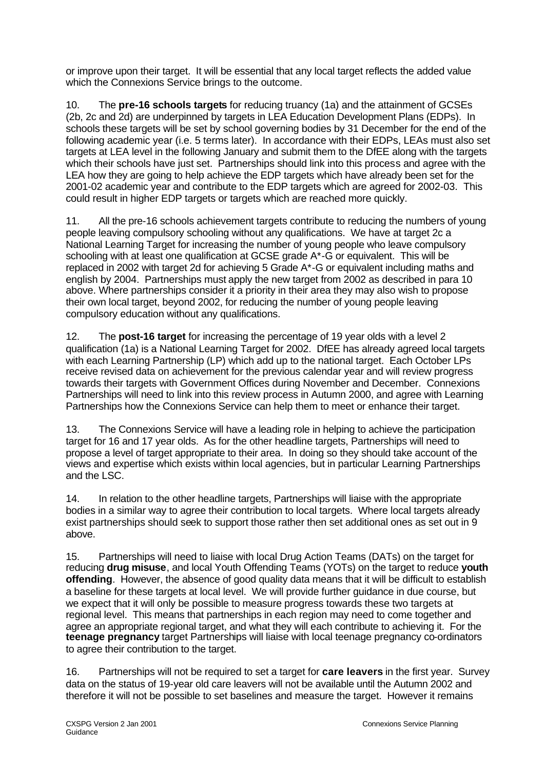or improve upon their target. It will be essential that any local target reflects the added value which the Connexions Service brings to the outcome.

10. The **pre-16 schools targets** for reducing truancy (1a) and the attainment of GCSEs (2b, 2c and 2d) are underpinned by targets in LEA Education Development Plans (EDPs). In schools these targets will be set by school governing bodies by 31 December for the end of the following academic year (i.e. 5 terms later). In accordance with their EDPs, LEAs must also set targets at LEA level in the following January and submit them to the DfEE along with the targets which their schools have just set. Partnerships should link into this process and agree with the LEA how they are going to help achieve the EDP targets which have already been set for the 2001-02 academic year and contribute to the EDP targets which are agreed for 2002-03. This could result in higher EDP targets or targets which are reached more quickly.

11. All the pre-16 schools achievement targets contribute to reducing the numbers of young people leaving compulsory schooling without any qualifications. We have at target 2c a National Learning Target for increasing the number of young people who leave compulsory schooling with at least one qualification at GCSE grade A<sup>\*</sup>-G or equivalent. This will be replaced in 2002 with target 2d for achieving 5 Grade A\*-G or equivalent including maths and english by 2004. Partnerships must apply the new target from 2002 as described in para 10 above. Where partnerships consider it a priority in their area they may also wish to propose their own local target, beyond 2002, for reducing the number of young people leaving compulsory education without any qualifications.

12. The **post-16 target** for increasing the percentage of 19 year olds with a level 2 qualification (1a) is a National Learning Target for 2002. DfEE has already agreed local targets with each Learning Partnership (LP) which add up to the national target. Each October LPs receive revised data on achievement for the previous calendar year and will review progress towards their targets with Government Offices during November and December. Connexions Partnerships will need to link into this review process in Autumn 2000, and agree with Learning Partnerships how the Connexions Service can help them to meet or enhance their target.

13. The Connexions Service will have a leading role in helping to achieve the participation target for 16 and 17 year olds. As for the other headline targets, Partnerships will need to propose a level of target appropriate to their area. In doing so they should take account of the views and expertise which exists within local agencies, but in particular Learning Partnerships and the LSC.

14. In relation to the other headline targets, Partnerships will liaise with the appropriate bodies in a similar way to agree their contribution to local targets. Where local targets already exist partnerships should seek to support those rather then set additional ones as set out in 9 above.

15. Partnerships will need to liaise with local Drug Action Teams (DATs) on the target for reducing **drug misuse**, and local Youth Offending Teams (YOTs) on the target to reduce **youth offending**. However, the absence of good quality data means that it will be difficult to establish a baseline for these targets at local level. We will provide further guidance in due course, but we expect that it will only be possible to measure progress towards these two targets at regional level. This means that partnerships in each region may need to come together and agree an appropriate regional target, and what they will each contribute to achieving it. For the **teenage pregnancy** target Partnerships will liaise with local teenage pregnancy co-ordinators to agree their contribution to the target.

16. Partnerships will not be required to set a target for **care leavers** in the first year. Survey data on the status of 19-year old care leavers will not be available until the Autumn 2002 and therefore it will not be possible to set baselines and measure the target. However it remains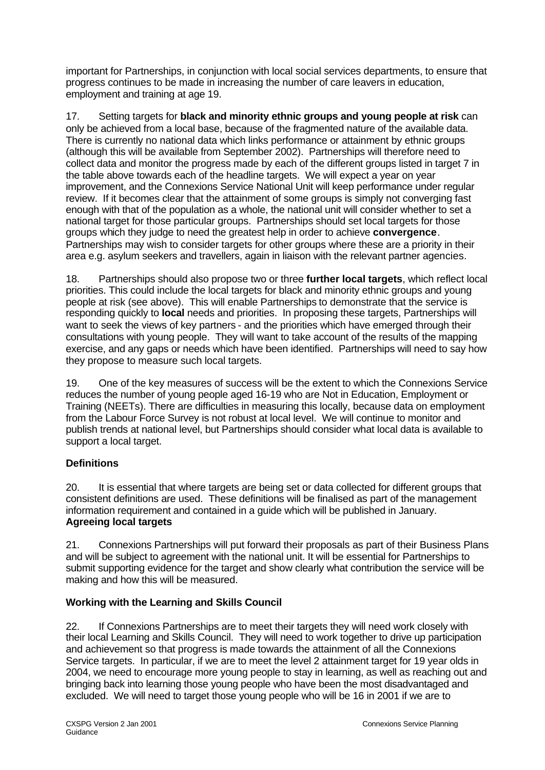important for Partnerships, in conjunction with local social services departments, to ensure that progress continues to be made in increasing the number of care leavers in education, employment and training at age 19.

17. Setting targets for **black and minority ethnic groups and young people at risk** can only be achieved from a local base, because of the fragmented nature of the available data. There is currently no national data which links performance or attainment by ethnic groups (although this will be available from September 2002). Partnerships will therefore need to collect data and monitor the progress made by each of the different groups listed in target 7 in the table above towards each of the headline targets. We will expect a year on year improvement, and the Connexions Service National Unit will keep performance under regular review. If it becomes clear that the attainment of some groups is simply not converging fast enough with that of the population as a whole, the national unit will consider whether to set a national target for those particular groups. Partnerships should set local targets for those groups which they judge to need the greatest help in order to achieve **convergence**. Partnerships may wish to consider targets for other groups where these are a priority in their area e.g. asylum seekers and travellers, again in liaison with the relevant partner agencies.

18. Partnerships should also propose two or three **further local targets**, which reflect local priorities. This could include the local targets for black and minority ethnic groups and young people at risk (see above). This will enable Partnerships to demonstrate that the service is responding quickly to **local** needs and priorities. In proposing these targets, Partnerships will want to seek the views of key partners - and the priorities which have emerged through their consultations with young people. They will want to take account of the results of the mapping exercise, and any gaps or needs which have been identified. Partnerships will need to say how they propose to measure such local targets.

19. One of the key measures of success will be the extent to which the Connexions Service reduces the number of young people aged 16-19 who are Not in Education, Employment or Training (NEETs). There are difficulties in measuring this locally, because data on employment from the Labour Force Survey is not robust at local level. We will continue to monitor and publish trends at national level, but Partnerships should consider what local data is available to support a local target.

# **Definitions**

20. It is essential that where targets are being set or data collected for different groups that consistent definitions are used. These definitions will be finalised as part of the management information requirement and contained in a guide which will be published in January. **Agreeing local targets**

21. Connexions Partnerships will put forward their proposals as part of their Business Plans and will be subject to agreement with the national unit. It will be essential for Partnerships to submit supporting evidence for the target and show clearly what contribution the service will be making and how this will be measured.

## **Working with the Learning and Skills Council**

22. If Connexions Partnerships are to meet their targets they will need work closely with their local Learning and Skills Council. They will need to work together to drive up participation and achievement so that progress is made towards the attainment of all the Connexions Service targets. In particular, if we are to meet the level 2 attainment target for 19 year olds in 2004, we need to encourage more young people to stay in learning, as well as reaching out and bringing back into learning those young people who have been the most disadvantaged and excluded. We will need to target those young people who will be 16 in 2001 if we are to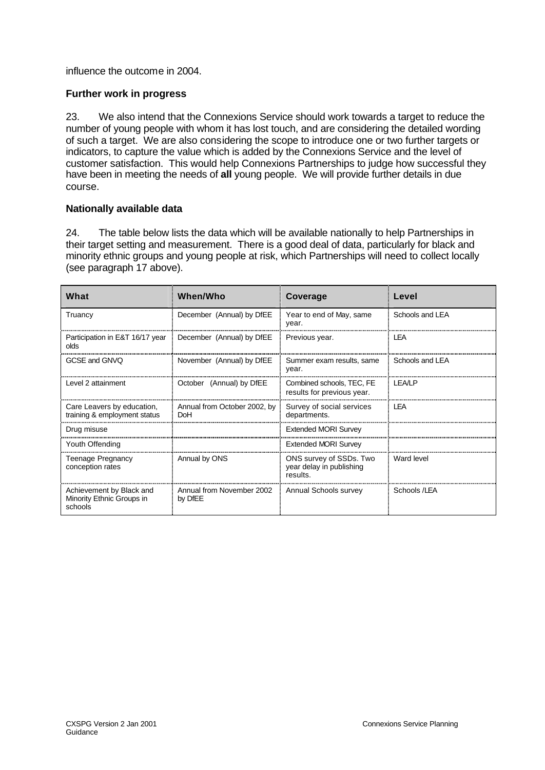influence the outcome in 2004.

### **Further work in progress**

23. We also intend that the Connexions Service should work towards a target to reduce the number of young people with whom it has lost touch, and are considering the detailed wording of such a target. We are also considering the scope to introduce one or two further targets or indicators, to capture the value which is added by the Connexions Service and the level of customer satisfaction. This would help Connexions Partnerships to judge how successful they have been in meeting the needs of **all** young people. We will provide further details in due course.

### **Nationally available data**

24. The table below lists the data which will be available nationally to help Partnerships in their target setting and measurement. There is a good deal of data, particularly for black and minority ethnic groups and young people at risk, which Partnerships will need to collect locally (see paragraph 17 above).

| What                                                             | When/Who                                   | Coverage                                                        | Level           |
|------------------------------------------------------------------|--------------------------------------------|-----------------------------------------------------------------|-----------------|
| Truancy                                                          | December (Annual) by DfEE                  | Year to end of May, same<br>year.                               | Schools and LEA |
| Participation in E&T 16/17 year<br>olds                          | December (Annual) by DIEE                  | Previous year.                                                  | LEA             |
| GCSE and GNVO                                                    | November (Annual) by DfEE                  | Summer exam results, same<br>year.                              | Schools and LEA |
| Level 2 attainment                                               | October (Annual) by DfEE                   | Combined schools, TEC, FE<br>results for previous year.         | I FA/I P        |
| Care Leavers by education,<br>training & employment status       | Annual from October 2002, by<br><b>DoH</b> | Survey of social services<br>departments.                       | LEA             |
| Drug misuse                                                      |                                            | <b>Extended MORI Survey</b>                                     |                 |
| Youth Offending                                                  |                                            | <b>Extended MORI Survey</b>                                     |                 |
| Teenage Pregnancy<br>conception rates                            | Annual by ONS                              | ONS survey of SSDs. Two<br>year delay in publishing<br>results. | Ward level      |
| Achievement by Black and<br>Minority Ethnic Groups in<br>schools | Annual from November 2002<br>by DfEE       | Annual Schools survey                                           | Schools /LEA    |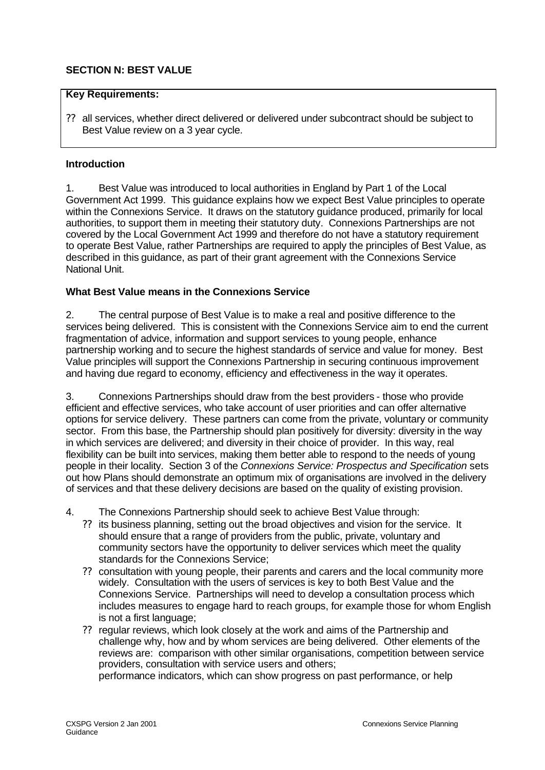# **SECTION N: BEST VALUE**

#### **Key Requirements:**

?? all services, whether direct delivered or delivered under subcontract should be subject to Best Value review on a 3 year cycle.

#### **Introduction**

1. Best Value was introduced to local authorities in England by Part 1 of the Local Government Act 1999. This guidance explains how we expect Best Value principles to operate within the Connexions Service. It draws on the statutory guidance produced, primarily for local authorities, to support them in meeting their statutory duty. Connexions Partnerships are not covered by the Local Government Act 1999 and therefore do not have a statutory requirement to operate Best Value, rather Partnerships are required to apply the principles of Best Value, as described in this guidance, as part of their grant agreement with the Connexions Service National Unit.

### **What Best Value means in the Connexions Service**

2. The central purpose of Best Value is to make a real and positive difference to the services being delivered. This is consistent with the Connexions Service aim to end the current fragmentation of advice, information and support services to young people, enhance partnership working and to secure the highest standards of service and value for money. Best Value principles will support the Connexions Partnership in securing continuous improvement and having due regard to economy, efficiency and effectiveness in the way it operates.

3. Connexions Partnerships should draw from the best providers - those who provide efficient and effective services, who take account of user priorities and can offer alternative options for service delivery. These partners can come from the private, voluntary or community sector. From this base, the Partnership should plan positively for diversity: diversity in the way in which services are delivered; and diversity in their choice of provider. In this way, real flexibility can be built into services, making them better able to respond to the needs of young people in their locality. Section 3 of the *Connexions Service: Prospectus and Specification* sets out how Plans should demonstrate an optimum mix of organisations are involved in the delivery of services and that these delivery decisions are based on the quality of existing provision.

4. The Connexions Partnership should seek to achieve Best Value through:

- ?? its business planning, setting out the broad objectives and vision for the service. It should ensure that a range of providers from the public, private, voluntary and community sectors have the opportunity to deliver services which meet the quality standards for the Connexions Service;
- ?? consultation with young people, their parents and carers and the local community more widely. Consultation with the users of services is key to both Best Value and the Connexions Service. Partnerships will need to develop a consultation process which includes measures to engage hard to reach groups, for example those for whom English is not a first language;
- ?? regular reviews, which look closely at the work and aims of the Partnership and challenge why, how and by whom services are being delivered. Other elements of the reviews are: comparison with other similar organisations, competition between service providers, consultation with service users and others;

performance indicators, which can show progress on past performance, or help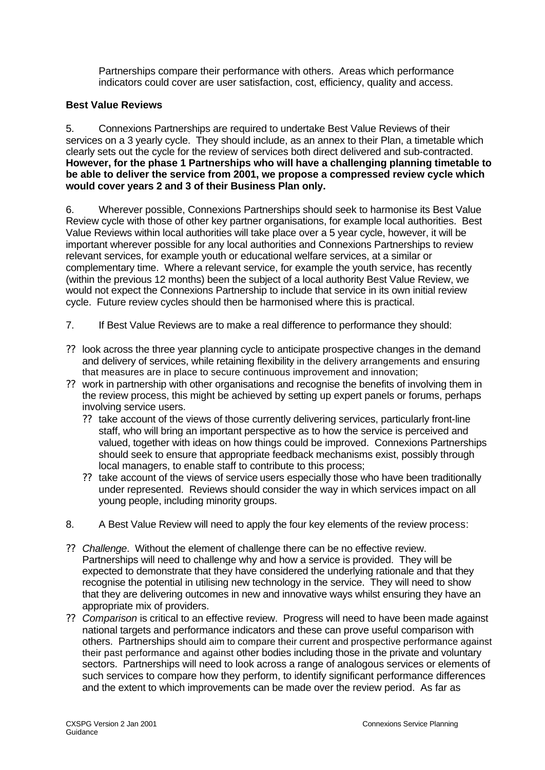Partnerships compare their performance with others. Areas which performance indicators could cover are user satisfaction, cost, efficiency, quality and access.

## **Best Value Reviews**

5. Connexions Partnerships are required to undertake Best Value Reviews of their services on a 3 yearly cycle. They should include, as an annex to their Plan, a timetable which clearly sets out the cycle for the review of services both direct delivered and sub-contracted. **However, for the phase 1 Partnerships who will have a challenging planning timetable to be able to deliver the service from 2001, we propose a compressed review cycle which would cover years 2 and 3 of their Business Plan only.**

6. Wherever possible, Connexions Partnerships should seek to harmonise its Best Value Review cycle with those of other key partner organisations, for example local authorities. Best Value Reviews within local authorities will take place over a 5 year cycle, however, it will be important wherever possible for any local authorities and Connexions Partnerships to review relevant services, for example youth or educational welfare services, at a similar or complementary time. Where a relevant service, for example the youth service, has recently (within the previous 12 months) been the subject of a local authority Best Value Review, we would not expect the Connexions Partnership to include that service in its own initial review cycle. Future review cycles should then be harmonised where this is practical.

- 7. If Best Value Reviews are to make a real difference to performance they should:
- ?? look across the three year planning cycle to anticipate prospective changes in the demand and delivery of services, while retaining flexibility in the delivery arrangements and ensuring that measures are in place to secure continuous improvement and innovation;
- ?? work in partnership with other organisations and recognise the benefits of involving them in the review process, this might be achieved by setting up expert panels or forums, perhaps involving service users.
	- ?? take account of the views of those currently delivering services, particularly front-line staff, who will bring an important perspective as to how the service is perceived and valued, together with ideas on how things could be improved. Connexions Partnerships should seek to ensure that appropriate feedback mechanisms exist, possibly through local managers, to enable staff to contribute to this process;
	- ?? take account of the views of service users especially those who have been traditionally under represented. Reviews should consider the way in which services impact on all young people, including minority groups.
- 8. A Best Value Review will need to apply the four key elements of the review process:
- ?? *Challenge*. Without the element of challenge there can be no effective review. Partnerships will need to challenge why and how a service is provided. They will be expected to demonstrate that they have considered the underlying rationale and that they recognise the potential in utilising new technology in the service. They will need to show that they are delivering outcomes in new and innovative ways whilst ensuring they have an appropriate mix of providers.
- ?? *Comparison* is critical to an effective review. Progress will need to have been made against national targets and performance indicators and these can prove useful comparison with others. Partnerships should aim to compare their current and prospective performance against their past performance and against other bodies including those in the private and voluntary sectors. Partnerships will need to look across a range of analogous services or elements of such services to compare how they perform, to identify significant performance differences and the extent to which improvements can be made over the review period. As far as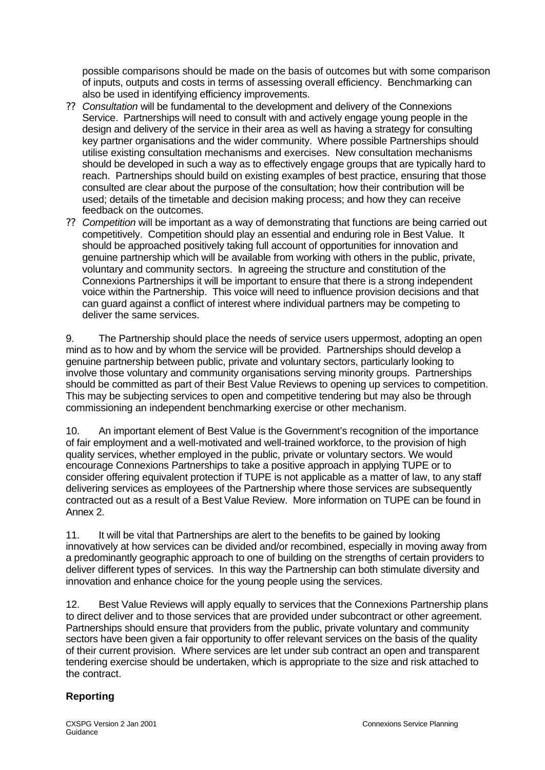possible comparisons should be made on the basis of outcomes but with some comparison of inputs, outputs and costs in terms of assessing overall efficiency. Benchmarking can also be used in identifying efficiency improvements.

- ?? *Consultation* will be fundamental to the development and delivery of the Connexions Service. Partnerships will need to consult with and actively engage young people in the design and delivery of the service in their area as well as having a strategy for consulting key partner organisations and the wider community. Where possible Partnerships should utilise existing consultation mechanisms and exercises. New consultation mechanisms should be developed in such a way as to effectively engage groups that are typically hard to reach. Partnerships should build on existing examples of best practice, ensuring that those consulted are clear about the purpose of the consultation; how their contribution will be used; details of the timetable and decision making process; and how they can receive feedback on the outcomes.
- ?? *Competition* will be important as a way of demonstrating that functions are being carried out competitively. Competition should play an essential and enduring role in Best Value. It should be approached positively taking full account of opportunities for innovation and genuine partnership which will be available from working with others in the public, private, voluntary and community sectors. In agreeing the structure and constitution of the Connexions Partnerships it will be important to ensure that there is a strong independent voice within the Partnership. This voice will need to influence provision decisions and that can guard against a conflict of interest where individual partners may be competing to deliver the same services.

9. The Partnership should place the needs of service users uppermost, adopting an open mind as to how and by whom the service will be provided. Partnerships should develop a genuine partnership between public, private and voluntary sectors, particularly looking to involve those voluntary and community organisations serving minority groups. Partnerships should be committed as part of their Best Value Reviews to opening up services to competition. This may be subjecting services to open and competitive tendering but may also be through commissioning an independent benchmarking exercise or other mechanism.

10. An important element of Best Value is the Government's recognition of the importance of fair employment and a well-motivated and well-trained workforce, to the provision of high quality services, whether employed in the public, private or voluntary sectors. We would encourage Connexions Partnerships to take a positive approach in applying TUPE or to consider offering equivalent protection if TUPE is not applicable as a matter of law, to any staff delivering services as employees of the Partnership where those services are subsequently contracted out as a result of a Best Value Review. More information on TUPE can be found in Annex 2.

11. It will be vital that Partnerships are alert to the benefits to be gained by looking innovatively at how services can be divided and/or recombined, especially in moving away from a predominantly geographic approach to one of building on the strengths of certain providers to deliver different types of services. In this way the Partnership can both stimulate diversity and innovation and enhance choice for the young people using the services.

12. Best Value Reviews will apply equally to services that the Connexions Partnership plans to direct deliver and to those services that are provided under subcontract or other agreement. Partnerships should ensure that providers from the public, private voluntary and community sectors have been given a fair opportunity to offer relevant services on the basis of the quality of their current provision. Where services are let under sub contract an open and transparent tendering exercise should be undertaken, which is appropriate to the size and risk attached to the contract.

# **Reporting**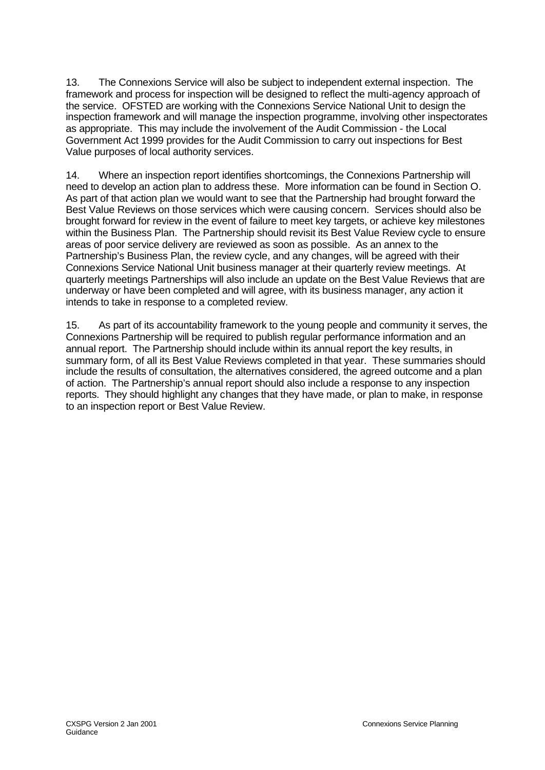13. The Connexions Service will also be subject to independent external inspection. The framework and process for inspection will be designed to reflect the multi-agency approach of the service. OFSTED are working with the Connexions Service National Unit to design the inspection framework and will manage the inspection programme, involving other inspectorates as appropriate. This may include the involvement of the Audit Commission - the Local Government Act 1999 provides for the Audit Commission to carry out inspections for Best Value purposes of local authority services.

14. Where an inspection report identifies shortcomings, the Connexions Partnership will need to develop an action plan to address these. More information can be found in Section O. As part of that action plan we would want to see that the Partnership had brought forward the Best Value Reviews on those services which were causing concern. Services should also be brought forward for review in the event of failure to meet key targets, or achieve key milestones within the Business Plan. The Partnership should revisit its Best Value Review cycle to ensure areas of poor service delivery are reviewed as soon as possible. As an annex to the Partnership's Business Plan, the review cycle, and any changes, will be agreed with their Connexions Service National Unit business manager at their quarterly review meetings. At quarterly meetings Partnerships will also include an update on the Best Value Reviews that are underway or have been completed and will agree, with its business manager, any action it intends to take in response to a completed review.

15. As part of its accountability framework to the young people and community it serves, the Connexions Partnership will be required to publish regular performance information and an annual report. The Partnership should include within its annual report the key results, in summary form, of all its Best Value Reviews completed in that year. These summaries should include the results of consultation, the alternatives considered, the agreed outcome and a plan of action. The Partnership's annual report should also include a response to any inspection reports. They should highlight any changes that they have made, or plan to make, in response to an inspection report or Best Value Review.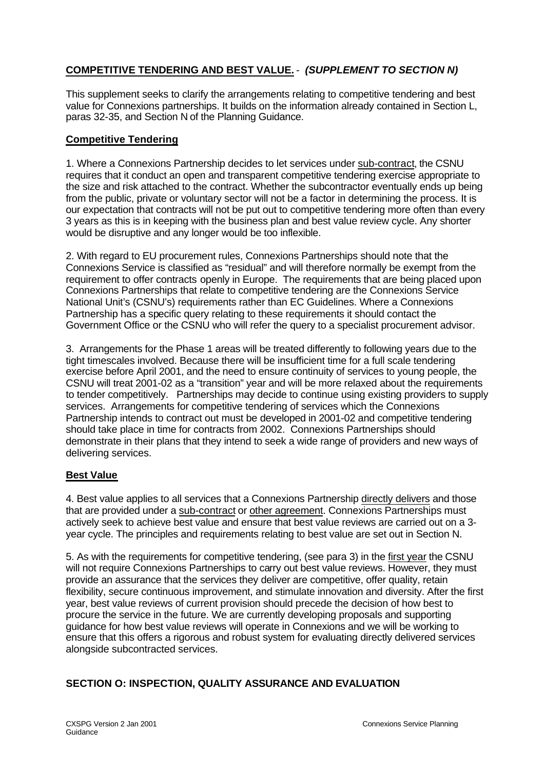# **COMPETITIVE TENDERING AND BEST VALUE.** - *(SUPPLEMENT TO SECTION N)*

This supplement seeks to clarify the arrangements relating to competitive tendering and best value for Connexions partnerships. It builds on the information already contained in Section L, paras 32-35, and Section N of the Planning Guidance.

## **Competitive Tendering**

1. Where a Connexions Partnership decides to let services under sub-contract, the CSNU requires that it conduct an open and transparent competitive tendering exercise appropriate to the size and risk attached to the contract. Whether the subcontractor eventually ends up being from the public, private or voluntary sector will not be a factor in determining the process. It is our expectation that contracts will not be put out to competitive tendering more often than every 3 years as this is in keeping with the business plan and best value review cycle. Any shorter would be disruptive and any longer would be too inflexible.

2. With regard to EU procurement rules, Connexions Partnerships should note that the Connexions Service is classified as "residual" and will therefore normally be exempt from the requirement to offer contracts openly in Europe. The requirements that are being placed upon Connexions Partnerships that relate to competitive tendering are the Connexions Service National Unit's (CSNU's) requirements rather than EC Guidelines. Where a Connexions Partnership has a specific query relating to these requirements it should contact the Government Office or the CSNU who will refer the query to a specialist procurement advisor.

3. Arrangements for the Phase 1 areas will be treated differently to following years due to the tight timescales involved. Because there will be insufficient time for a full scale tendering exercise before April 2001, and the need to ensure continuity of services to young people, the CSNU will treat 2001-02 as a "transition" year and will be more relaxed about the requirements to tender competitively. Partnerships may decide to continue using existing providers to supply services. Arrangements for competitive tendering of services which the Connexions Partnership intends to contract out must be developed in 2001-02 and competitive tendering should take place in time for contracts from 2002. Connexions Partnerships should demonstrate in their plans that they intend to seek a wide range of providers and new ways of delivering services.

## **Best Value**

4. Best value applies to all services that a Connexions Partnership directly delivers and those that are provided under a sub-contract or other agreement. Connexions Partnerships must actively seek to achieve best value and ensure that best value reviews are carried out on a 3 year cycle. The principles and requirements relating to best value are set out in Section N.

5. As with the requirements for competitive tendering, (see para 3) in the first year the CSNU will not require Connexions Partnerships to carry out best value reviews. However, they must provide an assurance that the services they deliver are competitive, offer quality, retain flexibility, secure continuous improvement, and stimulate innovation and diversity. After the first year, best value reviews of current provision should precede the decision of how best to procure the service in the future. We are currently developing proposals and supporting guidance for how best value reviews will operate in Connexions and we will be working to ensure that this offers a rigorous and robust system for evaluating directly delivered services alongside subcontracted services.

## **SECTION O: INSPECTION, QUALITY ASSURANCE AND EVALUATION**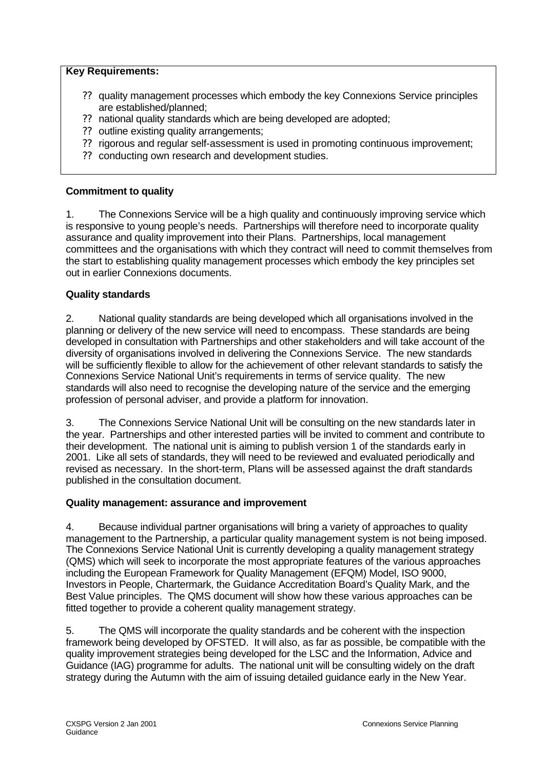## **Key Requirements:**

- ?? quality management processes which embody the key Connexions Service principles are established/planned;
- ?? national quality standards which are being developed are adopted;
- ?? outline existing quality arrangements;
- ?? rigorous and regular self-assessment is used in promoting continuous improvement;
- ?? conducting own research and development studies.

## **Commitment to quality**

1. The Connexions Service will be a high quality and continuously improving service which is responsive to young people's needs. Partnerships will therefore need to incorporate quality assurance and quality improvement into their Plans. Partnerships, local management committees and the organisations with which they contract will need to commit themselves from the start to establishing quality management processes which embody the key principles set out in earlier Connexions documents.

## **Quality standards**

2. National quality standards are being developed which all organisations involved in the planning or delivery of the new service will need to encompass. These standards are being developed in consultation with Partnerships and other stakeholders and will take account of the diversity of organisations involved in delivering the Connexions Service. The new standards will be sufficiently flexible to allow for the achievement of other relevant standards to satisfy the Connexions Service National Unit's requirements in terms of service quality. The new standards will also need to recognise the developing nature of the service and the emerging profession of personal adviser, and provide a platform for innovation.

3. The Connexions Service National Unit will be consulting on the new standards later in the year. Partnerships and other interested parties will be invited to comment and contribute to their development. The national unit is aiming to publish version 1 of the standards early in 2001. Like all sets of standards, they will need to be reviewed and evaluated periodically and revised as necessary. In the short-term, Plans will be assessed against the draft standards published in the consultation document.

## **Quality management: assurance and improvement**

4. Because individual partner organisations will bring a variety of approaches to quality management to the Partnership, a particular quality management system is not being imposed. The Connexions Service National Unit is currently developing a quality management strategy (QMS) which will seek to incorporate the most appropriate features of the various approaches including the European Framework for Quality Management (EFQM) Model, ISO 9000, Investors in People, Chartermark, the Guidance Accreditation Board's Quality Mark, and the Best Value principles. The QMS document will show how these various approaches can be fitted together to provide a coherent quality management strategy.

5. The QMS will incorporate the quality standards and be coherent with the inspection framework being developed by OFSTED. It will also, as far as possible, be compatible with the quality improvement strategies being developed for the LSC and the Information, Advice and Guidance (IAG) programme for adults. The national unit will be consulting widely on the draft strategy during the Autumn with the aim of issuing detailed guidance early in the New Year.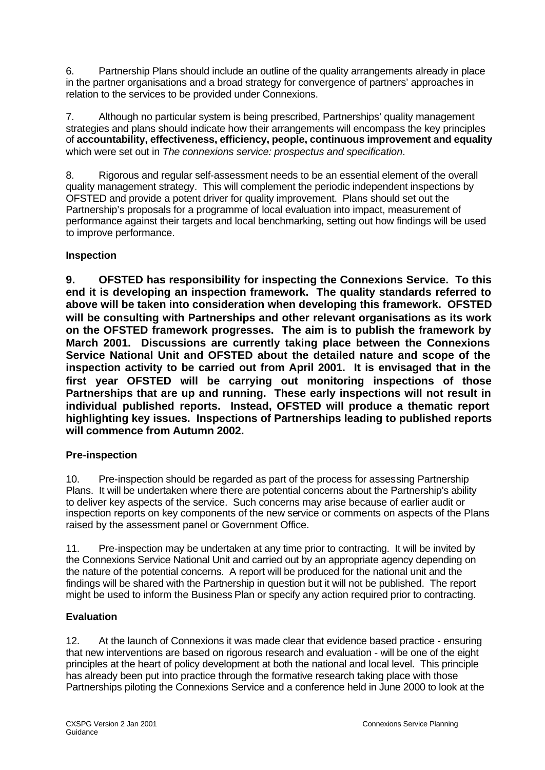6. Partnership Plans should include an outline of the quality arrangements already in place in the partner organisations and a broad strategy for convergence of partners' approaches in relation to the services to be provided under Connexions.

7. Although no particular system is being prescribed, Partnerships' quality management strategies and plans should indicate how their arrangements will encompass the key principles of **accountability, effectiveness, efficiency, people, continuous improvement and equality** which were set out in *The connexions service: prospectus and specification*.

8. Rigorous and regular self-assessment needs to be an essential element of the overall quality management strategy. This will complement the periodic independent inspections by OFSTED and provide a potent driver for quality improvement. Plans should set out the Partnership's proposals for a programme of local evaluation into impact, measurement of performance against their targets and local benchmarking, setting out how findings will be used to improve performance.

# **Inspection**

**9. OFSTED has responsibility for inspecting the Connexions Service. To this end it is developing an inspection framework. The quality standards referred to above will be taken into consideration when developing this framework. OFSTED will be consulting with Partnerships and other relevant organisations as its work on the OFSTED framework progresses. The aim is to publish the framework by March 2001. Discussions are currently taking place between the Connexions Service National Unit and OFSTED about the detailed nature and scope of the inspection activity to be carried out from April 2001. It is envisaged that in the first year OFSTED will be carrying out monitoring inspections of those Partnerships that are up and running. These early inspections will not result in individual published reports. Instead, OFSTED will produce a thematic report highlighting key issues. Inspections of Partnerships leading to published reports will commence from Autumn 2002.** 

## **Pre-inspection**

10. Pre-inspection should be regarded as part of the process for assessing Partnership Plans. It will be undertaken where there are potential concerns about the Partnership's ability to deliver key aspects of the service. Such concerns may arise because of earlier audit or inspection reports on key components of the new service or comments on aspects of the Plans raised by the assessment panel or Government Office.

11. Pre-inspection may be undertaken at any time prior to contracting. It will be invited by the Connexions Service National Unit and carried out by an appropriate agency depending on the nature of the potential concerns. A report will be produced for the national unit and the findings will be shared with the Partnership in question but it will not be published. The report might be used to inform the Business Plan or specify any action required prior to contracting.

# **Evaluation**

12. At the launch of Connexions it was made clear that evidence based practice - ensuring that new interventions are based on rigorous research and evaluation - will be one of the eight principles at the heart of policy development at both the national and local level. This principle has already been put into practice through the formative research taking place with those Partnerships piloting the Connexions Service and a conference held in June 2000 to look at the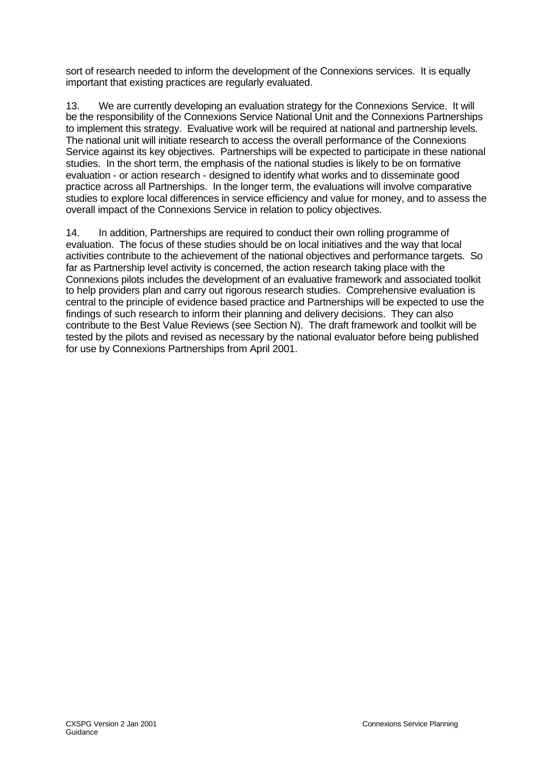sort of research needed to inform the development of the Connexions services. It is equally important that existing practices are regularly evaluated.

13. We are currently developing an evaluation strategy for the Connexions Service. It will be the responsibility of the Connexions Service National Unit and the Connexions Partnerships to implement this strategy. Evaluative work will be required at national and partnership levels. The national unit will initiate research to access the overall performance of the Connexions Service against its key objectives. Partnerships will be expected to participate in these national studies. In the short term, the emphasis of the national studies is likely to be on formative evaluation - or action research - designed to identify what works and to disseminate good practice across all Partnerships. In the longer term, the evaluations will involve comparative studies to explore local differences in service efficiency and value for money, and to assess the overall impact of the Connexions Service in relation to policy objectives.

14. In addition, Partnerships are required to conduct their own rolling programme of evaluation. The focus of these studies should be on local initiatives and the way that local activities contribute to the achievement of the national objectives and performance targets. So far as Partnership level activity is concerned, the action research taking place with the Connexions pilots includes the development of an evaluative framework and associated toolkit to help providers plan and carry out rigorous research studies. Comprehensive evaluation is central to the principle of evidence based practice and Partnerships will be expected to use the findings of such research to inform their planning and delivery decisions. They can also contribute to the Best Value Reviews (see Section N). The draft framework and toolkit will be tested by the pilots and revised as necessary by the national evaluator before being published for use by Connexions Partnerships from April 2001.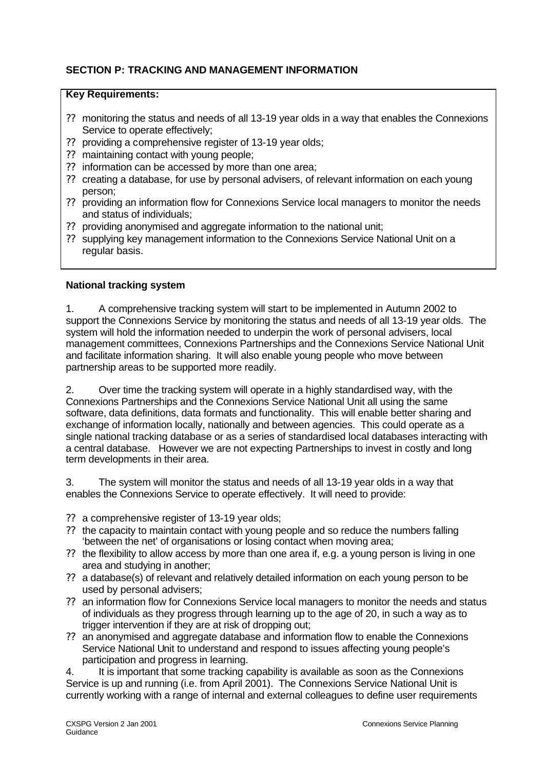# **SECTION P: TRACKING AND MANAGEMENT INFORMATION**

## **Key Requirements:**

- ?? monitoring the status and needs of all 13-19 year olds in a way that enables the Connexions Service to operate effectively;
- ?? providing a comprehensive register of 13-19 year olds;
- ?? maintaining contact with young people;
- ?? information can be accessed by more than one area;
- ?? creating a database, for use by personal advisers, of relevant information on each young person;
- ?? providing an information flow for Connexions Service local managers to monitor the needs and status of individuals;
- ?? providing anonymised and aggregate information to the national unit;
- ?? supplying key management information to the Connexions Service National Unit on a regular basis.

## **National tracking system**

1. A comprehensive tracking system will start to be implemented in Autumn 2002 to support the Connexions Service by monitoring the status and needs of all 13-19 year olds. The system will hold the information needed to underpin the work of personal advisers, local management committees, Connexions Partnerships and the Connexions Service National Unit and facilitate information sharing. It will also enable young people who move between partnership areas to be supported more readily.

2. Over time the tracking system will operate in a highly standardised way, with the Connexions Partnerships and the Connexions Service National Unit all using the same software, data definitions, data formats and functionality. This will enable better sharing and exchange of information locally, nationally and between agencies. This could operate as a single national tracking database or as a series of standardised local databases interacting with a central database. However we are not expecting Partnerships to invest in costly and long term developments in their area.

3. The system will monitor the status and needs of all 13-19 year olds in a way that enables the Connexions Service to operate effectively. It will need to provide:

- ?? a comprehensive register of 13-19 year olds;
- ?? the capacity to maintain contact with young people and so reduce the numbers falling 'between the net' of organisations or losing contact when moving area;
- ?? the flexibility to allow access by more than one area if, e.g. a young person is living in one area and studying in another;
- ?? a database(s) of relevant and relatively detailed information on each young person to be used by personal advisers;
- ?? an information flow for Connexions Service local managers to monitor the needs and status of individuals as they progress through learning up to the age of 20, in such a way as to trigger intervention if they are at risk of dropping out;
- ?? an anonymised and aggregate database and information flow to enable the Connexions Service National Unit to understand and respond to issues affecting young people's participation and progress in learning.

4. It is important that some tracking capability is available as soon as the Connexions Service is up and running (i.e. from April 2001). The Connexions Service National Unit is currently working with a range of internal and external colleagues to define user requirements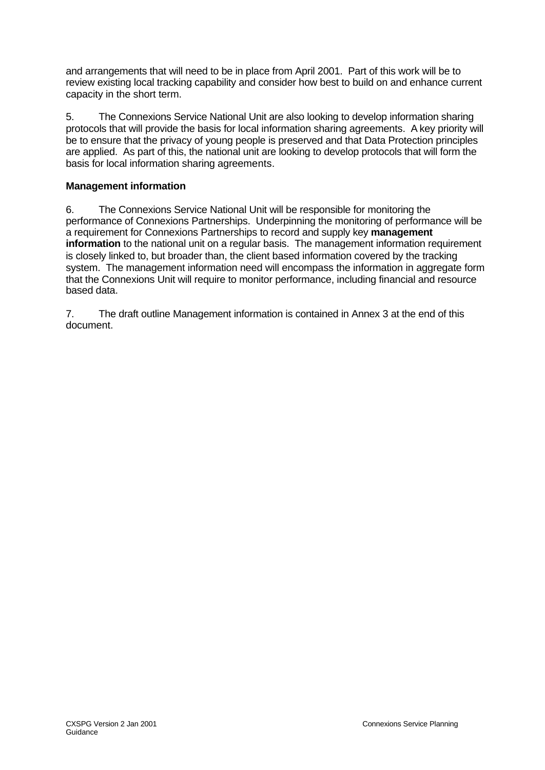and arrangements that will need to be in place from April 2001. Part of this work will be to review existing local tracking capability and consider how best to build on and enhance current capacity in the short term.

5. The Connexions Service National Unit are also looking to develop information sharing protocols that will provide the basis for local information sharing agreements. A key priority will be to ensure that the privacy of young people is preserved and that Data Protection principles are applied. As part of this, the national unit are looking to develop protocols that will form the basis for local information sharing agreements.

## **Management information**

6. The Connexions Service National Unit will be responsible for monitoring the performance of Connexions Partnerships. Underpinning the monitoring of performance will be a requirement for Connexions Partnerships to record and supply key **management information** to the national unit on a regular basis. The management information requirement is closely linked to, but broader than, the client based information covered by the tracking system. The management information need will encompass the information in aggregate form that the Connexions Unit will require to monitor performance, including financial and resource based data.

7. The draft outline Management information is contained in Annex 3 at the end of this document.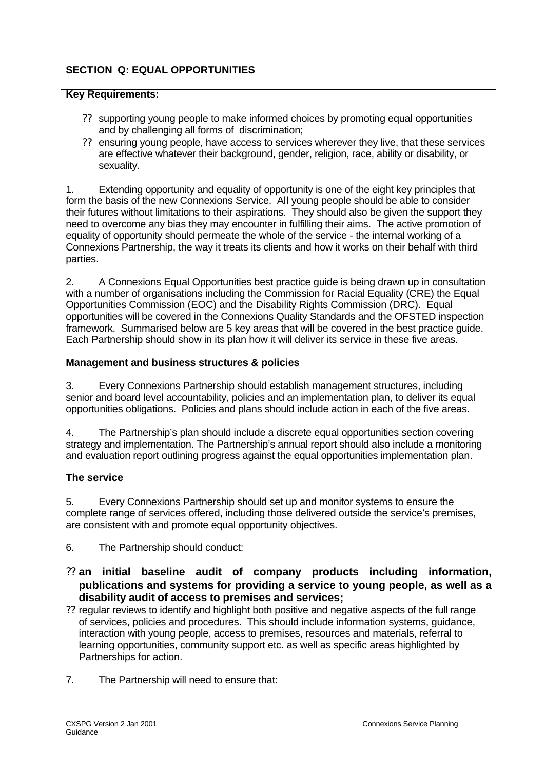# **SECTION Q: EQUAL OPPORTUNITIES**

### **Key Requirements:**

- ?? supporting young people to make informed choices by promoting equal opportunities and by challenging all forms of discrimination;
- ?? ensuring young people, have access to services wherever they live, that these services are effective whatever their background, gender, religion, race, ability or disability, or sexuality.

1. Extending opportunity and equality of opportunity is one of the eight key principles that form the basis of the new Connexions Service. All young people should be able to consider their futures without limitations to their aspirations. They should also be given the support they need to overcome any bias they may encounter in fulfilling their aims. The active promotion of equality of opportunity should permeate the whole of the service - the internal working of a Connexions Partnership, the way it treats its clients and how it works on their behalf with third parties.

2. A Connexions Equal Opportunities best practice guide is being drawn up in consultation with a number of organisations including the Commission for Racial Equality (CRE) the Equal Opportunities Commission (EOC) and the Disability Rights Commission (DRC). Equal opportunities will be covered in the Connexions Quality Standards and the OFSTED inspection framework. Summarised below are 5 key areas that will be covered in the best practice guide. Each Partnership should show in its plan how it will deliver its service in these five areas.

## **Management and business structures & policies**

3. Every Connexions Partnership should establish management structures, including senior and board level accountability, policies and an implementation plan, to deliver its equal opportunities obligations. Policies and plans should include action in each of the five areas.

4. The Partnership's plan should include a discrete equal opportunities section covering strategy and implementation. The Partnership's annual report should also include a monitoring and evaluation report outlining progress against the equal opportunities implementation plan.

## **The service**

5. Every Connexions Partnership should set up and monitor systems to ensure the complete range of services offered, including those delivered outside the service's premises, are consistent with and promote equal opportunity objectives.

- 6. The Partnership should conduct:
- ?? **an initial baseline audit of company products including information, publications and systems for providing a service to young people, as well as a disability audit of access to premises and services;**
- ?? regular reviews to identify and highlight both positive and negative aspects of the full range of services, policies and procedures. This should include information systems, guidance, interaction with young people, access to premises, resources and materials, referral to learning opportunities, community support etc. as well as specific areas highlighted by Partnerships for action.
- 7. The Partnership will need to ensure that: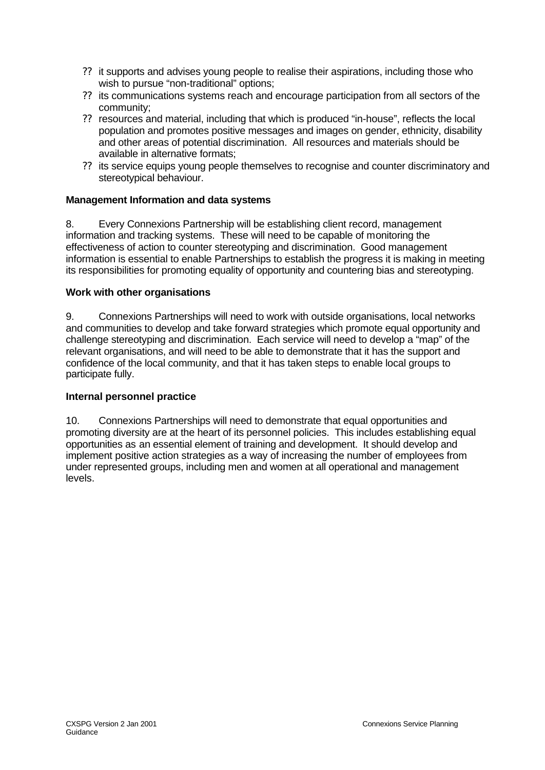- ?? it supports and advises young people to realise their aspirations, including those who wish to pursue "non-traditional" options;
- ?? its communications systems reach and encourage participation from all sectors of the community;
- ?? resources and material, including that which is produced "in-house", reflects the local population and promotes positive messages and images on gender, ethnicity, disability and other areas of potential discrimination. All resources and materials should be available in alternative formats;
- ?? its service equips young people themselves to recognise and counter discriminatory and stereotypical behaviour.

## **Management Information and data systems**

8. Every Connexions Partnership will be establishing client record, management information and tracking systems. These will need to be capable of monitoring the effectiveness of action to counter stereotyping and discrimination. Good management information is essential to enable Partnerships to establish the progress it is making in meeting its responsibilities for promoting equality of opportunity and countering bias and stereotyping.

### **Work with other organisations**

9. Connexions Partnerships will need to work with outside organisations, local networks and communities to develop and take forward strategies which promote equal opportunity and challenge stereotyping and discrimination. Each service will need to develop a "map" of the relevant organisations, and will need to be able to demonstrate that it has the support and confidence of the local community, and that it has taken steps to enable local groups to participate fully.

### **Internal personnel practice**

10. Connexions Partnerships will need to demonstrate that equal opportunities and promoting diversity are at the heart of its personnel policies. This includes establishing equal opportunities as an essential element of training and development. It should develop and implement positive action strategies as a way of increasing the number of employees from under represented groups, including men and women at all operational and management levels.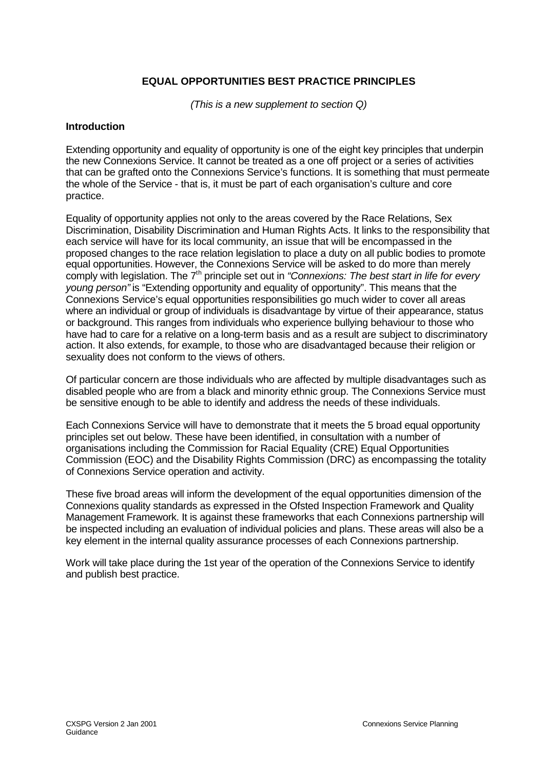## **EQUAL OPPORTUNITIES BEST PRACTICE PRINCIPLES**

*(This is a new supplement to section Q)*

#### **Introduction**

Extending opportunity and equality of opportunity is one of the eight key principles that underpin the new Connexions Service. It cannot be treated as a one off project or a series of activities that can be grafted onto the Connexions Service's functions. It is something that must permeate the whole of the Service - that is, it must be part of each organisation's culture and core practice.

Equality of opportunity applies not only to the areas covered by the Race Relations, Sex Discrimination, Disability Discrimination and Human Rights Acts. It links to the responsibility that each service will have for its local community, an issue that will be encompassed in the proposed changes to the race relation legislation to place a duty on all public bodies to promote equal opportunities. However, the Connexions Service will be asked to do more than merely comply with legislation. The 7<sup>th</sup> principle set out in *"Connexions: The best start in life for every young person"* is "Extending opportunity and equality of opportunity". This means that the Connexions Service's equal opportunities responsibilities go much wider to cover all areas where an individual or group of individuals is disadvantage by virtue of their appearance, status or background. This ranges from individuals who experience bullying behaviour to those who have had to care for a relative on a long-term basis and as a result are subject to discriminatory action. It also extends, for example, to those who are disadvantaged because their religion or sexuality does not conform to the views of others.

Of particular concern are those individuals who are affected by multiple disadvantages such as disabled people who are from a black and minority ethnic group. The Connexions Service must be sensitive enough to be able to identify and address the needs of these individuals.

Each Connexions Service will have to demonstrate that it meets the 5 broad equal opportunity principles set out below. These have been identified, in consultation with a number of organisations including the Commission for Racial Equality (CRE) Equal Opportunities Commission (EOC) and the Disability Rights Commission (DRC) as encompassing the totality of Connexions Service operation and activity.

These five broad areas will inform the development of the equal opportunities dimension of the Connexions quality standards as expressed in the Ofsted Inspection Framework and Quality Management Framework. It is against these frameworks that each Connexions partnership will be inspected including an evaluation of individual policies and plans. These areas will also be a key element in the internal quality assurance processes of each Connexions partnership.

Work will take place during the 1st year of the operation of the Connexions Service to identify and publish best practice.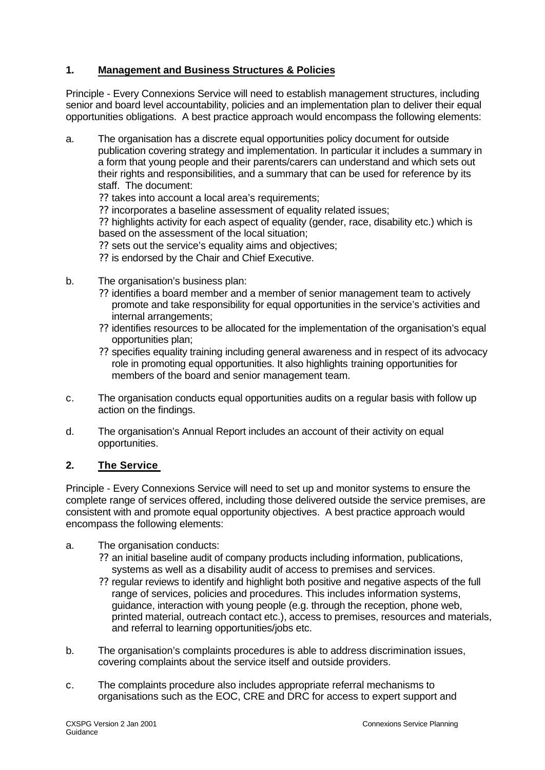# **1. Management and Business Structures & Policies**

Principle - Every Connexions Service will need to establish management structures, including senior and board level accountability, policies and an implementation plan to deliver their equal opportunities obligations. A best practice approach would encompass the following elements:

- a. The organisation has a discrete equal opportunities policy document for outside publication covering strategy and implementation. In particular it includes a summary in a form that young people and their parents/carers can understand and which sets out their rights and responsibilities, and a summary that can be used for reference by its staff. The document:
	- ?? takes into account a local area's requirements;
	- ?? incorporates a baseline assessment of equality related issues;

?? highlights activity for each aspect of equality (gender, race, disability etc.) which is based on the assessment of the local situation;

- ?? sets out the service's equality aims and objectives;
- ?? is endorsed by the Chair and Chief Executive.
- b. The organisation's business plan:
	- ?? identifies a board member and a member of senior management team to actively promote and take responsibility for equal opportunities in the service's activities and internal arrangements;
	- ?? identifies resources to be allocated for the implementation of the organisation's equal opportunities plan;
	- ?? specifies equality training including general awareness and in respect of its advocacy role in promoting equal opportunities. It also highlights training opportunities for members of the board and senior management team.
- c. The organisation conducts equal opportunities audits on a regular basis with follow up action on the findings.
- d. The organisation's Annual Report includes an account of their activity on equal opportunities.

## **2. The Service**

Principle - Every Connexions Service will need to set up and monitor systems to ensure the complete range of services offered, including those delivered outside the service premises, are consistent with and promote equal opportunity objectives. A best practice approach would encompass the following elements:

- a. The organisation conducts:
	- ?? an initial baseline audit of company products including information, publications, systems as well as a disability audit of access to premises and services.
	- ?? regular reviews to identify and highlight both positive and negative aspects of the full range of services, policies and procedures. This includes information systems, guidance, interaction with young people (e.g. through the reception, phone web, printed material, outreach contact etc.), access to premises, resources and materials, and referral to learning opportunities/jobs etc.
- b. The organisation's complaints procedures is able to address discrimination issues, covering complaints about the service itself and outside providers.
- c. The complaints procedure also includes appropriate referral mechanisms to organisations such as the EOC, CRE and DRC for access to expert support and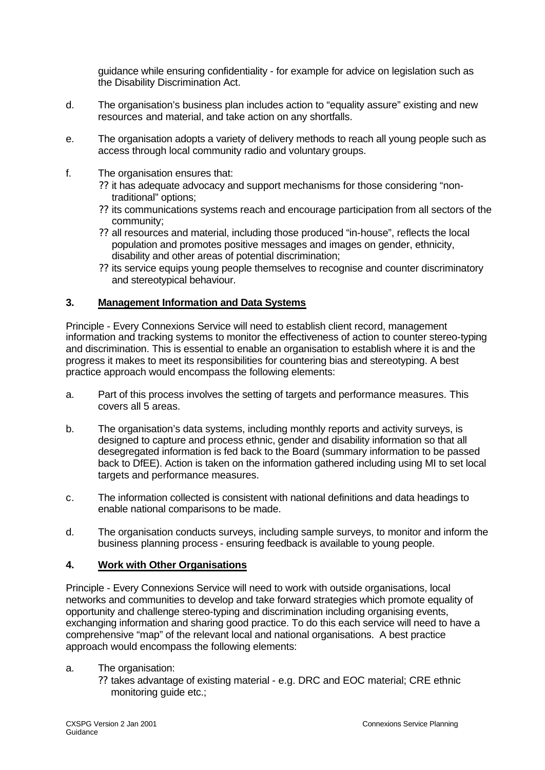guidance while ensuring confidentiality - for example for advice on legislation such as the Disability Discrimination Act.

- d. The organisation's business plan includes action to "equality assure" existing and new resources and material, and take action on any shortfalls.
- e. The organisation adopts a variety of delivery methods to reach all young people such as access through local community radio and voluntary groups.
- f. The organisation ensures that:
	- ?? it has adequate advocacy and support mechanisms for those considering "nontraditional" options;
	- ?? its communications systems reach and encourage participation from all sectors of the community;
	- ?? all resources and material, including those produced "in-house", reflects the local population and promotes positive messages and images on gender, ethnicity, disability and other areas of potential discrimination;
	- ?? its service equips young people themselves to recognise and counter discriminatory and stereotypical behaviour.

## **3. Management Information and Data Systems**

Principle - Every Connexions Service will need to establish client record, management information and tracking systems to monitor the effectiveness of action to counter stereo-typing and discrimination. This is essential to enable an organisation to establish where it is and the progress it makes to meet its responsibilities for countering bias and stereotyping. A best practice approach would encompass the following elements:

- a. Part of this process involves the setting of targets and performance measures. This covers all 5 areas.
- b. The organisation's data systems, including monthly reports and activity surveys, is designed to capture and process ethnic, gender and disability information so that all desegregated information is fed back to the Board (summary information to be passed back to DfEE). Action is taken on the information gathered including using MI to set local targets and performance measures.
- c. The information collected is consistent with national definitions and data headings to enable national comparisons to be made.
- d. The organisation conducts surveys, including sample surveys, to monitor and inform the business planning process - ensuring feedback is available to young people.

## **4. Work with Other Organisations**

Principle - Every Connexions Service will need to work with outside organisations, local networks and communities to develop and take forward strategies which promote equality of opportunity and challenge stereo-typing and discrimination including organising events, exchanging information and sharing good practice. To do this each service will need to have a comprehensive "map" of the relevant local and national organisations. A best practice approach would encompass the following elements:

- a. The organisation:
	- ?? takes advantage of existing material e.g. DRC and EOC material; CRE ethnic monitoring guide etc.;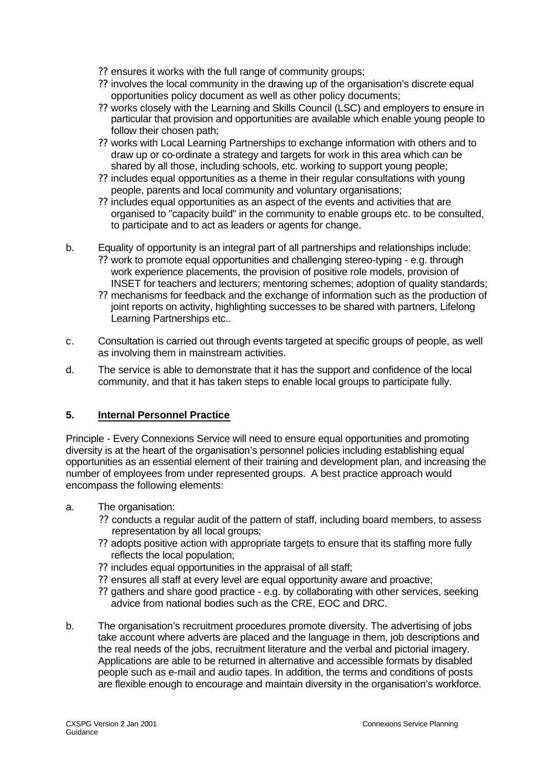- ?? ensures it works with the full range of community groups;
- ?? involves the local community in the drawing up of the organisation's discrete equal opportunities policy document as well as other policy documents;
- ?? works closely with the Learning and Skills Council (LSC) and employers to ensure in particular that provision and opportunities are available which enable young people to follow their chosen path;
- ?? works with Local Learning Partnerships to exchange information with others and to draw up or co-ordinate a strategy and targets for work in this area which can be shared by all those, including schools, etc. working to support young people;
- ?? includes equal opportunities as a theme in their regular consultations with young people, parents and local community and voluntary organisations;
- ?? includes equal opportunities as an aspect of the events and activities that are organised to "capacity build" in the community to enable groups etc. to be consulted, to participate and to act as leaders or agents for change.
- b. Equality of opportunity is an integral part of all partnerships and relationships include: ?? work to promote equal opportunities and challenging stereo-typing - e.g. through work experience placements, the provision of positive role models, provision of INSET for teachers and lecturers; mentoring schemes; adoption of quality standards;
	- ?? mechanisms for feedback and the exchange of information such as the production of joint reports on activity, highlighting successes to be shared with partners, Lifelong Learning Partnerships etc..
- c. Consultation is carried out through events targeted at specific groups of people, as well as involving them in mainstream activities.
- d. The service is able to demonstrate that it has the support and confidence of the local community, and that it has taken steps to enable local groups to participate fully.

## **5. Internal Personnel Practice**

Principle - Every Connexions Service will need to ensure equal opportunities and promoting diversity is at the heart of the organisation's personnel policies including establishing equal opportunities as an essential element of their training and development plan, and increasing the number of employees from under represented groups. A best practice approach would encompass the following elements:

- a. The organisation:
	- ?? conducts a regular audit of the pattern of staff, including board members, to assess representation by all local groups;
	- ?? adopts positive action with appropriate targets to ensure that its staffing more fully reflects the local population;
	- ?? includes equal opportunities in the appraisal of all staff;
	- ?? ensures all staff at every level are equal opportunity aware and proactive;
	- ?? gathers and share good practice e.g. by collaborating with other services, seeking advice from national bodies such as the CRE, EOC and DRC.
- b. The organisation's recruitment procedures promote diversity. The advertising of jobs take account where adverts are placed and the language in them, job descriptions and the real needs of the jobs, recruitment literature and the verbal and pictorial imagery. Applications are able to be returned in alternative and accessible formats by disabled people such as e-mail and audio tapes. In addition, the terms and conditions of posts are flexible enough to encourage and maintain diversity in the organisation's workforce.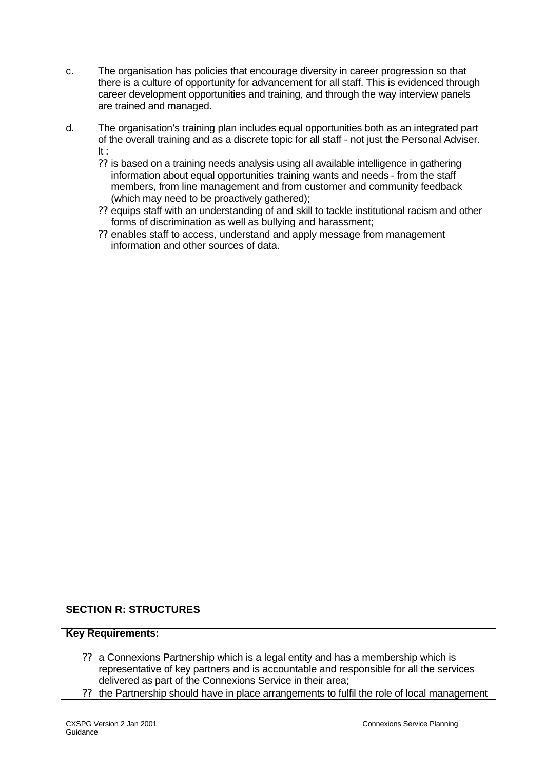- c. The organisation has policies that encourage diversity in career progression so that there is a culture of opportunity for advancement for all staff. This is evidenced through career development opportunities and training, and through the way interview panels are trained and managed.
- d. The organisation's training plan includes equal opportunities both as an integrated part of the overall training and as a discrete topic for all staff - not just the Personal Adviser. It :
	- ?? is based on a training needs analysis using all available intelligence in gathering information about equal opportunities training wants and needs - from the staff members, from line management and from customer and community feedback (which may need to be proactively gathered);
	- ?? equips staff with an understanding of and skill to tackle institutional racism and other forms of discrimination as well as bullying and harassment;
	- ?? enables staff to access, understand and apply message from management information and other sources of data.

## **SECTION R: STRUCTURES**

#### **Key Requirements:**

- ?? a Connexions Partnership which is a legal entity and has a membership which is representative of key partners and is accountable and responsible for all the services delivered as part of the Connexions Service in their area;
- ?? the Partnership should have in place arrangements to fulfil the role of local management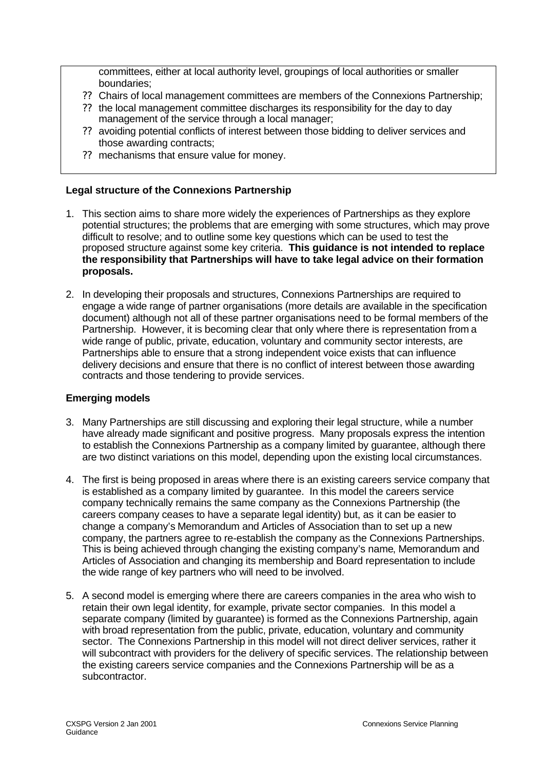committees, either at local authority level, groupings of local authorities or smaller boundaries;

- ?? Chairs of local management committees are members of the Connexions Partnership;
- ?? the local management committee discharges its responsibility for the day to day management of the service through a local manager;
- ?? avoiding potential conflicts of interest between those bidding to deliver services and those awarding contracts;
- ?? mechanisms that ensure value for money.

### **Legal structure of the Connexions Partnership**

- 1. This section aims to share more widely the experiences of Partnerships as they explore potential structures; the problems that are emerging with some structures, which may prove difficult to resolve; and to outline some key questions which can be used to test the proposed structure against some key criteria. **This guidance is not intended to replace the responsibility that Partnerships will have to take legal advice on their formation proposals.**
- 2. In developing their proposals and structures, Connexions Partnerships are required to engage a wide range of partner organisations (more details are available in the specification document) although not all of these partner organisations need to be formal members of the Partnership. However, it is becoming clear that only where there is representation from a wide range of public, private, education, voluntary and community sector interests, are Partnerships able to ensure that a strong independent voice exists that can influence delivery decisions and ensure that there is no conflict of interest between those awarding contracts and those tendering to provide services.

#### **Emerging models**

- 3. Many Partnerships are still discussing and exploring their legal structure, while a number have already made significant and positive progress. Many proposals express the intention to establish the Connexions Partnership as a company limited by guarantee, although there are two distinct variations on this model, depending upon the existing local circumstances.
- 4. The first is being proposed in areas where there is an existing careers service company that is established as a company limited by guarantee. In this model the careers service company technically remains the same company as the Connexions Partnership (the careers company ceases to have a separate legal identity) but, as it can be easier to change a company's Memorandum and Articles of Association than to set up a new company, the partners agree to re-establish the company as the Connexions Partnerships. This is being achieved through changing the existing company's name, Memorandum and Articles of Association and changing its membership and Board representation to include the wide range of key partners who will need to be involved.
- 5. A second model is emerging where there are careers companies in the area who wish to retain their own legal identity, for example, private sector companies. In this model a separate company (limited by guarantee) is formed as the Connexions Partnership, again with broad representation from the public, private, education, voluntary and community sector. The Connexions Partnership in this model will not direct deliver services, rather it will subcontract with providers for the delivery of specific services. The relationship between the existing careers service companies and the Connexions Partnership will be as a subcontractor.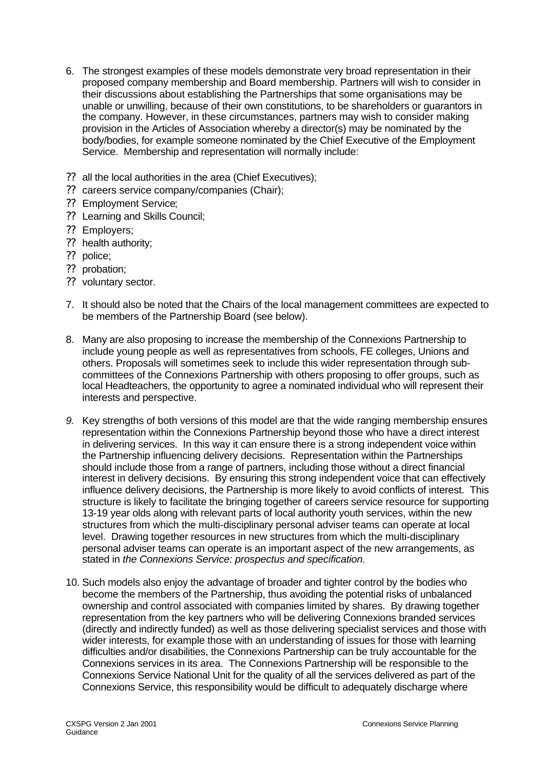- 6. The strongest examples of these models demonstrate very broad representation in their proposed company membership and Board membership. Partners will wish to consider in their discussions about establishing the Partnerships that some organisations may be unable or unwilling, because of their own constitutions, to be shareholders or guarantors in the company. However, in these circumstances, partners may wish to consider making provision in the Articles of Association whereby a director(s) may be nominated by the body/bodies, for example someone nominated by the Chief Executive of the Employment Service. Membership and representation will normally include:
- ?? all the local authorities in the area (Chief Executives);
- ?? careers service company/companies (Chair);
- ?? Employment Service;
- ?? Learning and Skills Council;
- ?? Employers;
- ?? health authority;
- ?? police;
- ?? probation;
- ?? voluntary sector.
- 7. It should also be noted that the Chairs of the local management committees are expected to be members of the Partnership Board (see below).
- 8. Many are also proposing to increase the membership of the Connexions Partnership to include young people as well as representatives from schools, FE colleges, Unions and others. Proposals will sometimes seek to include this wider representation through subcommittees of the Connexions Partnership with others proposing to offer groups, such as local Headteachers, the opportunity to agree a nominated individual who will represent their interests and perspective.
- *9.* Key strengths of both versions of this model are that the wide ranging membership ensures representation within the Connexions Partnership beyond those who have a direct interest in delivering services. In this way it can ensure there is a strong independent voice within the Partnership influencing delivery decisions. Representation within the Partnerships should include those from a range of partners, including those without a direct financial interest in delivery decisions. By ensuring this strong independent voice that can effectively influence delivery decisions, the Partnership is more likely to avoid conflicts of interest. This structure is likely to facilitate the bringing together of careers service resource for supporting 13-19 year olds along with relevant parts of local authority youth services, within the new structures from which the multi-disciplinary personal adviser teams can operate at local level. Drawing together resources in new structures from which the multi-disciplinary personal adviser teams can operate is an important aspect of the new arrangements, as stated in *the Connexions Service: prospectus and specification.*
- 10. Such models also enjoy the advantage of broader and tighter control by the bodies who become the members of the Partnership, thus avoiding the potential risks of unbalanced ownership and control associated with companies limited by shares. By drawing together representation from the key partners who will be delivering Connexions branded services (directly and indirectly funded) as well as those delivering specialist services and those with wider interests, for example those with an understanding of issues for those with learning difficulties and/or disabilities, the Connexions Partnership can be truly accountable for the Connexions services in its area. The Connexions Partnership will be responsible to the Connexions Service National Unit for the quality of all the services delivered as part of the Connexions Service, this responsibility would be difficult to adequately discharge where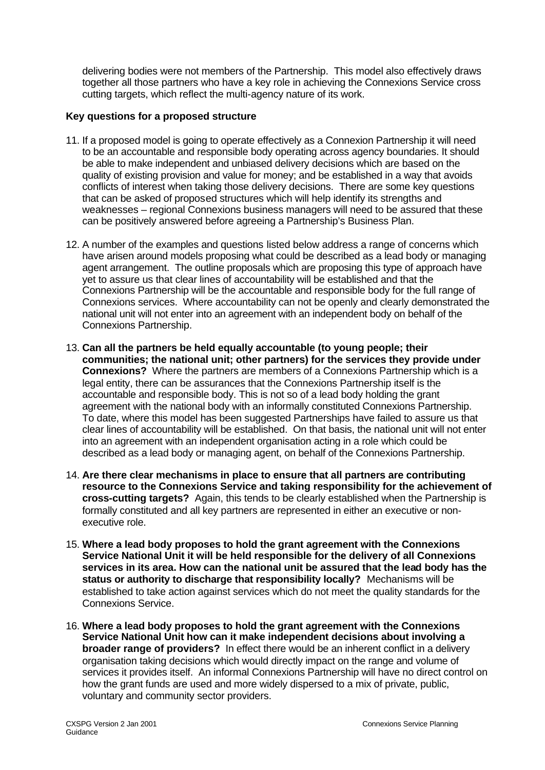delivering bodies were not members of the Partnership. This model also effectively draws together all those partners who have a key role in achieving the Connexions Service cross cutting targets, which reflect the multi-agency nature of its work.

### **Key questions for a proposed structure**

- 11. If a proposed model is going to operate effectively as a Connexion Partnership it will need to be an accountable and responsible body operating across agency boundaries. It should be able to make independent and unbiased delivery decisions which are based on the quality of existing provision and value for money; and be established in a way that avoids conflicts of interest when taking those delivery decisions. There are some key questions that can be asked of proposed structures which will help identify its strengths and weaknesses – regional Connexions business managers will need to be assured that these can be positively answered before agreeing a Partnership's Business Plan.
- 12. A number of the examples and questions listed below address a range of concerns which have arisen around models proposing what could be described as a lead body or managing agent arrangement. The outline proposals which are proposing this type of approach have yet to assure us that clear lines of accountability will be established and that the Connexions Partnership will be the accountable and responsible body for the full range of Connexions services. Where accountability can not be openly and clearly demonstrated the national unit will not enter into an agreement with an independent body on behalf of the Connexions Partnership.
- 13. **Can all the partners be held equally accountable (to young people; their communities; the national unit; other partners) for the services they provide under Connexions?** Where the partners are members of a Connexions Partnership which is a legal entity, there can be assurances that the Connexions Partnership itself is the accountable and responsible body. This is not so of a lead body holding the grant agreement with the national body with an informally constituted Connexions Partnership. To date, where this model has been suggested Partnerships have failed to assure us that clear lines of accountability will be established. On that basis, the national unit will not enter into an agreement with an independent organisation acting in a role which could be described as a lead body or managing agent, on behalf of the Connexions Partnership.
- 14. **Are there clear mechanisms in place to ensure that all partners are contributing resource to the Connexions Service and taking responsibility for the achievement of cross-cutting targets?** Again, this tends to be clearly established when the Partnership is formally constituted and all key partners are represented in either an executive or nonexecutive role.
- 15. **Where a lead body proposes to hold the grant agreement with the Connexions Service National Unit it will be held responsible for the delivery of all Connexions services in its area. How can the national unit be assured that the lead body has the status or authority to discharge that responsibility locally?** Mechanisms will be established to take action against services which do not meet the quality standards for the Connexions Service.
- 16. **Where a lead body proposes to hold the grant agreement with the Connexions Service National Unit how can it make independent decisions about involving a broader range of providers?** In effect there would be an inherent conflict in a delivery organisation taking decisions which would directly impact on the range and volume of services it provides itself. An informal Connexions Partnership will have no direct control on how the grant funds are used and more widely dispersed to a mix of private, public, voluntary and community sector providers.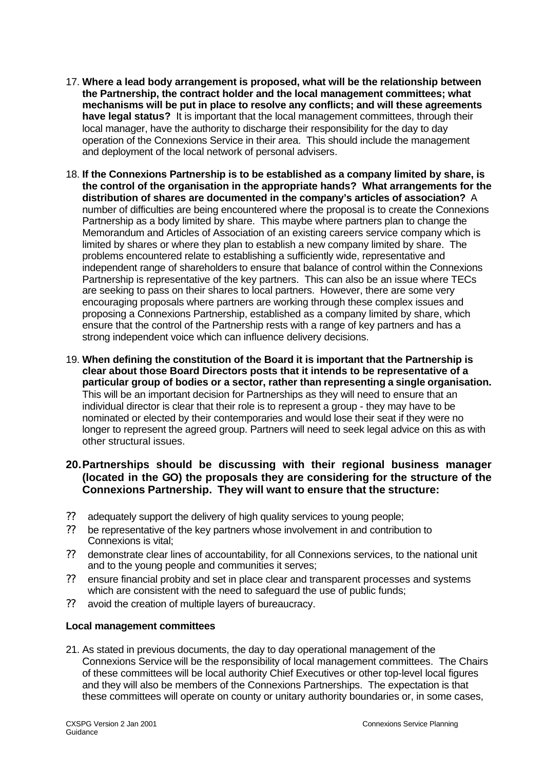- 17. **Where a lead body arrangement is proposed, what will be the relationship between the Partnership, the contract holder and the local management committees; what mechanisms will be put in place to resolve any conflicts; and will these agreements have legal status?** It is important that the local management committees, through their local manager, have the authority to discharge their responsibility for the day to day operation of the Connexions Service in their area. This should include the management and deployment of the local network of personal advisers.
- 18. **If the Connexions Partnership is to be established as a company limited by share, is the control of the organisation in the appropriate hands? What arrangements for the distribution of shares are documented in the company's articles of association?** A number of difficulties are being encountered where the proposal is to create the Connexions Partnership as a body limited by share. This maybe where partners plan to change the Memorandum and Articles of Association of an existing careers service company which is limited by shares or where they plan to establish a new company limited by share. The problems encountered relate to establishing a sufficiently wide, representative and independent range of shareholders to ensure that balance of control within the Connexions Partnership is representative of the key partners. This can also be an issue where TECs are seeking to pass on their shares to local partners. However, there are some very encouraging proposals where partners are working through these complex issues and proposing a Connexions Partnership, established as a company limited by share, which ensure that the control of the Partnership rests with a range of key partners and has a strong independent voice which can influence delivery decisions.
- 19. **When defining the constitution of the Board it is important that the Partnership is clear about those Board Directors posts that it intends to be representative of a particular group of bodies or a sector, rather than representing a single organisation.** This will be an important decision for Partnerships as they will need to ensure that an individual director is clear that their role is to represent a group - they may have to be nominated or elected by their contemporaries and would lose their seat if they were no longer to represent the agreed group. Partners will need to seek legal advice on this as with other structural issues.

## **20.Partnerships should be discussing with their regional business manager (located in the GO) the proposals they are considering for the structure of the Connexions Partnership. They will want to ensure that the structure:**

- ?? adequately support the delivery of high quality services to young people;
- ?? be representative of the key partners whose involvement in and contribution to Connexions is vital;
- ?? demonstrate clear lines of accountability, for all Connexions services, to the national unit and to the young people and communities it serves;
- ?? ensure financial probity and set in place clear and transparent processes and systems which are consistent with the need to safeguard the use of public funds;
- ?? avoid the creation of multiple layers of bureaucracy.

### **Local management committees**

21. As stated in previous documents, the day to day operational management of the Connexions Service will be the responsibility of local management committees. The Chairs of these committees will be local authority Chief Executives or other top-level local figures and they will also be members of the Connexions Partnerships. The expectation is that these committees will operate on county or unitary authority boundaries or, in some cases,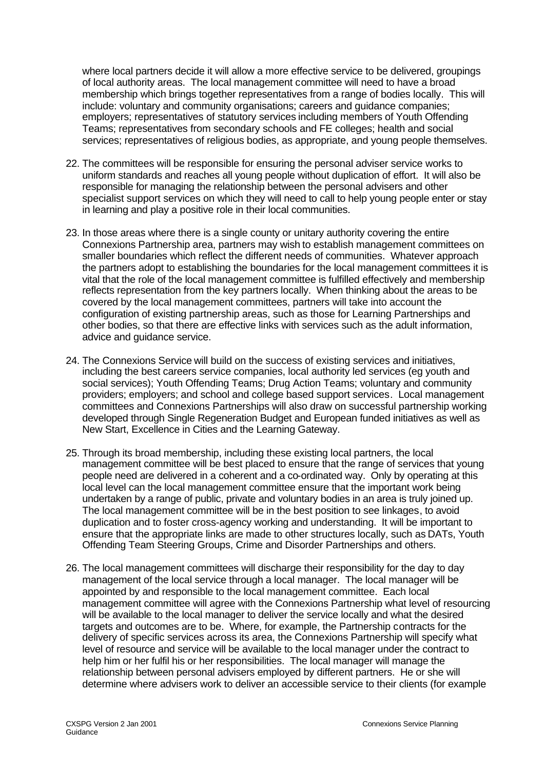where local partners decide it will allow a more effective service to be delivered, groupings of local authority areas. The local management committee will need to have a broad membership which brings together representatives from a range of bodies locally. This will include: voluntary and community organisations; careers and guidance companies; employers; representatives of statutory services including members of Youth Offending Teams; representatives from secondary schools and FE colleges; health and social services; representatives of religious bodies, as appropriate, and young people themselves.

- 22. The committees will be responsible for ensuring the personal adviser service works to uniform standards and reaches all young people without duplication of effort. It will also be responsible for managing the relationship between the personal advisers and other specialist support services on which they will need to call to help young people enter or stay in learning and play a positive role in their local communities.
- 23. In those areas where there is a single county or unitary authority covering the entire Connexions Partnership area, partners may wish to establish management committees on smaller boundaries which reflect the different needs of communities. Whatever approach the partners adopt to establishing the boundaries for the local management committees it is vital that the role of the local management committee is fulfilled effectively and membership reflects representation from the key partners locally. When thinking about the areas to be covered by the local management committees, partners will take into account the configuration of existing partnership areas, such as those for Learning Partnerships and other bodies, so that there are effective links with services such as the adult information, advice and guidance service.
- 24. The Connexions Service will build on the success of existing services and initiatives, including the best careers service companies, local authority led services (eg youth and social services); Youth Offending Teams; Drug Action Teams; voluntary and community providers; employers; and school and college based support services. Local management committees and Connexions Partnerships will also draw on successful partnership working developed through Single Regeneration Budget and European funded initiatives as well as New Start, Excellence in Cities and the Learning Gateway.
- 25. Through its broad membership, including these existing local partners, the local management committee will be best placed to ensure that the range of services that young people need are delivered in a coherent and a co-ordinated way. Only by operating at this local level can the local management committee ensure that the important work being undertaken by a range of public, private and voluntary bodies in an area is truly joined up. The local management committee will be in the best position to see linkages, to avoid duplication and to foster cross-agency working and understanding. It will be important to ensure that the appropriate links are made to other structures locally, such as DATs, Youth Offending Team Steering Groups, Crime and Disorder Partnerships and others.
- 26. The local management committees will discharge their responsibility for the day to day management of the local service through a local manager. The local manager will be appointed by and responsible to the local management committee. Each local management committee will agree with the Connexions Partnership what level of resourcing will be available to the local manager to deliver the service locally and what the desired targets and outcomes are to be. Where, for example, the Partnership contracts for the delivery of specific services across its area, the Connexions Partnership will specify what level of resource and service will be available to the local manager under the contract to help him or her fulfil his or her responsibilities. The local manager will manage the relationship between personal advisers employed by different partners. He or she will determine where advisers work to deliver an accessible service to their clients (for example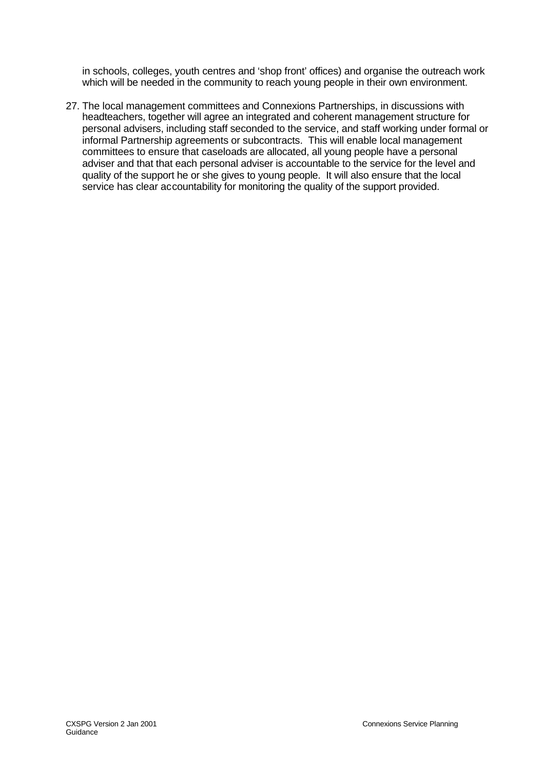in schools, colleges, youth centres and 'shop front' offices) and organise the outreach work which will be needed in the community to reach young people in their own environment.

27. The local management committees and Connexions Partnerships, in discussions with headteachers, together will agree an integrated and coherent management structure for personal advisers, including staff seconded to the service, and staff working under formal or informal Partnership agreements or subcontracts. This will enable local management committees to ensure that caseloads are allocated, all young people have a personal adviser and that that each personal adviser is accountable to the service for the level and quality of the support he or she gives to young people. It will also ensure that the local service has clear accountability for monitoring the quality of the support provided.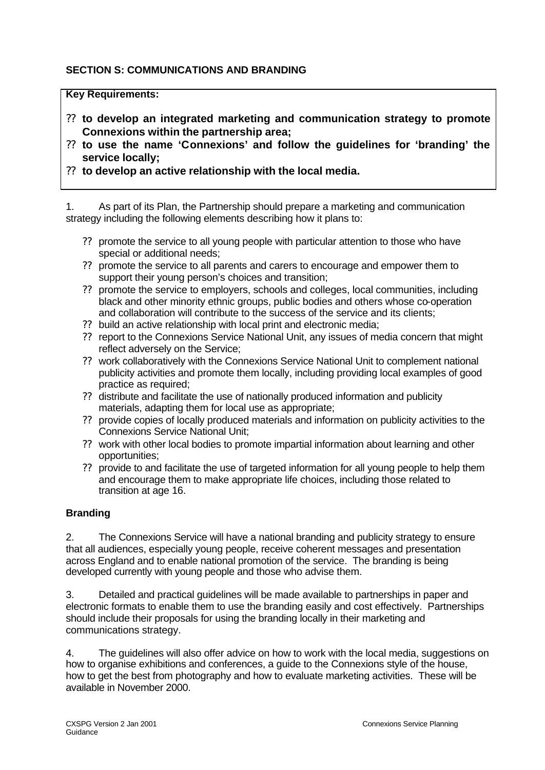#### **SECTION S: COMMUNICATIONS AND BRANDING**

#### **Key Requirements:**

- ?? **to develop an integrated marketing and communication strategy to promote Connexions within the partnership area;**
- ?? **to use the name 'Connexions' and follow the guidelines for 'branding' the service locally;**
- ?? **to develop an active relationship with the local media.**

1. As part of its Plan, the Partnership should prepare a marketing and communication strategy including the following elements describing how it plans to:

- ?? promote the service to all young people with particular attention to those who have special or additional needs;
- ?? promote the service to all parents and carers to encourage and empower them to support their young person's choices and transition;
- ?? promote the service to employers, schools and colleges, local communities, including black and other minority ethnic groups, public bodies and others whose co-operation and collaboration will contribute to the success of the service and its clients;
- ?? build an active relationship with local print and electronic media;
- ?? report to the Connexions Service National Unit, any issues of media concern that might reflect adversely on the Service;
- ?? work collaboratively with the Connexions Service National Unit to complement national publicity activities and promote them locally, including providing local examples of good practice as required;
- ?? distribute and facilitate the use of nationally produced information and publicity materials, adapting them for local use as appropriate;
- ?? provide copies of locally produced materials and information on publicity activities to the Connexions Service National Unit;
- ?? work with other local bodies to promote impartial information about learning and other opportunities;
- ?? provide to and facilitate the use of targeted information for all young people to help them and encourage them to make appropriate life choices, including those related to transition at age 16.

#### **Branding**

2. The Connexions Service will have a national branding and publicity strategy to ensure that all audiences, especially young people, receive coherent messages and presentation across England and to enable national promotion of the service. The branding is being developed currently with young people and those who advise them.

3. Detailed and practical guidelines will be made available to partnerships in paper and electronic formats to enable them to use the branding easily and cost effectively. Partnerships should include their proposals for using the branding locally in their marketing and communications strategy.

4. The guidelines will also offer advice on how to work with the local media, suggestions on how to organise exhibitions and conferences, a guide to the Connexions style of the house, how to get the best from photography and how to evaluate marketing activities. These will be available in November 2000.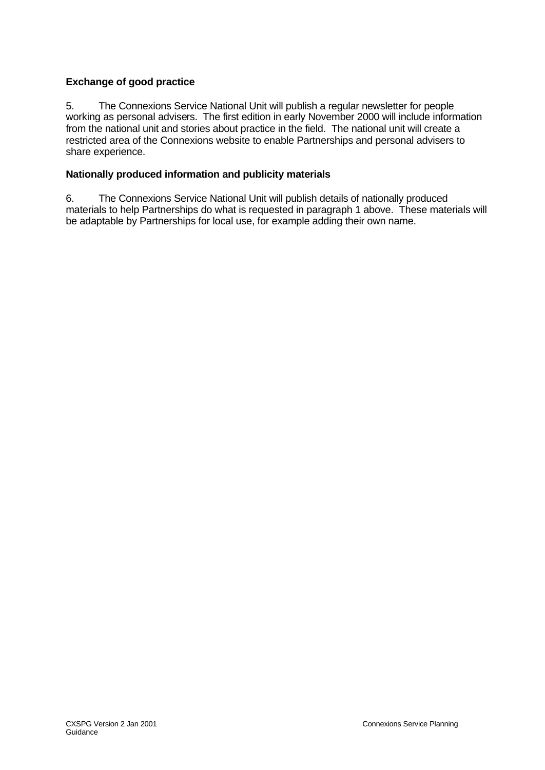#### **Exchange of good practice**

5. The Connexions Service National Unit will publish a regular newsletter for people working as personal advisers. The first edition in early November 2000 will include information from the national unit and stories about practice in the field. The national unit will create a restricted area of the Connexions website to enable Partnerships and personal advisers to share experience.

#### **Nationally produced information and publicity materials**

6. The Connexions Service National Unit will publish details of nationally produced materials to help Partnerships do what is requested in paragraph 1 above. These materials will be adaptable by Partnerships for local use, for example adding their own name.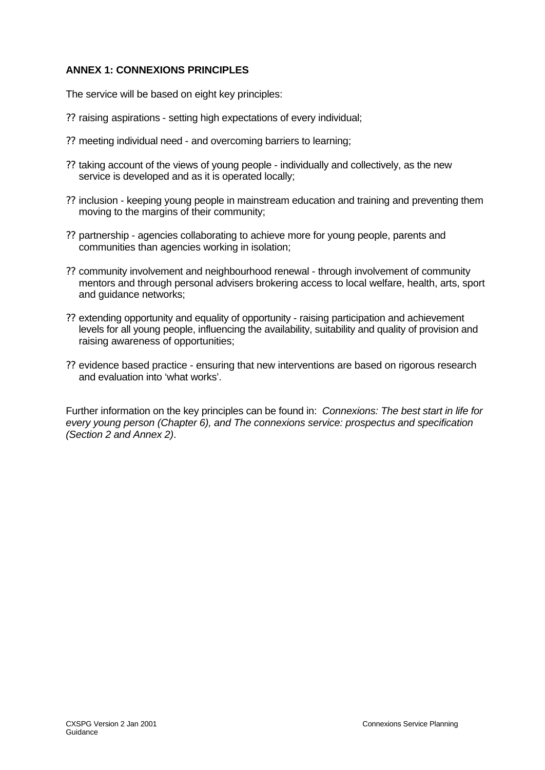#### **ANNEX 1: CONNEXIONS PRINCIPLES**

The service will be based on eight key principles:

- ?? raising aspirations setting high expectations of every individual;
- ?? meeting individual need and overcoming barriers to learning;
- ?? taking account of the views of young people individually and collectively, as the new service is developed and as it is operated locally;
- ?? inclusion keeping young people in mainstream education and training and preventing them moving to the margins of their community;
- ?? partnership agencies collaborating to achieve more for young people, parents and communities than agencies working in isolation;
- ?? community involvement and neighbourhood renewal through involvement of community mentors and through personal advisers brokering access to local welfare, health, arts, sport and guidance networks;
- ?? extending opportunity and equality of opportunity raising participation and achievement levels for all young people, influencing the availability, suitability and quality of provision and raising awareness of opportunities;
- ?? evidence based practice ensuring that new interventions are based on rigorous research and evaluation into 'what works'.

Further information on the key principles can be found in: *Connexions: The best start in life for every young person (Chapter 6), and The connexions service: prospectus and specification (Section 2 and Annex 2)*.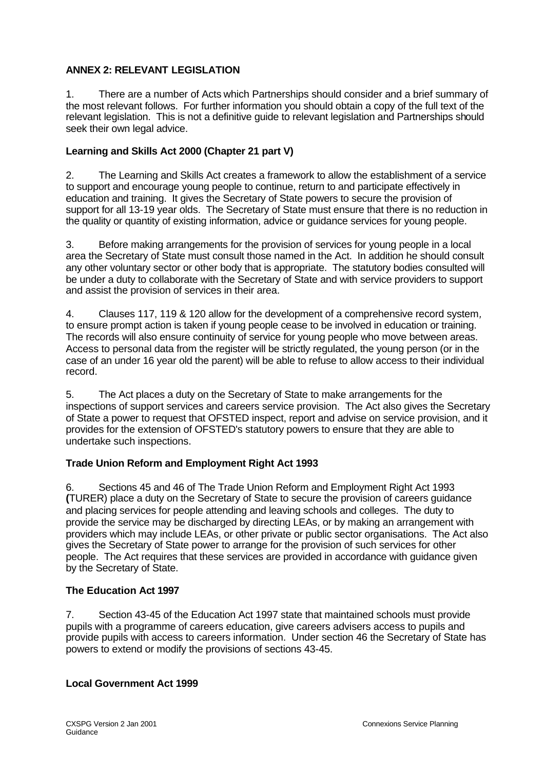#### **ANNEX 2: RELEVANT LEGISLATION**

1. There are a number of Acts which Partnerships should consider and a brief summary of the most relevant follows. For further information you should obtain a copy of the full text of the relevant legislation. This is not a definitive guide to relevant legislation and Partnerships should seek their own legal advice.

#### **Learning and Skills Act 2000 (Chapter 21 part V)**

2. The Learning and Skills Act creates a framework to allow the establishment of a service to support and encourage young people to continue, return to and participate effectively in education and training. It gives the Secretary of State powers to secure the provision of support for all 13-19 year olds. The Secretary of State must ensure that there is no reduction in the quality or quantity of existing information, advice or guidance services for young people.

3. Before making arrangements for the provision of services for young people in a local area the Secretary of State must consult those named in the Act. In addition he should consult any other voluntary sector or other body that is appropriate. The statutory bodies consulted will be under a duty to collaborate with the Secretary of State and with service providers to support and assist the provision of services in their area.

4. Clauses 117, 119 & 120 allow for the development of a comprehensive record system*,*  to ensure prompt action is taken if young people cease to be involved in education or training. The records will also ensure continuity of service for young people who move between areas. Access to personal data from the register will be strictly regulated, the young person (or in the case of an under 16 year old the parent) will be able to refuse to allow access to their individual record.

5. The Act places a duty on the Secretary of State to make arrangements for the inspections of support services and careers service provision. The Act also gives the Secretary of State a power to request that OFSTED inspect, report and advise on service provision, and it provides for the extension of OFSTED's statutory powers to ensure that they are able to undertake such inspections.

#### **Trade Union Reform and Employment Right Act 1993**

6. Sections 45 and 46 of The Trade Union Reform and Employment Right Act 1993 **(**TURER) place a duty on the Secretary of State to secure the provision of careers guidance and placing services for people attending and leaving schools and colleges. The duty to provide the service may be discharged by directing LEAs, or by making an arrangement with providers which may include LEAs, or other private or public sector organisations. The Act also gives the Secretary of State power to arrange for the provision of such services for other people. The Act requires that these services are provided in accordance with guidance given by the Secretary of State.

#### **The Education Act 1997**

7. Section 43-45 of the Education Act 1997 state that maintained schools must provide pupils with a programme of careers education, give careers advisers access to pupils and provide pupils with access to careers information. Under section 46 the Secretary of State has powers to extend or modify the provisions of sections 43-45.

#### **Local Government Act 1999**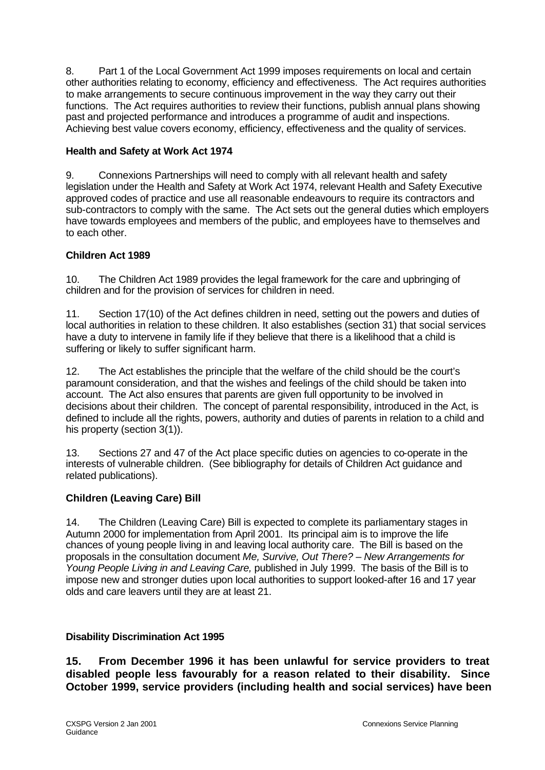8. Part 1 of the Local Government Act 1999 imposes requirements on local and certain other authorities relating to economy, efficiency and effectiveness. The Act requires authorities to make arrangements to secure continuous improvement in the way they carry out their functions. The Act requires authorities to review their functions, publish annual plans showing past and projected performance and introduces a programme of audit and inspections. Achieving best value covers economy, efficiency, effectiveness and the quality of services.

#### **Health and Safety at Work Act 1974**

9. Connexions Partnerships will need to comply with all relevant health and safety legislation under the Health and Safety at Work Act 1974, relevant Health and Safety Executive approved codes of practice and use all reasonable endeavours to require its contractors and sub-contractors to comply with the same. The Act sets out the general duties which employers have towards employees and members of the public, and employees have to themselves and to each other.

#### **Children Act 1989**

10. The Children Act 1989 provides the legal framework for the care and upbringing of children and for the provision of services for children in need.

11. Section 17(10) of the Act defines children in need, setting out the powers and duties of local authorities in relation to these children. It also establishes (section 31) that social services have a duty to intervene in family life if they believe that there is a likelihood that a child is suffering or likely to suffer significant harm.

12. The Act establishes the principle that the welfare of the child should be the court's paramount consideration, and that the wishes and feelings of the child should be taken into account. The Act also ensures that parents are given full opportunity to be involved in decisions about their children. The concept of parental responsibility, introduced in the Act, is defined to include all the rights, powers, authority and duties of parents in relation to a child and his property (section 3(1)).

13. Sections 27 and 47 of the Act place specific duties on agencies to co-operate in the interests of vulnerable children. (See bibliography for details of Children Act guidance and related publications).

#### **Children (Leaving Care) Bill**

14. The Children (Leaving Care) Bill is expected to complete its parliamentary stages in Autumn 2000 for implementation from April 2001. Its principal aim is to improve the life chances of young people living in and leaving local authority care. The Bill is based on the proposals in the consultation document *Me, Survive, Out There? – New Arrangements for Young People Living in and Leaving Care,* published in July 1999. The basis of the Bill is to impose new and stronger duties upon local authorities to support looked-after 16 and 17 year olds and care leavers until they are at least 21.

#### **Disability Discrimination Act 1995**

**15. From December 1996 it has been unlawful for service providers to treat disabled people less favourably for a reason related to their disability. Since October 1999, service providers (including health and social services) have been**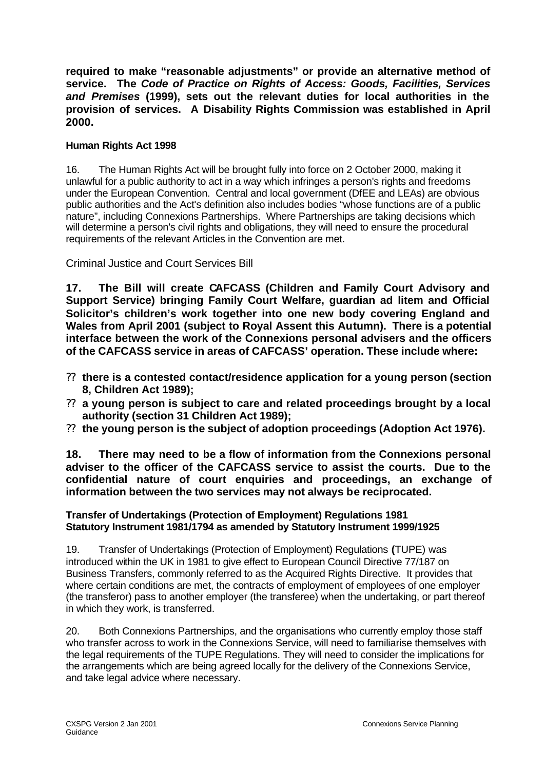**required to make "reasonable adjustments" or provide an alternative method of service. The** *Code of Practice on Rights of Access: Goods, Facilities, Services and Premises* **(1999), sets out the relevant duties for local authorities in the provision of services. A Disability Rights Commission was established in April 2000.**

#### **Human Rights Act 1998**

16. The Human Rights Act will be brought fully into force on 2 October 2000, making it unlawful for a public authority to act in a way which infringes a person's rights and freedoms under the European Convention. Central and local government (DfEE and LEAs) are obvious public authorities and the Act's definition also includes bodies "whose functions are of a public nature", including Connexions Partnerships. Where Partnerships are taking decisions which will determine a person's civil rights and obligations, they will need to ensure the procedural requirements of the relevant Articles in the Convention are met.

Criminal Justice and Court Services Bill

**17. The Bill will create CAFCASS (Children and Family Court Advisory and Support Service) bringing Family Court Welfare, guardian ad litem and Official Solicitor's children's work together into one new body covering England and Wales from April 2001 (subject to Royal Assent this Autumn). There is a potential interface between the work of the Connexions personal advisers and the officers of the CAFCASS service in areas of CAFCASS' operation. These include where:**

- ?? **there is a contested contact/residence application for a young person (section 8, Children Act 1989);**
- ?? **a young person is subject to care and related proceedings brought by a local authority (section 31 Children Act 1989);**
- ?? **the young person is the subject of adoption proceedings (Adoption Act 1976).**

**18. There may need to be a flow of information from the Connexions personal adviser to the officer of the CAFCASS service to assist the courts. Due to the confidential nature of court enquiries and proceedings, an exchange of information between the two services may not always be reciprocated.**

#### **Transfer of Undertakings (Protection of Employment) Regulations 1981 Statutory Instrument 1981/1794 as amended by Statutory Instrument 1999/1925**

19. Transfer of Undertakings (Protection of Employment) Regulations **(**TUPE) was introduced within the UK in 1981 to give effect to European Council Directive 77/187 on Business Transfers, commonly referred to as the Acquired Rights Directive. It provides that where certain conditions are met, the contracts of employment of employees of one employer (the transferor) pass to another employer (the transferee) when the undertaking, or part thereof in which they work, is transferred.

20. Both Connexions Partnerships, and the organisations who currently employ those staff who transfer across to work in the Connexions Service, will need to familiarise themselves with the legal requirements of the TUPE Regulations. They will need to consider the implications for the arrangements which are being agreed locally for the delivery of the Connexions Service, and take legal advice where necessary.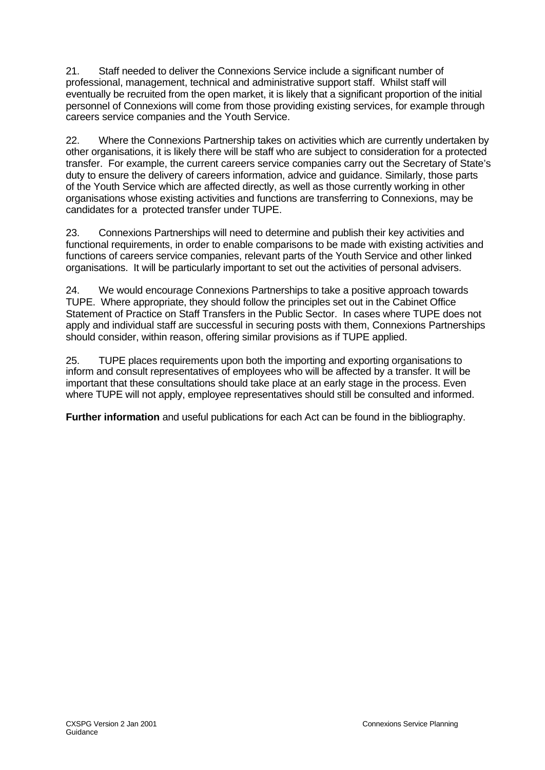21. Staff needed to deliver the Connexions Service include a significant number of professional, management, technical and administrative support staff. Whilst staff will eventually be recruited from the open market, it is likely that a significant proportion of the initial personnel of Connexions will come from those providing existing services, for example through careers service companies and the Youth Service.

22. Where the Connexions Partnership takes on activities which are currently undertaken by other organisations, it is likely there will be staff who are subject to consideration for a protected transfer. For example, the current careers service companies carry out the Secretary of State's duty to ensure the delivery of careers information, advice and guidance. Similarly, those parts of the Youth Service which are affected directly, as well as those currently working in other organisations whose existing activities and functions are transferring to Connexions, may be candidates for a protected transfer under TUPE.

23. Connexions Partnerships will need to determine and publish their key activities and functional requirements, in order to enable comparisons to be made with existing activities and functions of careers service companies, relevant parts of the Youth Service and other linked organisations. It will be particularly important to set out the activities of personal advisers.

24. We would encourage Connexions Partnerships to take a positive approach towards TUPE. Where appropriate, they should follow the principles set out in the Cabinet Office Statement of Practice on Staff Transfers in the Public Sector. In cases where TUPE does not apply and individual staff are successful in securing posts with them, Connexions Partnerships should consider, within reason, offering similar provisions as if TUPE applied.

25. TUPE places requirements upon both the importing and exporting organisations to inform and consult representatives of employees who will be affected by a transfer. It will be important that these consultations should take place at an early stage in the process. Even where TUPE will not apply, employee representatives should still be consulted and informed.

**Further information** and useful publications for each Act can be found in the bibliography.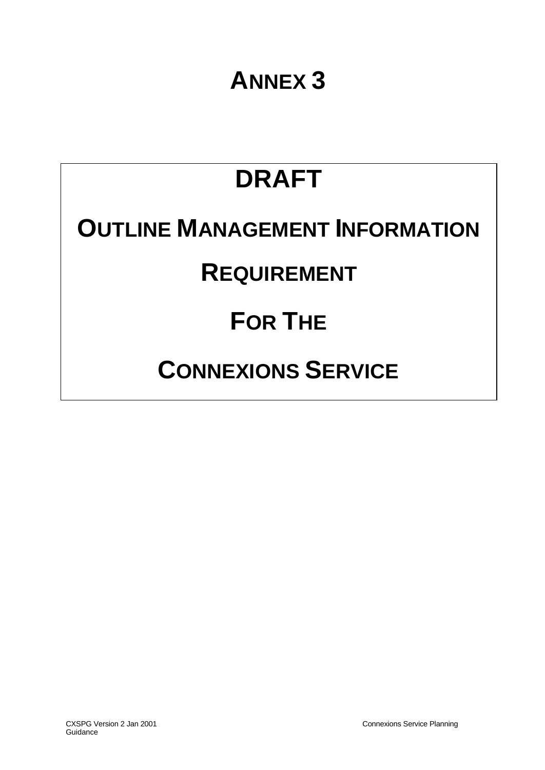# **ANNEX 3**

# **DRAFT OUTLINE MANAGEMENT INFORMATION**

### **REQUIREMENT**

# **FOR THE**

# **CONNEXIONS SERVICE**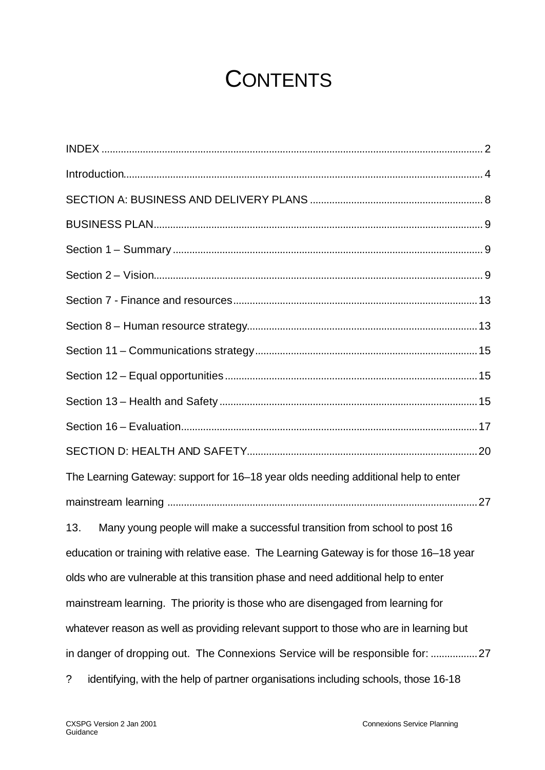## **CONTENTS**

| The Learning Gateway: support for 16-18 year olds needing additional help to enter               |
|--------------------------------------------------------------------------------------------------|
|                                                                                                  |
| Many young people will make a successful transition from school to post 16<br>13.                |
| education or training with relative ease. The Learning Gateway is for those 16-18 year           |
| olds who are vulnerable at this transition phase and need additional help to enter               |
| mainstream learning. The priority is those who are disengaged from learning for                  |
| whatever reason as well as providing relevant support to those who are in learning but           |
| in danger of dropping out. The Connexions Service will be responsible for: 27                    |
| $\ddot{?}$<br>identifying, with the help of partner organisations including schools, those 16-18 |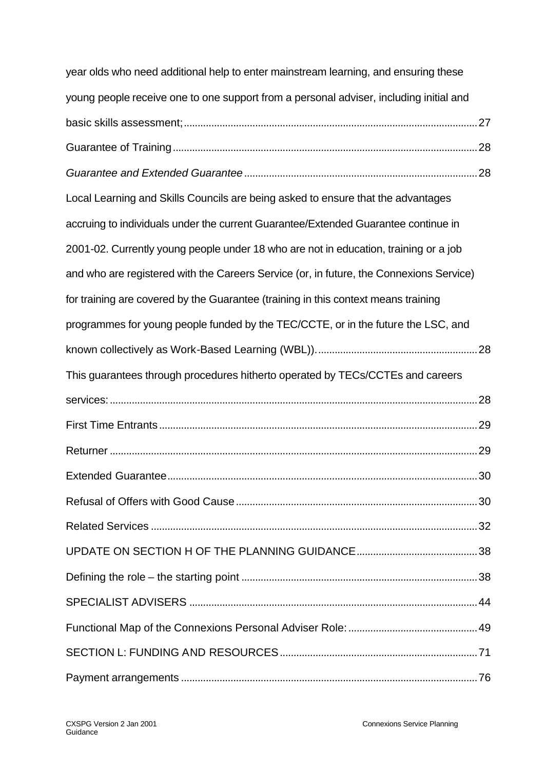| year olds who need additional help to enter mainstream learning, and ensuring these     |  |
|-----------------------------------------------------------------------------------------|--|
| young people receive one to one support from a personal adviser, including initial and  |  |
|                                                                                         |  |
|                                                                                         |  |
|                                                                                         |  |
| Local Learning and Skills Councils are being asked to ensure that the advantages        |  |
| accruing to individuals under the current Guarantee/Extended Guarantee continue in      |  |
| 2001-02. Currently young people under 18 who are not in education, training or a job    |  |
| and who are registered with the Careers Service (or, in future, the Connexions Service) |  |
| for training are covered by the Guarantee (training in this context means training      |  |
| programmes for young people funded by the TEC/CCTE, or in the future the LSC, and       |  |
|                                                                                         |  |
| This guarantees through procedures hitherto operated by TECs/CCTEs and careers          |  |
|                                                                                         |  |
|                                                                                         |  |
|                                                                                         |  |
|                                                                                         |  |
|                                                                                         |  |
|                                                                                         |  |
|                                                                                         |  |
|                                                                                         |  |
|                                                                                         |  |
|                                                                                         |  |
|                                                                                         |  |
|                                                                                         |  |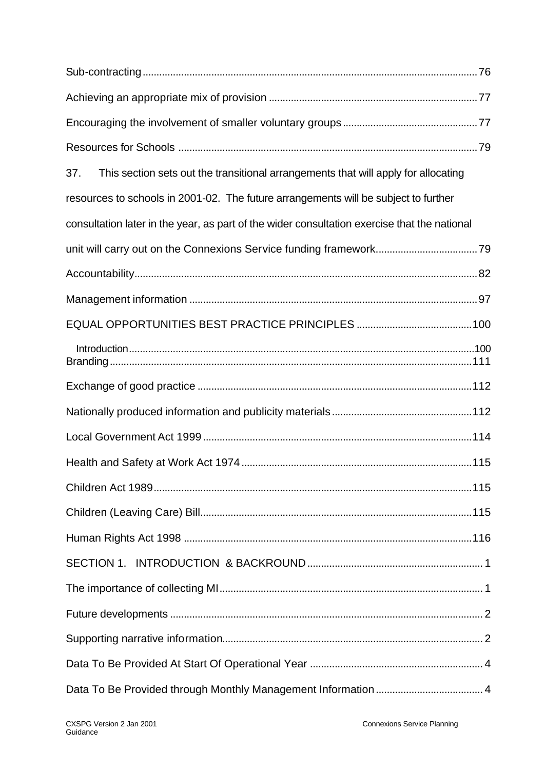| This section sets out the transitional arrangements that will apply for allocating<br>37.    |  |
|----------------------------------------------------------------------------------------------|--|
| resources to schools in 2001-02. The future arrangements will be subject to further          |  |
| consultation later in the year, as part of the wider consultation exercise that the national |  |
|                                                                                              |  |
|                                                                                              |  |
|                                                                                              |  |
|                                                                                              |  |
|                                                                                              |  |
|                                                                                              |  |
|                                                                                              |  |
|                                                                                              |  |
|                                                                                              |  |
|                                                                                              |  |
|                                                                                              |  |
|                                                                                              |  |
|                                                                                              |  |
|                                                                                              |  |
|                                                                                              |  |
|                                                                                              |  |
|                                                                                              |  |
|                                                                                              |  |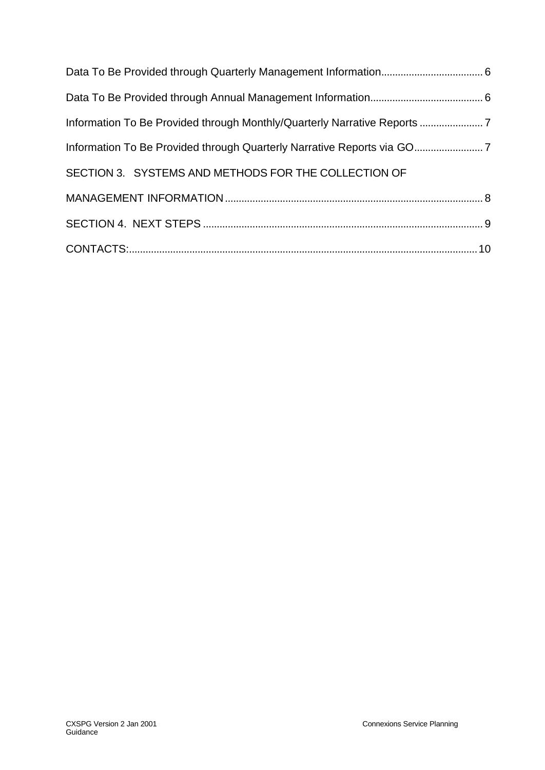| SECTION 3. SYSTEMS AND METHODS FOR THE COLLECTION OF |  |
|------------------------------------------------------|--|
|                                                      |  |
|                                                      |  |
|                                                      |  |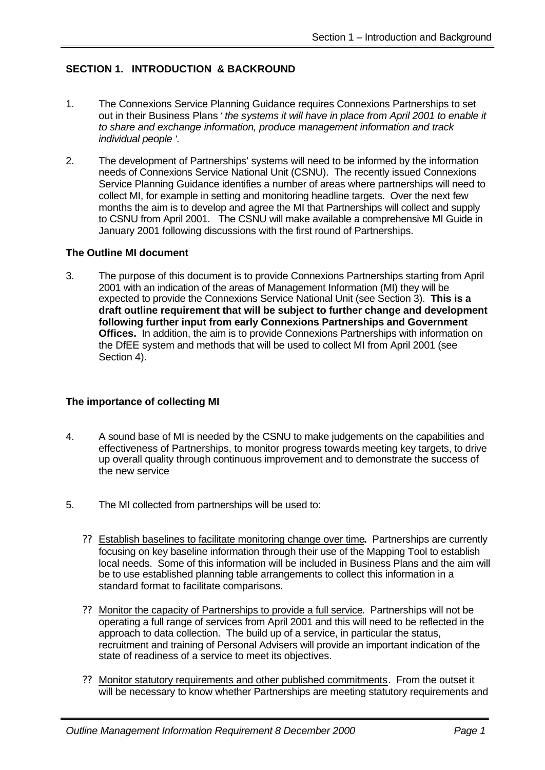#### **SECTION 1. INTRODUCTION & BACKROUND**

- 1. The Connexions Service Planning Guidance requires Connexions Partnerships to set out in their Business Plans *' the systems it will have in place from April 2001 to enable it to share and exchange information, produce management information and track individual people '.*
- 2. The development of Partnerships' systems will need to be informed by the information needs of Connexions Service National Unit (CSNU). The recently issued Connexions Service Planning Guidance identifies a number of areas where partnerships will need to collect MI, for example in setting and monitoring headline targets. Over the next few months the aim is to develop and agree the MI that Partnerships will collect and supply to CSNU from April 2001. The CSNU will make available a comprehensive MI Guide in January 2001 following discussions with the first round of Partnerships.

#### **The Outline MI document**

3. The purpose of this document is to provide Connexions Partnerships starting from April 2001 with an indication of the areas of Management Information (MI) they will be expected to provide the Connexions Service National Unit (see Section 3). **This is a draft outline requirement that will be subject to further change and development following further input from early Connexions Partnerships and Government Offices.** In addition, the aim is to provide Connexions Partnerships with information on the DfEE system and methods that will be used to collect MI from April 2001 (see Section 4).

#### **The importance of collecting MI**

- 4. A sound base of MI is needed by the CSNU to make judgements on the capabilities and effectiveness of Partnerships, to monitor progress towards meeting key targets, to drive up overall quality through continuous improvement and to demonstrate the success of the new service
- 5. The MI collected from partnerships will be used to:
	- ?? Establish baselines to facilitate monitoring change over time**.** Partnerships are currently focusing on key baseline information through their use of the Mapping Tool to establish local needs. Some of this information will be included in Business Plans and the aim will be to use established planning table arrangements to collect this information in a standard format to facilitate comparisons.
	- ?? Monitor the capacity of Partnerships to provide a full service. Partnerships will not be operating a full range of services from April 2001 and this will need to be reflected in the approach to data collection. The build up of a service, in particular the status, recruitment and training of Personal Advisers will provide an important indication of the state of readiness of a service to meet its objectives.
	- ?? Monitor statutory requirements and other published commitments. From the outset it will be necessary to know whether Partnerships are meeting statutory requirements and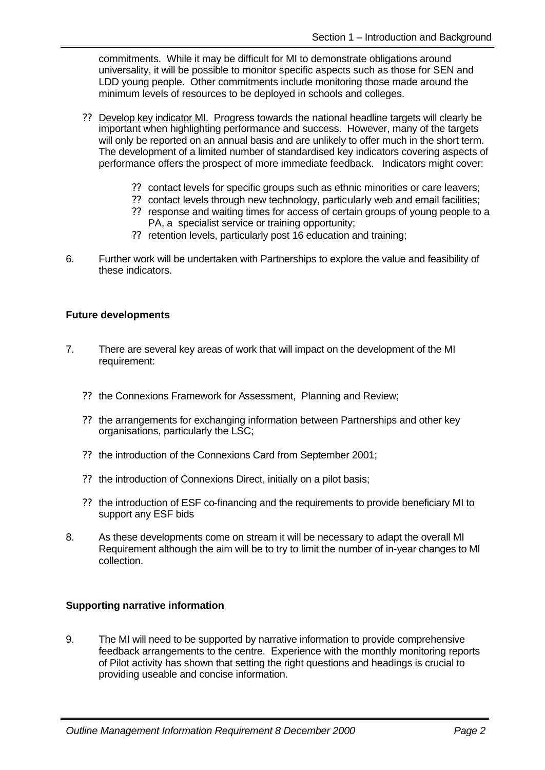commitments. While it may be difficult for MI to demonstrate obligations around universality, it will be possible to monitor specific aspects such as those for SEN and LDD young people. Other commitments include monitoring those made around the minimum levels of resources to be deployed in schools and colleges.

- ?? Develop key indicator MI. Progress towards the national headline targets will clearly be important when highlighting performance and success. However, many of the targets will only be reported on an annual basis and are unlikely to offer much in the short term. The development of a limited number of standardised key indicators covering aspects of performance offers the prospect of more immediate feedback. Indicators might cover:
	- ?? contact levels for specific groups such as ethnic minorities or care leavers;
	- ?? contact levels through new technology, particularly web and email facilities;
	- ?? response and waiting times for access of certain groups of young people to a PA, a specialist service or training opportunity;
	- ?? retention levels, particularly post 16 education and training;
- 6. Further work will be undertaken with Partnerships to explore the value and feasibility of these indicators.

#### **Future developments**

- 7. There are several key areas of work that will impact on the development of the MI requirement:
	- ?? the Connexions Framework for Assessment, Planning and Review;
	- ?? the arrangements for exchanging information between Partnerships and other key organisations, particularly the LSC;
	- ?? the introduction of the Connexions Card from September 2001;
	- ?? the introduction of Connexions Direct, initially on a pilot basis;
	- ?? the introduction of ESF co-financing and the requirements to provide beneficiary MI to support any ESF bids
- 8. As these developments come on stream it will be necessary to adapt the overall MI Requirement although the aim will be to try to limit the number of in-year changes to MI collection.

#### **Supporting narrative information**

9. The MI will need to be supported by narrative information to provide comprehensive feedback arrangements to the centre. Experience with the monthly monitoring reports of Pilot activity has shown that setting the right questions and headings is crucial to providing useable and concise information.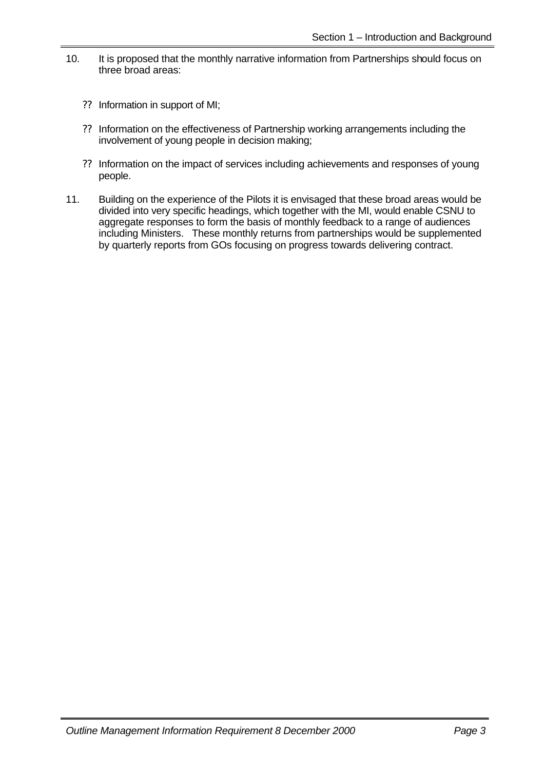- 10. It is proposed that the monthly narrative information from Partnerships should focus on three broad areas:
	- ?? Information in support of MI;
	- ?? Information on the effectiveness of Partnership working arrangements including the involvement of young people in decision making;
	- ?? Information on the impact of services including achievements and responses of young people.
- 11. Building on the experience of the Pilots it is envisaged that these broad areas would be divided into very specific headings, which together with the MI, would enable CSNU to aggregate responses to form the basis of monthly feedback to a range of audiences including Ministers. These monthly returns from partnerships would be supplemented by quarterly reports from GOs focusing on progress towards delivering contract.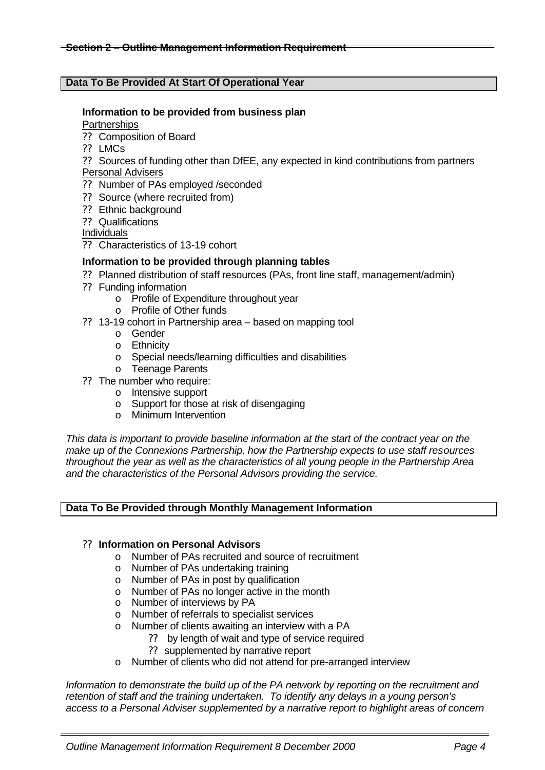#### **Data To Be Provided At Start Of Operational Year**

#### **Information to be provided from business plan**

**Partnerships** 

- ?? Composition of Board
- ?? LMCs
- ?? Sources of funding other than DfEE, any expected in kind contributions from partners Personal Advisers
- ?? Number of PAs employed /seconded
- ?? Source (where recruited from)
- ?? Ethnic background
- ?? Qualifications

Individuals

?? Characteristics of 13-19 cohort

#### **Information to be provided through planning tables**

- ?? Planned distribution of staff resources (PAs, front line staff, management/admin)
- ?? Funding information
	- o Profile of Expenditure throughout year
	- o Profile of Other funds
- ?? 13-19 cohort in Partnership area based on mapping tool
	- o Gender
	- o Ethnicity
	- o Special needs/learning difficulties and disabilities
	- o Teenage Parents
- ?? The number who require:
	- o Intensive support
	- o Support for those at risk of disengaging
	- o Minimum Intervention

*This data is important to provide baseline information at the start of the contract year on the make up of the Connexions Partnership, how the Partnership expects to use staff resources throughout the year as well as the characteristics of all young people in the Partnership Area and the characteristics of the Personal Advisors providing the service.*

#### **Data To Be Provided through Monthly Management Information**

#### ?? **Information on Personal Advisors**

- o Number of PAs recruited and source of recruitment
- o Number of PAs undertaking training
- o Number of PAs in post by qualification
- o Number of PAs no longer active in the month
- o Number of interviews by PA
- o Number of referrals to specialist services
- o Number of clients awaiting an interview with a PA
	- ?? by length of wait and type of service required
	- ?? supplemented by narrative report
- o Number of clients who did not attend for pre-arranged interview

*Information to demonstrate the build up of the PA network by reporting on the recruitment and retention of staff and the training undertaken. To identify any delays in a young person's access to a Personal Adviser supplemented by a narrative report to highlight areas of concern*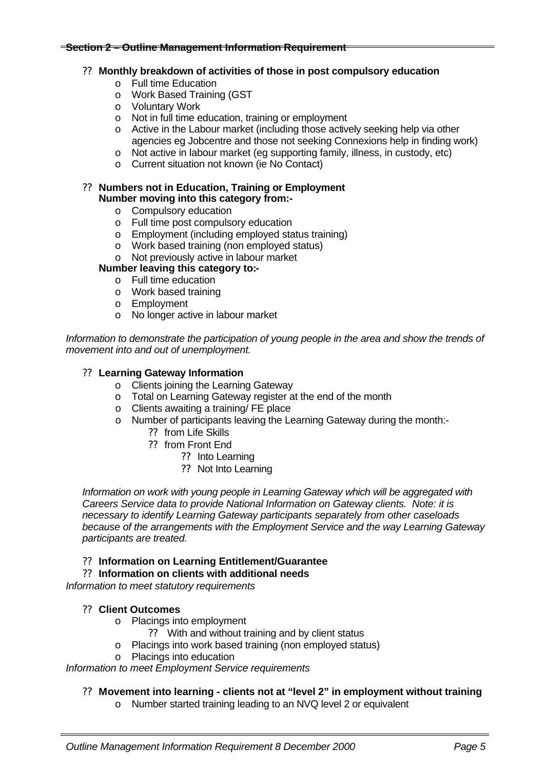#### **Section 2 – Outline Management Information Requirement**

#### ?? **Monthly breakdown of activities of those in post compulsory education**

- o Full time Education
- o Work Based Training (GST
- o Voluntary Work
- o Not in full time education, training or employment
- o Active in the Labour market (including those actively seeking help via other agencies eg Jobcentre and those not seeking Connexions help in finding work)
- o Not active in labour market (eg supporting family, illness, in custody, etc)
- o Current situation not known (ie No Contact)

#### ?? **Numbers not in Education, Training or Employment Number moving into this category from:-**

- o Compulsory education
- o Full time post compulsory education
- o Employment (including employed status training)
- o Work based training (non employed status)
- o Not previously active in labour market

#### **Number leaving this category to:-**

- o Full time education
- o Work based training
- o Employment
- o No longer active in labour market

*Information to demonstrate the participation of young people in the area and show the trends of movement into and out of unemployment.*

#### ?? **Learning Gateway Information**

- o Clients joining the Learning Gateway
- o Total on Learning Gateway register at the end of the month
- o Clients awaiting a training/ FE place
- o Number of participants leaving the Learning Gateway during the month:-
	- ?? from Life Skills
	- ?? from Front End
		- ?? Into Learning
		- ?? Not Into Learning

*Information on work with young people in Learning Gateway which will be aggregated with Careers Service data to provide National Information on Gateway clients. Note: it is necessary to identify Learning Gateway participants separately from other caseloads because of the arrangements with the Employment Service and the way Learning Gateway participants are treated.*

#### ?? **Information on Learning Entitlement/Guarantee**

#### ?? **Information on clients with additional needs**

*Information to meet statutory requirements*

#### ?? **Client Outcomes**

- o Placings into employment
	- ?? With and without training and by client status
- o Placings into work based training (non employed status)
- o Placings into education

*Information to meet Employment Service requirements*

#### ?? **Movement into learning - clients not at "level 2" in employment without training**

o Number started training leading to an NVQ level 2 or equivalent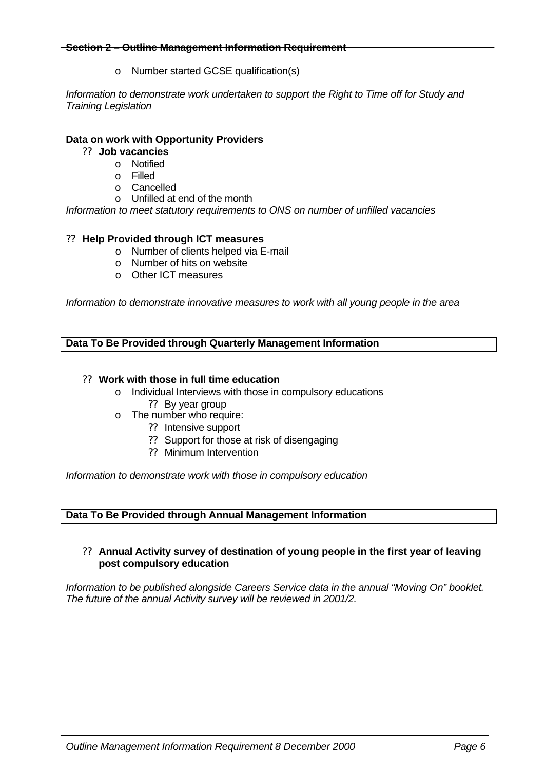#### **Section 2 – Outline Management Information Requirement**

o Number started GCSE qualification(s)

*Information to demonstrate work undertaken to support the Right to Time off for Study and Training Legislation*

#### **Data on work with Opportunity Providers**

- ?? **Job vacancies**
	- o Notified
	- o Filled
	- o Cancelled
	- o Unfilled at end of the month

*Information to meet statutory requirements to ONS on number of unfilled vacancies*

#### ?? **Help Provided through ICT measures**

- o Number of clients helped via E-mail
- o Number of hits on website
- o Other ICT measures

*Information to demonstrate innovative measures to work with all young people in the area*

**Data To Be Provided through Quarterly Management Information**

#### ?? **Work with those in full time education**

- o Individual Interviews with those in compulsory educations ?? By year group
- o The number who require:
	- ?? Intensive support
	- ?? Support for those at risk of disengaging
	- ?? Minimum Intervention

*Information to demonstrate work with those in compulsory education*

#### **Data To Be Provided through Annual Management Information**

#### ?? **Annual Activity survey of destination of young people in the first year of leaving post compulsory education**

*Information to be published alongside Careers Service data in the annual "Moving On" booklet. The future of the annual Activity survey will be reviewed in 2001/2.*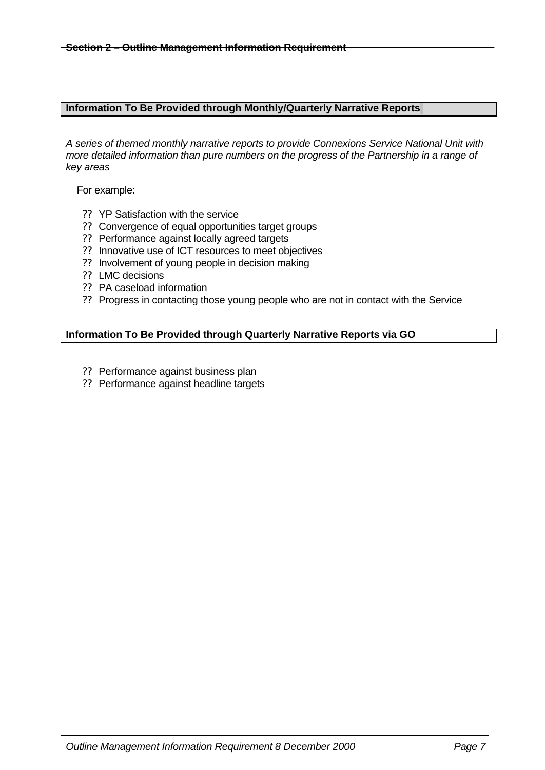#### **Information To Be Provided through Monthly/Quarterly Narrative Reports**

*A series of themed monthly narrative reports to provide Connexions Service National Unit with more detailed information than pure numbers on the progress of the Partnership in a range of key areas*

For example:

- ?? YP Satisfaction with the service
- ?? Convergence of equal opportunities target groups
- ?? Performance against locally agreed targets
- ?? Innovative use of ICT resources to meet objectives
- ?? Involvement of young people in decision making
- ?? LMC decisions
- ?? PA caseload information
- ?? Progress in contacting those young people who are not in contact with the Service

#### **Information To Be Provided through Quarterly Narrative Reports via GO**

- ?? Performance against business plan
- ?? Performance against headline targets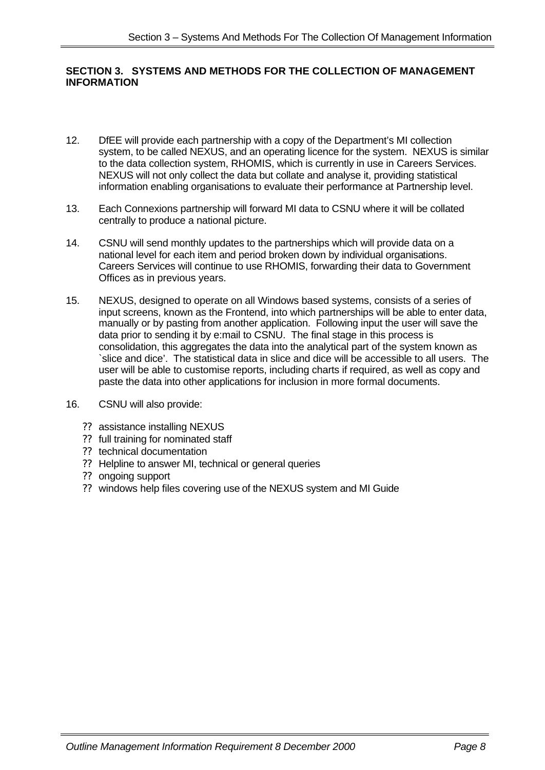#### **SECTION 3. SYSTEMS AND METHODS FOR THE COLLECTION OF MANAGEMENT INFORMATION**

- 12. DfEE will provide each partnership with a copy of the Department's MI collection system, to be called NEXUS, and an operating licence for the system. NEXUS is similar to the data collection system, RHOMIS, which is currently in use in Careers Services. NEXUS will not only collect the data but collate and analyse it, providing statistical information enabling organisations to evaluate their performance at Partnership level.
- 13. Each Connexions partnership will forward MI data to CSNU where it will be collated centrally to produce a national picture.
- 14. CSNU will send monthly updates to the partnerships which will provide data on a national level for each item and period broken down by individual organisations. Careers Services will continue to use RHOMIS, forwarding their data to Government Offices as in previous years.
- 15. NEXUS, designed to operate on all Windows based systems, consists of a series of input screens, known as the Frontend, into which partnerships will be able to enter data, manually or by pasting from another application. Following input the user will save the data prior to sending it by e:mail to CSNU. The final stage in this process is consolidation, this aggregates the data into the analytical part of the system known as `slice and dice'. The statistical data in slice and dice will be accessible to all users. The user will be able to customise reports, including charts if required, as well as copy and paste the data into other applications for inclusion in more formal documents.
- 16. CSNU will also provide:
	- ?? assistance installing NEXUS
	- ?? full training for nominated staff
	- ?? technical documentation
	- ?? Helpline to answer MI, technical or general queries
	- ?? ongoing support
	- ?? windows help files covering use of the NEXUS system and MI Guide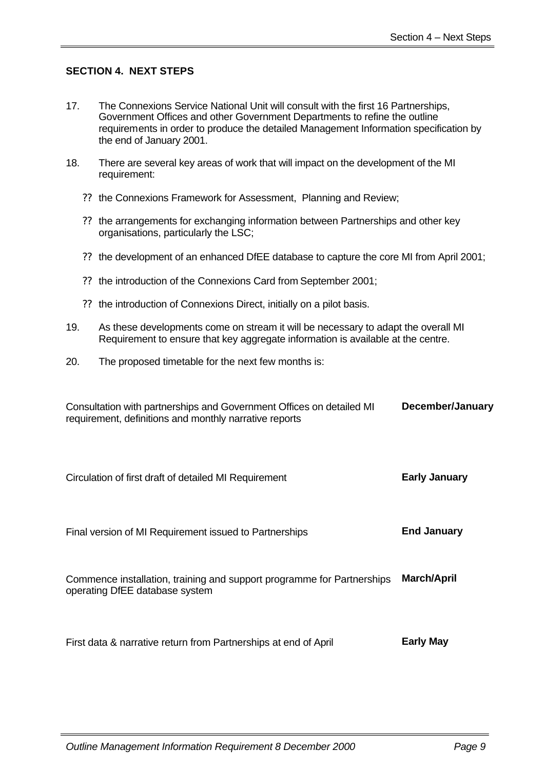#### **SECTION 4. NEXT STEPS**

- 17. The Connexions Service National Unit will consult with the first 16 Partnerships, Government Offices and other Government Departments to refine the outline requirements in order to produce the detailed Management Information specification by the end of January 2001.
- 18. There are several key areas of work that will impact on the development of the MI requirement:
	- ?? the Connexions Framework for Assessment, Planning and Review;
	- ?? the arrangements for exchanging information between Partnerships and other key organisations, particularly the LSC;
	- ?? the development of an enhanced DfEE database to capture the core MI from April 2001;
	- ?? the introduction of the Connexions Card from September 2001;
	- ?? the introduction of Connexions Direct, initially on a pilot basis.
- 19. As these developments come on stream it will be necessary to adapt the overall MI Requirement to ensure that key aggregate information is available at the centre.
- 20. The proposed timetable for the next few months is:

| Consultation with partnerships and Government Offices on detailed MI<br>requirement, definitions and monthly narrative reports | December/January     |
|--------------------------------------------------------------------------------------------------------------------------------|----------------------|
| Circulation of first draft of detailed MI Requirement                                                                          | <b>Early January</b> |
| Final version of MI Requirement issued to Partnerships                                                                         | <b>End January</b>   |
| Commence installation, training and support programme for Partnerships<br>operating DfEE database system                       | <b>March/April</b>   |
| First data & narrative return from Partnerships at end of April                                                                | <b>Early May</b>     |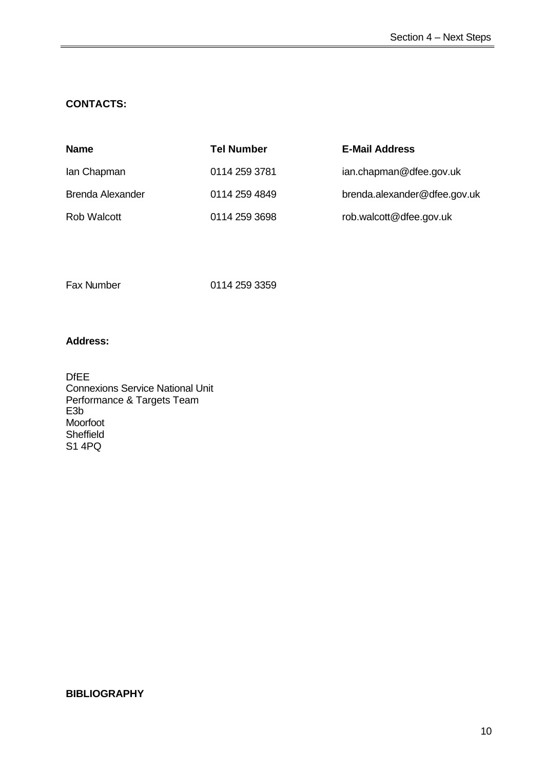#### **CONTACTS:**

| <b>Name</b>             | <b>Tel Number</b> | <b>E-Mail Address</b>        |
|-------------------------|-------------------|------------------------------|
| lan Chapman             | 0114 259 3781     | ian.chapman@dfee.gov.uk      |
| <b>Brenda Alexander</b> | 0114 259 4849     | brenda.alexander@dfee.gov.uk |
| <b>Rob Walcott</b>      | 0114 259 3698     | rob.walcott@dfee.gov.uk      |

Fax Number 0114 259 3359

#### **Address:**

DfEE Connexions Service National Unit Performance & Targets Team E3b Moorfoot **Sheffield** S1 4PQ

#### **BIBLIOGRAPHY**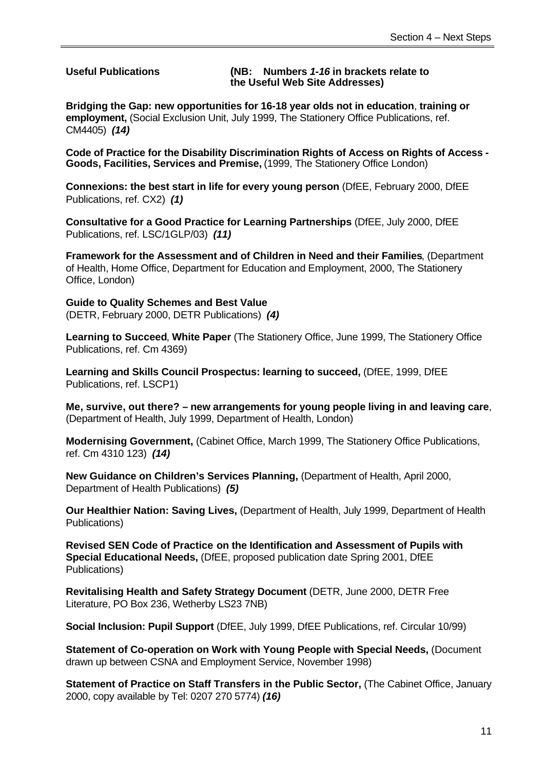**Useful Publications (NB: Numbers** *1-16* **in brackets relate to the Useful Web Site Addresses)**

**Bridging the Gap: new opportunities for 16-18 year olds not in education**, **training or employment,** (Social Exclusion Unit, July 1999, The Stationery Office Publications, ref. CM4405) *(14)*

**Code of Practice for the Disability Discrimination Rights of Access on Rights of Access - Goods, Facilities, Services and Premise,** (1999, The Stationery Office London)

**Connexions: the best start in life for every young person** (DfEE, February 2000, DfEE Publications, ref. CX2) *(1)*

**Consultative for a Good Practice for Learning Partnerships** (DfEE, July 2000, DfEE Publications, ref. LSC/1GLP/03) *(11)*

**Framework for the Assessment and of Children in Need and their Families**, (Department of Health, Home Office, Department for Education and Employment, 2000, The Stationery Office, London)

**Guide to Quality Schemes and Best Value**  (DETR, February 2000, DETR Publications) *(4)*

**Learning to Succeed**, **White Paper** (The Stationery Office, June 1999, The Stationery Office Publications, ref. Cm 4369)

**Learning and Skills Council Prospectus: learning to succeed,** (DfEE, 1999, DfEE Publications, ref. LSCP1)

**Me, survive, out there? – new arrangements for young people living in and leaving care**, (Department of Health, July 1999, Department of Health, London)

**Modernising Government,** (Cabinet Office, March 1999, The Stationery Office Publications, ref. Cm 4310 123) *(14)*

**New Guidance on Children's Services Planning,** (Department of Health, April 2000, Department of Health Publications) *(5)*

**Our Healthier Nation: Saving Lives,** (Department of Health, July 1999, Department of Health Publications)

**Revised SEN Code of Practice on the Identification and Assessment of Pupils with Special Educational Needs,** (DfEE, proposed publication date Spring 2001, DfEE Publications)

**Revitalising Health and Safety Strategy Document** (DETR, June 2000, DETR Free Literature, PO Box 236, Wetherby LS23 7NB)

**Social Inclusion: Pupil Support** (DfEE, July 1999, DfEE Publications, ref. Circular 10/99)

**Statement of Co-operation on Work with Young People with Special Needs,** (Document drawn up between CSNA and Employment Service, November 1998)

**Statement of Practice on Staff Transfers in the Public Sector, (The Cabinet Office, January** 2000, copy available by Tel: 0207 270 5774) *(16)*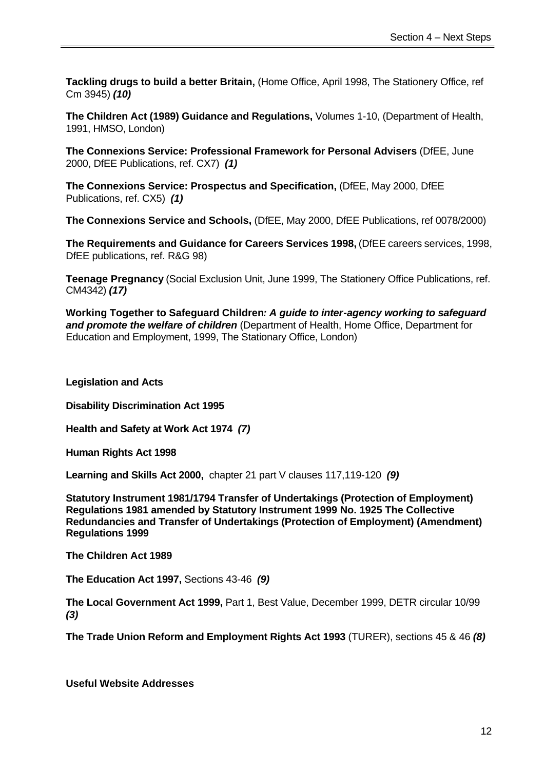**Tackling drugs to build a better Britain,** (Home Office, April 1998, The Stationery Office, ref Cm 3945) *(10)*

**The Children Act (1989) Guidance and Regulations,** Volumes 1-10, (Department of Health, 1991, HMSO, London)

**The Connexions Service: Professional Framework for Personal Advisers** (DfEE, June 2000, DfEE Publications, ref. CX7) *(1)*

**The Connexions Service: Prospectus and Specification,** (DfEE, May 2000, DfEE Publications, ref. CX5) *(1)*

**The Connexions Service and Schools,** (DfEE, May 2000, DfEE Publications, ref 0078/2000)

**The Requirements and Guidance for Careers Services 1998,** (DfEE careers services, 1998, DfEE publications, ref. R&G 98)

**Teenage Pregnancy** (Social Exclusion Unit, June 1999, The Stationery Office Publications, ref. CM4342) *(17)*

**Working Together to Safeguard Children***: A guide to inter-agency working to safeguard and promote the welfare of children* (Department of Health, Home Office, Department for Education and Employment, 1999, The Stationary Office, London)

**Legislation and Acts**

**Disability Discrimination Act 1995**

**Health and Safety at Work Act 1974** *(7)*

**Human Rights Act 1998**

**Learning and Skills Act 2000,** chapter 21 part V clauses 117,119-120 *(9)* 

**Statutory Instrument 1981/1794 Transfer of Undertakings (Protection of Employment) Regulations 1981 amended by Statutory Instrument 1999 No. 1925 The Collective Redundancies and Transfer of Undertakings (Protection of Employment) (Amendment) Regulations 1999**

**The Children Act 1989**

**The Education Act 1997,** Sections 43-46 *(9)*

**The Local Government Act 1999,** Part 1, Best Value, December 1999, DETR circular 10/99 *(3)*

**The Trade Union Reform and Employment Rights Act 1993** (TURER), sections 45 & 46 *(8)*

**Useful Website Addresses**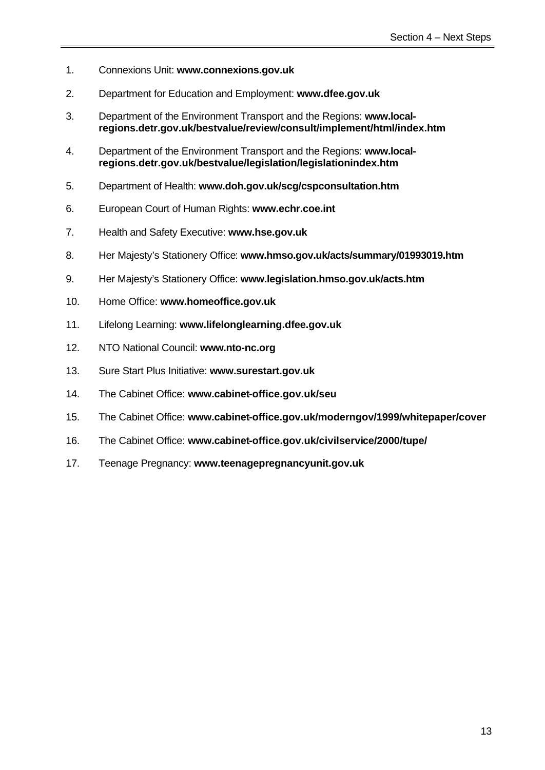- 1. Connexions Unit: **www.connexions.gov.uk**
- 2. Department for Education and Employment: **www.dfee.gov.uk**
- 3. Department of the Environment Transport and the Regions: **www.local regions.detr.gov.uk/bestvalue/review/consult/implement/html/index.htm**
- 4. Department of the Environment Transport and the Regions: **www.localregions.detr.gov.uk/bestvalue/legislation/legislationindex.htm**
- 5. Department of Health: **www.doh.gov.uk/scg/cspconsultation.htm**
- 6. European Court of Human Rights: **www.echr.coe.int**
- 7. Health and Safety Executive: **www.hse.gov.uk**
- 8. Her Majesty's Stationery Office: **www.hmso.gov.uk/acts/summary/01993019.htm**
- 9. Her Majesty's Stationery Office: **www.legislation.hmso.gov.uk/acts.htm**
- 10. Home Office: **www.homeoffice.gov.uk**
- 11. Lifelong Learning: **www.lifelonglearning.dfee.gov.uk**
- 12. NTO National Council: **www.nto-nc.org**
- 13. Sure Start Plus Initiative: **www.surestart.gov.uk**
- 14. The Cabinet Office: **www.cabinet-office.gov.uk/seu**
- 15. The Cabinet Office: **www.cabinet-office.gov.uk/moderngov/1999/whitepaper/cover**
- 16. The Cabinet Office: **www.cabinet-office.gov.uk/civilservice/2000/tupe/**
- 17. Teenage Pregnancy: **www.teenagepregnancyunit.gov.uk**